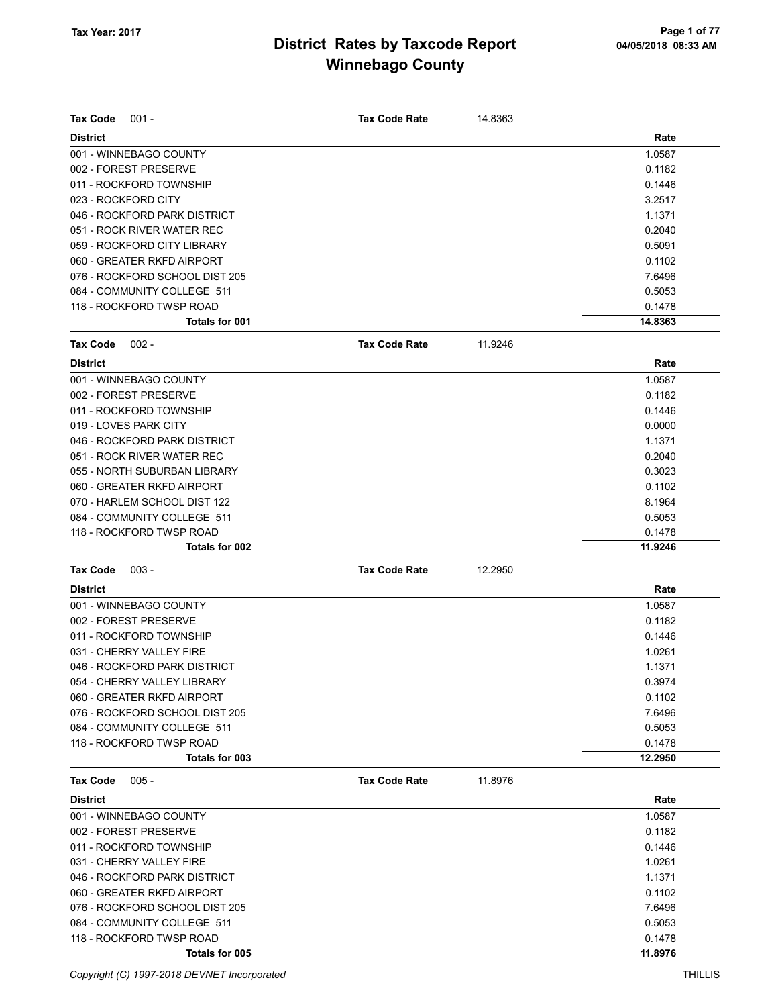| <b>Tax Code</b><br>$001 -$                      | <b>Tax Code Rate</b> | 14.8363 |                  |
|-------------------------------------------------|----------------------|---------|------------------|
|                                                 |                      |         |                  |
| <b>District</b>                                 |                      |         | Rate             |
| 001 - WINNEBAGO COUNTY<br>002 - FOREST PRESERVE |                      |         | 1.0587<br>0.1182 |
| 011 - ROCKFORD TOWNSHIP                         |                      |         | 0.1446           |
| 023 - ROCKFORD CITY                             |                      |         | 3.2517           |
| 046 - ROCKFORD PARK DISTRICT                    |                      |         | 1.1371           |
| 051 - ROCK RIVER WATER REC                      |                      |         | 0.2040           |
| 059 - ROCKFORD CITY LIBRARY                     |                      |         | 0.5091           |
| 060 - GREATER RKFD AIRPORT                      |                      |         | 0.1102           |
| 076 - ROCKFORD SCHOOL DIST 205                  |                      |         | 7.6496           |
| 084 - COMMUNITY COLLEGE 511                     |                      |         | 0.5053           |
| 118 - ROCKFORD TWSP ROAD                        |                      |         | 0.1478           |
| Totals for 001                                  |                      |         | 14.8363          |
|                                                 | <b>Tax Code Rate</b> |         |                  |
| <b>Tax Code</b><br>$002 -$                      |                      | 11.9246 |                  |
| <b>District</b>                                 |                      |         | Rate             |
| 001 - WINNEBAGO COUNTY                          |                      |         | 1.0587           |
| 002 - FOREST PRESERVE                           |                      |         | 0.1182           |
| 011 - ROCKFORD TOWNSHIP                         |                      |         | 0.1446           |
| 019 - LOVES PARK CITY                           |                      |         | 0.0000           |
| 046 - ROCKFORD PARK DISTRICT                    |                      |         | 1.1371           |
| 051 - ROCK RIVER WATER REC                      |                      |         | 0.2040           |
| 055 - NORTH SUBURBAN LIBRARY                    |                      |         | 0.3023           |
| 060 - GREATER RKFD AIRPORT                      |                      |         | 0.1102           |
| 070 - HARLEM SCHOOL DIST 122                    |                      |         | 8.1964           |
| 084 - COMMUNITY COLLEGE 511                     |                      |         | 0.5053           |
| 118 - ROCKFORD TWSP ROAD                        |                      |         | 0.1478           |
| Totals for 002                                  |                      |         | 11.9246          |
| <b>Tax Code</b><br>$003 -$                      | <b>Tax Code Rate</b> | 12.2950 |                  |
| <b>District</b>                                 |                      |         | Rate             |
| 001 - WINNEBAGO COUNTY                          |                      |         | 1.0587           |
| 002 - FOREST PRESERVE                           |                      |         | 0.1182           |
| 011 - ROCKFORD TOWNSHIP                         |                      |         | 0.1446           |
| 031 - CHERRY VALLEY FIRE                        |                      |         | 1.0261           |
| 046 - ROCKFORD PARK DISTRICT                    |                      |         | 1.1371           |
| 054 - CHERRY VALLEY LIBRARY                     |                      |         | 0.3974           |
| 060 - GREATER RKFD AIRPORT                      |                      |         | 0.1102           |
| 076 - ROCKFORD SCHOOL DIST 205                  |                      |         | 7.6496           |
| 084 - COMMUNITY COLLEGE 511                     |                      |         | 0.5053           |
| 118 - ROCKFORD TWSP ROAD                        |                      |         | 0.1478           |
| Totals for 003                                  |                      |         | 12.2950          |
| <b>Tax Code</b><br>$005 -$                      | <b>Tax Code Rate</b> | 11.8976 |                  |
| <b>District</b>                                 |                      |         | Rate             |
| 001 - WINNEBAGO COUNTY                          |                      |         | 1.0587           |
| 002 - FOREST PRESERVE                           |                      |         | 0.1182           |
| 011 - ROCKFORD TOWNSHIP                         |                      |         | 0.1446           |
| 031 - CHERRY VALLEY FIRE                        |                      |         | 1.0261           |
| 046 - ROCKFORD PARK DISTRICT                    |                      |         | 1.1371           |
| 060 - GREATER RKFD AIRPORT                      |                      |         | 0.1102           |
| 076 - ROCKFORD SCHOOL DIST 205                  |                      |         | 7.6496           |
| 084 - COMMUNITY COLLEGE 511                     |                      |         | 0.5053           |
| 118 - ROCKFORD TWSP ROAD                        |                      |         | 0.1478           |
| Totals for 005                                  |                      |         | 11.8976          |

Copyright (C) 1997-2018 DEVNET Incorporated THILLIS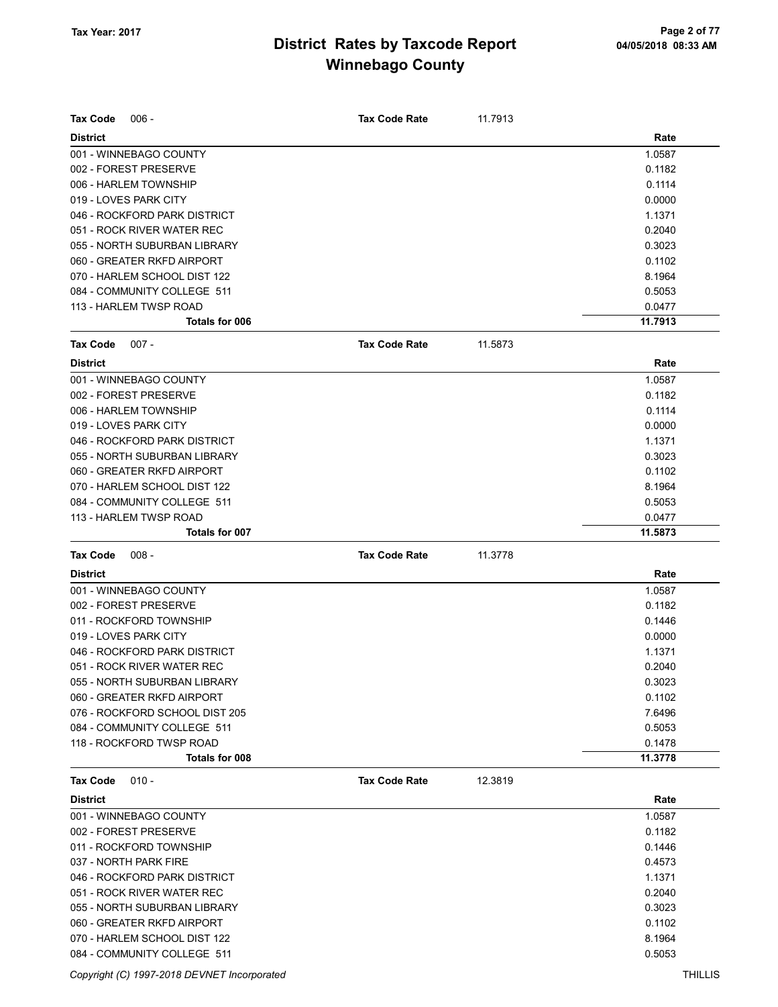| <b>Tax Code</b><br>$006 -$                      | <b>Tax Code Rate</b> | 11.7913 |                   |
|-------------------------------------------------|----------------------|---------|-------------------|
| <b>District</b>                                 |                      |         | Rate              |
| 001 - WINNEBAGO COUNTY                          |                      |         | 1.0587            |
| 002 - FOREST PRESERVE                           |                      |         | 0.1182            |
| 006 - HARLEM TOWNSHIP                           |                      |         | 0.1114            |
| 019 - LOVES PARK CITY                           |                      |         | 0.0000            |
| 046 - ROCKFORD PARK DISTRICT                    |                      |         | 1.1371            |
| 051 - ROCK RIVER WATER REC                      |                      |         | 0.2040            |
| 055 - NORTH SUBURBAN LIBRARY                    |                      |         | 0.3023            |
| 060 - GREATER RKFD AIRPORT                      |                      |         | 0.1102            |
| 070 - HARLEM SCHOOL DIST 122                    |                      |         | 8.1964            |
| 084 - COMMUNITY COLLEGE 511                     |                      |         | 0.5053            |
| 113 - HARLEM TWSP ROAD<br><b>Totals for 006</b> |                      |         | 0.0477<br>11.7913 |
|                                                 |                      |         |                   |
| $007 -$<br><b>Tax Code</b>                      | <b>Tax Code Rate</b> | 11.5873 |                   |
| <b>District</b>                                 |                      |         | Rate              |
| 001 - WINNEBAGO COUNTY                          |                      |         | 1.0587            |
| 002 - FOREST PRESERVE                           |                      |         | 0.1182            |
| 006 - HARLEM TOWNSHIP                           |                      |         | 0.1114            |
| 019 - LOVES PARK CITY                           |                      |         | 0.0000            |
| 046 - ROCKFORD PARK DISTRICT                    |                      |         | 1.1371            |
| 055 - NORTH SUBURBAN LIBRARY                    |                      |         | 0.3023            |
| 060 - GREATER RKFD AIRPORT                      |                      |         | 0.1102            |
| 070 - HARLEM SCHOOL DIST 122                    |                      |         | 8.1964            |
| 084 - COMMUNITY COLLEGE 511                     |                      |         | 0.5053            |
| 113 - HARLEM TWSP ROAD                          |                      |         | 0.0477            |
| Totals for 007                                  |                      |         | 11.5873           |
|                                                 |                      |         |                   |
| <b>Tax Code</b><br>$008 -$                      | <b>Tax Code Rate</b> | 11.3778 |                   |
| <b>District</b>                                 |                      |         | Rate              |
| 001 - WINNEBAGO COUNTY                          |                      |         | 1.0587            |
| 002 - FOREST PRESERVE                           |                      |         | 0.1182            |
| 011 - ROCKFORD TOWNSHIP                         |                      |         | 0.1446            |
| 019 - LOVES PARK CITY                           |                      |         | 0.0000            |
| 046 - ROCKFORD PARK DISTRICT                    |                      |         | 1.1371            |
| 051 - ROCK RIVER WATER REC                      |                      |         | 0.2040            |
| 055 - NORTH SUBURBAN LIBRARY                    |                      |         | 0.3023            |
| 060 - GREATER RKFD AIRPORT                      |                      |         | 0.1102            |
| 076 - ROCKFORD SCHOOL DIST 205                  |                      |         | 7.6496            |
| 084 - COMMUNITY COLLEGE 511                     |                      |         | 0.5053            |
| 118 - ROCKFORD TWSP ROAD                        |                      |         | 0.1478            |
| Totals for 008                                  |                      |         | 11.3778           |
| <b>Tax Code</b><br>$010 -$                      | <b>Tax Code Rate</b> | 12.3819 |                   |
| <b>District</b>                                 |                      |         | Rate              |
| 001 - WINNEBAGO COUNTY                          |                      |         | 1.0587            |
| 002 - FOREST PRESERVE                           |                      |         | 0.1182            |
| 011 - ROCKFORD TOWNSHIP                         |                      |         | 0.1446            |
| 037 - NORTH PARK FIRE                           |                      |         | 0.4573            |
| 046 - ROCKFORD PARK DISTRICT                    |                      |         | 1.1371            |
| 051 - ROCK RIVER WATER REC                      |                      |         | 0.2040            |
| 055 - NORTH SUBURBAN LIBRARY                    |                      |         | 0.3023            |
| 060 - GREATER RKFD AIRPORT                      |                      |         | 0.1102            |

084 - COMMUNITY COLLEGE 511 **0.5053**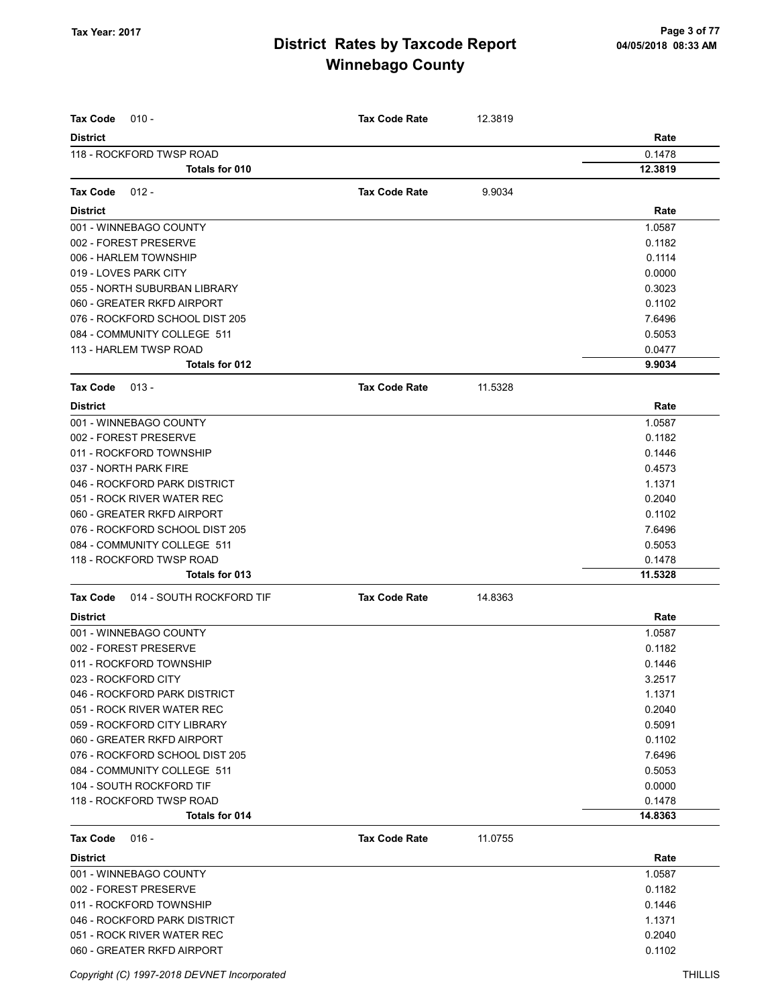| <b>Tax Code</b><br>$010 -$                  | <b>Tax Code Rate</b> | 12.3819 |         |
|---------------------------------------------|----------------------|---------|---------|
| <b>District</b>                             |                      |         | Rate    |
| 118 - ROCKFORD TWSP ROAD                    |                      |         | 0.1478  |
| Totals for 010                              |                      |         | 12.3819 |
|                                             |                      |         |         |
| <b>Tax Code</b><br>$012 -$                  | <b>Tax Code Rate</b> | 9.9034  |         |
| <b>District</b>                             |                      |         | Rate    |
| 001 - WINNEBAGO COUNTY                      |                      |         | 1.0587  |
| 002 - FOREST PRESERVE                       |                      |         | 0.1182  |
| 006 - HARLEM TOWNSHIP                       |                      |         | 0.1114  |
| 019 - LOVES PARK CITY                       |                      |         | 0.0000  |
| 055 - NORTH SUBURBAN LIBRARY                |                      |         | 0.3023  |
| 060 - GREATER RKFD AIRPORT                  |                      |         | 0.1102  |
| 076 - ROCKFORD SCHOOL DIST 205              |                      |         | 7.6496  |
| 084 - COMMUNITY COLLEGE 511                 |                      |         | 0.5053  |
| 113 - HARLEM TWSP ROAD                      |                      |         | 0.0477  |
| Totals for 012                              |                      |         | 9.9034  |
| <b>Tax Code</b><br>$013 -$                  | <b>Tax Code Rate</b> | 11.5328 |         |
| <b>District</b>                             |                      |         | Rate    |
| 001 - WINNEBAGO COUNTY                      |                      |         | 1.0587  |
| 002 - FOREST PRESERVE                       |                      |         | 0.1182  |
| 011 - ROCKFORD TOWNSHIP                     |                      |         | 0.1446  |
| 037 - NORTH PARK FIRE                       |                      |         | 0.4573  |
| 046 - ROCKFORD PARK DISTRICT                |                      |         | 1.1371  |
| 051 - ROCK RIVER WATER REC                  |                      |         | 0.2040  |
| 060 - GREATER RKFD AIRPORT                  |                      |         | 0.1102  |
| 076 - ROCKFORD SCHOOL DIST 205              |                      |         | 7.6496  |
| 084 - COMMUNITY COLLEGE 511                 |                      |         | 0.5053  |
| 118 - ROCKFORD TWSP ROAD                    |                      |         | 0.1478  |
| Totals for 013                              |                      |         | 11.5328 |
| 014 - SOUTH ROCKFORD TIF<br><b>Tax Code</b> | <b>Tax Code Rate</b> | 14.8363 |         |
| <b>District</b>                             |                      |         | Rate    |
| 001 - WINNEBAGO COUNTY                      |                      |         | 1.0587  |
| 002 - FOREST PRESERVE                       |                      |         | 0.1182  |
| 011 - ROCKFORD TOWNSHIP                     |                      |         | 0.1446  |
| 023 - ROCKFORD CITY                         |                      |         | 3.2517  |
| 046 - ROCKFORD PARK DISTRICT                |                      |         | 1.1371  |
| 051 - ROCK RIVER WATER REC                  |                      |         | 0.2040  |
| 059 - ROCKFORD CITY LIBRARY                 |                      |         | 0.5091  |
| 060 - GREATER RKFD AIRPORT                  |                      |         | 0.1102  |
| 076 - ROCKFORD SCHOOL DIST 205              |                      |         | 7.6496  |
| 084 - COMMUNITY COLLEGE 511                 |                      |         | 0.5053  |
| 104 - SOUTH ROCKFORD TIF                    |                      |         | 0.0000  |
| 118 - ROCKFORD TWSP ROAD                    |                      |         | 0.1478  |
| Totals for 014                              |                      |         | 14.8363 |
| <b>Tax Code</b><br>$016 -$                  | <b>Tax Code Rate</b> | 11.0755 |         |
| <b>District</b>                             |                      |         | Rate    |
| 001 - WINNEBAGO COUNTY                      |                      |         | 1.0587  |
| 002 - FOREST PRESERVE                       |                      |         | 0.1182  |
| 011 - ROCKFORD TOWNSHIP                     |                      |         | 0.1446  |
| 046 - ROCKFORD PARK DISTRICT                |                      |         | 1.1371  |
| 051 - ROCK RIVER WATER REC                  |                      |         | 0.2040  |
| 060 - GREATER RKFD AIRPORT                  |                      |         | 0.1102  |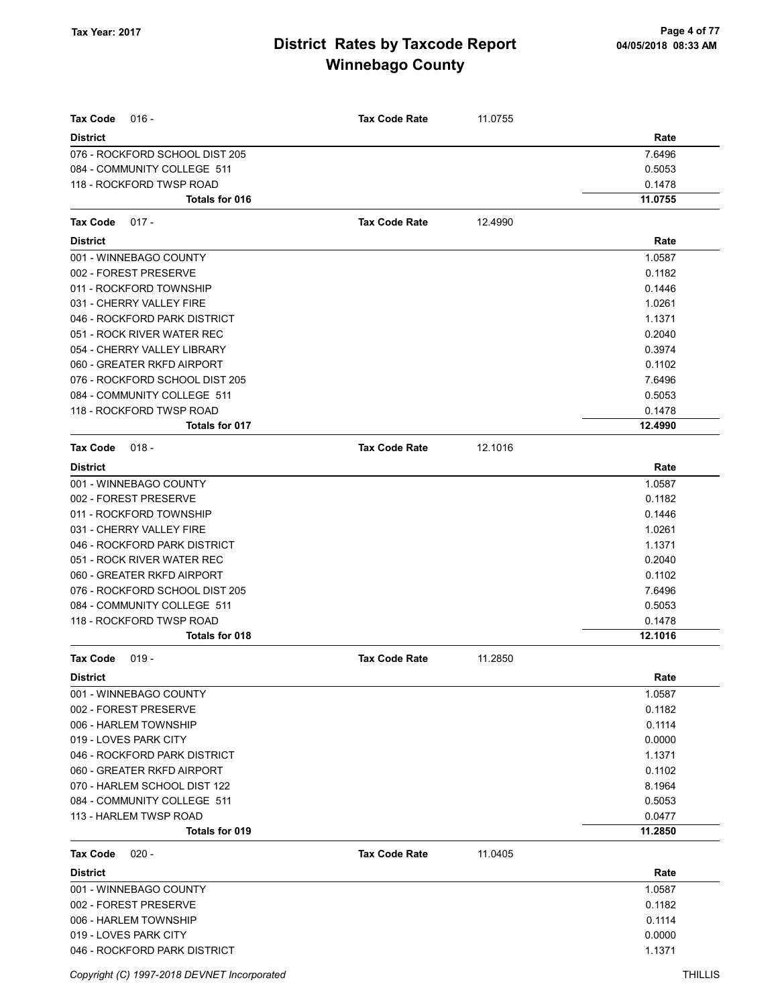| <b>Tax Code</b><br>$016 -$     | <b>Tax Code Rate</b> | 11.0755 |         |
|--------------------------------|----------------------|---------|---------|
| <b>District</b>                |                      |         | Rate    |
| 076 - ROCKFORD SCHOOL DIST 205 |                      |         | 7.6496  |
| 084 - COMMUNITY COLLEGE 511    |                      |         | 0.5053  |
| 118 - ROCKFORD TWSP ROAD       |                      |         | 0.1478  |
| <b>Totals for 016</b>          |                      |         | 11.0755 |
| <b>Tax Code</b><br>$017 -$     | <b>Tax Code Rate</b> | 12.4990 |         |
| <b>District</b>                |                      |         | Rate    |
| 001 - WINNEBAGO COUNTY         |                      |         | 1.0587  |
| 002 - FOREST PRESERVE          |                      |         | 0.1182  |
| 011 - ROCKFORD TOWNSHIP        |                      |         | 0.1446  |
| 031 - CHERRY VALLEY FIRE       |                      |         | 1.0261  |
| 046 - ROCKFORD PARK DISTRICT   |                      |         | 1.1371  |
| 051 - ROCK RIVER WATER REC     |                      |         | 0.2040  |
| 054 - CHERRY VALLEY LIBRARY    |                      |         | 0.3974  |
| 060 - GREATER RKFD AIRPORT     |                      |         | 0.1102  |
| 076 - ROCKFORD SCHOOL DIST 205 |                      |         | 7.6496  |
| 084 - COMMUNITY COLLEGE 511    |                      |         | 0.5053  |
| 118 - ROCKFORD TWSP ROAD       |                      |         | 0.1478  |
| Totals for 017                 |                      |         | 12.4990 |
| Tax Code<br>$018 -$            | <b>Tax Code Rate</b> | 12.1016 |         |
| <b>District</b>                |                      |         | Rate    |
| 001 - WINNEBAGO COUNTY         |                      |         | 1.0587  |
| 002 - FOREST PRESERVE          |                      |         | 0.1182  |
| 011 - ROCKFORD TOWNSHIP        |                      |         | 0.1446  |
| 031 - CHERRY VALLEY FIRE       |                      |         | 1.0261  |
| 046 - ROCKFORD PARK DISTRICT   |                      |         | 1.1371  |
| 051 - ROCK RIVER WATER REC     |                      |         | 0.2040  |
| 060 - GREATER RKFD AIRPORT     |                      |         | 0.1102  |
| 076 - ROCKFORD SCHOOL DIST 205 |                      |         | 7.6496  |
| 084 - COMMUNITY COLLEGE 511    |                      |         | 0.5053  |
| 118 - ROCKFORD TWSP ROAD       |                      |         | 0.1478  |
| Totals for 018                 |                      |         | 12.1016 |
| <b>Tax Code</b><br>$019 -$     | <b>Tax Code Rate</b> | 11.2850 |         |
| District                       |                      |         | Rate    |
| 001 - WINNEBAGO COUNTY         |                      |         | 1.0587  |
| 002 - FOREST PRESERVE          |                      |         | 0.1182  |
| 006 - HARLEM TOWNSHIP          |                      |         | 0.1114  |
| 019 - LOVES PARK CITY          |                      |         | 0.0000  |
| 046 - ROCKFORD PARK DISTRICT   |                      |         | 1.1371  |
| 060 - GREATER RKFD AIRPORT     |                      |         | 0.1102  |
| 070 - HARLEM SCHOOL DIST 122   |                      |         | 8.1964  |
| 084 - COMMUNITY COLLEGE 511    |                      |         | 0.5053  |
| 113 - HARLEM TWSP ROAD         |                      |         | 0.0477  |
| Totals for 019                 |                      |         | 11.2850 |
| <b>Tax Code</b><br>$020 -$     | <b>Tax Code Rate</b> | 11.0405 |         |
| <b>District</b>                |                      |         | Rate    |
| 001 - WINNEBAGO COUNTY         |                      |         | 1.0587  |
| 002 - FOREST PRESERVE          |                      |         | 0.1182  |
| 006 - HARLEM TOWNSHIP          |                      |         | 0.1114  |
| 019 - LOVES PARK CITY          |                      |         | 0.0000  |
| 046 - ROCKFORD PARK DISTRICT   |                      |         | 1.1371  |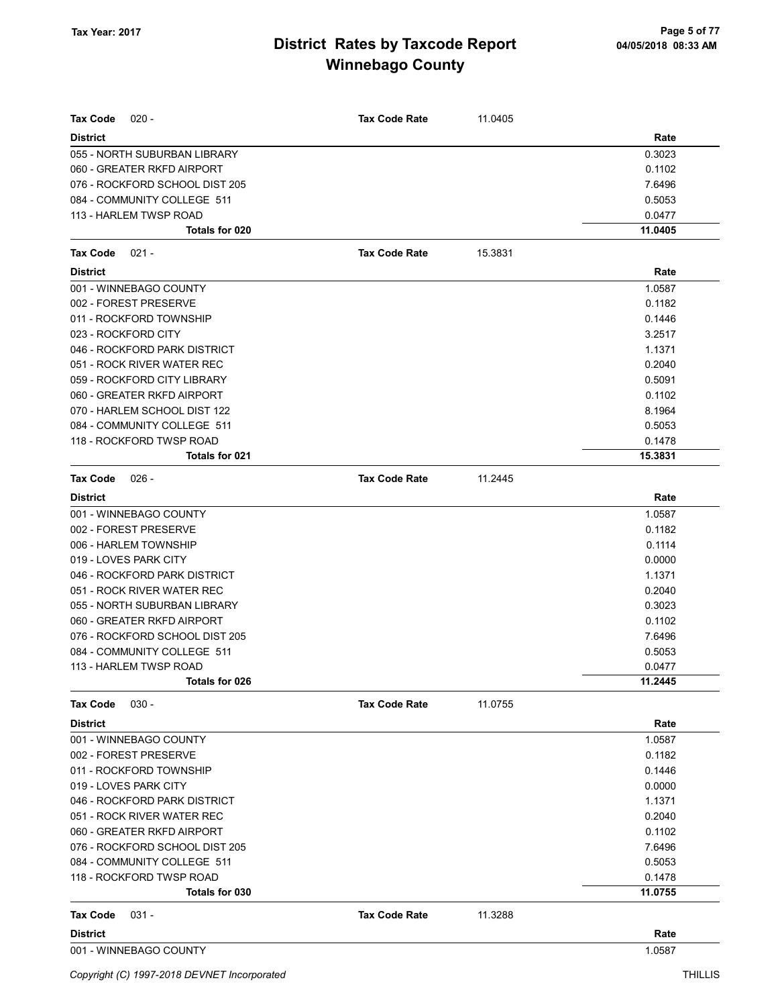| <b>Tax Code</b><br>$020 -$     | <b>Tax Code Rate</b> | 11.0405 |         |
|--------------------------------|----------------------|---------|---------|
| <b>District</b>                |                      |         | Rate    |
| 055 - NORTH SUBURBAN LIBRARY   |                      |         | 0.3023  |
| 060 - GREATER RKFD AIRPORT     |                      |         | 0.1102  |
| 076 - ROCKFORD SCHOOL DIST 205 |                      |         | 7.6496  |
| 084 - COMMUNITY COLLEGE 511    |                      |         | 0.5053  |
| 113 - HARLEM TWSP ROAD         |                      |         | 0.0477  |
| Totals for 020                 |                      |         | 11.0405 |
| $021 -$<br><b>Tax Code</b>     | <b>Tax Code Rate</b> | 15.3831 |         |
| <b>District</b>                |                      |         | Rate    |
| 001 - WINNEBAGO COUNTY         |                      |         | 1.0587  |
| 002 - FOREST PRESERVE          |                      |         | 0.1182  |
| 011 - ROCKFORD TOWNSHIP        |                      |         | 0.1446  |
| 023 - ROCKFORD CITY            |                      |         | 3.2517  |
| 046 - ROCKFORD PARK DISTRICT   |                      |         | 1.1371  |
| 051 - ROCK RIVER WATER REC     |                      |         | 0.2040  |
| 059 - ROCKFORD CITY LIBRARY    |                      |         | 0.5091  |
| 060 - GREATER RKFD AIRPORT     |                      |         | 0.1102  |
| 070 - HARLEM SCHOOL DIST 122   |                      |         | 8.1964  |
| 084 - COMMUNITY COLLEGE 511    |                      |         | 0.5053  |
| 118 - ROCKFORD TWSP ROAD       |                      |         | 0.1478  |
| <b>Totals for 021</b>          |                      |         | 15.3831 |
| <b>Tax Code</b><br>$026 -$     | <b>Tax Code Rate</b> | 11.2445 |         |
| <b>District</b>                |                      |         | Rate    |
| 001 - WINNEBAGO COUNTY         |                      |         | 1.0587  |
| 002 - FOREST PRESERVE          |                      |         | 0.1182  |
| 006 - HARLEM TOWNSHIP          |                      |         | 0.1114  |
| 019 - LOVES PARK CITY          |                      |         | 0.0000  |
| 046 - ROCKFORD PARK DISTRICT   |                      |         | 1.1371  |
| 051 - ROCK RIVER WATER REC     |                      |         | 0.2040  |
| 055 - NORTH SUBURBAN LIBRARY   |                      |         | 0.3023  |
| 060 - GREATER RKFD AIRPORT     |                      |         | 0.1102  |
| 076 - ROCKFORD SCHOOL DIST 205 |                      |         | 7.6496  |
| 084 - COMMUNITY COLLEGE 511    |                      |         | 0.5053  |
| 113 - HARLEM TWSP ROAD         |                      |         | 0.0477  |
| Totals for 026                 |                      |         | 11.2445 |
| $030 -$<br><b>Tax Code</b>     | <b>Tax Code Rate</b> | 11.0755 |         |
| <b>District</b>                |                      |         | Rate    |
| 001 - WINNEBAGO COUNTY         |                      |         | 1.0587  |
| 002 - FOREST PRESERVE          |                      |         | 0.1182  |
| 011 - ROCKFORD TOWNSHIP        |                      |         | 0.1446  |
| 019 - LOVES PARK CITY          |                      |         | 0.0000  |
| 046 - ROCKFORD PARK DISTRICT   |                      |         | 1.1371  |
| 051 - ROCK RIVER WATER REC     |                      |         | 0.2040  |
| 060 - GREATER RKFD AIRPORT     |                      |         | 0.1102  |
| 076 - ROCKFORD SCHOOL DIST 205 |                      |         | 7.6496  |
| 084 - COMMUNITY COLLEGE 511    |                      |         | 0.5053  |
| 118 - ROCKFORD TWSP ROAD       |                      |         | 0.1478  |
| Totals for 030                 |                      |         | 11.0755 |
| <b>Tax Code</b><br>$031 -$     | <b>Tax Code Rate</b> | 11.3288 |         |
| <b>District</b>                |                      |         | Rate    |
| 001 - WINNEBAGO COUNTY         |                      |         | 1.0587  |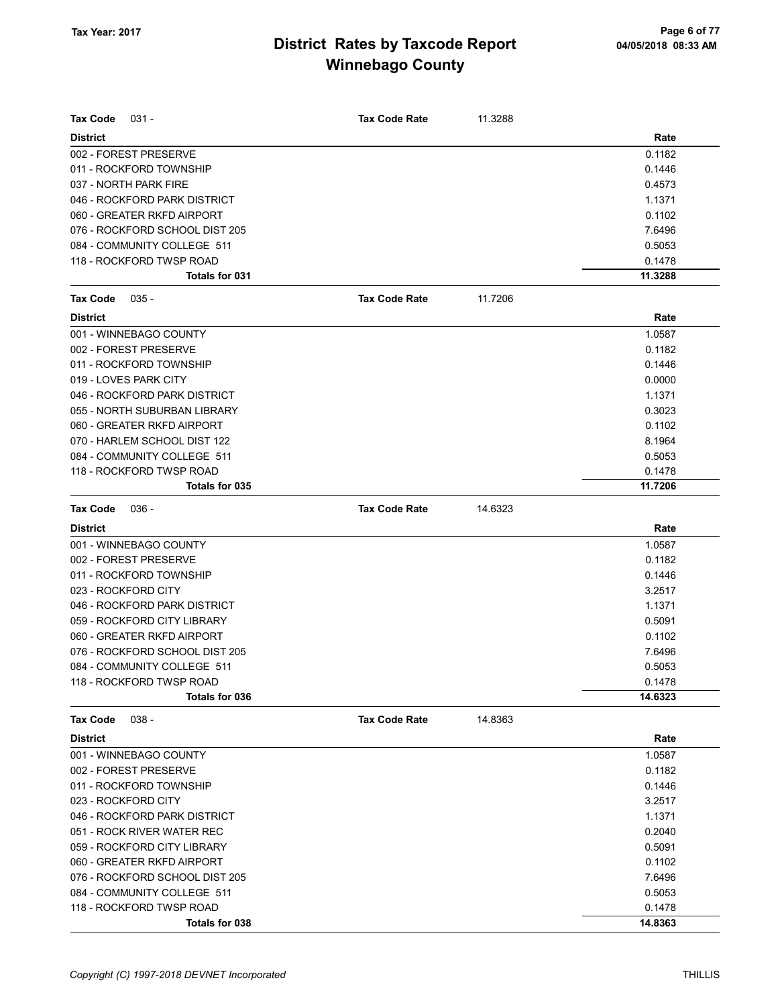| Tax Code<br>$031 -$            | <b>Tax Code Rate</b> | 11.3288 |         |
|--------------------------------|----------------------|---------|---------|
| <b>District</b>                |                      |         | Rate    |
| 002 - FOREST PRESERVE          |                      |         | 0.1182  |
| 011 - ROCKFORD TOWNSHIP        |                      |         | 0.1446  |
| 037 - NORTH PARK FIRE          |                      |         | 0.4573  |
| 046 - ROCKFORD PARK DISTRICT   |                      |         | 1.1371  |
| 060 - GREATER RKFD AIRPORT     |                      |         | 0.1102  |
| 076 - ROCKFORD SCHOOL DIST 205 |                      |         | 7.6496  |
| 084 - COMMUNITY COLLEGE 511    |                      |         | 0.5053  |
| 118 - ROCKFORD TWSP ROAD       |                      |         | 0.1478  |
| Totals for 031                 |                      |         | 11.3288 |
| Tax Code<br>$035 -$            | <b>Tax Code Rate</b> | 11.7206 |         |
| <b>District</b>                |                      |         | Rate    |
| 001 - WINNEBAGO COUNTY         |                      |         | 1.0587  |
| 002 - FOREST PRESERVE          |                      |         | 0.1182  |
| 011 - ROCKFORD TOWNSHIP        |                      |         | 0.1446  |
| 019 - LOVES PARK CITY          |                      |         | 0.0000  |
| 046 - ROCKFORD PARK DISTRICT   |                      |         | 1.1371  |
| 055 - NORTH SUBURBAN LIBRARY   |                      |         | 0.3023  |
| 060 - GREATER RKFD AIRPORT     |                      |         | 0.1102  |
| 070 - HARLEM SCHOOL DIST 122   |                      |         | 8.1964  |
| 084 - COMMUNITY COLLEGE 511    |                      |         | 0.5053  |
| 118 - ROCKFORD TWSP ROAD       |                      |         | 0.1478  |
| Totals for 035                 |                      |         | 11.7206 |
| <b>Tax Code</b><br>036 -       | <b>Tax Code Rate</b> | 14.6323 |         |
| <b>District</b>                |                      |         | Rate    |
| 001 - WINNEBAGO COUNTY         |                      |         | 1.0587  |
| 002 - FOREST PRESERVE          |                      |         | 0.1182  |
| 011 - ROCKFORD TOWNSHIP        |                      |         | 0.1446  |
| 023 - ROCKFORD CITY            |                      |         | 3.2517  |
| 046 - ROCKFORD PARK DISTRICT   |                      |         | 1.1371  |
| 059 - ROCKFORD CITY LIBRARY    |                      |         | 0.5091  |
| 060 - GREATER RKFD AIRPORT     |                      |         | 0.1102  |
| 076 - ROCKFORD SCHOOL DIST 205 |                      |         | 7.6496  |
| 084 - COMMUNITY COLLEGE 511    |                      |         | 0.5053  |
| 118 - ROCKFORD TWSP ROAD       |                      |         | 0.1478  |
| Totals for 036                 |                      |         | 14.6323 |
| $038 -$<br>Tax Code            | <b>Tax Code Rate</b> | 14.8363 |         |
| <b>District</b>                |                      |         | Rate    |
| 001 - WINNEBAGO COUNTY         |                      |         | 1.0587  |
| 002 - FOREST PRESERVE          |                      |         | 0.1182  |
| 011 - ROCKFORD TOWNSHIP        |                      |         | 0.1446  |
| 023 - ROCKFORD CITY            |                      |         | 3.2517  |
| 046 - ROCKFORD PARK DISTRICT   |                      |         | 1.1371  |
| 051 - ROCK RIVER WATER REC     |                      |         | 0.2040  |
| 059 - ROCKFORD CITY LIBRARY    |                      |         | 0.5091  |
| 060 - GREATER RKFD AIRPORT     |                      |         | 0.1102  |
| 076 - ROCKFORD SCHOOL DIST 205 |                      |         | 7.6496  |
| 084 - COMMUNITY COLLEGE 511    |                      |         | 0.5053  |
| 118 - ROCKFORD TWSP ROAD       |                      |         | 0.1478  |
| Totals for 038                 |                      |         | 14.8363 |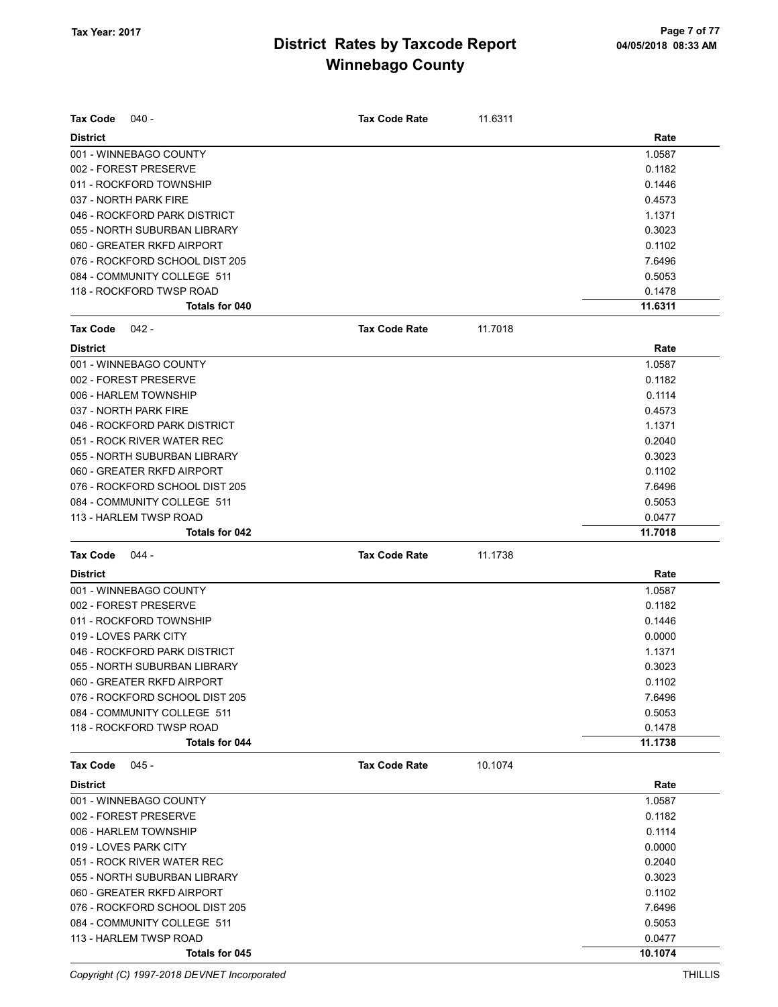| <b>Tax Code</b><br>040 -       | <b>Tax Code Rate</b> | 11.6311 |         |
|--------------------------------|----------------------|---------|---------|
| <b>District</b>                |                      |         | Rate    |
| 001 - WINNEBAGO COUNTY         |                      |         | 1.0587  |
| 002 - FOREST PRESERVE          |                      |         | 0.1182  |
| 011 - ROCKFORD TOWNSHIP        |                      |         | 0.1446  |
| 037 - NORTH PARK FIRE          |                      |         | 0.4573  |
| 046 - ROCKFORD PARK DISTRICT   |                      |         | 1.1371  |
| 055 - NORTH SUBURBAN LIBRARY   |                      |         | 0.3023  |
| 060 - GREATER RKFD AIRPORT     |                      |         | 0.1102  |
| 076 - ROCKFORD SCHOOL DIST 205 |                      |         | 7.6496  |
| 084 - COMMUNITY COLLEGE 511    |                      |         | 0.5053  |
| 118 - ROCKFORD TWSP ROAD       |                      |         | 0.1478  |
| Totals for 040                 |                      |         | 11.6311 |
| <b>Tax Code</b><br>042 -       | <b>Tax Code Rate</b> | 11.7018 |         |
| <b>District</b>                |                      |         | Rate    |
| 001 - WINNEBAGO COUNTY         |                      |         | 1.0587  |
| 002 - FOREST PRESERVE          |                      |         | 0.1182  |
| 006 - HARLEM TOWNSHIP          |                      |         | 0.1114  |
| 037 - NORTH PARK FIRE          |                      |         | 0.4573  |
| 046 - ROCKFORD PARK DISTRICT   |                      |         | 1.1371  |
| 051 - ROCK RIVER WATER REC     |                      |         | 0.2040  |
| 055 - NORTH SUBURBAN LIBRARY   |                      |         | 0.3023  |
| 060 - GREATER RKFD AIRPORT     |                      |         | 0.1102  |
| 076 - ROCKFORD SCHOOL DIST 205 |                      |         | 7.6496  |
| 084 - COMMUNITY COLLEGE 511    |                      |         | 0.5053  |
| 113 - HARLEM TWSP ROAD         |                      |         | 0.0477  |
| Totals for 042                 |                      |         | 11.7018 |
|                                |                      |         |         |
| <b>Tax Code</b><br>$044 -$     | <b>Tax Code Rate</b> | 11.1738 |         |
| <b>District</b>                |                      |         | Rate    |
| 001 - WINNEBAGO COUNTY         |                      |         | 1.0587  |
| 002 - FOREST PRESERVE          |                      |         | 0.1182  |
| 011 - ROCKFORD TOWNSHIP        |                      |         | 0.1446  |
| 019 - LOVES PARK CITY          |                      |         | 0.0000  |
| 046 - ROCKFORD PARK DISTRICT   |                      |         | 1.1371  |
| 055 - NORTH SUBURBAN LIBRARY   |                      |         | 0.3023  |
| 060 - GREATER RKFD AIRPORT     |                      |         | 0.1102  |
| 076 - ROCKFORD SCHOOL DIST 205 |                      |         | 7.6496  |
| 084 - COMMUNITY COLLEGE 511    |                      |         | 0.5053  |
| 118 - ROCKFORD TWSP ROAD       |                      |         | 0.1478  |
| Totals for 044                 |                      |         | 11.1738 |
| <b>Tax Code</b><br>045 -       | <b>Tax Code Rate</b> | 10.1074 |         |
| <b>District</b>                |                      |         | Rate    |
| 001 - WINNEBAGO COUNTY         |                      |         | 1.0587  |
| 002 - FOREST PRESERVE          |                      |         | 0.1182  |
| 006 - HARLEM TOWNSHIP          |                      |         | 0.1114  |
| 019 - LOVES PARK CITY          |                      |         | 0.0000  |
| 051 - ROCK RIVER WATER REC     |                      |         | 0.2040  |
| 055 - NORTH SUBURBAN LIBRARY   |                      |         | 0.3023  |
| 060 - GREATER RKFD AIRPORT     |                      |         | 0.1102  |
| 076 - ROCKFORD SCHOOL DIST 205 |                      |         | 7.6496  |
| 084 - COMMUNITY COLLEGE 511    |                      |         | 0.5053  |
| 113 - HARLEM TWSP ROAD         |                      |         | 0.0477  |

Copyright (C) 1997-2018 DEVNET Incorporated THILLIS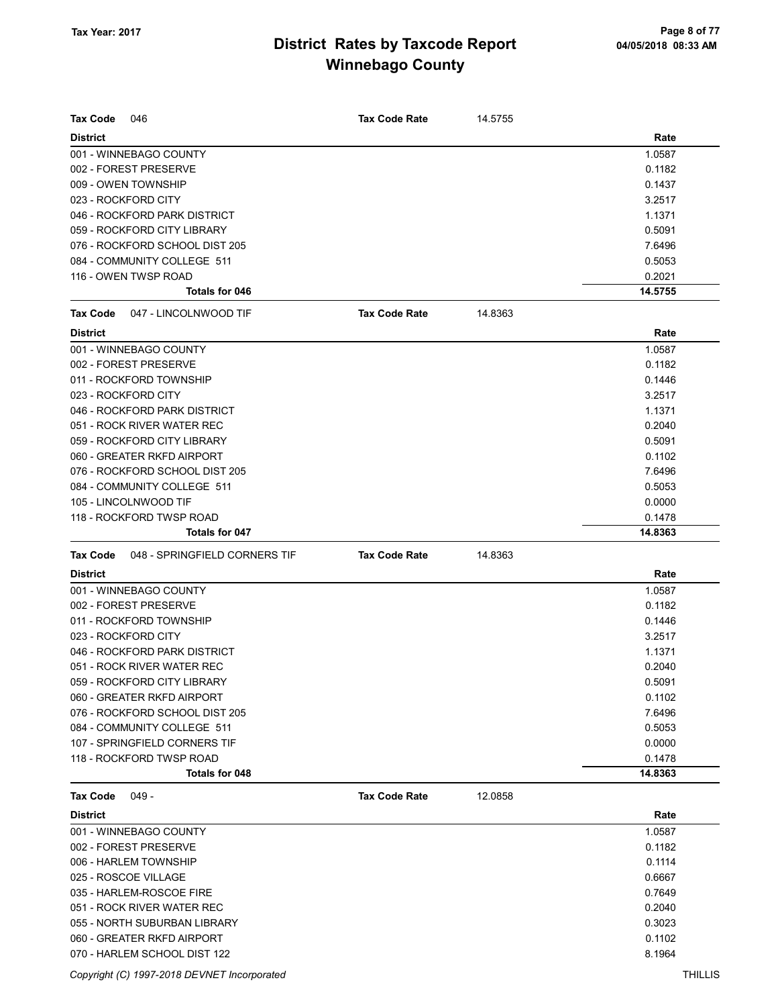| Tax Code<br>046                           | <b>Tax Code Rate</b> | 14.5755 |         |
|-------------------------------------------|----------------------|---------|---------|
| <b>District</b>                           |                      |         | Rate    |
| 001 - WINNEBAGO COUNTY                    |                      |         | 1.0587  |
| 002 - FOREST PRESERVE                     |                      |         | 0.1182  |
| 009 - OWEN TOWNSHIP                       |                      |         | 0.1437  |
| 023 - ROCKFORD CITY                       |                      |         | 3.2517  |
| 046 - ROCKFORD PARK DISTRICT              |                      |         | 1.1371  |
| 059 - ROCKFORD CITY LIBRARY               |                      |         | 0.5091  |
| 076 - ROCKFORD SCHOOL DIST 205            |                      |         | 7.6496  |
| 084 - COMMUNITY COLLEGE 511               |                      |         | 0.5053  |
| 116 - OWEN TWSP ROAD                      |                      |         | 0.2021  |
| <b>Totals for 046</b>                     |                      |         | 14.5755 |
| 047 - LINCOLNWOOD TIF<br>Tax Code         | <b>Tax Code Rate</b> | 14.8363 |         |
| <b>District</b>                           |                      |         | Rate    |
| 001 - WINNEBAGO COUNTY                    |                      |         | 1.0587  |
| 002 - FOREST PRESERVE                     |                      |         | 0.1182  |
| 011 - ROCKFORD TOWNSHIP                   |                      |         | 0.1446  |
| 023 - ROCKFORD CITY                       |                      |         | 3.2517  |
| 046 - ROCKFORD PARK DISTRICT              |                      |         | 1.1371  |
| 051 - ROCK RIVER WATER REC                |                      |         | 0.2040  |
| 059 - ROCKFORD CITY LIBRARY               |                      |         | 0.5091  |
| 060 - GREATER RKFD AIRPORT                |                      |         | 0.1102  |
| 076 - ROCKFORD SCHOOL DIST 205            |                      |         | 7.6496  |
| 084 - COMMUNITY COLLEGE 511               |                      |         | 0.5053  |
| 105 - LINCOLNWOOD TIF                     |                      |         | 0.0000  |
| 118 - ROCKFORD TWSP ROAD                  |                      |         | 0.1478  |
| <b>Totals for 047</b>                     |                      |         | 14.8363 |
| 048 - SPRINGFIELD CORNERS TIF<br>Tax Code | <b>Tax Code Rate</b> | 14.8363 |         |
| <b>District</b>                           |                      |         | Rate    |
| 001 - WINNEBAGO COUNTY                    |                      |         | 1.0587  |
| 002 - FOREST PRESERVE                     |                      |         | 0.1182  |
| 011 - ROCKFORD TOWNSHIP                   |                      |         | 0.1446  |
| 023 - ROCKFORD CITY                       |                      |         | 3.2517  |
| 046 - ROCKFORD PARK DISTRICT              |                      |         | 1.1371  |
| 051 - ROCK RIVER WATER REC                |                      |         | 0.2040  |
| 059 - ROCKFORD CITY LIBRARY               |                      |         | 0.5091  |
| 060 - GREATER RKFD AIRPORT                |                      |         | 0.1102  |
| 076 - ROCKFORD SCHOOL DIST 205            |                      |         | 7.6496  |
| 084 - COMMUNITY COLLEGE 511               |                      |         | 0.5053  |
| 107 - SPRINGFIELD CORNERS TIF             |                      |         | 0.0000  |
| 118 - ROCKFORD TWSP ROAD                  |                      |         | 0.1478  |
| <b>Totals for 048</b>                     |                      |         | 14.8363 |
| Tax Code<br>049 -                         | <b>Tax Code Rate</b> | 12.0858 |         |
| <b>District</b>                           |                      |         | Rate    |
| 001 - WINNEBAGO COUNTY                    |                      |         | 1.0587  |
| 002 - FOREST PRESERVE                     |                      |         | 0.1182  |
| 006 - HARLEM TOWNSHIP                     |                      |         | 0.1114  |
| 025 - ROSCOE VILLAGE                      |                      |         | 0.6667  |
| 035 - HARLEM-ROSCOE FIRE                  |                      |         | 0.7649  |
| 051 - ROCK RIVER WATER REC                |                      |         | 0.2040  |
| 055 - NORTH SUBURBAN LIBRARY              |                      |         | 0.3023  |
| 060 - GREATER RKFD AIRPORT                |                      |         | 0.1102  |
|                                           |                      |         | 8.1964  |

Copyright (C) 1997-2018 DEVNET Incorporated THILLIS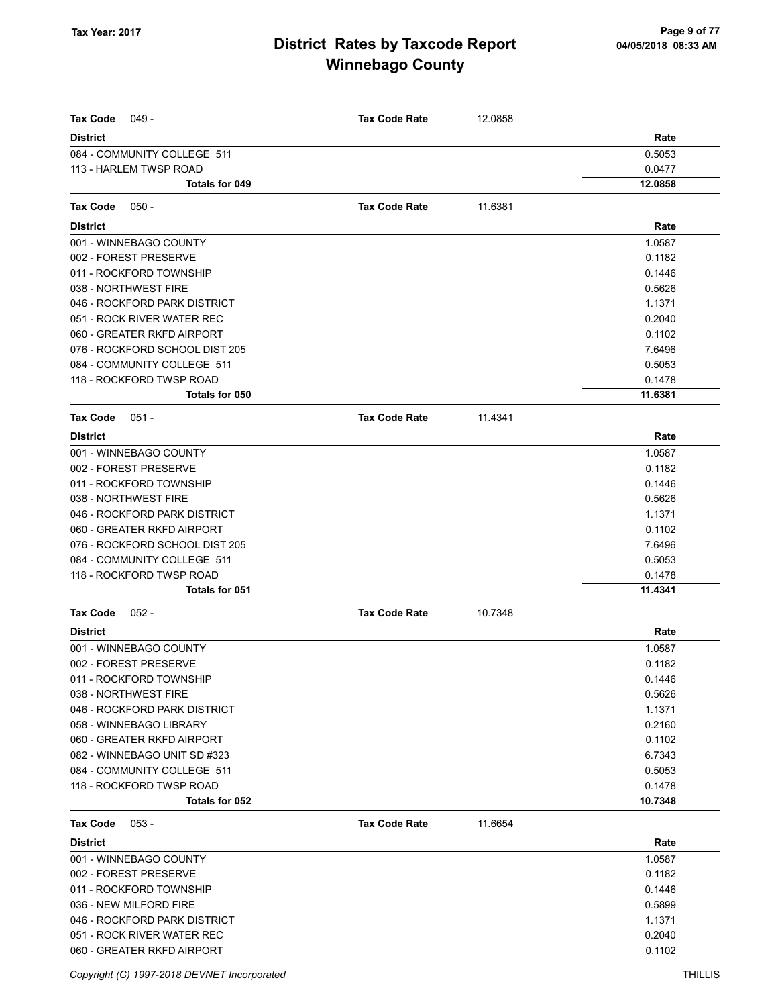| <b>Tax Code</b><br>$049 -$     | <b>Tax Code Rate</b> | 12.0858 |         |
|--------------------------------|----------------------|---------|---------|
| <b>District</b>                |                      |         | Rate    |
| 084 - COMMUNITY COLLEGE 511    |                      |         | 0.5053  |
| 113 - HARLEM TWSP ROAD         |                      |         | 0.0477  |
| Totals for 049                 |                      |         | 12.0858 |
| <b>Tax Code</b><br>$050 -$     | <b>Tax Code Rate</b> | 11.6381 |         |
| <b>District</b>                |                      |         | Rate    |
| 001 - WINNEBAGO COUNTY         |                      |         | 1.0587  |
| 002 - FOREST PRESERVE          |                      |         | 0.1182  |
|                                |                      |         |         |
| 011 - ROCKFORD TOWNSHIP        |                      |         | 0.1446  |
| 038 - NORTHWEST FIRE           |                      |         | 0.5626  |
| 046 - ROCKFORD PARK DISTRICT   |                      |         | 1.1371  |
| 051 - ROCK RIVER WATER REC     |                      |         | 0.2040  |
| 060 - GREATER RKFD AIRPORT     |                      |         | 0.1102  |
| 076 - ROCKFORD SCHOOL DIST 205 |                      |         | 7.6496  |
| 084 - COMMUNITY COLLEGE 511    |                      |         | 0.5053  |
| 118 - ROCKFORD TWSP ROAD       |                      |         | 0.1478  |
| Totals for 050                 |                      |         | 11.6381 |
| <b>Tax Code</b><br>$051 -$     | <b>Tax Code Rate</b> | 11.4341 |         |
| <b>District</b>                |                      |         | Rate    |
| 001 - WINNEBAGO COUNTY         |                      |         | 1.0587  |
| 002 - FOREST PRESERVE          |                      |         | 0.1182  |
| 011 - ROCKFORD TOWNSHIP        |                      |         | 0.1446  |
| 038 - NORTHWEST FIRE           |                      |         | 0.5626  |
| 046 - ROCKFORD PARK DISTRICT   |                      |         | 1.1371  |
| 060 - GREATER RKFD AIRPORT     |                      |         | 0.1102  |
| 076 - ROCKFORD SCHOOL DIST 205 |                      |         | 7.6496  |
| 084 - COMMUNITY COLLEGE 511    |                      |         | 0.5053  |
| 118 - ROCKFORD TWSP ROAD       |                      |         | 0.1478  |
| Totals for 051                 |                      |         | 11.4341 |
| <b>Tax Code</b><br>$052 -$     | <b>Tax Code Rate</b> | 10.7348 |         |
| <b>District</b>                |                      |         | Rate    |
| 001 - WINNEBAGO COUNTY         |                      |         | 1.0587  |
| 002 - FOREST PRESERVE          |                      |         | 0.1182  |
| 011 - ROCKFORD TOWNSHIP        |                      |         | 0.1446  |
| 038 - NORTHWEST FIRE           |                      |         | 0.5626  |
| 046 - ROCKFORD PARK DISTRICT   |                      |         | 1.1371  |
| 058 - WINNEBAGO LIBRARY        |                      |         | 0.2160  |
| 060 - GREATER RKFD AIRPORT     |                      |         | 0.1102  |
| 082 - WINNEBAGO UNIT SD #323   |                      |         | 6.7343  |
| 084 - COMMUNITY COLLEGE 511    |                      |         | 0.5053  |
| 118 - ROCKFORD TWSP ROAD       |                      |         | 0.1478  |
| Totals for 052                 |                      |         | 10.7348 |
| <b>Tax Code</b><br>$053 -$     | <b>Tax Code Rate</b> | 11.6654 |         |
| <b>District</b>                |                      |         | Rate    |
| 001 - WINNEBAGO COUNTY         |                      |         | 1.0587  |
| 002 - FOREST PRESERVE          |                      |         | 0.1182  |
| 011 - ROCKFORD TOWNSHIP        |                      |         | 0.1446  |
| 036 - NEW MILFORD FIRE         |                      |         | 0.5899  |
| 046 - ROCKFORD PARK DISTRICT   |                      |         | 1.1371  |
| 051 - ROCK RIVER WATER REC     |                      |         | 0.2040  |
| 060 - GREATER RKFD AIRPORT     |                      |         | 0.1102  |
|                                |                      |         |         |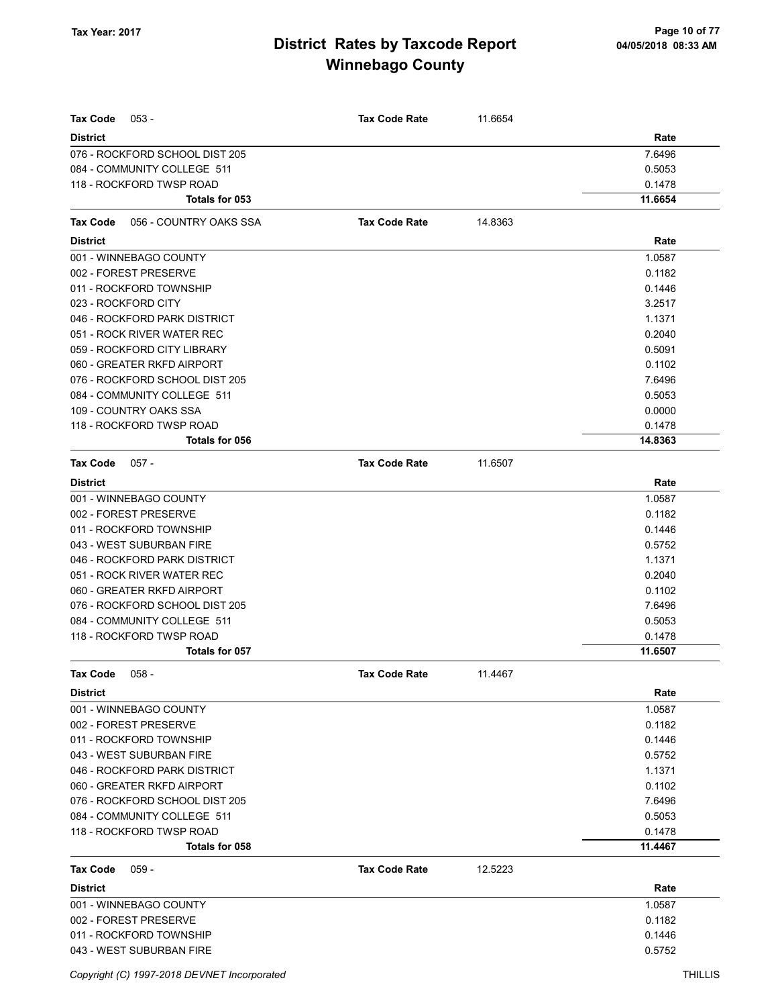| <b>Tax Code</b><br>$053 -$                          | <b>Tax Code Rate</b> | 11.6654 |                   |
|-----------------------------------------------------|----------------------|---------|-------------------|
| <b>District</b>                                     |                      |         | Rate              |
| 076 - ROCKFORD SCHOOL DIST 205                      |                      |         | 7.6496            |
| 084 - COMMUNITY COLLEGE 511                         |                      |         | 0.5053            |
| 118 - ROCKFORD TWSP ROAD                            |                      |         | 0.1478            |
| Totals for 053                                      |                      |         | 11.6654           |
| 056 - COUNTRY OAKS SSA<br><b>Tax Code</b>           | <b>Tax Code Rate</b> | 14.8363 |                   |
| <b>District</b>                                     |                      |         | Rate              |
| 001 - WINNEBAGO COUNTY                              |                      |         | 1.0587            |
| 002 - FOREST PRESERVE                               |                      |         | 0.1182            |
| 011 - ROCKFORD TOWNSHIP                             |                      |         | 0.1446            |
| 023 - ROCKFORD CITY                                 |                      |         | 3.2517            |
| 046 - ROCKFORD PARK DISTRICT                        |                      |         | 1.1371            |
| 051 - ROCK RIVER WATER REC                          |                      |         | 0.2040            |
| 059 - ROCKFORD CITY LIBRARY                         |                      |         | 0.5091            |
| 060 - GREATER RKFD AIRPORT                          |                      |         | 0.1102            |
| 076 - ROCKFORD SCHOOL DIST 205                      |                      |         | 7.6496            |
| 084 - COMMUNITY COLLEGE 511                         |                      |         | 0.5053            |
| 109 - COUNTRY OAKS SSA                              |                      |         | 0.0000            |
| 118 - ROCKFORD TWSP ROAD                            |                      |         | 0.1478            |
| Totals for 056                                      |                      |         | 14.8363           |
| <b>Tax Code</b><br>$057 -$                          | <b>Tax Code Rate</b> | 11.6507 |                   |
| <b>District</b>                                     |                      |         | Rate              |
| 001 - WINNEBAGO COUNTY                              |                      |         | 1.0587            |
| 002 - FOREST PRESERVE                               |                      |         | 0.1182            |
| 011 - ROCKFORD TOWNSHIP                             |                      |         | 0.1446            |
| 043 - WEST SUBURBAN FIRE                            |                      |         | 0.5752            |
| 046 - ROCKFORD PARK DISTRICT                        |                      |         | 1.1371            |
| 051 - ROCK RIVER WATER REC                          |                      |         | 0.2040            |
| 060 - GREATER RKFD AIRPORT                          |                      |         | 0.1102            |
| 076 - ROCKFORD SCHOOL DIST 205                      |                      |         | 7.6496            |
| 084 - COMMUNITY COLLEGE 511                         |                      |         | 0.5053            |
| 118 - ROCKFORD TWSP ROAD                            |                      |         | 0.1478<br>11.6507 |
| Totals for 057                                      |                      |         |                   |
| Tax Code 058 -                                      | <b>Tax Code Rate</b> | 11.4467 |                   |
| <b>District</b>                                     |                      |         | Rate              |
| 001 - WINNEBAGO COUNTY                              |                      |         | 1.0587            |
| 002 - FOREST PRESERVE                               |                      |         | 0.1182            |
| 011 - ROCKFORD TOWNSHIP<br>043 - WEST SUBURBAN FIRE |                      |         | 0.1446            |
| 046 - ROCKFORD PARK DISTRICT                        |                      |         | 0.5752<br>1.1371  |
| 060 - GREATER RKFD AIRPORT                          |                      |         | 0.1102            |
| 076 - ROCKFORD SCHOOL DIST 205                      |                      |         | 7.6496            |
| 084 - COMMUNITY COLLEGE 511                         |                      |         | 0.5053            |
| 118 - ROCKFORD TWSP ROAD                            |                      |         | 0.1478            |
| Totals for 058                                      |                      |         | 11.4467           |
| Tax Code<br>$059 -$                                 | <b>Tax Code Rate</b> | 12.5223 |                   |
| <b>District</b>                                     |                      |         | Rate              |
| 001 - WINNEBAGO COUNTY                              |                      |         | 1.0587            |
| 002 - FOREST PRESERVE                               |                      |         | 0.1182            |
| 011 - ROCKFORD TOWNSHIP                             |                      |         | 0.1446            |
| 043 - WEST SUBURBAN FIRE                            |                      |         | 0.5752            |
|                                                     |                      |         |                   |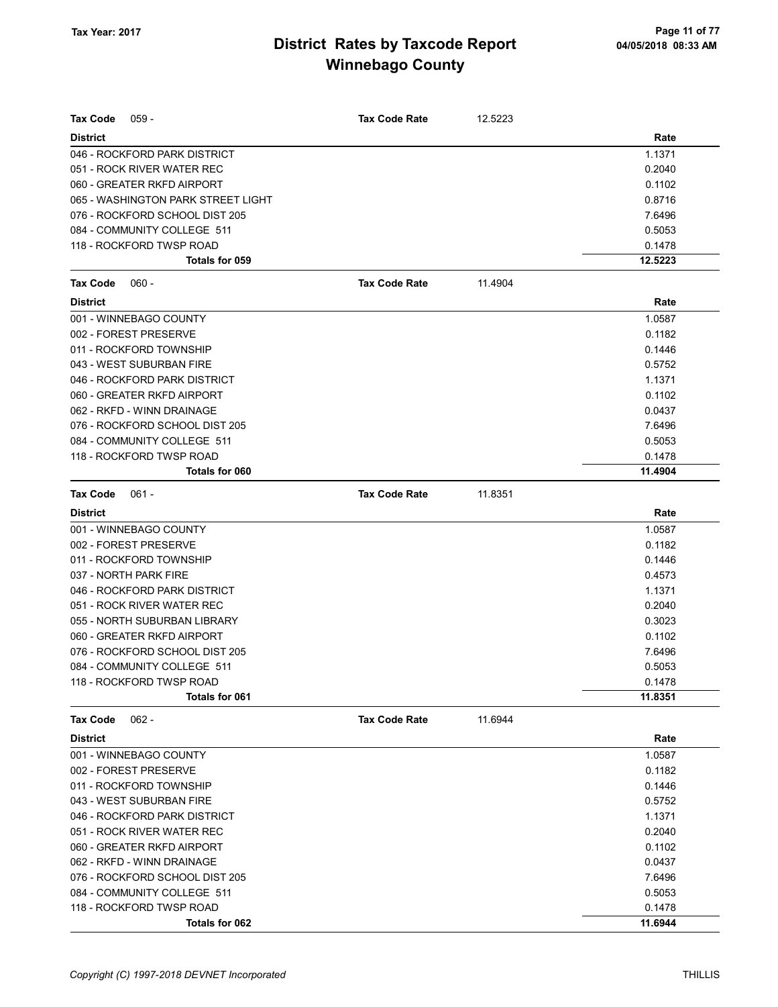| $059 -$<br>Tax Code                | Tax Code Rate        | 12.5223 |         |
|------------------------------------|----------------------|---------|---------|
| <b>District</b>                    |                      |         | Rate    |
| 046 - ROCKFORD PARK DISTRICT       |                      |         | 1.1371  |
| 051 - ROCK RIVER WATER REC         |                      |         | 0.2040  |
| 060 - GREATER RKFD AIRPORT         |                      |         | 0.1102  |
| 065 - WASHINGTON PARK STREET LIGHT |                      |         | 0.8716  |
| 076 - ROCKFORD SCHOOL DIST 205     |                      |         | 7.6496  |
| 084 - COMMUNITY COLLEGE 511        |                      |         | 0.5053  |
| 118 - ROCKFORD TWSP ROAD           |                      |         | 0.1478  |
| <b>Totals for 059</b>              |                      |         | 12.5223 |
| $060 -$<br>Tax Code                | <b>Tax Code Rate</b> | 11.4904 |         |
| <b>District</b>                    |                      |         | Rate    |
| 001 - WINNEBAGO COUNTY             |                      |         | 1.0587  |
| 002 - FOREST PRESERVE              |                      |         | 0.1182  |
| 011 - ROCKFORD TOWNSHIP            |                      |         | 0.1446  |
| 043 - WEST SUBURBAN FIRE           |                      |         | 0.5752  |
| 046 - ROCKFORD PARK DISTRICT       |                      |         | 1.1371  |
| 060 - GREATER RKFD AIRPORT         |                      |         | 0.1102  |
| 062 - RKFD - WINN DRAINAGE         |                      |         | 0.0437  |
| 076 - ROCKFORD SCHOOL DIST 205     |                      |         | 7.6496  |
| 084 - COMMUNITY COLLEGE 511        |                      |         | 0.5053  |
| 118 - ROCKFORD TWSP ROAD           |                      |         | 0.1478  |
| Totals for 060                     |                      |         | 11.4904 |
| <b>Tax Code</b><br>$061 -$         | <b>Tax Code Rate</b> | 11.8351 |         |
| <b>District</b>                    |                      |         | Rate    |
| 001 - WINNEBAGO COUNTY             |                      |         | 1.0587  |
| 002 - FOREST PRESERVE              |                      |         | 0.1182  |
| 011 - ROCKFORD TOWNSHIP            |                      |         | 0.1446  |
| 037 - NORTH PARK FIRE              |                      |         | 0.4573  |
| 046 - ROCKFORD PARK DISTRICT       |                      |         | 1.1371  |
| 051 - ROCK RIVER WATER REC         |                      |         | 0.2040  |
| 055 - NORTH SUBURBAN LIBRARY       |                      |         | 0.3023  |
| 060 - GREATER RKFD AIRPORT         |                      |         | 0.1102  |
| 076 - ROCKFORD SCHOOL DIST 205     |                      |         | 7.6496  |
| 084 - COMMUNITY COLLEGE 511        |                      |         | 0.5053  |
| 118 - ROCKFORD TWSP ROAD           |                      |         | 0.1478  |
| <b>Totals for 061</b>              |                      |         | 11.8351 |
| $062 -$<br><b>Tax Code</b>         | <b>Tax Code Rate</b> | 11.6944 |         |
| <b>District</b>                    |                      |         | Rate    |
| 001 - WINNEBAGO COUNTY             |                      |         | 1.0587  |
| 002 - FOREST PRESERVE              |                      |         | 0.1182  |
| 011 - ROCKFORD TOWNSHIP            |                      |         | 0.1446  |
| 043 - WEST SUBURBAN FIRE           |                      |         | 0.5752  |
| 046 - ROCKFORD PARK DISTRICT       |                      |         | 1.1371  |
| 051 - ROCK RIVER WATER REC         |                      |         | 0.2040  |
| 060 - GREATER RKFD AIRPORT         |                      |         | 0.1102  |
| 062 - RKFD - WINN DRAINAGE         |                      |         | 0.0437  |
| 076 - ROCKFORD SCHOOL DIST 205     |                      |         | 7.6496  |
| 084 - COMMUNITY COLLEGE 511        |                      |         | 0.5053  |
| 118 - ROCKFORD TWSP ROAD           |                      |         | 0.1478  |
| Totals for 062                     |                      |         | 11.6944 |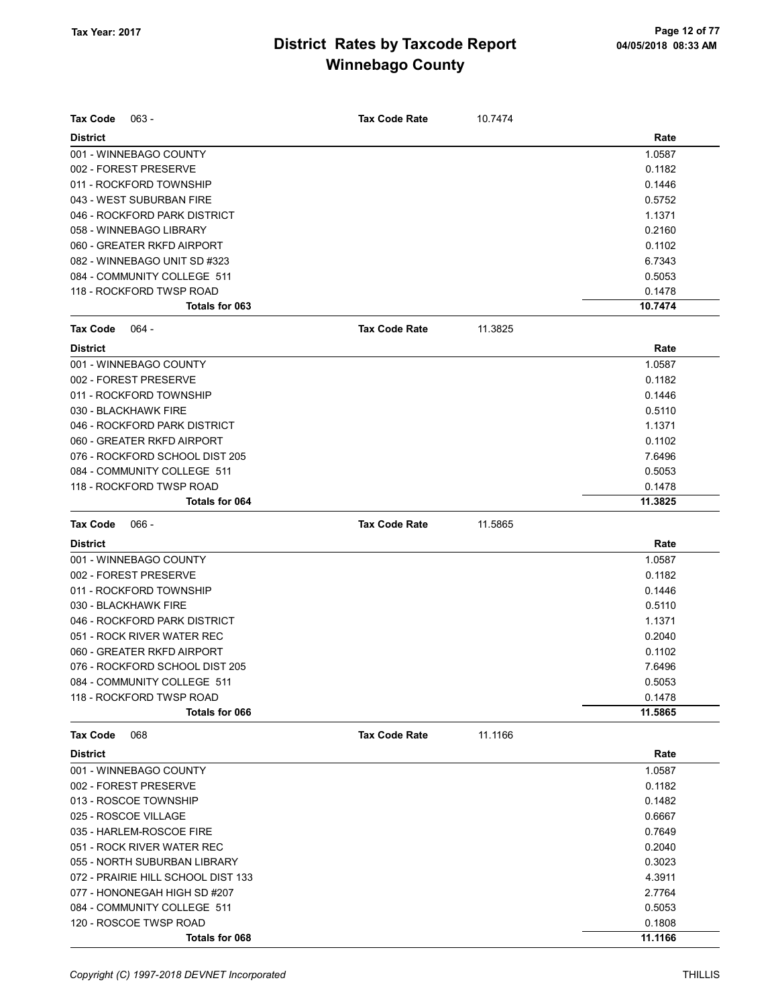| <b>Tax Code</b><br>$063 -$         | <b>Tax Code Rate</b> | 10.7474 |         |
|------------------------------------|----------------------|---------|---------|
| <b>District</b>                    |                      |         | Rate    |
| 001 - WINNEBAGO COUNTY             |                      |         | 1.0587  |
| 002 - FOREST PRESERVE              |                      |         | 0.1182  |
| 011 - ROCKFORD TOWNSHIP            |                      |         | 0.1446  |
| 043 - WEST SUBURBAN FIRE           |                      |         | 0.5752  |
| 046 - ROCKFORD PARK DISTRICT       |                      |         | 1.1371  |
| 058 - WINNEBAGO LIBRARY            |                      |         | 0.2160  |
| 060 - GREATER RKFD AIRPORT         |                      |         | 0.1102  |
| 082 - WINNEBAGO UNIT SD #323       |                      |         | 6.7343  |
| 084 - COMMUNITY COLLEGE 511        |                      |         | 0.5053  |
| 118 - ROCKFORD TWSP ROAD           |                      |         | 0.1478  |
| Totals for 063                     |                      |         | 10.7474 |
| $064 -$<br><b>Tax Code</b>         | <b>Tax Code Rate</b> | 11.3825 |         |
| <b>District</b>                    |                      |         | Rate    |
| 001 - WINNEBAGO COUNTY             |                      |         | 1.0587  |
| 002 - FOREST PRESERVE              |                      |         | 0.1182  |
| 011 - ROCKFORD TOWNSHIP            |                      |         | 0.1446  |
| 030 - BLACKHAWK FIRE               |                      |         | 0.5110  |
| 046 - ROCKFORD PARK DISTRICT       |                      |         | 1.1371  |
| 060 - GREATER RKFD AIRPORT         |                      |         | 0.1102  |
| 076 - ROCKFORD SCHOOL DIST 205     |                      |         | 7.6496  |
| 084 - COMMUNITY COLLEGE 511        |                      |         | 0.5053  |
| 118 - ROCKFORD TWSP ROAD           |                      |         | 0.1478  |
| Totals for 064                     |                      |         | 11.3825 |
| <b>Tax Code</b><br>$066 -$         | <b>Tax Code Rate</b> | 11.5865 |         |
| <b>District</b>                    |                      |         | Rate    |
| 001 - WINNEBAGO COUNTY             |                      |         | 1.0587  |
| 002 - FOREST PRESERVE              |                      |         | 0.1182  |
| 011 - ROCKFORD TOWNSHIP            |                      |         | 0.1446  |
| 030 - BLACKHAWK FIRE               |                      |         | 0.5110  |
| 046 - ROCKFORD PARK DISTRICT       |                      |         | 1.1371  |
| 051 - ROCK RIVER WATER REC         |                      |         | 0.2040  |
| 060 - GREATER RKFD AIRPORT         |                      |         | 0.1102  |
| 076 - ROCKFORD SCHOOL DIST 205     |                      |         | 7.6496  |
| 084 - COMMUNITY COLLEGE 511        |                      |         | 0.5053  |
| 118 - ROCKFORD TWSP ROAD           |                      |         | 0.1478  |
| <b>Totals for 066</b>              |                      |         | 11.5865 |
| <b>Tax Code</b><br>068             | <b>Tax Code Rate</b> | 11.1166 |         |
| <b>District</b>                    |                      |         | Rate    |
| 001 - WINNEBAGO COUNTY             |                      |         | 1.0587  |
| 002 - FOREST PRESERVE              |                      |         | 0.1182  |
| 013 - ROSCOE TOWNSHIP              |                      |         | 0.1482  |
| 025 - ROSCOE VILLAGE               |                      |         | 0.6667  |
| 035 - HARLEM-ROSCOE FIRE           |                      |         | 0.7649  |
| 051 - ROCK RIVER WATER REC         |                      |         | 0.2040  |
| 055 - NORTH SUBURBAN LIBRARY       |                      |         | 0.3023  |
| 072 - PRAIRIE HILL SCHOOL DIST 133 |                      |         | 4.3911  |
| 077 - HONONEGAH HIGH SD #207       |                      |         | 2.7764  |
| 084 - COMMUNITY COLLEGE 511        |                      |         | 0.5053  |
| 120 - ROSCOE TWSP ROAD             |                      |         | 0.1808  |
| Totals for 068                     |                      |         | 11.1166 |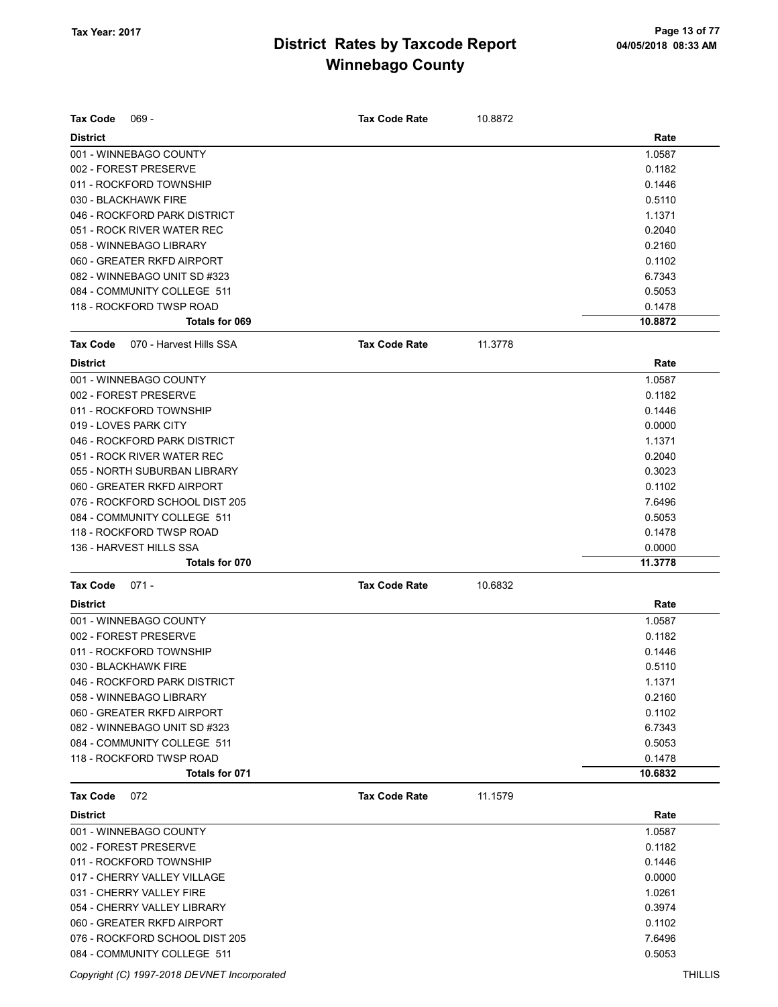| <b>Tax Code</b><br>$069 -$                 | <b>Tax Code Rate</b> | 10.8872 |         |
|--------------------------------------------|----------------------|---------|---------|
| <b>District</b>                            |                      |         | Rate    |
| 001 - WINNEBAGO COUNTY                     |                      |         | 1.0587  |
| 002 - FOREST PRESERVE                      |                      |         | 0.1182  |
| 011 - ROCKFORD TOWNSHIP                    |                      |         | 0.1446  |
| 030 - BLACKHAWK FIRE                       |                      |         | 0.5110  |
| 046 - ROCKFORD PARK DISTRICT               |                      |         | 1.1371  |
| 051 - ROCK RIVER WATER REC                 |                      |         | 0.2040  |
| 058 - WINNEBAGO LIBRARY                    |                      |         | 0.2160  |
| 060 - GREATER RKFD AIRPORT                 |                      |         | 0.1102  |
| 082 - WINNEBAGO UNIT SD #323               |                      |         | 6.7343  |
| 084 - COMMUNITY COLLEGE 511                |                      |         | 0.5053  |
| 118 - ROCKFORD TWSP ROAD                   |                      |         | 0.1478  |
| Totals for 069                             |                      |         | 10.8872 |
| <b>Tax Code</b><br>070 - Harvest Hills SSA | <b>Tax Code Rate</b> | 11.3778 |         |
| <b>District</b>                            |                      |         | Rate    |
| 001 - WINNEBAGO COUNTY                     |                      |         | 1.0587  |
| 002 - FOREST PRESERVE                      |                      |         | 0.1182  |
| 011 - ROCKFORD TOWNSHIP                    |                      |         | 0.1446  |
| 019 - LOVES PARK CITY                      |                      |         | 0.0000  |
| 046 - ROCKFORD PARK DISTRICT               |                      |         | 1.1371  |
| 051 - ROCK RIVER WATER REC                 |                      |         | 0.2040  |
| 055 - NORTH SUBURBAN LIBRARY               |                      |         | 0.3023  |
| 060 - GREATER RKFD AIRPORT                 |                      |         | 0.1102  |
| 076 - ROCKFORD SCHOOL DIST 205             |                      |         | 7.6496  |
| 084 - COMMUNITY COLLEGE 511                |                      |         | 0.5053  |
| 118 - ROCKFORD TWSP ROAD                   |                      |         | 0.1478  |
| 136 - HARVEST HILLS SSA                    |                      |         | 0.0000  |
| Totals for 070                             |                      |         | 11.3778 |
| <b>Tax Code</b><br>$071 -$                 | <b>Tax Code Rate</b> | 10.6832 |         |
| <b>District</b>                            |                      |         | Rate    |
| 001 - WINNEBAGO COUNTY                     |                      |         | 1.0587  |
| 002 - FOREST PRESERVE                      |                      |         | 0.1182  |
| 011 - ROCKFORD TOWNSHIP                    |                      |         | 0.1446  |
| 030 - BLACKHAWK FIRE                       |                      |         | 0.5110  |
| 046 - ROCKFORD PARK DISTRICT               |                      |         | 1.1371  |
| 058 - WINNEBAGO LIBRARY                    |                      |         | 0.2160  |
| 060 - GREATER RKFD AIRPORT                 |                      |         | 0.1102  |
| 082 - WINNEBAGO UNIT SD #323               |                      |         | 6.7343  |
| 084 - COMMUNITY COLLEGE 511                |                      |         | 0.5053  |
| 118 - ROCKFORD TWSP ROAD                   |                      |         | 0.1478  |
| Totals for 071                             |                      |         | 10.6832 |
| <b>Tax Code</b><br>072                     | <b>Tax Code Rate</b> | 11.1579 |         |
| <b>District</b>                            |                      |         | Rate    |
| 001 - WINNEBAGO COUNTY                     |                      |         | 1.0587  |
| 002 - FOREST PRESERVE                      |                      |         | 0.1182  |
| 011 - ROCKFORD TOWNSHIP                    |                      |         | 0.1446  |
| 017 - CHERRY VALLEY VILLAGE                |                      |         | 0.0000  |
| 031 - CHERRY VALLEY FIRE                   |                      |         | 1.0261  |
| 054 - CHERRY VALLEY LIBRARY                |                      |         | 0.3974  |
| 060 - GREATER RKFD AIRPORT                 |                      |         | 0.1102  |
| 076 - ROCKFORD SCHOOL DIST 205             |                      |         | 7.6496  |
| 084 - COMMUNITY COLLEGE 511                |                      |         | 0.5053  |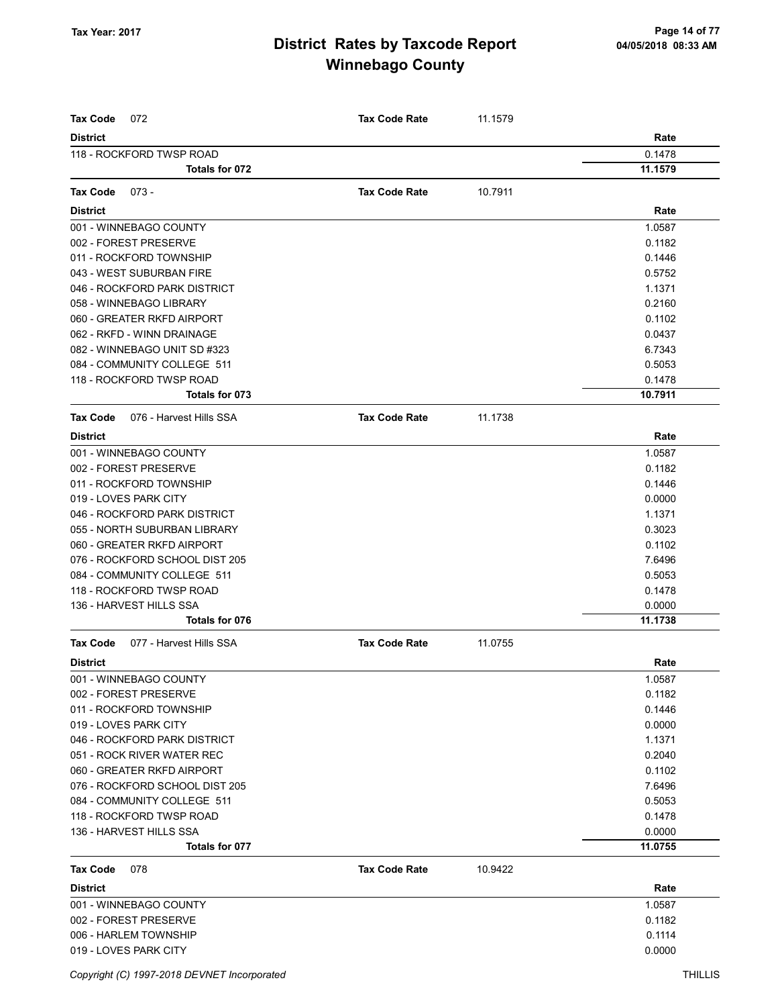| Tax Code<br>072                            | <b>Tax Code Rate</b> | 11.1579 |         |
|--------------------------------------------|----------------------|---------|---------|
| <b>District</b>                            |                      |         | Rate    |
| 118 - ROCKFORD TWSP ROAD                   |                      |         | 0.1478  |
| Totals for 072                             |                      |         | 11.1579 |
|                                            |                      |         |         |
| <b>Tax Code</b><br>$073 -$                 | <b>Tax Code Rate</b> | 10.7911 |         |
| <b>District</b>                            |                      |         | Rate    |
| 001 - WINNEBAGO COUNTY                     |                      |         | 1.0587  |
| 002 - FOREST PRESERVE                      |                      |         | 0.1182  |
| 011 - ROCKFORD TOWNSHIP                    |                      |         | 0.1446  |
| 043 - WEST SUBURBAN FIRE                   |                      |         | 0.5752  |
| 046 - ROCKFORD PARK DISTRICT               |                      |         | 1.1371  |
| 058 - WINNEBAGO LIBRARY                    |                      |         | 0.2160  |
| 060 - GREATER RKFD AIRPORT                 |                      |         | 0.1102  |
| 062 - RKFD - WINN DRAINAGE                 |                      |         | 0.0437  |
| 082 - WINNEBAGO UNIT SD #323               |                      |         | 6.7343  |
| 084 - COMMUNITY COLLEGE 511                |                      |         | 0.5053  |
| 118 - ROCKFORD TWSP ROAD                   |                      |         | 0.1478  |
| Totals for 073                             |                      |         | 10.7911 |
| 076 - Harvest Hills SSA<br><b>Tax Code</b> | <b>Tax Code Rate</b> | 11.1738 |         |
| <b>District</b>                            |                      |         | Rate    |
| 001 - WINNEBAGO COUNTY                     |                      |         | 1.0587  |
| 002 - FOREST PRESERVE                      |                      |         | 0.1182  |
| 011 - ROCKFORD TOWNSHIP                    |                      |         | 0.1446  |
| 019 - LOVES PARK CITY                      |                      |         | 0.0000  |
| 046 - ROCKFORD PARK DISTRICT               |                      |         | 1.1371  |
| 055 - NORTH SUBURBAN LIBRARY               |                      |         | 0.3023  |
| 060 - GREATER RKFD AIRPORT                 |                      |         | 0.1102  |
| 076 - ROCKFORD SCHOOL DIST 205             |                      |         | 7.6496  |
| 084 - COMMUNITY COLLEGE 511                |                      |         | 0.5053  |
| 118 - ROCKFORD TWSP ROAD                   |                      |         | 0.1478  |
| 136 - HARVEST HILLS SSA                    |                      |         | 0.0000  |
| Totals for 076                             |                      |         | 11.1738 |
| <b>Tax Code</b><br>077 - Harvest Hills SSA | <b>Tax Code Rate</b> | 11.0755 |         |
| <b>District</b>                            |                      |         | Rate    |
| 001 - WINNEBAGO COUNTY                     |                      |         | 1.0587  |
| 002 - FOREST PRESERVE                      |                      |         | 0.1182  |
| 011 - ROCKFORD TOWNSHIP                    |                      |         | 0.1446  |
| 019 - LOVES PARK CITY                      |                      |         | 0.0000  |
| 046 - ROCKFORD PARK DISTRICT               |                      |         | 1.1371  |
| 051 - ROCK RIVER WATER REC                 |                      |         | 0.2040  |
| 060 - GREATER RKFD AIRPORT                 |                      |         | 0.1102  |
| 076 - ROCKFORD SCHOOL DIST 205             |                      |         | 7.6496  |
| 084 - COMMUNITY COLLEGE 511                |                      |         | 0.5053  |
| 118 - ROCKFORD TWSP ROAD                   |                      |         | 0.1478  |
| 136 - HARVEST HILLS SSA                    |                      |         | 0.0000  |
| Totals for 077                             |                      |         | 11.0755 |
| Tax Code<br>078                            | <b>Tax Code Rate</b> | 10.9422 |         |
| <b>District</b>                            |                      |         | Rate    |
| 001 - WINNEBAGO COUNTY                     |                      |         | 1.0587  |
| 002 - FOREST PRESERVE                      |                      |         | 0.1182  |
| 006 - HARLEM TOWNSHIP                      |                      |         | 0.1114  |
| 019 - LOVES PARK CITY                      |                      |         | 0.0000  |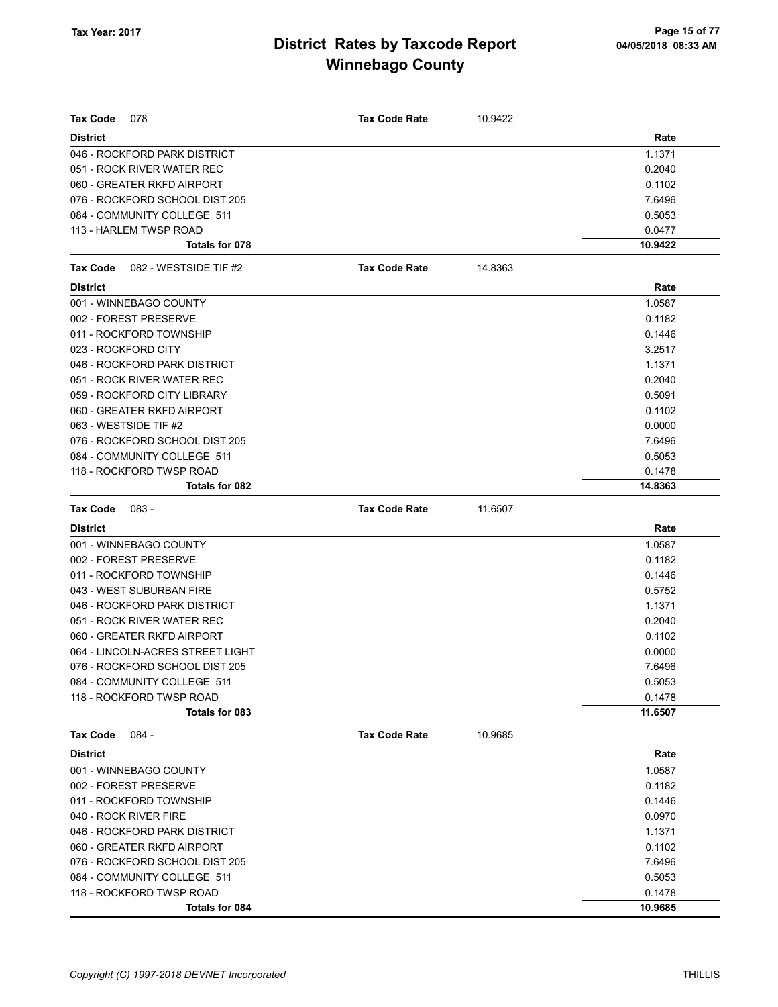| <b>Tax Code</b><br>078            | <b>Tax Code Rate</b> | 10.9422 |         |
|-----------------------------------|----------------------|---------|---------|
| <b>District</b>                   |                      |         | Rate    |
| 046 - ROCKFORD PARK DISTRICT      |                      |         | 1.1371  |
| 051 - ROCK RIVER WATER REC        |                      |         | 0.2040  |
| 060 - GREATER RKFD AIRPORT        |                      |         | 0.1102  |
| 076 - ROCKFORD SCHOOL DIST 205    |                      |         | 7.6496  |
| 084 - COMMUNITY COLLEGE 511       |                      |         | 0.5053  |
| 113 - HARLEM TWSP ROAD            |                      |         | 0.0477  |
| Totals for 078                    |                      |         | 10.9422 |
| 082 - WESTSIDE TIF #2<br>Tax Code | <b>Tax Code Rate</b> | 14.8363 |         |
| <b>District</b>                   |                      |         | Rate    |
| 001 - WINNEBAGO COUNTY            |                      |         | 1.0587  |
| 002 - FOREST PRESERVE             |                      |         | 0.1182  |
| 011 - ROCKFORD TOWNSHIP           |                      |         | 0.1446  |
| 023 - ROCKFORD CITY               |                      |         | 3.2517  |
| 046 - ROCKFORD PARK DISTRICT      |                      |         | 1.1371  |
| 051 - ROCK RIVER WATER REC        |                      |         | 0.2040  |
| 059 - ROCKFORD CITY LIBRARY       |                      |         | 0.5091  |
| 060 - GREATER RKFD AIRPORT        |                      |         | 0.1102  |
| 063 - WESTSIDE TIF #2             |                      |         | 0.0000  |
| 076 - ROCKFORD SCHOOL DIST 205    |                      |         | 7.6496  |
| 084 - COMMUNITY COLLEGE 511       |                      |         | 0.5053  |
| 118 - ROCKFORD TWSP ROAD          |                      |         | 0.1478  |
| Totals for 082                    |                      |         | 14.8363 |
| <b>Tax Code</b><br>083 -          | <b>Tax Code Rate</b> | 11.6507 |         |
| <b>District</b>                   |                      |         | Rate    |
| 001 - WINNEBAGO COUNTY            |                      |         | 1.0587  |
| 002 - FOREST PRESERVE             |                      |         | 0.1182  |
| 011 - ROCKFORD TOWNSHIP           |                      |         | 0.1446  |
| 043 - WEST SUBURBAN FIRE          |                      |         | 0.5752  |
| 046 - ROCKFORD PARK DISTRICT      |                      |         | 1.1371  |
| 051 - ROCK RIVER WATER REC        |                      |         | 0.2040  |
| 060 - GREATER RKFD AIRPORT        |                      |         | 0.1102  |
| 064 - LINCOLN-ACRES STREET LIGHT  |                      |         | 0.0000  |
| 076 - ROCKFORD SCHOOL DIST 205    |                      |         | 7.6496  |
| 084 - COMMUNITY COLLEGE 511       |                      |         | 0.5053  |
| 118 - ROCKFORD TWSP ROAD          |                      |         | 0.1478  |
| Totals for 083                    |                      |         | 11.6507 |
| $084 -$<br><b>Tax Code</b>        | <b>Tax Code Rate</b> | 10.9685 |         |
| <b>District</b>                   |                      |         | Rate    |
| 001 - WINNEBAGO COUNTY            |                      |         | 1.0587  |
| 002 - FOREST PRESERVE             |                      |         | 0.1182  |
| 011 - ROCKFORD TOWNSHIP           |                      |         | 0.1446  |
| 040 - ROCK RIVER FIRE             |                      |         | 0.0970  |
| 046 - ROCKFORD PARK DISTRICT      |                      |         | 1.1371  |
| 060 - GREATER RKFD AIRPORT        |                      |         | 0.1102  |
| 076 - ROCKFORD SCHOOL DIST 205    |                      |         | 7.6496  |
| 084 - COMMUNITY COLLEGE 511       |                      |         | 0.5053  |
| 118 - ROCKFORD TWSP ROAD          |                      |         | 0.1478  |
| Totals for 084                    |                      |         | 10.9685 |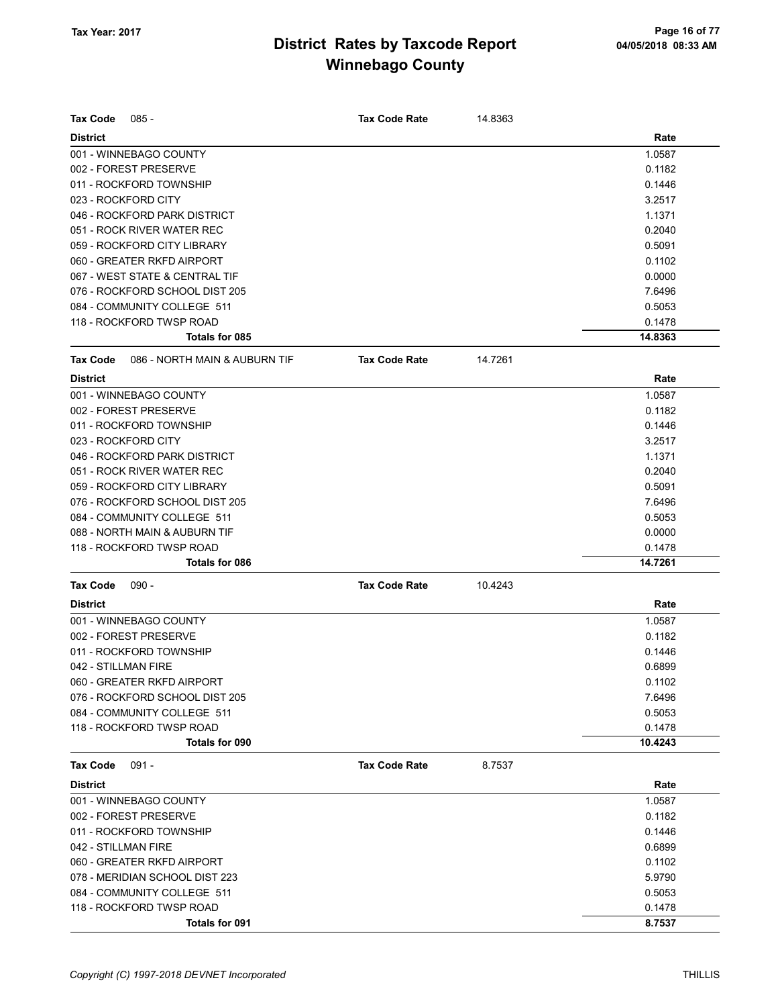| <b>Tax Code</b><br>$085 -$                       | <b>Tax Code Rate</b> | 14.8363 |         |
|--------------------------------------------------|----------------------|---------|---------|
| <b>District</b>                                  |                      |         | Rate    |
| 001 - WINNEBAGO COUNTY                           |                      |         | 1.0587  |
| 002 - FOREST PRESERVE                            |                      |         | 0.1182  |
| 011 - ROCKFORD TOWNSHIP                          |                      |         | 0.1446  |
| 023 - ROCKFORD CITY                              |                      |         | 3.2517  |
| 046 - ROCKFORD PARK DISTRICT                     |                      |         | 1.1371  |
| 051 - ROCK RIVER WATER REC                       |                      |         | 0.2040  |
| 059 - ROCKFORD CITY LIBRARY                      |                      |         | 0.5091  |
| 060 - GREATER RKFD AIRPORT                       |                      |         | 0.1102  |
| 067 - WEST STATE & CENTRAL TIF                   |                      |         | 0.0000  |
| 076 - ROCKFORD SCHOOL DIST 205                   |                      |         | 7.6496  |
| 084 - COMMUNITY COLLEGE 511                      |                      |         | 0.5053  |
| 118 - ROCKFORD TWSP ROAD                         |                      |         | 0.1478  |
| Totals for 085                                   |                      |         | 14.8363 |
| 086 - NORTH MAIN & AUBURN TIF<br><b>Tax Code</b> | <b>Tax Code Rate</b> | 14.7261 |         |
| <b>District</b>                                  |                      |         | Rate    |
| 001 - WINNEBAGO COUNTY                           |                      |         | 1.0587  |
| 002 - FOREST PRESERVE                            |                      |         | 0.1182  |
| 011 - ROCKFORD TOWNSHIP                          |                      |         | 0.1446  |
| 023 - ROCKFORD CITY                              |                      |         | 3.2517  |
| 046 - ROCKFORD PARK DISTRICT                     |                      |         | 1.1371  |
| 051 - ROCK RIVER WATER REC                       |                      |         | 0.2040  |
| 059 - ROCKFORD CITY LIBRARY                      |                      |         | 0.5091  |
| 076 - ROCKFORD SCHOOL DIST 205                   |                      |         | 7.6496  |
| 084 - COMMUNITY COLLEGE 511                      |                      |         | 0.5053  |
| 088 - NORTH MAIN & AUBURN TIF                    |                      |         | 0.0000  |
| 118 - ROCKFORD TWSP ROAD                         |                      |         | 0.1478  |
| Totals for 086                                   |                      |         | 14.7261 |
| <b>Tax Code</b><br>$090 -$                       | <b>Tax Code Rate</b> | 10.4243 |         |
| <b>District</b>                                  |                      |         | Rate    |
| 001 - WINNEBAGO COUNTY                           |                      |         | 1.0587  |
| 002 - FOREST PRESERVE                            |                      |         | 0.1182  |
| 011 - ROCKFORD TOWNSHIP                          |                      |         | 0.1446  |
| 042 - STILLMAN FIRE                              |                      |         | 0.6899  |
| 060 - GREATER RKFD AIRPORT                       |                      |         | 0.1102  |
| 076 - ROCKFORD SCHOOL DIST 205                   |                      |         | 7.6496  |
| 084 - COMMUNITY COLLEGE 511                      |                      |         | 0.5053  |
| 118 - ROCKFORD TWSP ROAD                         |                      |         | 0.1478  |
| Totals for 090                                   |                      |         | 10.4243 |
| $091 -$<br>Tax Code                              | <b>Tax Code Rate</b> | 8.7537  |         |
| <b>District</b>                                  |                      |         | Rate    |
| 001 - WINNEBAGO COUNTY                           |                      |         | 1.0587  |
| 002 - FOREST PRESERVE                            |                      |         | 0.1182  |
| 011 - ROCKFORD TOWNSHIP                          |                      |         | 0.1446  |
| 042 - STILLMAN FIRE                              |                      |         | 0.6899  |
| 060 - GREATER RKFD AIRPORT                       |                      |         | 0.1102  |
| 078 - MERIDIAN SCHOOL DIST 223                   |                      |         | 5.9790  |
| 084 - COMMUNITY COLLEGE 511                      |                      |         | 0.5053  |
| 118 - ROCKFORD TWSP ROAD                         |                      |         | 0.1478  |
| Totals for 091                                   |                      |         | 8.7537  |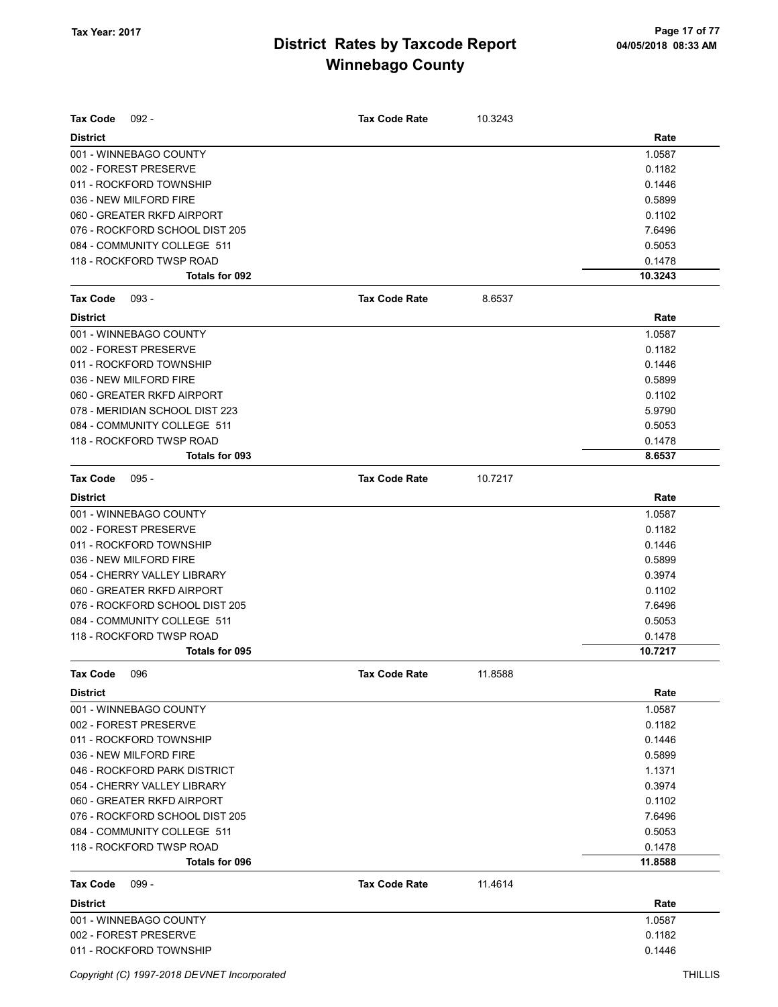| <b>Tax Code</b><br>$092 -$     | <b>Tax Code Rate</b> | 10.3243 |         |
|--------------------------------|----------------------|---------|---------|
| <b>District</b>                |                      |         | Rate    |
| 001 - WINNEBAGO COUNTY         |                      |         | 1.0587  |
| 002 - FOREST PRESERVE          |                      |         | 0.1182  |
| 011 - ROCKFORD TOWNSHIP        |                      |         | 0.1446  |
| 036 - NEW MILFORD FIRE         |                      |         | 0.5899  |
| 060 - GREATER RKFD AIRPORT     |                      |         | 0.1102  |
| 076 - ROCKFORD SCHOOL DIST 205 |                      |         | 7.6496  |
| 084 - COMMUNITY COLLEGE 511    |                      |         | 0.5053  |
| 118 - ROCKFORD TWSP ROAD       |                      |         | 0.1478  |
| Totals for 092                 |                      |         | 10.3243 |
| <b>Tax Code</b><br>$093 -$     | <b>Tax Code Rate</b> | 8.6537  |         |
| <b>District</b>                |                      |         | Rate    |
| 001 - WINNEBAGO COUNTY         |                      |         | 1.0587  |
| 002 - FOREST PRESERVE          |                      |         | 0.1182  |
| 011 - ROCKFORD TOWNSHIP        |                      |         | 0.1446  |
| 036 - NEW MILFORD FIRE         |                      |         | 0.5899  |
| 060 - GREATER RKFD AIRPORT     |                      |         | 0.1102  |
| 078 - MERIDIAN SCHOOL DIST 223 |                      |         | 5.9790  |
| 084 - COMMUNITY COLLEGE 511    |                      |         | 0.5053  |
| 118 - ROCKFORD TWSP ROAD       |                      |         | 0.1478  |
| Totals for 093                 |                      |         | 8.6537  |
| <b>Tax Code</b><br>$095 -$     | <b>Tax Code Rate</b> | 10.7217 |         |
| <b>District</b>                |                      |         | Rate    |
| 001 - WINNEBAGO COUNTY         |                      |         | 1.0587  |
| 002 - FOREST PRESERVE          |                      |         | 0.1182  |
| 011 - ROCKFORD TOWNSHIP        |                      |         | 0.1446  |
| 036 - NEW MILFORD FIRE         |                      |         | 0.5899  |
| 054 - CHERRY VALLEY LIBRARY    |                      |         | 0.3974  |
| 060 - GREATER RKFD AIRPORT     |                      |         | 0.1102  |
| 076 - ROCKFORD SCHOOL DIST 205 |                      |         | 7.6496  |
| 084 - COMMUNITY COLLEGE 511    |                      |         | 0.5053  |
| 118 - ROCKFORD TWSP ROAD       |                      |         | 0.1478  |
| <b>Totals for 095</b>          |                      |         | 10.7217 |
| Tax Code<br>096                | <b>Tax Code Rate</b> | 11.8588 |         |
| <b>District</b>                |                      |         | Rate    |
| 001 - WINNEBAGO COUNTY         |                      |         | 1.0587  |
| 002 - FOREST PRESERVE          |                      |         | 0.1182  |
| 011 - ROCKFORD TOWNSHIP        |                      |         | 0.1446  |
| 036 - NEW MILFORD FIRE         |                      |         | 0.5899  |
| 046 - ROCKFORD PARK DISTRICT   |                      |         | 1.1371  |
| 054 - CHERRY VALLEY LIBRARY    |                      |         | 0.3974  |
| 060 - GREATER RKFD AIRPORT     |                      |         | 0.1102  |
| 076 - ROCKFORD SCHOOL DIST 205 |                      |         | 7.6496  |
| 084 - COMMUNITY COLLEGE 511    |                      |         | 0.5053  |
| 118 - ROCKFORD TWSP ROAD       |                      |         | 0.1478  |
| Totals for 096                 |                      |         | 11.8588 |
| <b>Tax Code</b><br>$099 -$     | <b>Tax Code Rate</b> | 11.4614 |         |
| <b>District</b>                |                      |         | Rate    |
| 001 - WINNEBAGO COUNTY         |                      |         | 1.0587  |
| 002 - FOREST PRESERVE          |                      |         | 0.1182  |
| 011 - ROCKFORD TOWNSHIP        |                      |         | 0.1446  |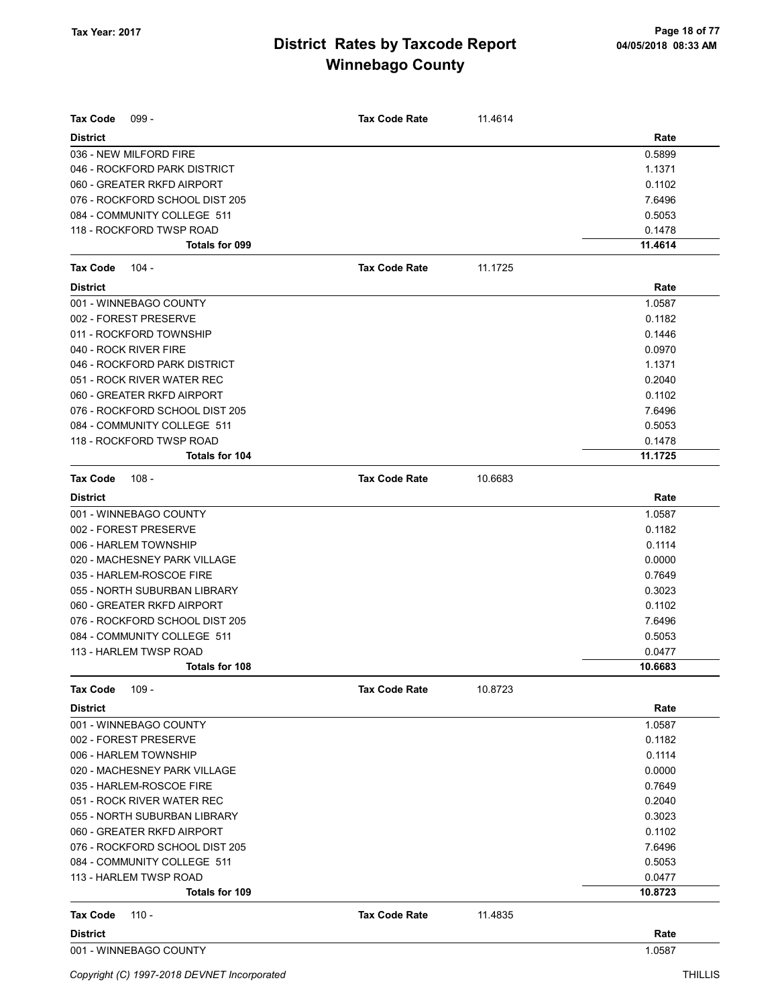| <b>Tax Code</b><br>$099 -$     | <b>Tax Code Rate</b> | 11.4614 |         |
|--------------------------------|----------------------|---------|---------|
| <b>District</b>                |                      |         | Rate    |
| 036 - NEW MILFORD FIRE         |                      |         | 0.5899  |
| 046 - ROCKFORD PARK DISTRICT   |                      |         | 1.1371  |
| 060 - GREATER RKFD AIRPORT     |                      |         | 0.1102  |
| 076 - ROCKFORD SCHOOL DIST 205 |                      |         | 7.6496  |
| 084 - COMMUNITY COLLEGE 511    |                      |         | 0.5053  |
| 118 - ROCKFORD TWSP ROAD       |                      |         | 0.1478  |
| Totals for 099                 |                      |         | 11.4614 |
| Tax Code<br>104 -              | <b>Tax Code Rate</b> | 11.1725 |         |
| <b>District</b>                |                      |         | Rate    |
| 001 - WINNEBAGO COUNTY         |                      |         | 1.0587  |
| 002 - FOREST PRESERVE          |                      |         | 0.1182  |
| 011 - ROCKFORD TOWNSHIP        |                      |         | 0.1446  |
| 040 - ROCK RIVER FIRE          |                      |         | 0.0970  |
| 046 - ROCKFORD PARK DISTRICT   |                      |         | 1.1371  |
| 051 - ROCK RIVER WATER REC     |                      |         | 0.2040  |
| 060 - GREATER RKFD AIRPORT     |                      |         | 0.1102  |
| 076 - ROCKFORD SCHOOL DIST 205 |                      |         | 7.6496  |
| 084 - COMMUNITY COLLEGE 511    |                      |         | 0.5053  |
| 118 - ROCKFORD TWSP ROAD       |                      |         | 0.1478  |
| Totals for 104                 |                      |         | 11.1725 |
| <b>Tax Code</b><br>108 -       | <b>Tax Code Rate</b> | 10.6683 |         |
| <b>District</b>                |                      |         | Rate    |
| 001 - WINNEBAGO COUNTY         |                      |         | 1.0587  |
| 002 - FOREST PRESERVE          |                      |         | 0.1182  |
| 006 - HARLEM TOWNSHIP          |                      |         | 0.1114  |
| 020 - MACHESNEY PARK VILLAGE   |                      |         | 0.0000  |
| 035 - HARLEM-ROSCOE FIRE       |                      |         | 0.7649  |
| 055 - NORTH SUBURBAN LIBRARY   |                      |         | 0.3023  |
| 060 - GREATER RKFD AIRPORT     |                      |         | 0.1102  |
| 076 - ROCKFORD SCHOOL DIST 205 |                      |         | 7.6496  |
| 084 - COMMUNITY COLLEGE 511    |                      |         | 0.5053  |
| 113 - HARLEM TWSP ROAD         |                      |         | 0.0477  |
| Totals for 108                 |                      |         | 10.6683 |
| $109 -$<br>Tax Code            | <b>Tax Code Rate</b> | 10.8723 |         |
| <b>District</b>                |                      |         | Rate    |
| 001 - WINNEBAGO COUNTY         |                      |         | 1.0587  |
| 002 - FOREST PRESERVE          |                      |         | 0.1182  |
| 006 - HARLEM TOWNSHIP          |                      |         | 0.1114  |
| 020 - MACHESNEY PARK VILLAGE   |                      |         | 0.0000  |
| 035 - HARLEM-ROSCOE FIRE       |                      |         | 0.7649  |
| 051 - ROCK RIVER WATER REC     |                      |         | 0.2040  |
| 055 - NORTH SUBURBAN LIBRARY   |                      |         | 0.3023  |
| 060 - GREATER RKFD AIRPORT     |                      |         | 0.1102  |
| 076 - ROCKFORD SCHOOL DIST 205 |                      |         | 7.6496  |
| 084 - COMMUNITY COLLEGE 511    |                      |         | 0.5053  |
| 113 - HARLEM TWSP ROAD         |                      |         | 0.0477  |
| Totals for 109                 |                      |         | 10.8723 |
| <b>Tax Code</b><br>$110 -$     | <b>Tax Code Rate</b> | 11.4835 |         |
| <b>District</b>                |                      |         | Rate    |
| 001 - WINNEBAGO COUNTY         |                      |         | 1.0587  |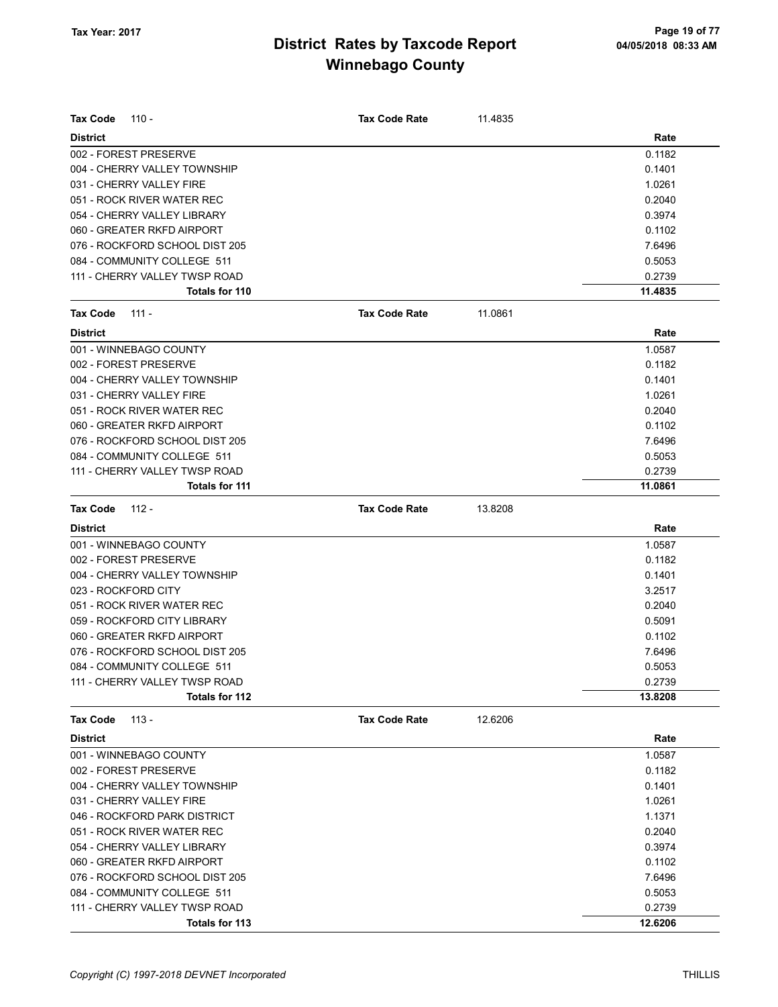| Tax Code<br>$110 -$            | <b>Tax Code Rate</b> | 11.4835 |         |
|--------------------------------|----------------------|---------|---------|
| <b>District</b>                |                      |         | Rate    |
| 002 - FOREST PRESERVE          |                      |         | 0.1182  |
| 004 - CHERRY VALLEY TOWNSHIP   |                      |         | 0.1401  |
| 031 - CHERRY VALLEY FIRE       |                      |         | 1.0261  |
| 051 - ROCK RIVER WATER REC     |                      |         | 0.2040  |
| 054 - CHERRY VALLEY LIBRARY    |                      |         | 0.3974  |
| 060 - GREATER RKFD AIRPORT     |                      |         | 0.1102  |
| 076 - ROCKFORD SCHOOL DIST 205 |                      |         | 7.6496  |
| 084 - COMMUNITY COLLEGE 511    |                      |         | 0.5053  |
| 111 - CHERRY VALLEY TWSP ROAD  |                      |         | 0.2739  |
| <b>Totals for 110</b>          |                      |         | 11.4835 |
| <b>Tax Code</b><br>$111 -$     | <b>Tax Code Rate</b> | 11.0861 |         |
| <b>District</b>                |                      |         | Rate    |
| 001 - WINNEBAGO COUNTY         |                      |         | 1.0587  |
| 002 - FOREST PRESERVE          |                      |         | 0.1182  |
| 004 - CHERRY VALLEY TOWNSHIP   |                      |         | 0.1401  |
| 031 - CHERRY VALLEY FIRE       |                      |         | 1.0261  |
| 051 - ROCK RIVER WATER REC     |                      |         | 0.2040  |
| 060 - GREATER RKFD AIRPORT     |                      |         | 0.1102  |
| 076 - ROCKFORD SCHOOL DIST 205 |                      |         | 7.6496  |
| 084 - COMMUNITY COLLEGE 511    |                      |         | 0.5053  |
| 111 - CHERRY VALLEY TWSP ROAD  |                      |         | 0.2739  |
| Totals for 111                 |                      |         | 11.0861 |
| <b>Tax Code</b><br>112 -       | <b>Tax Code Rate</b> | 13.8208 |         |
| <b>District</b>                |                      |         | Rate    |
| 001 - WINNEBAGO COUNTY         |                      |         | 1.0587  |
| 002 - FOREST PRESERVE          |                      |         | 0.1182  |
| 004 - CHERRY VALLEY TOWNSHIP   |                      |         | 0.1401  |
| 023 - ROCKFORD CITY            |                      |         | 3.2517  |
| 051 - ROCK RIVER WATER REC     |                      |         | 0.2040  |
| 059 - ROCKFORD CITY LIBRARY    |                      |         | 0.5091  |
| 060 - GREATER RKFD AIRPORT     |                      |         | 0.1102  |
| 076 - ROCKFORD SCHOOL DIST 205 |                      |         | 7.6496  |
| 084 - COMMUNITY COLLEGE 511    |                      |         | 0.5053  |
| 111 - CHERRY VALLEY TWSP ROAD  |                      |         | 0.2739  |
| Totals for 112                 |                      |         | 13.8208 |
| <b>Tax Code</b><br>113 -       | <b>Tax Code Rate</b> | 12.6206 |         |
| <b>District</b>                |                      |         | Rate    |
| 001 - WINNEBAGO COUNTY         |                      |         | 1.0587  |
| 002 - FOREST PRESERVE          |                      |         | 0.1182  |
| 004 - CHERRY VALLEY TOWNSHIP   |                      |         | 0.1401  |
| 031 - CHERRY VALLEY FIRE       |                      |         | 1.0261  |
| 046 - ROCKFORD PARK DISTRICT   |                      |         | 1.1371  |
| 051 - ROCK RIVER WATER REC     |                      |         | 0.2040  |
| 054 - CHERRY VALLEY LIBRARY    |                      |         | 0.3974  |
| 060 - GREATER RKFD AIRPORT     |                      |         | 0.1102  |
| 076 - ROCKFORD SCHOOL DIST 205 |                      |         | 7.6496  |
| 084 - COMMUNITY COLLEGE 511    |                      |         | 0.5053  |
| 111 - CHERRY VALLEY TWSP ROAD  |                      |         | 0.2739  |
| Totals for 113                 |                      |         | 12.6206 |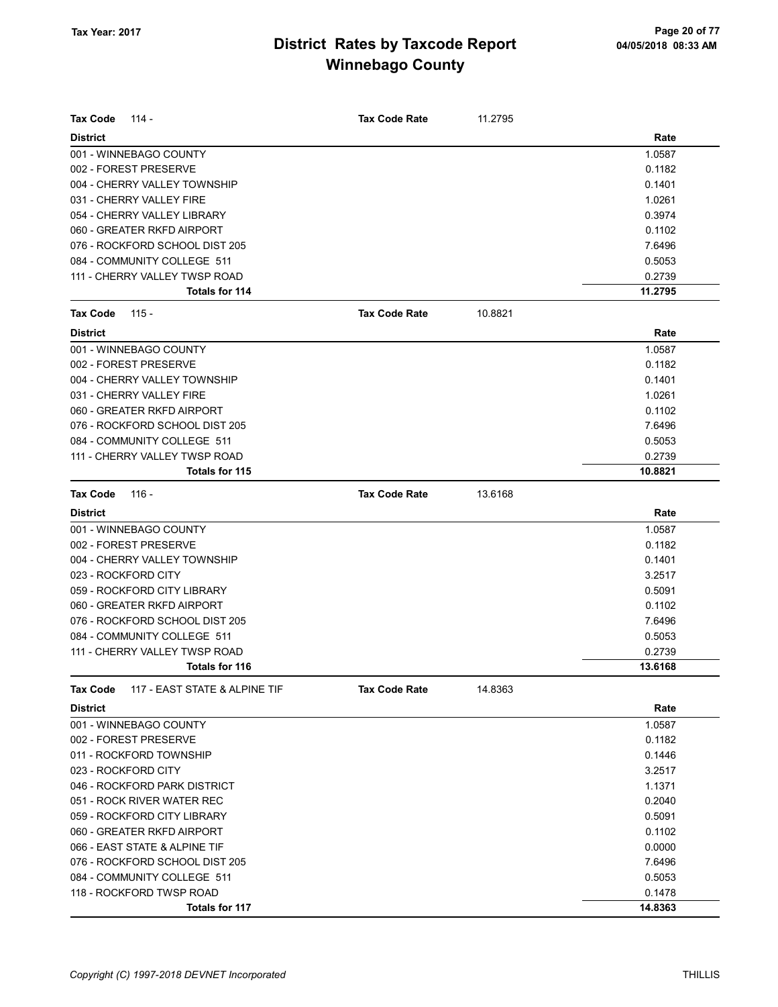| Tax Code<br>114 -                                | <b>Tax Code Rate</b> | 11.2795 |         |
|--------------------------------------------------|----------------------|---------|---------|
| <b>District</b>                                  |                      |         | Rate    |
| 001 - WINNEBAGO COUNTY                           |                      |         | 1.0587  |
| 002 - FOREST PRESERVE                            |                      |         | 0.1182  |
| 004 - CHERRY VALLEY TOWNSHIP                     |                      |         | 0.1401  |
| 031 - CHERRY VALLEY FIRE                         |                      |         | 1.0261  |
| 054 - CHERRY VALLEY LIBRARY                      |                      |         | 0.3974  |
| 060 - GREATER RKFD AIRPORT                       |                      |         | 0.1102  |
| 076 - ROCKFORD SCHOOL DIST 205                   |                      |         | 7.6496  |
| 084 - COMMUNITY COLLEGE 511                      |                      |         | 0.5053  |
| 111 - CHERRY VALLEY TWSP ROAD                    |                      |         | 0.2739  |
| Totals for 114                                   |                      |         | 11.2795 |
| Tax Code<br>$115 -$                              | <b>Tax Code Rate</b> | 10.8821 |         |
| <b>District</b>                                  |                      |         | Rate    |
| 001 - WINNEBAGO COUNTY                           |                      |         | 1.0587  |
| 002 - FOREST PRESERVE                            |                      |         | 0.1182  |
| 004 - CHERRY VALLEY TOWNSHIP                     |                      |         | 0.1401  |
| 031 - CHERRY VALLEY FIRE                         |                      |         | 1.0261  |
| 060 - GREATER RKFD AIRPORT                       |                      |         | 0.1102  |
| 076 - ROCKFORD SCHOOL DIST 205                   |                      |         | 7.6496  |
| 084 - COMMUNITY COLLEGE 511                      |                      |         | 0.5053  |
| 111 - CHERRY VALLEY TWSP ROAD                    |                      |         | 0.2739  |
| Totals for 115                                   |                      |         | 10.8821 |
| <b>Tax Code</b><br>116 -                         | <b>Tax Code Rate</b> | 13.6168 |         |
| <b>District</b>                                  |                      |         | Rate    |
| 001 - WINNEBAGO COUNTY                           |                      |         | 1.0587  |
| 002 - FOREST PRESERVE                            |                      |         | 0.1182  |
| 004 - CHERRY VALLEY TOWNSHIP                     |                      |         | 0.1401  |
| 023 - ROCKFORD CITY                              |                      |         | 3.2517  |
| 059 - ROCKFORD CITY LIBRARY                      |                      |         | 0.5091  |
| 060 - GREATER RKFD AIRPORT                       |                      |         | 0.1102  |
| 076 - ROCKFORD SCHOOL DIST 205                   |                      |         | 7.6496  |
| 084 - COMMUNITY COLLEGE 511                      |                      |         | 0.5053  |
| 111 - CHERRY VALLEY TWSP ROAD                    |                      |         | 0.2739  |
| Totals for 116                                   |                      |         | 13.6168 |
| 117 - EAST STATE & ALPINE TIF<br><b>Tax Code</b> | <b>Tax Code Rate</b> | 14.8363 |         |
| <b>District</b>                                  |                      |         | Rate    |
| 001 - WINNEBAGO COUNTY                           |                      |         | 1.0587  |
| 002 - FOREST PRESERVE                            |                      |         | 0.1182  |
| 011 - ROCKFORD TOWNSHIP                          |                      |         | 0.1446  |
| 023 - ROCKFORD CITY                              |                      |         | 3.2517  |
| 046 - ROCKFORD PARK DISTRICT                     |                      |         | 1.1371  |
| 051 - ROCK RIVER WATER REC                       |                      |         | 0.2040  |
| 059 - ROCKFORD CITY LIBRARY                      |                      |         | 0.5091  |
| 060 - GREATER RKFD AIRPORT                       |                      |         | 0.1102  |
| 066 - EAST STATE & ALPINE TIF                    |                      |         | 0.0000  |
| 076 - ROCKFORD SCHOOL DIST 205                   |                      |         | 7.6496  |
| 084 - COMMUNITY COLLEGE 511                      |                      |         | 0.5053  |
| 118 - ROCKFORD TWSP ROAD                         |                      |         | 0.1478  |
| Totals for 117                                   |                      |         | 14.8363 |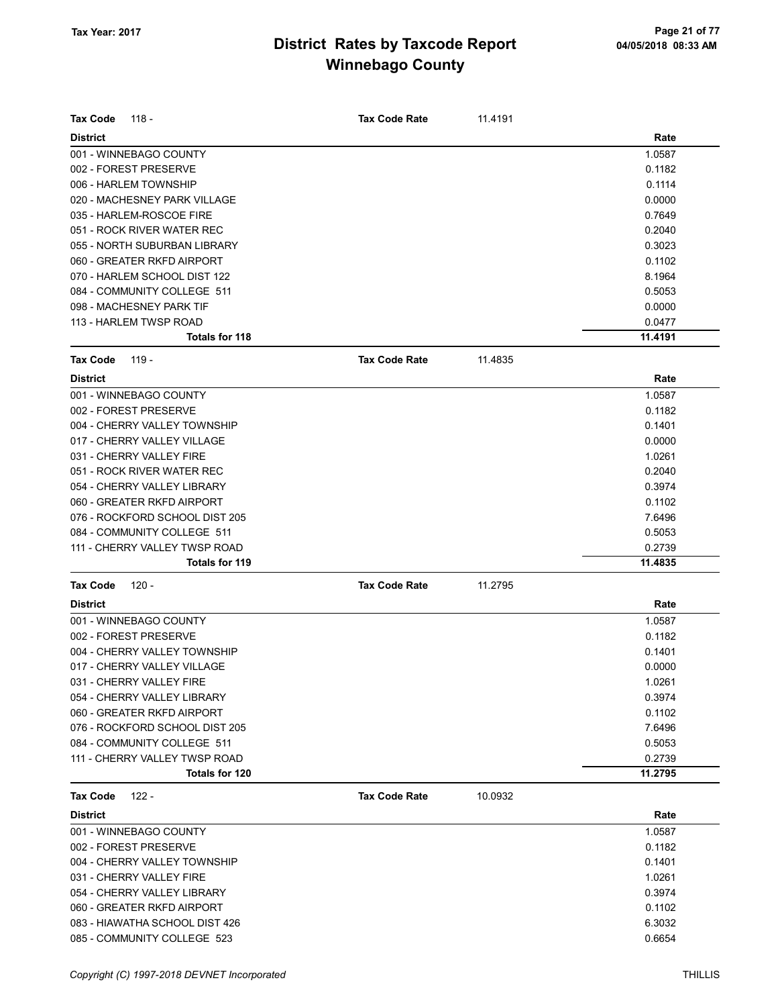| <b>District</b><br>Rate<br>001 - WINNEBAGO COUNTY<br>1.0587<br>002 - FOREST PRESERVE<br>0.1182<br>006 - HARLEM TOWNSHIP<br>0.1114<br>020 - MACHESNEY PARK VILLAGE<br>0.0000<br>035 - HARLEM-ROSCOE FIRE<br>0.7649<br>051 - ROCK RIVER WATER REC<br>0.2040<br>0.3023<br>055 - NORTH SUBURBAN LIBRARY<br>060 - GREATER RKFD AIRPORT<br>0.1102<br>070 - HARLEM SCHOOL DIST 122<br>8.1964<br>084 - COMMUNITY COLLEGE 511<br>0.5053<br>098 - MACHESNEY PARK TIF<br>0.0000<br>113 - HARLEM TWSP ROAD<br>0.0477<br>Totals for 118<br>11.4191<br><b>Tax Code Rate</b><br>11.4835<br><b>Tax Code</b><br>119 -<br>Rate<br><b>District</b><br>001 - WINNEBAGO COUNTY<br>1.0587<br>002 - FOREST PRESERVE<br>0.1182<br>004 - CHERRY VALLEY TOWNSHIP<br>0.1401<br>017 - CHERRY VALLEY VILLAGE<br>0.0000<br>031 - CHERRY VALLEY FIRE<br>1.0261<br>051 - ROCK RIVER WATER REC<br>0.2040<br>054 - CHERRY VALLEY LIBRARY<br>0.3974<br>060 - GREATER RKFD AIRPORT<br>0.1102<br>076 - ROCKFORD SCHOOL DIST 205<br>7.6496<br>084 - COMMUNITY COLLEGE 511<br>0.5053<br>111 - CHERRY VALLEY TWSP ROAD<br>0.2739<br>Totals for 119<br>11.4835<br><b>Tax Code</b><br>120 -<br><b>Tax Code Rate</b><br>11.2795<br><b>District</b><br>Rate<br>001 - WINNEBAGO COUNTY<br>1.0587<br>002 - FOREST PRESERVE<br>0.1182<br>004 - CHERRY VALLEY TOWNSHIP<br>0.1401<br>0.0000<br>017 - CHERRY VALLEY VILLAGE<br>031 - CHERRY VALLEY FIRE<br>1.0261<br>054 - CHERRY VALLEY LIBRARY<br>0.3974<br>060 - GREATER RKFD AIRPORT<br>0.1102<br>076 - ROCKFORD SCHOOL DIST 205<br>7.6496<br>084 - COMMUNITY COLLEGE 511<br>0.5053<br>111 - CHERRY VALLEY TWSP ROAD<br>0.2739<br><b>Totals for 120</b><br>11.2795<br><b>Tax Code</b><br>$122 -$<br><b>Tax Code Rate</b><br>10.0932<br><b>District</b><br>Rate<br>001 - WINNEBAGO COUNTY<br>1.0587<br>0.1182<br>002 - FOREST PRESERVE<br>004 - CHERRY VALLEY TOWNSHIP<br>0.1401<br>031 - CHERRY VALLEY FIRE<br>1.0261<br>0.3974<br>054 - CHERRY VALLEY LIBRARY<br>0.1102<br>060 - GREATER RKFD AIRPORT<br>083 - HIAWATHA SCHOOL DIST 426<br>6.3032 | <b>Tax Code</b><br>118 -    | <b>Tax Code Rate</b> | 11.4191 |        |
|------------------------------------------------------------------------------------------------------------------------------------------------------------------------------------------------------------------------------------------------------------------------------------------------------------------------------------------------------------------------------------------------------------------------------------------------------------------------------------------------------------------------------------------------------------------------------------------------------------------------------------------------------------------------------------------------------------------------------------------------------------------------------------------------------------------------------------------------------------------------------------------------------------------------------------------------------------------------------------------------------------------------------------------------------------------------------------------------------------------------------------------------------------------------------------------------------------------------------------------------------------------------------------------------------------------------------------------------------------------------------------------------------------------------------------------------------------------------------------------------------------------------------------------------------------------------------------------------------------------------------------------------------------------------------------------------------------------------------------------------------------------------------------------------------------------------------------------------------------------------------------------------------------------------------------------------------------------------------------------------------------------------------------------------------|-----------------------------|----------------------|---------|--------|
|                                                                                                                                                                                                                                                                                                                                                                                                                                                                                                                                                                                                                                                                                                                                                                                                                                                                                                                                                                                                                                                                                                                                                                                                                                                                                                                                                                                                                                                                                                                                                                                                                                                                                                                                                                                                                                                                                                                                                                                                                                                      |                             |                      |         |        |
|                                                                                                                                                                                                                                                                                                                                                                                                                                                                                                                                                                                                                                                                                                                                                                                                                                                                                                                                                                                                                                                                                                                                                                                                                                                                                                                                                                                                                                                                                                                                                                                                                                                                                                                                                                                                                                                                                                                                                                                                                                                      |                             |                      |         |        |
|                                                                                                                                                                                                                                                                                                                                                                                                                                                                                                                                                                                                                                                                                                                                                                                                                                                                                                                                                                                                                                                                                                                                                                                                                                                                                                                                                                                                                                                                                                                                                                                                                                                                                                                                                                                                                                                                                                                                                                                                                                                      |                             |                      |         |        |
|                                                                                                                                                                                                                                                                                                                                                                                                                                                                                                                                                                                                                                                                                                                                                                                                                                                                                                                                                                                                                                                                                                                                                                                                                                                                                                                                                                                                                                                                                                                                                                                                                                                                                                                                                                                                                                                                                                                                                                                                                                                      |                             |                      |         |        |
|                                                                                                                                                                                                                                                                                                                                                                                                                                                                                                                                                                                                                                                                                                                                                                                                                                                                                                                                                                                                                                                                                                                                                                                                                                                                                                                                                                                                                                                                                                                                                                                                                                                                                                                                                                                                                                                                                                                                                                                                                                                      |                             |                      |         |        |
|                                                                                                                                                                                                                                                                                                                                                                                                                                                                                                                                                                                                                                                                                                                                                                                                                                                                                                                                                                                                                                                                                                                                                                                                                                                                                                                                                                                                                                                                                                                                                                                                                                                                                                                                                                                                                                                                                                                                                                                                                                                      |                             |                      |         |        |
|                                                                                                                                                                                                                                                                                                                                                                                                                                                                                                                                                                                                                                                                                                                                                                                                                                                                                                                                                                                                                                                                                                                                                                                                                                                                                                                                                                                                                                                                                                                                                                                                                                                                                                                                                                                                                                                                                                                                                                                                                                                      |                             |                      |         |        |
|                                                                                                                                                                                                                                                                                                                                                                                                                                                                                                                                                                                                                                                                                                                                                                                                                                                                                                                                                                                                                                                                                                                                                                                                                                                                                                                                                                                                                                                                                                                                                                                                                                                                                                                                                                                                                                                                                                                                                                                                                                                      |                             |                      |         |        |
|                                                                                                                                                                                                                                                                                                                                                                                                                                                                                                                                                                                                                                                                                                                                                                                                                                                                                                                                                                                                                                                                                                                                                                                                                                                                                                                                                                                                                                                                                                                                                                                                                                                                                                                                                                                                                                                                                                                                                                                                                                                      |                             |                      |         |        |
|                                                                                                                                                                                                                                                                                                                                                                                                                                                                                                                                                                                                                                                                                                                                                                                                                                                                                                                                                                                                                                                                                                                                                                                                                                                                                                                                                                                                                                                                                                                                                                                                                                                                                                                                                                                                                                                                                                                                                                                                                                                      |                             |                      |         |        |
|                                                                                                                                                                                                                                                                                                                                                                                                                                                                                                                                                                                                                                                                                                                                                                                                                                                                                                                                                                                                                                                                                                                                                                                                                                                                                                                                                                                                                                                                                                                                                                                                                                                                                                                                                                                                                                                                                                                                                                                                                                                      |                             |                      |         |        |
|                                                                                                                                                                                                                                                                                                                                                                                                                                                                                                                                                                                                                                                                                                                                                                                                                                                                                                                                                                                                                                                                                                                                                                                                                                                                                                                                                                                                                                                                                                                                                                                                                                                                                                                                                                                                                                                                                                                                                                                                                                                      |                             |                      |         |        |
|                                                                                                                                                                                                                                                                                                                                                                                                                                                                                                                                                                                                                                                                                                                                                                                                                                                                                                                                                                                                                                                                                                                                                                                                                                                                                                                                                                                                                                                                                                                                                                                                                                                                                                                                                                                                                                                                                                                                                                                                                                                      |                             |                      |         |        |
|                                                                                                                                                                                                                                                                                                                                                                                                                                                                                                                                                                                                                                                                                                                                                                                                                                                                                                                                                                                                                                                                                                                                                                                                                                                                                                                                                                                                                                                                                                                                                                                                                                                                                                                                                                                                                                                                                                                                                                                                                                                      |                             |                      |         |        |
|                                                                                                                                                                                                                                                                                                                                                                                                                                                                                                                                                                                                                                                                                                                                                                                                                                                                                                                                                                                                                                                                                                                                                                                                                                                                                                                                                                                                                                                                                                                                                                                                                                                                                                                                                                                                                                                                                                                                                                                                                                                      |                             |                      |         |        |
|                                                                                                                                                                                                                                                                                                                                                                                                                                                                                                                                                                                                                                                                                                                                                                                                                                                                                                                                                                                                                                                                                                                                                                                                                                                                                                                                                                                                                                                                                                                                                                                                                                                                                                                                                                                                                                                                                                                                                                                                                                                      |                             |                      |         |        |
|                                                                                                                                                                                                                                                                                                                                                                                                                                                                                                                                                                                                                                                                                                                                                                                                                                                                                                                                                                                                                                                                                                                                                                                                                                                                                                                                                                                                                                                                                                                                                                                                                                                                                                                                                                                                                                                                                                                                                                                                                                                      |                             |                      |         |        |
|                                                                                                                                                                                                                                                                                                                                                                                                                                                                                                                                                                                                                                                                                                                                                                                                                                                                                                                                                                                                                                                                                                                                                                                                                                                                                                                                                                                                                                                                                                                                                                                                                                                                                                                                                                                                                                                                                                                                                                                                                                                      |                             |                      |         |        |
|                                                                                                                                                                                                                                                                                                                                                                                                                                                                                                                                                                                                                                                                                                                                                                                                                                                                                                                                                                                                                                                                                                                                                                                                                                                                                                                                                                                                                                                                                                                                                                                                                                                                                                                                                                                                                                                                                                                                                                                                                                                      |                             |                      |         |        |
|                                                                                                                                                                                                                                                                                                                                                                                                                                                                                                                                                                                                                                                                                                                                                                                                                                                                                                                                                                                                                                                                                                                                                                                                                                                                                                                                                                                                                                                                                                                                                                                                                                                                                                                                                                                                                                                                                                                                                                                                                                                      |                             |                      |         |        |
|                                                                                                                                                                                                                                                                                                                                                                                                                                                                                                                                                                                                                                                                                                                                                                                                                                                                                                                                                                                                                                                                                                                                                                                                                                                                                                                                                                                                                                                                                                                                                                                                                                                                                                                                                                                                                                                                                                                                                                                                                                                      |                             |                      |         |        |
|                                                                                                                                                                                                                                                                                                                                                                                                                                                                                                                                                                                                                                                                                                                                                                                                                                                                                                                                                                                                                                                                                                                                                                                                                                                                                                                                                                                                                                                                                                                                                                                                                                                                                                                                                                                                                                                                                                                                                                                                                                                      |                             |                      |         |        |
|                                                                                                                                                                                                                                                                                                                                                                                                                                                                                                                                                                                                                                                                                                                                                                                                                                                                                                                                                                                                                                                                                                                                                                                                                                                                                                                                                                                                                                                                                                                                                                                                                                                                                                                                                                                                                                                                                                                                                                                                                                                      |                             |                      |         |        |
|                                                                                                                                                                                                                                                                                                                                                                                                                                                                                                                                                                                                                                                                                                                                                                                                                                                                                                                                                                                                                                                                                                                                                                                                                                                                                                                                                                                                                                                                                                                                                                                                                                                                                                                                                                                                                                                                                                                                                                                                                                                      |                             |                      |         |        |
|                                                                                                                                                                                                                                                                                                                                                                                                                                                                                                                                                                                                                                                                                                                                                                                                                                                                                                                                                                                                                                                                                                                                                                                                                                                                                                                                                                                                                                                                                                                                                                                                                                                                                                                                                                                                                                                                                                                                                                                                                                                      |                             |                      |         |        |
|                                                                                                                                                                                                                                                                                                                                                                                                                                                                                                                                                                                                                                                                                                                                                                                                                                                                                                                                                                                                                                                                                                                                                                                                                                                                                                                                                                                                                                                                                                                                                                                                                                                                                                                                                                                                                                                                                                                                                                                                                                                      |                             |                      |         |        |
|                                                                                                                                                                                                                                                                                                                                                                                                                                                                                                                                                                                                                                                                                                                                                                                                                                                                                                                                                                                                                                                                                                                                                                                                                                                                                                                                                                                                                                                                                                                                                                                                                                                                                                                                                                                                                                                                                                                                                                                                                                                      |                             |                      |         |        |
|                                                                                                                                                                                                                                                                                                                                                                                                                                                                                                                                                                                                                                                                                                                                                                                                                                                                                                                                                                                                                                                                                                                                                                                                                                                                                                                                                                                                                                                                                                                                                                                                                                                                                                                                                                                                                                                                                                                                                                                                                                                      |                             |                      |         |        |
|                                                                                                                                                                                                                                                                                                                                                                                                                                                                                                                                                                                                                                                                                                                                                                                                                                                                                                                                                                                                                                                                                                                                                                                                                                                                                                                                                                                                                                                                                                                                                                                                                                                                                                                                                                                                                                                                                                                                                                                                                                                      |                             |                      |         |        |
|                                                                                                                                                                                                                                                                                                                                                                                                                                                                                                                                                                                                                                                                                                                                                                                                                                                                                                                                                                                                                                                                                                                                                                                                                                                                                                                                                                                                                                                                                                                                                                                                                                                                                                                                                                                                                                                                                                                                                                                                                                                      |                             |                      |         |        |
|                                                                                                                                                                                                                                                                                                                                                                                                                                                                                                                                                                                                                                                                                                                                                                                                                                                                                                                                                                                                                                                                                                                                                                                                                                                                                                                                                                                                                                                                                                                                                                                                                                                                                                                                                                                                                                                                                                                                                                                                                                                      |                             |                      |         |        |
|                                                                                                                                                                                                                                                                                                                                                                                                                                                                                                                                                                                                                                                                                                                                                                                                                                                                                                                                                                                                                                                                                                                                                                                                                                                                                                                                                                                                                                                                                                                                                                                                                                                                                                                                                                                                                                                                                                                                                                                                                                                      |                             |                      |         |        |
|                                                                                                                                                                                                                                                                                                                                                                                                                                                                                                                                                                                                                                                                                                                                                                                                                                                                                                                                                                                                                                                                                                                                                                                                                                                                                                                                                                                                                                                                                                                                                                                                                                                                                                                                                                                                                                                                                                                                                                                                                                                      |                             |                      |         |        |
|                                                                                                                                                                                                                                                                                                                                                                                                                                                                                                                                                                                                                                                                                                                                                                                                                                                                                                                                                                                                                                                                                                                                                                                                                                                                                                                                                                                                                                                                                                                                                                                                                                                                                                                                                                                                                                                                                                                                                                                                                                                      |                             |                      |         |        |
|                                                                                                                                                                                                                                                                                                                                                                                                                                                                                                                                                                                                                                                                                                                                                                                                                                                                                                                                                                                                                                                                                                                                                                                                                                                                                                                                                                                                                                                                                                                                                                                                                                                                                                                                                                                                                                                                                                                                                                                                                                                      |                             |                      |         |        |
|                                                                                                                                                                                                                                                                                                                                                                                                                                                                                                                                                                                                                                                                                                                                                                                                                                                                                                                                                                                                                                                                                                                                                                                                                                                                                                                                                                                                                                                                                                                                                                                                                                                                                                                                                                                                                                                                                                                                                                                                                                                      |                             |                      |         |        |
|                                                                                                                                                                                                                                                                                                                                                                                                                                                                                                                                                                                                                                                                                                                                                                                                                                                                                                                                                                                                                                                                                                                                                                                                                                                                                                                                                                                                                                                                                                                                                                                                                                                                                                                                                                                                                                                                                                                                                                                                                                                      |                             |                      |         |        |
|                                                                                                                                                                                                                                                                                                                                                                                                                                                                                                                                                                                                                                                                                                                                                                                                                                                                                                                                                                                                                                                                                                                                                                                                                                                                                                                                                                                                                                                                                                                                                                                                                                                                                                                                                                                                                                                                                                                                                                                                                                                      |                             |                      |         |        |
|                                                                                                                                                                                                                                                                                                                                                                                                                                                                                                                                                                                                                                                                                                                                                                                                                                                                                                                                                                                                                                                                                                                                                                                                                                                                                                                                                                                                                                                                                                                                                                                                                                                                                                                                                                                                                                                                                                                                                                                                                                                      |                             |                      |         |        |
|                                                                                                                                                                                                                                                                                                                                                                                                                                                                                                                                                                                                                                                                                                                                                                                                                                                                                                                                                                                                                                                                                                                                                                                                                                                                                                                                                                                                                                                                                                                                                                                                                                                                                                                                                                                                                                                                                                                                                                                                                                                      |                             |                      |         |        |
|                                                                                                                                                                                                                                                                                                                                                                                                                                                                                                                                                                                                                                                                                                                                                                                                                                                                                                                                                                                                                                                                                                                                                                                                                                                                                                                                                                                                                                                                                                                                                                                                                                                                                                                                                                                                                                                                                                                                                                                                                                                      |                             |                      |         |        |
|                                                                                                                                                                                                                                                                                                                                                                                                                                                                                                                                                                                                                                                                                                                                                                                                                                                                                                                                                                                                                                                                                                                                                                                                                                                                                                                                                                                                                                                                                                                                                                                                                                                                                                                                                                                                                                                                                                                                                                                                                                                      |                             |                      |         |        |
|                                                                                                                                                                                                                                                                                                                                                                                                                                                                                                                                                                                                                                                                                                                                                                                                                                                                                                                                                                                                                                                                                                                                                                                                                                                                                                                                                                                                                                                                                                                                                                                                                                                                                                                                                                                                                                                                                                                                                                                                                                                      |                             |                      |         |        |
|                                                                                                                                                                                                                                                                                                                                                                                                                                                                                                                                                                                                                                                                                                                                                                                                                                                                                                                                                                                                                                                                                                                                                                                                                                                                                                                                                                                                                                                                                                                                                                                                                                                                                                                                                                                                                                                                                                                                                                                                                                                      |                             |                      |         |        |
|                                                                                                                                                                                                                                                                                                                                                                                                                                                                                                                                                                                                                                                                                                                                                                                                                                                                                                                                                                                                                                                                                                                                                                                                                                                                                                                                                                                                                                                                                                                                                                                                                                                                                                                                                                                                                                                                                                                                                                                                                                                      |                             |                      |         |        |
|                                                                                                                                                                                                                                                                                                                                                                                                                                                                                                                                                                                                                                                                                                                                                                                                                                                                                                                                                                                                                                                                                                                                                                                                                                                                                                                                                                                                                                                                                                                                                                                                                                                                                                                                                                                                                                                                                                                                                                                                                                                      |                             |                      |         |        |
|                                                                                                                                                                                                                                                                                                                                                                                                                                                                                                                                                                                                                                                                                                                                                                                                                                                                                                                                                                                                                                                                                                                                                                                                                                                                                                                                                                                                                                                                                                                                                                                                                                                                                                                                                                                                                                                                                                                                                                                                                                                      |                             |                      |         |        |
|                                                                                                                                                                                                                                                                                                                                                                                                                                                                                                                                                                                                                                                                                                                                                                                                                                                                                                                                                                                                                                                                                                                                                                                                                                                                                                                                                                                                                                                                                                                                                                                                                                                                                                                                                                                                                                                                                                                                                                                                                                                      |                             |                      |         |        |
|                                                                                                                                                                                                                                                                                                                                                                                                                                                                                                                                                                                                                                                                                                                                                                                                                                                                                                                                                                                                                                                                                                                                                                                                                                                                                                                                                                                                                                                                                                                                                                                                                                                                                                                                                                                                                                                                                                                                                                                                                                                      |                             |                      |         |        |
|                                                                                                                                                                                                                                                                                                                                                                                                                                                                                                                                                                                                                                                                                                                                                                                                                                                                                                                                                                                                                                                                                                                                                                                                                                                                                                                                                                                                                                                                                                                                                                                                                                                                                                                                                                                                                                                                                                                                                                                                                                                      |                             |                      |         |        |
|                                                                                                                                                                                                                                                                                                                                                                                                                                                                                                                                                                                                                                                                                                                                                                                                                                                                                                                                                                                                                                                                                                                                                                                                                                                                                                                                                                                                                                                                                                                                                                                                                                                                                                                                                                                                                                                                                                                                                                                                                                                      | 085 - COMMUNITY COLLEGE 523 |                      |         | 0.6654 |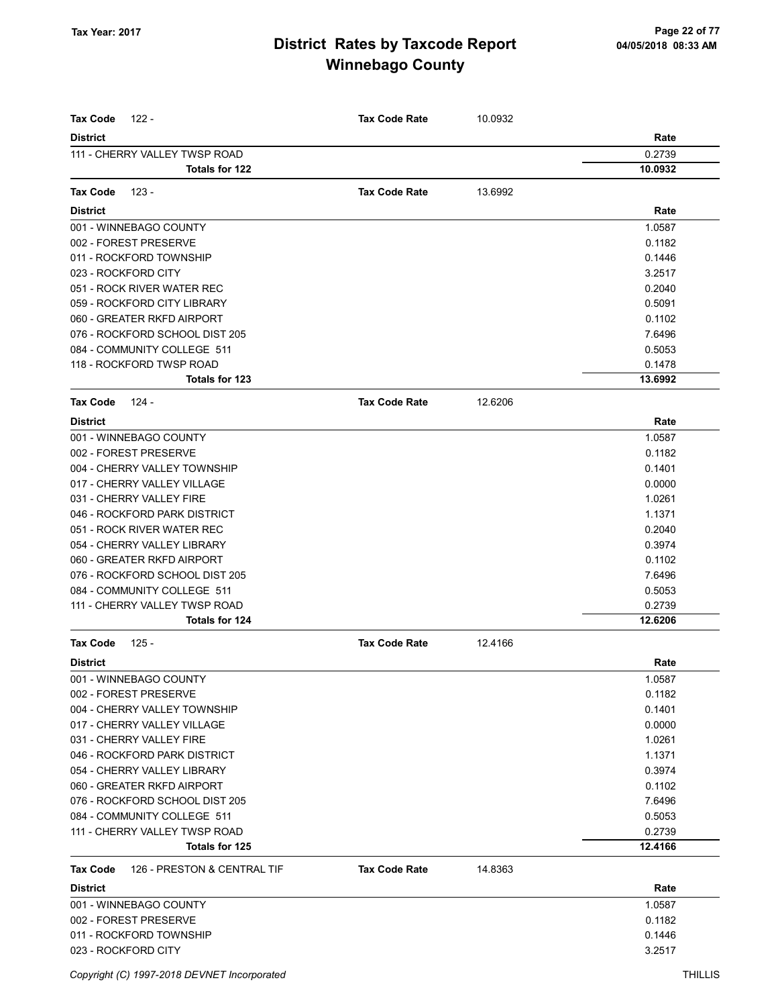| <b>District</b><br>Rate<br>0.2739<br>111 - CHERRY VALLEY TWSP ROAD<br><b>Totals for 122</b><br>10.0932<br><b>Tax Code</b><br>123 -<br><b>Tax Code Rate</b><br>13.6992<br><b>District</b><br>Rate<br>001 - WINNEBAGO COUNTY<br>1.0587<br>002 - FOREST PRESERVE<br>0.1182<br>011 - ROCKFORD TOWNSHIP<br>0.1446<br>023 - ROCKFORD CITY<br>3.2517<br>051 - ROCK RIVER WATER REC<br>0.2040<br>059 - ROCKFORD CITY LIBRARY<br>0.5091<br>060 - GREATER RKFD AIRPORT<br>0.1102<br>076 - ROCKFORD SCHOOL DIST 205<br>7.6496<br>084 - COMMUNITY COLLEGE 511<br>0.5053<br>118 - ROCKFORD TWSP ROAD<br>0.1478<br>Totals for 123<br>13.6992<br><b>Tax Code Rate</b><br>12.6206<br><b>Tax Code</b><br>124 -<br>Rate<br><b>District</b><br>001 - WINNEBAGO COUNTY<br>1.0587<br>002 - FOREST PRESERVE<br>0.1182<br>004 - CHERRY VALLEY TOWNSHIP<br>0.1401<br>0.0000<br>017 - CHERRY VALLEY VILLAGE<br>1.0261<br>031 - CHERRY VALLEY FIRE<br>046 - ROCKFORD PARK DISTRICT<br>1.1371<br>051 - ROCK RIVER WATER REC<br>0.2040<br>0.3974<br>054 - CHERRY VALLEY LIBRARY<br>060 - GREATER RKFD AIRPORT<br>0.1102<br>076 - ROCKFORD SCHOOL DIST 205<br>7.6496<br>0.5053<br>084 - COMMUNITY COLLEGE 511<br>111 - CHERRY VALLEY TWSP ROAD<br>0.2739<br>Totals for 124<br>12.6206<br><b>Tax Code Rate</b><br>12.4166<br><b>Tax Code</b><br>125 -<br><b>District</b><br>Rate<br>001 - WINNEBAGO COUNTY<br>1.0587<br>0.1182<br>002 - FOREST PRESERVE<br>004 - CHERRY VALLEY TOWNSHIP<br>0.1401<br>017 - CHERRY VALLEY VILLAGE<br>0.0000<br>031 - CHERRY VALLEY FIRE<br>1.0261<br>046 - ROCKFORD PARK DISTRICT<br>1.1371<br>054 - CHERRY VALLEY LIBRARY<br>0.3974<br>060 - GREATER RKFD AIRPORT<br>0.1102<br>076 - ROCKFORD SCHOOL DIST 205<br>7.6496<br>084 - COMMUNITY COLLEGE 511<br>0.5053<br>111 - CHERRY VALLEY TWSP ROAD<br>0.2739<br>Totals for 125<br>12.4166<br>126 - PRESTON & CENTRAL TIF<br><b>Tax Code Rate</b><br>14.8363<br><b>Tax Code</b><br>Rate<br><b>District</b><br>001 - WINNEBAGO COUNTY<br>1.0587<br>002 - FOREST PRESERVE<br>0.1182<br>011 - ROCKFORD TOWNSHIP<br>0.1446<br>023 - ROCKFORD CITY<br>3.2517 | <b>Tax Code</b><br>122 - | <b>Tax Code Rate</b> | 10.0932 |  |
|---------------------------------------------------------------------------------------------------------------------------------------------------------------------------------------------------------------------------------------------------------------------------------------------------------------------------------------------------------------------------------------------------------------------------------------------------------------------------------------------------------------------------------------------------------------------------------------------------------------------------------------------------------------------------------------------------------------------------------------------------------------------------------------------------------------------------------------------------------------------------------------------------------------------------------------------------------------------------------------------------------------------------------------------------------------------------------------------------------------------------------------------------------------------------------------------------------------------------------------------------------------------------------------------------------------------------------------------------------------------------------------------------------------------------------------------------------------------------------------------------------------------------------------------------------------------------------------------------------------------------------------------------------------------------------------------------------------------------------------------------------------------------------------------------------------------------------------------------------------------------------------------------------------------------------------------------------------------------------------------------------------------------------------------------------------------------------------------------------|--------------------------|----------------------|---------|--|
|                                                                                                                                                                                                                                                                                                                                                                                                                                                                                                                                                                                                                                                                                                                                                                                                                                                                                                                                                                                                                                                                                                                                                                                                                                                                                                                                                                                                                                                                                                                                                                                                                                                                                                                                                                                                                                                                                                                                                                                                                                                                                                         |                          |                      |         |  |
|                                                                                                                                                                                                                                                                                                                                                                                                                                                                                                                                                                                                                                                                                                                                                                                                                                                                                                                                                                                                                                                                                                                                                                                                                                                                                                                                                                                                                                                                                                                                                                                                                                                                                                                                                                                                                                                                                                                                                                                                                                                                                                         |                          |                      |         |  |
|                                                                                                                                                                                                                                                                                                                                                                                                                                                                                                                                                                                                                                                                                                                                                                                                                                                                                                                                                                                                                                                                                                                                                                                                                                                                                                                                                                                                                                                                                                                                                                                                                                                                                                                                                                                                                                                                                                                                                                                                                                                                                                         |                          |                      |         |  |
|                                                                                                                                                                                                                                                                                                                                                                                                                                                                                                                                                                                                                                                                                                                                                                                                                                                                                                                                                                                                                                                                                                                                                                                                                                                                                                                                                                                                                                                                                                                                                                                                                                                                                                                                                                                                                                                                                                                                                                                                                                                                                                         |                          |                      |         |  |
|                                                                                                                                                                                                                                                                                                                                                                                                                                                                                                                                                                                                                                                                                                                                                                                                                                                                                                                                                                                                                                                                                                                                                                                                                                                                                                                                                                                                                                                                                                                                                                                                                                                                                                                                                                                                                                                                                                                                                                                                                                                                                                         |                          |                      |         |  |
|                                                                                                                                                                                                                                                                                                                                                                                                                                                                                                                                                                                                                                                                                                                                                                                                                                                                                                                                                                                                                                                                                                                                                                                                                                                                                                                                                                                                                                                                                                                                                                                                                                                                                                                                                                                                                                                                                                                                                                                                                                                                                                         |                          |                      |         |  |
|                                                                                                                                                                                                                                                                                                                                                                                                                                                                                                                                                                                                                                                                                                                                                                                                                                                                                                                                                                                                                                                                                                                                                                                                                                                                                                                                                                                                                                                                                                                                                                                                                                                                                                                                                                                                                                                                                                                                                                                                                                                                                                         |                          |                      |         |  |
|                                                                                                                                                                                                                                                                                                                                                                                                                                                                                                                                                                                                                                                                                                                                                                                                                                                                                                                                                                                                                                                                                                                                                                                                                                                                                                                                                                                                                                                                                                                                                                                                                                                                                                                                                                                                                                                                                                                                                                                                                                                                                                         |                          |                      |         |  |
|                                                                                                                                                                                                                                                                                                                                                                                                                                                                                                                                                                                                                                                                                                                                                                                                                                                                                                                                                                                                                                                                                                                                                                                                                                                                                                                                                                                                                                                                                                                                                                                                                                                                                                                                                                                                                                                                                                                                                                                                                                                                                                         |                          |                      |         |  |
|                                                                                                                                                                                                                                                                                                                                                                                                                                                                                                                                                                                                                                                                                                                                                                                                                                                                                                                                                                                                                                                                                                                                                                                                                                                                                                                                                                                                                                                                                                                                                                                                                                                                                                                                                                                                                                                                                                                                                                                                                                                                                                         |                          |                      |         |  |
|                                                                                                                                                                                                                                                                                                                                                                                                                                                                                                                                                                                                                                                                                                                                                                                                                                                                                                                                                                                                                                                                                                                                                                                                                                                                                                                                                                                                                                                                                                                                                                                                                                                                                                                                                                                                                                                                                                                                                                                                                                                                                                         |                          |                      |         |  |
|                                                                                                                                                                                                                                                                                                                                                                                                                                                                                                                                                                                                                                                                                                                                                                                                                                                                                                                                                                                                                                                                                                                                                                                                                                                                                                                                                                                                                                                                                                                                                                                                                                                                                                                                                                                                                                                                                                                                                                                                                                                                                                         |                          |                      |         |  |
|                                                                                                                                                                                                                                                                                                                                                                                                                                                                                                                                                                                                                                                                                                                                                                                                                                                                                                                                                                                                                                                                                                                                                                                                                                                                                                                                                                                                                                                                                                                                                                                                                                                                                                                                                                                                                                                                                                                                                                                                                                                                                                         |                          |                      |         |  |
|                                                                                                                                                                                                                                                                                                                                                                                                                                                                                                                                                                                                                                                                                                                                                                                                                                                                                                                                                                                                                                                                                                                                                                                                                                                                                                                                                                                                                                                                                                                                                                                                                                                                                                                                                                                                                                                                                                                                                                                                                                                                                                         |                          |                      |         |  |
|                                                                                                                                                                                                                                                                                                                                                                                                                                                                                                                                                                                                                                                                                                                                                                                                                                                                                                                                                                                                                                                                                                                                                                                                                                                                                                                                                                                                                                                                                                                                                                                                                                                                                                                                                                                                                                                                                                                                                                                                                                                                                                         |                          |                      |         |  |
|                                                                                                                                                                                                                                                                                                                                                                                                                                                                                                                                                                                                                                                                                                                                                                                                                                                                                                                                                                                                                                                                                                                                                                                                                                                                                                                                                                                                                                                                                                                                                                                                                                                                                                                                                                                                                                                                                                                                                                                                                                                                                                         |                          |                      |         |  |
|                                                                                                                                                                                                                                                                                                                                                                                                                                                                                                                                                                                                                                                                                                                                                                                                                                                                                                                                                                                                                                                                                                                                                                                                                                                                                                                                                                                                                                                                                                                                                                                                                                                                                                                                                                                                                                                                                                                                                                                                                                                                                                         |                          |                      |         |  |
|                                                                                                                                                                                                                                                                                                                                                                                                                                                                                                                                                                                                                                                                                                                                                                                                                                                                                                                                                                                                                                                                                                                                                                                                                                                                                                                                                                                                                                                                                                                                                                                                                                                                                                                                                                                                                                                                                                                                                                                                                                                                                                         |                          |                      |         |  |
|                                                                                                                                                                                                                                                                                                                                                                                                                                                                                                                                                                                                                                                                                                                                                                                                                                                                                                                                                                                                                                                                                                                                                                                                                                                                                                                                                                                                                                                                                                                                                                                                                                                                                                                                                                                                                                                                                                                                                                                                                                                                                                         |                          |                      |         |  |
|                                                                                                                                                                                                                                                                                                                                                                                                                                                                                                                                                                                                                                                                                                                                                                                                                                                                                                                                                                                                                                                                                                                                                                                                                                                                                                                                                                                                                                                                                                                                                                                                                                                                                                                                                                                                                                                                                                                                                                                                                                                                                                         |                          |                      |         |  |
|                                                                                                                                                                                                                                                                                                                                                                                                                                                                                                                                                                                                                                                                                                                                                                                                                                                                                                                                                                                                                                                                                                                                                                                                                                                                                                                                                                                                                                                                                                                                                                                                                                                                                                                                                                                                                                                                                                                                                                                                                                                                                                         |                          |                      |         |  |
|                                                                                                                                                                                                                                                                                                                                                                                                                                                                                                                                                                                                                                                                                                                                                                                                                                                                                                                                                                                                                                                                                                                                                                                                                                                                                                                                                                                                                                                                                                                                                                                                                                                                                                                                                                                                                                                                                                                                                                                                                                                                                                         |                          |                      |         |  |
|                                                                                                                                                                                                                                                                                                                                                                                                                                                                                                                                                                                                                                                                                                                                                                                                                                                                                                                                                                                                                                                                                                                                                                                                                                                                                                                                                                                                                                                                                                                                                                                                                                                                                                                                                                                                                                                                                                                                                                                                                                                                                                         |                          |                      |         |  |
|                                                                                                                                                                                                                                                                                                                                                                                                                                                                                                                                                                                                                                                                                                                                                                                                                                                                                                                                                                                                                                                                                                                                                                                                                                                                                                                                                                                                                                                                                                                                                                                                                                                                                                                                                                                                                                                                                                                                                                                                                                                                                                         |                          |                      |         |  |
|                                                                                                                                                                                                                                                                                                                                                                                                                                                                                                                                                                                                                                                                                                                                                                                                                                                                                                                                                                                                                                                                                                                                                                                                                                                                                                                                                                                                                                                                                                                                                                                                                                                                                                                                                                                                                                                                                                                                                                                                                                                                                                         |                          |                      |         |  |
|                                                                                                                                                                                                                                                                                                                                                                                                                                                                                                                                                                                                                                                                                                                                                                                                                                                                                                                                                                                                                                                                                                                                                                                                                                                                                                                                                                                                                                                                                                                                                                                                                                                                                                                                                                                                                                                                                                                                                                                                                                                                                                         |                          |                      |         |  |
|                                                                                                                                                                                                                                                                                                                                                                                                                                                                                                                                                                                                                                                                                                                                                                                                                                                                                                                                                                                                                                                                                                                                                                                                                                                                                                                                                                                                                                                                                                                                                                                                                                                                                                                                                                                                                                                                                                                                                                                                                                                                                                         |                          |                      |         |  |
|                                                                                                                                                                                                                                                                                                                                                                                                                                                                                                                                                                                                                                                                                                                                                                                                                                                                                                                                                                                                                                                                                                                                                                                                                                                                                                                                                                                                                                                                                                                                                                                                                                                                                                                                                                                                                                                                                                                                                                                                                                                                                                         |                          |                      |         |  |
|                                                                                                                                                                                                                                                                                                                                                                                                                                                                                                                                                                                                                                                                                                                                                                                                                                                                                                                                                                                                                                                                                                                                                                                                                                                                                                                                                                                                                                                                                                                                                                                                                                                                                                                                                                                                                                                                                                                                                                                                                                                                                                         |                          |                      |         |  |
|                                                                                                                                                                                                                                                                                                                                                                                                                                                                                                                                                                                                                                                                                                                                                                                                                                                                                                                                                                                                                                                                                                                                                                                                                                                                                                                                                                                                                                                                                                                                                                                                                                                                                                                                                                                                                                                                                                                                                                                                                                                                                                         |                          |                      |         |  |
|                                                                                                                                                                                                                                                                                                                                                                                                                                                                                                                                                                                                                                                                                                                                                                                                                                                                                                                                                                                                                                                                                                                                                                                                                                                                                                                                                                                                                                                                                                                                                                                                                                                                                                                                                                                                                                                                                                                                                                                                                                                                                                         |                          |                      |         |  |
|                                                                                                                                                                                                                                                                                                                                                                                                                                                                                                                                                                                                                                                                                                                                                                                                                                                                                                                                                                                                                                                                                                                                                                                                                                                                                                                                                                                                                                                                                                                                                                                                                                                                                                                                                                                                                                                                                                                                                                                                                                                                                                         |                          |                      |         |  |
|                                                                                                                                                                                                                                                                                                                                                                                                                                                                                                                                                                                                                                                                                                                                                                                                                                                                                                                                                                                                                                                                                                                                                                                                                                                                                                                                                                                                                                                                                                                                                                                                                                                                                                                                                                                                                                                                                                                                                                                                                                                                                                         |                          |                      |         |  |
|                                                                                                                                                                                                                                                                                                                                                                                                                                                                                                                                                                                                                                                                                                                                                                                                                                                                                                                                                                                                                                                                                                                                                                                                                                                                                                                                                                                                                                                                                                                                                                                                                                                                                                                                                                                                                                                                                                                                                                                                                                                                                                         |                          |                      |         |  |
|                                                                                                                                                                                                                                                                                                                                                                                                                                                                                                                                                                                                                                                                                                                                                                                                                                                                                                                                                                                                                                                                                                                                                                                                                                                                                                                                                                                                                                                                                                                                                                                                                                                                                                                                                                                                                                                                                                                                                                                                                                                                                                         |                          |                      |         |  |
|                                                                                                                                                                                                                                                                                                                                                                                                                                                                                                                                                                                                                                                                                                                                                                                                                                                                                                                                                                                                                                                                                                                                                                                                                                                                                                                                                                                                                                                                                                                                                                                                                                                                                                                                                                                                                                                                                                                                                                                                                                                                                                         |                          |                      |         |  |
|                                                                                                                                                                                                                                                                                                                                                                                                                                                                                                                                                                                                                                                                                                                                                                                                                                                                                                                                                                                                                                                                                                                                                                                                                                                                                                                                                                                                                                                                                                                                                                                                                                                                                                                                                                                                                                                                                                                                                                                                                                                                                                         |                          |                      |         |  |
|                                                                                                                                                                                                                                                                                                                                                                                                                                                                                                                                                                                                                                                                                                                                                                                                                                                                                                                                                                                                                                                                                                                                                                                                                                                                                                                                                                                                                                                                                                                                                                                                                                                                                                                                                                                                                                                                                                                                                                                                                                                                                                         |                          |                      |         |  |
|                                                                                                                                                                                                                                                                                                                                                                                                                                                                                                                                                                                                                                                                                                                                                                                                                                                                                                                                                                                                                                                                                                                                                                                                                                                                                                                                                                                                                                                                                                                                                                                                                                                                                                                                                                                                                                                                                                                                                                                                                                                                                                         |                          |                      |         |  |
|                                                                                                                                                                                                                                                                                                                                                                                                                                                                                                                                                                                                                                                                                                                                                                                                                                                                                                                                                                                                                                                                                                                                                                                                                                                                                                                                                                                                                                                                                                                                                                                                                                                                                                                                                                                                                                                                                                                                                                                                                                                                                                         |                          |                      |         |  |
|                                                                                                                                                                                                                                                                                                                                                                                                                                                                                                                                                                                                                                                                                                                                                                                                                                                                                                                                                                                                                                                                                                                                                                                                                                                                                                                                                                                                                                                                                                                                                                                                                                                                                                                                                                                                                                                                                                                                                                                                                                                                                                         |                          |                      |         |  |
|                                                                                                                                                                                                                                                                                                                                                                                                                                                                                                                                                                                                                                                                                                                                                                                                                                                                                                                                                                                                                                                                                                                                                                                                                                                                                                                                                                                                                                                                                                                                                                                                                                                                                                                                                                                                                                                                                                                                                                                                                                                                                                         |                          |                      |         |  |
|                                                                                                                                                                                                                                                                                                                                                                                                                                                                                                                                                                                                                                                                                                                                                                                                                                                                                                                                                                                                                                                                                                                                                                                                                                                                                                                                                                                                                                                                                                                                                                                                                                                                                                                                                                                                                                                                                                                                                                                                                                                                                                         |                          |                      |         |  |
|                                                                                                                                                                                                                                                                                                                                                                                                                                                                                                                                                                                                                                                                                                                                                                                                                                                                                                                                                                                                                                                                                                                                                                                                                                                                                                                                                                                                                                                                                                                                                                                                                                                                                                                                                                                                                                                                                                                                                                                                                                                                                                         |                          |                      |         |  |
|                                                                                                                                                                                                                                                                                                                                                                                                                                                                                                                                                                                                                                                                                                                                                                                                                                                                                                                                                                                                                                                                                                                                                                                                                                                                                                                                                                                                                                                                                                                                                                                                                                                                                                                                                                                                                                                                                                                                                                                                                                                                                                         |                          |                      |         |  |
|                                                                                                                                                                                                                                                                                                                                                                                                                                                                                                                                                                                                                                                                                                                                                                                                                                                                                                                                                                                                                                                                                                                                                                                                                                                                                                                                                                                                                                                                                                                                                                                                                                                                                                                                                                                                                                                                                                                                                                                                                                                                                                         |                          |                      |         |  |
|                                                                                                                                                                                                                                                                                                                                                                                                                                                                                                                                                                                                                                                                                                                                                                                                                                                                                                                                                                                                                                                                                                                                                                                                                                                                                                                                                                                                                                                                                                                                                                                                                                                                                                                                                                                                                                                                                                                                                                                                                                                                                                         |                          |                      |         |  |
|                                                                                                                                                                                                                                                                                                                                                                                                                                                                                                                                                                                                                                                                                                                                                                                                                                                                                                                                                                                                                                                                                                                                                                                                                                                                                                                                                                                                                                                                                                                                                                                                                                                                                                                                                                                                                                                                                                                                                                                                                                                                                                         |                          |                      |         |  |
|                                                                                                                                                                                                                                                                                                                                                                                                                                                                                                                                                                                                                                                                                                                                                                                                                                                                                                                                                                                                                                                                                                                                                                                                                                                                                                                                                                                                                                                                                                                                                                                                                                                                                                                                                                                                                                                                                                                                                                                                                                                                                                         |                          |                      |         |  |
|                                                                                                                                                                                                                                                                                                                                                                                                                                                                                                                                                                                                                                                                                                                                                                                                                                                                                                                                                                                                                                                                                                                                                                                                                                                                                                                                                                                                                                                                                                                                                                                                                                                                                                                                                                                                                                                                                                                                                                                                                                                                                                         |                          |                      |         |  |
|                                                                                                                                                                                                                                                                                                                                                                                                                                                                                                                                                                                                                                                                                                                                                                                                                                                                                                                                                                                                                                                                                                                                                                                                                                                                                                                                                                                                                                                                                                                                                                                                                                                                                                                                                                                                                                                                                                                                                                                                                                                                                                         |                          |                      |         |  |
|                                                                                                                                                                                                                                                                                                                                                                                                                                                                                                                                                                                                                                                                                                                                                                                                                                                                                                                                                                                                                                                                                                                                                                                                                                                                                                                                                                                                                                                                                                                                                                                                                                                                                                                                                                                                                                                                                                                                                                                                                                                                                                         |                          |                      |         |  |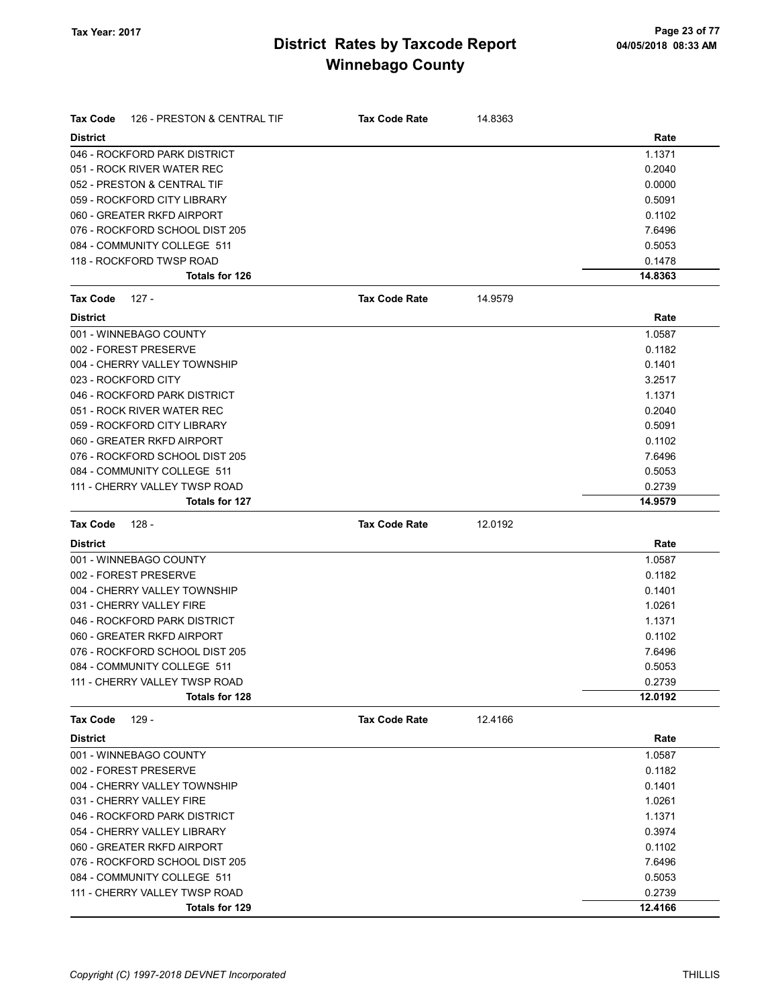| <b>District</b><br>Rate<br>1.1371<br>046 - ROCKFORD PARK DISTRICT<br>051 - ROCK RIVER WATER REC<br>0.2040<br>052 - PRESTON & CENTRAL TIF<br>0.0000<br>059 - ROCKFORD CITY LIBRARY<br>0.5091<br>060 - GREATER RKFD AIRPORT<br>0.1102<br>076 - ROCKFORD SCHOOL DIST 205<br>7.6496<br>084 - COMMUNITY COLLEGE 511<br>0.5053<br>118 - ROCKFORD TWSP ROAD<br>0.1478<br>14.8363<br><b>Totals for 126</b><br>$127 -$<br><b>Tax Code Rate</b><br>14.9579<br>Tax Code<br><b>District</b><br>Rate<br>001 - WINNEBAGO COUNTY<br>1.0587<br>002 - FOREST PRESERVE<br>0.1182<br>004 - CHERRY VALLEY TOWNSHIP<br>0.1401<br>023 - ROCKFORD CITY<br>3.2517<br>046 - ROCKFORD PARK DISTRICT<br>1.1371<br>051 - ROCK RIVER WATER REC<br>0.2040<br>059 - ROCKFORD CITY LIBRARY<br>0.5091<br>060 - GREATER RKFD AIRPORT<br>0.1102<br>076 - ROCKFORD SCHOOL DIST 205<br>7.6496<br>084 - COMMUNITY COLLEGE 511<br>0.5053<br>111 - CHERRY VALLEY TWSP ROAD<br>0.2739<br>Totals for 127<br>14.9579<br><b>Tax Code Rate</b><br>12.0192<br>Tax Code<br>128 -<br><b>District</b><br>Rate<br>1.0587<br>001 - WINNEBAGO COUNTY<br>002 - FOREST PRESERVE<br>0.1182<br>004 - CHERRY VALLEY TOWNSHIP<br>0.1401<br>031 - CHERRY VALLEY FIRE<br>1.0261<br>046 - ROCKFORD PARK DISTRICT<br>1.1371<br>060 - GREATER RKFD AIRPORT<br>0.1102<br>076 - ROCKFORD SCHOOL DIST 205<br>7.6496<br>084 - COMMUNITY COLLEGE 511<br>0.5053<br>111 - CHERRY VALLEY TWSP ROAD<br>0.2739<br>12.0192<br>Totals for 128<br><b>Tax Code</b><br>$129 -$<br><b>Tax Code Rate</b><br>12.4166<br>Rate<br><b>District</b><br>001 - WINNEBAGO COUNTY<br>1.0587<br>0.1182<br>002 - FOREST PRESERVE<br>004 - CHERRY VALLEY TOWNSHIP<br>0.1401<br>031 - CHERRY VALLEY FIRE<br>1.0261<br>1.1371<br>046 - ROCKFORD PARK DISTRICT<br>0.3974<br>054 - CHERRY VALLEY LIBRARY<br>060 - GREATER RKFD AIRPORT<br>0.1102<br>076 - ROCKFORD SCHOOL DIST 205<br>7.6496<br>084 - COMMUNITY COLLEGE 511<br>0.5053<br>111 - CHERRY VALLEY TWSP ROAD<br>0.2739 | <b>Tax Code</b> | 126 - PRESTON & CENTRAL TIF | <b>Tax Code Rate</b> | 14.8363 |         |
|----------------------------------------------------------------------------------------------------------------------------------------------------------------------------------------------------------------------------------------------------------------------------------------------------------------------------------------------------------------------------------------------------------------------------------------------------------------------------------------------------------------------------------------------------------------------------------------------------------------------------------------------------------------------------------------------------------------------------------------------------------------------------------------------------------------------------------------------------------------------------------------------------------------------------------------------------------------------------------------------------------------------------------------------------------------------------------------------------------------------------------------------------------------------------------------------------------------------------------------------------------------------------------------------------------------------------------------------------------------------------------------------------------------------------------------------------------------------------------------------------------------------------------------------------------------------------------------------------------------------------------------------------------------------------------------------------------------------------------------------------------------------------------------------------------------------------------------------------------------------------------------------------------------------------------------------------------------------------------|-----------------|-----------------------------|----------------------|---------|---------|
|                                                                                                                                                                                                                                                                                                                                                                                                                                                                                                                                                                                                                                                                                                                                                                                                                                                                                                                                                                                                                                                                                                                                                                                                                                                                                                                                                                                                                                                                                                                                                                                                                                                                                                                                                                                                                                                                                                                                                                                  |                 |                             |                      |         |         |
|                                                                                                                                                                                                                                                                                                                                                                                                                                                                                                                                                                                                                                                                                                                                                                                                                                                                                                                                                                                                                                                                                                                                                                                                                                                                                                                                                                                                                                                                                                                                                                                                                                                                                                                                                                                                                                                                                                                                                                                  |                 |                             |                      |         |         |
|                                                                                                                                                                                                                                                                                                                                                                                                                                                                                                                                                                                                                                                                                                                                                                                                                                                                                                                                                                                                                                                                                                                                                                                                                                                                                                                                                                                                                                                                                                                                                                                                                                                                                                                                                                                                                                                                                                                                                                                  |                 |                             |                      |         |         |
|                                                                                                                                                                                                                                                                                                                                                                                                                                                                                                                                                                                                                                                                                                                                                                                                                                                                                                                                                                                                                                                                                                                                                                                                                                                                                                                                                                                                                                                                                                                                                                                                                                                                                                                                                                                                                                                                                                                                                                                  |                 |                             |                      |         |         |
|                                                                                                                                                                                                                                                                                                                                                                                                                                                                                                                                                                                                                                                                                                                                                                                                                                                                                                                                                                                                                                                                                                                                                                                                                                                                                                                                                                                                                                                                                                                                                                                                                                                                                                                                                                                                                                                                                                                                                                                  |                 |                             |                      |         |         |
|                                                                                                                                                                                                                                                                                                                                                                                                                                                                                                                                                                                                                                                                                                                                                                                                                                                                                                                                                                                                                                                                                                                                                                                                                                                                                                                                                                                                                                                                                                                                                                                                                                                                                                                                                                                                                                                                                                                                                                                  |                 |                             |                      |         |         |
|                                                                                                                                                                                                                                                                                                                                                                                                                                                                                                                                                                                                                                                                                                                                                                                                                                                                                                                                                                                                                                                                                                                                                                                                                                                                                                                                                                                                                                                                                                                                                                                                                                                                                                                                                                                                                                                                                                                                                                                  |                 |                             |                      |         |         |
|                                                                                                                                                                                                                                                                                                                                                                                                                                                                                                                                                                                                                                                                                                                                                                                                                                                                                                                                                                                                                                                                                                                                                                                                                                                                                                                                                                                                                                                                                                                                                                                                                                                                                                                                                                                                                                                                                                                                                                                  |                 |                             |                      |         |         |
|                                                                                                                                                                                                                                                                                                                                                                                                                                                                                                                                                                                                                                                                                                                                                                                                                                                                                                                                                                                                                                                                                                                                                                                                                                                                                                                                                                                                                                                                                                                                                                                                                                                                                                                                                                                                                                                                                                                                                                                  |                 |                             |                      |         |         |
|                                                                                                                                                                                                                                                                                                                                                                                                                                                                                                                                                                                                                                                                                                                                                                                                                                                                                                                                                                                                                                                                                                                                                                                                                                                                                                                                                                                                                                                                                                                                                                                                                                                                                                                                                                                                                                                                                                                                                                                  |                 |                             |                      |         |         |
|                                                                                                                                                                                                                                                                                                                                                                                                                                                                                                                                                                                                                                                                                                                                                                                                                                                                                                                                                                                                                                                                                                                                                                                                                                                                                                                                                                                                                                                                                                                                                                                                                                                                                                                                                                                                                                                                                                                                                                                  |                 |                             |                      |         |         |
|                                                                                                                                                                                                                                                                                                                                                                                                                                                                                                                                                                                                                                                                                                                                                                                                                                                                                                                                                                                                                                                                                                                                                                                                                                                                                                                                                                                                                                                                                                                                                                                                                                                                                                                                                                                                                                                                                                                                                                                  |                 |                             |                      |         |         |
|                                                                                                                                                                                                                                                                                                                                                                                                                                                                                                                                                                                                                                                                                                                                                                                                                                                                                                                                                                                                                                                                                                                                                                                                                                                                                                                                                                                                                                                                                                                                                                                                                                                                                                                                                                                                                                                                                                                                                                                  |                 |                             |                      |         |         |
|                                                                                                                                                                                                                                                                                                                                                                                                                                                                                                                                                                                                                                                                                                                                                                                                                                                                                                                                                                                                                                                                                                                                                                                                                                                                                                                                                                                                                                                                                                                                                                                                                                                                                                                                                                                                                                                                                                                                                                                  |                 |                             |                      |         |         |
|                                                                                                                                                                                                                                                                                                                                                                                                                                                                                                                                                                                                                                                                                                                                                                                                                                                                                                                                                                                                                                                                                                                                                                                                                                                                                                                                                                                                                                                                                                                                                                                                                                                                                                                                                                                                                                                                                                                                                                                  |                 |                             |                      |         |         |
|                                                                                                                                                                                                                                                                                                                                                                                                                                                                                                                                                                                                                                                                                                                                                                                                                                                                                                                                                                                                                                                                                                                                                                                                                                                                                                                                                                                                                                                                                                                                                                                                                                                                                                                                                                                                                                                                                                                                                                                  |                 |                             |                      |         |         |
|                                                                                                                                                                                                                                                                                                                                                                                                                                                                                                                                                                                                                                                                                                                                                                                                                                                                                                                                                                                                                                                                                                                                                                                                                                                                                                                                                                                                                                                                                                                                                                                                                                                                                                                                                                                                                                                                                                                                                                                  |                 |                             |                      |         |         |
|                                                                                                                                                                                                                                                                                                                                                                                                                                                                                                                                                                                                                                                                                                                                                                                                                                                                                                                                                                                                                                                                                                                                                                                                                                                                                                                                                                                                                                                                                                                                                                                                                                                                                                                                                                                                                                                                                                                                                                                  |                 |                             |                      |         |         |
|                                                                                                                                                                                                                                                                                                                                                                                                                                                                                                                                                                                                                                                                                                                                                                                                                                                                                                                                                                                                                                                                                                                                                                                                                                                                                                                                                                                                                                                                                                                                                                                                                                                                                                                                                                                                                                                                                                                                                                                  |                 |                             |                      |         |         |
|                                                                                                                                                                                                                                                                                                                                                                                                                                                                                                                                                                                                                                                                                                                                                                                                                                                                                                                                                                                                                                                                                                                                                                                                                                                                                                                                                                                                                                                                                                                                                                                                                                                                                                                                                                                                                                                                                                                                                                                  |                 |                             |                      |         |         |
|                                                                                                                                                                                                                                                                                                                                                                                                                                                                                                                                                                                                                                                                                                                                                                                                                                                                                                                                                                                                                                                                                                                                                                                                                                                                                                                                                                                                                                                                                                                                                                                                                                                                                                                                                                                                                                                                                                                                                                                  |                 |                             |                      |         |         |
|                                                                                                                                                                                                                                                                                                                                                                                                                                                                                                                                                                                                                                                                                                                                                                                                                                                                                                                                                                                                                                                                                                                                                                                                                                                                                                                                                                                                                                                                                                                                                                                                                                                                                                                                                                                                                                                                                                                                                                                  |                 |                             |                      |         |         |
|                                                                                                                                                                                                                                                                                                                                                                                                                                                                                                                                                                                                                                                                                                                                                                                                                                                                                                                                                                                                                                                                                                                                                                                                                                                                                                                                                                                                                                                                                                                                                                                                                                                                                                                                                                                                                                                                                                                                                                                  |                 |                             |                      |         |         |
|                                                                                                                                                                                                                                                                                                                                                                                                                                                                                                                                                                                                                                                                                                                                                                                                                                                                                                                                                                                                                                                                                                                                                                                                                                                                                                                                                                                                                                                                                                                                                                                                                                                                                                                                                                                                                                                                                                                                                                                  |                 |                             |                      |         |         |
|                                                                                                                                                                                                                                                                                                                                                                                                                                                                                                                                                                                                                                                                                                                                                                                                                                                                                                                                                                                                                                                                                                                                                                                                                                                                                                                                                                                                                                                                                                                                                                                                                                                                                                                                                                                                                                                                                                                                                                                  |                 |                             |                      |         |         |
|                                                                                                                                                                                                                                                                                                                                                                                                                                                                                                                                                                                                                                                                                                                                                                                                                                                                                                                                                                                                                                                                                                                                                                                                                                                                                                                                                                                                                                                                                                                                                                                                                                                                                                                                                                                                                                                                                                                                                                                  |                 |                             |                      |         |         |
|                                                                                                                                                                                                                                                                                                                                                                                                                                                                                                                                                                                                                                                                                                                                                                                                                                                                                                                                                                                                                                                                                                                                                                                                                                                                                                                                                                                                                                                                                                                                                                                                                                                                                                                                                                                                                                                                                                                                                                                  |                 |                             |                      |         |         |
|                                                                                                                                                                                                                                                                                                                                                                                                                                                                                                                                                                                                                                                                                                                                                                                                                                                                                                                                                                                                                                                                                                                                                                                                                                                                                                                                                                                                                                                                                                                                                                                                                                                                                                                                                                                                                                                                                                                                                                                  |                 |                             |                      |         |         |
|                                                                                                                                                                                                                                                                                                                                                                                                                                                                                                                                                                                                                                                                                                                                                                                                                                                                                                                                                                                                                                                                                                                                                                                                                                                                                                                                                                                                                                                                                                                                                                                                                                                                                                                                                                                                                                                                                                                                                                                  |                 |                             |                      |         |         |
|                                                                                                                                                                                                                                                                                                                                                                                                                                                                                                                                                                                                                                                                                                                                                                                                                                                                                                                                                                                                                                                                                                                                                                                                                                                                                                                                                                                                                                                                                                                                                                                                                                                                                                                                                                                                                                                                                                                                                                                  |                 |                             |                      |         |         |
|                                                                                                                                                                                                                                                                                                                                                                                                                                                                                                                                                                                                                                                                                                                                                                                                                                                                                                                                                                                                                                                                                                                                                                                                                                                                                                                                                                                                                                                                                                                                                                                                                                                                                                                                                                                                                                                                                                                                                                                  |                 |                             |                      |         |         |
|                                                                                                                                                                                                                                                                                                                                                                                                                                                                                                                                                                                                                                                                                                                                                                                                                                                                                                                                                                                                                                                                                                                                                                                                                                                                                                                                                                                                                                                                                                                                                                                                                                                                                                                                                                                                                                                                                                                                                                                  |                 |                             |                      |         |         |
|                                                                                                                                                                                                                                                                                                                                                                                                                                                                                                                                                                                                                                                                                                                                                                                                                                                                                                                                                                                                                                                                                                                                                                                                                                                                                                                                                                                                                                                                                                                                                                                                                                                                                                                                                                                                                                                                                                                                                                                  |                 |                             |                      |         |         |
|                                                                                                                                                                                                                                                                                                                                                                                                                                                                                                                                                                                                                                                                                                                                                                                                                                                                                                                                                                                                                                                                                                                                                                                                                                                                                                                                                                                                                                                                                                                                                                                                                                                                                                                                                                                                                                                                                                                                                                                  |                 |                             |                      |         |         |
|                                                                                                                                                                                                                                                                                                                                                                                                                                                                                                                                                                                                                                                                                                                                                                                                                                                                                                                                                                                                                                                                                                                                                                                                                                                                                                                                                                                                                                                                                                                                                                                                                                                                                                                                                                                                                                                                                                                                                                                  |                 |                             |                      |         |         |
|                                                                                                                                                                                                                                                                                                                                                                                                                                                                                                                                                                                                                                                                                                                                                                                                                                                                                                                                                                                                                                                                                                                                                                                                                                                                                                                                                                                                                                                                                                                                                                                                                                                                                                                                                                                                                                                                                                                                                                                  |                 |                             |                      |         |         |
|                                                                                                                                                                                                                                                                                                                                                                                                                                                                                                                                                                                                                                                                                                                                                                                                                                                                                                                                                                                                                                                                                                                                                                                                                                                                                                                                                                                                                                                                                                                                                                                                                                                                                                                                                                                                                                                                                                                                                                                  |                 |                             |                      |         |         |
|                                                                                                                                                                                                                                                                                                                                                                                                                                                                                                                                                                                                                                                                                                                                                                                                                                                                                                                                                                                                                                                                                                                                                                                                                                                                                                                                                                                                                                                                                                                                                                                                                                                                                                                                                                                                                                                                                                                                                                                  |                 |                             |                      |         |         |
|                                                                                                                                                                                                                                                                                                                                                                                                                                                                                                                                                                                                                                                                                                                                                                                                                                                                                                                                                                                                                                                                                                                                                                                                                                                                                                                                                                                                                                                                                                                                                                                                                                                                                                                                                                                                                                                                                                                                                                                  |                 |                             |                      |         |         |
|                                                                                                                                                                                                                                                                                                                                                                                                                                                                                                                                                                                                                                                                                                                                                                                                                                                                                                                                                                                                                                                                                                                                                                                                                                                                                                                                                                                                                                                                                                                                                                                                                                                                                                                                                                                                                                                                                                                                                                                  |                 |                             |                      |         |         |
|                                                                                                                                                                                                                                                                                                                                                                                                                                                                                                                                                                                                                                                                                                                                                                                                                                                                                                                                                                                                                                                                                                                                                                                                                                                                                                                                                                                                                                                                                                                                                                                                                                                                                                                                                                                                                                                                                                                                                                                  |                 |                             |                      |         |         |
|                                                                                                                                                                                                                                                                                                                                                                                                                                                                                                                                                                                                                                                                                                                                                                                                                                                                                                                                                                                                                                                                                                                                                                                                                                                                                                                                                                                                                                                                                                                                                                                                                                                                                                                                                                                                                                                                                                                                                                                  |                 |                             |                      |         |         |
|                                                                                                                                                                                                                                                                                                                                                                                                                                                                                                                                                                                                                                                                                                                                                                                                                                                                                                                                                                                                                                                                                                                                                                                                                                                                                                                                                                                                                                                                                                                                                                                                                                                                                                                                                                                                                                                                                                                                                                                  |                 |                             |                      |         |         |
|                                                                                                                                                                                                                                                                                                                                                                                                                                                                                                                                                                                                                                                                                                                                                                                                                                                                                                                                                                                                                                                                                                                                                                                                                                                                                                                                                                                                                                                                                                                                                                                                                                                                                                                                                                                                                                                                                                                                                                                  |                 |                             |                      |         |         |
|                                                                                                                                                                                                                                                                                                                                                                                                                                                                                                                                                                                                                                                                                                                                                                                                                                                                                                                                                                                                                                                                                                                                                                                                                                                                                                                                                                                                                                                                                                                                                                                                                                                                                                                                                                                                                                                                                                                                                                                  |                 |                             |                      |         |         |
|                                                                                                                                                                                                                                                                                                                                                                                                                                                                                                                                                                                                                                                                                                                                                                                                                                                                                                                                                                                                                                                                                                                                                                                                                                                                                                                                                                                                                                                                                                                                                                                                                                                                                                                                                                                                                                                                                                                                                                                  |                 |                             |                      |         |         |
|                                                                                                                                                                                                                                                                                                                                                                                                                                                                                                                                                                                                                                                                                                                                                                                                                                                                                                                                                                                                                                                                                                                                                                                                                                                                                                                                                                                                                                                                                                                                                                                                                                                                                                                                                                                                                                                                                                                                                                                  |                 |                             |                      |         |         |
|                                                                                                                                                                                                                                                                                                                                                                                                                                                                                                                                                                                                                                                                                                                                                                                                                                                                                                                                                                                                                                                                                                                                                                                                                                                                                                                                                                                                                                                                                                                                                                                                                                                                                                                                                                                                                                                                                                                                                                                  |                 |                             |                      |         |         |
|                                                                                                                                                                                                                                                                                                                                                                                                                                                                                                                                                                                                                                                                                                                                                                                                                                                                                                                                                                                                                                                                                                                                                                                                                                                                                                                                                                                                                                                                                                                                                                                                                                                                                                                                                                                                                                                                                                                                                                                  |                 | Totals for 129              |                      |         | 12.4166 |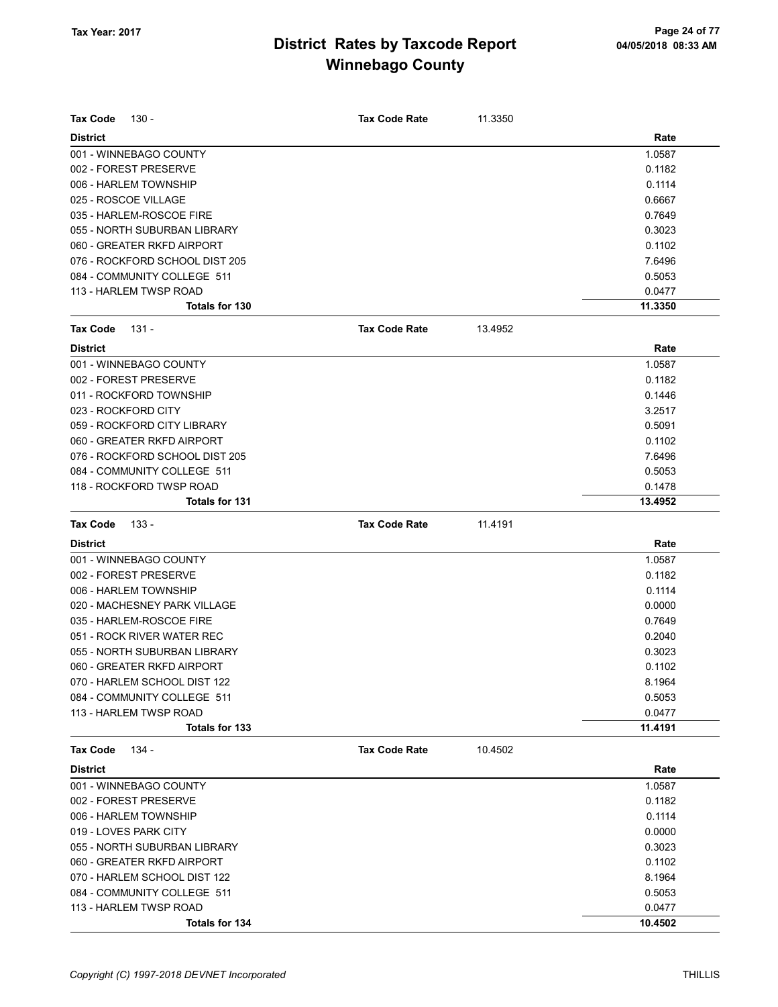| <b>Tax Code</b>     | - 130                          | <b>Tax Code Rate</b> | 11.3350 |         |
|---------------------|--------------------------------|----------------------|---------|---------|
| <b>District</b>     |                                |                      |         | Rate    |
|                     | 001 - WINNEBAGO COUNTY         |                      |         | 1.0587  |
|                     | 002 - FOREST PRESERVE          |                      |         | 0.1182  |
|                     | 006 - HARLEM TOWNSHIP          |                      |         | 0.1114  |
|                     | 025 - ROSCOE VILLAGE           |                      |         | 0.6667  |
|                     | 035 - HARLEM-ROSCOE FIRE       |                      |         | 0.7649  |
|                     | 055 - NORTH SUBURBAN LIBRARY   |                      |         | 0.3023  |
|                     | 060 - GREATER RKFD AIRPORT     |                      |         | 0.1102  |
|                     | 076 - ROCKFORD SCHOOL DIST 205 |                      |         | 7.6496  |
|                     | 084 - COMMUNITY COLLEGE 511    |                      |         | 0.5053  |
|                     | 113 - HARLEM TWSP ROAD         |                      |         | 0.0477  |
|                     | <b>Totals for 130</b>          |                      |         | 11.3350 |
| Tax Code            | 131 -                          | <b>Tax Code Rate</b> | 13.4952 |         |
| <b>District</b>     |                                |                      |         | Rate    |
|                     | 001 - WINNEBAGO COUNTY         |                      |         | 1.0587  |
|                     | 002 - FOREST PRESERVE          |                      |         | 0.1182  |
|                     | 011 - ROCKFORD TOWNSHIP        |                      |         | 0.1446  |
| 023 - ROCKFORD CITY |                                |                      |         | 3.2517  |
|                     | 059 - ROCKFORD CITY LIBRARY    |                      |         | 0.5091  |
|                     | 060 - GREATER RKFD AIRPORT     |                      |         | 0.1102  |
|                     | 076 - ROCKFORD SCHOOL DIST 205 |                      |         | 7.6496  |
|                     | 084 - COMMUNITY COLLEGE 511    |                      |         | 0.5053  |
|                     | 118 - ROCKFORD TWSP ROAD       |                      |         | 0.1478  |
|                     | Totals for 131                 |                      |         | 13.4952 |
| <b>Tax Code</b>     | - 133                          | <b>Tax Code Rate</b> | 11.4191 |         |
|                     |                                |                      |         |         |
| <b>District</b>     |                                |                      |         | Rate    |
|                     | 001 - WINNEBAGO COUNTY         |                      |         | 1.0587  |
|                     | 002 - FOREST PRESERVE          |                      |         | 0.1182  |
|                     | 006 - HARLEM TOWNSHIP          |                      |         | 0.1114  |
|                     | 020 - MACHESNEY PARK VILLAGE   |                      |         | 0.0000  |
|                     | 035 - HARLEM-ROSCOE FIRE       |                      |         | 0.7649  |
|                     | 051 - ROCK RIVER WATER REC     |                      |         | 0.2040  |
|                     | 055 - NORTH SUBURBAN LIBRARY   |                      |         | 0.3023  |
|                     | 060 - GREATER RKFD AIRPORT     |                      |         | 0.1102  |
|                     | 070 - HARLEM SCHOOL DIST 122   |                      |         | 8.1964  |
|                     | 084 - COMMUNITY COLLEGE 511    |                      |         | 0.5053  |
|                     | 113 - HARLEM TWSP ROAD         |                      |         | 0.0477  |
|                     | Totals for 133                 |                      |         | 11.4191 |
| <b>Tax Code</b>     | 134 -                          | <b>Tax Code Rate</b> | 10.4502 |         |
| <b>District</b>     |                                |                      |         | Rate    |
|                     | 001 - WINNEBAGO COUNTY         |                      |         | 1.0587  |
|                     | 002 - FOREST PRESERVE          |                      |         | 0.1182  |
|                     | 006 - HARLEM TOWNSHIP          |                      |         | 0.1114  |
|                     | 019 - LOVES PARK CITY          |                      |         | 0.0000  |
|                     | 055 - NORTH SUBURBAN LIBRARY   |                      |         | 0.3023  |
|                     | 060 - GREATER RKFD AIRPORT     |                      |         | 0.1102  |
|                     | 070 - HARLEM SCHOOL DIST 122   |                      |         | 8.1964  |
|                     | 084 - COMMUNITY COLLEGE 511    |                      |         | 0.5053  |
|                     | 113 - HARLEM TWSP ROAD         |                      |         | 0.0477  |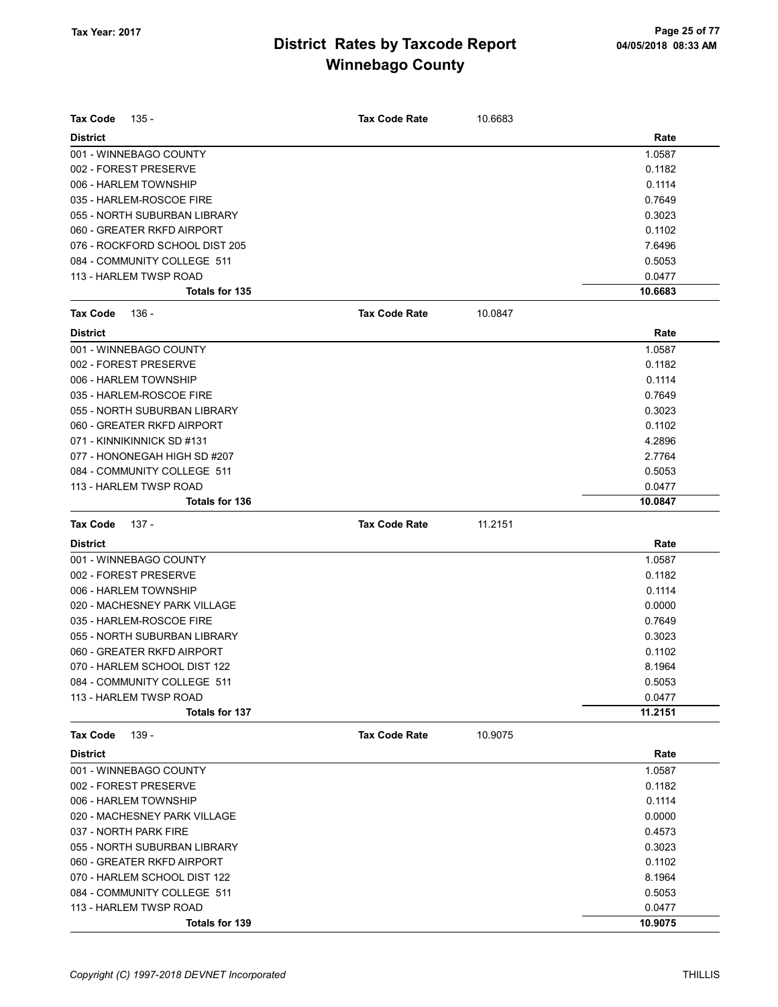| <b>Tax Code</b><br>135 -       | <b>Tax Code Rate</b> | 10.6683 |         |
|--------------------------------|----------------------|---------|---------|
| <b>District</b>                |                      |         | Rate    |
| 001 - WINNEBAGO COUNTY         |                      |         | 1.0587  |
| 002 - FOREST PRESERVE          |                      |         | 0.1182  |
| 006 - HARLEM TOWNSHIP          |                      |         | 0.1114  |
| 035 - HARLEM-ROSCOE FIRE       |                      |         | 0.7649  |
| 055 - NORTH SUBURBAN LIBRARY   |                      |         | 0.3023  |
| 060 - GREATER RKFD AIRPORT     |                      |         | 0.1102  |
| 076 - ROCKFORD SCHOOL DIST 205 |                      |         | 7.6496  |
| 084 - COMMUNITY COLLEGE 511    |                      |         | 0.5053  |
| 113 - HARLEM TWSP ROAD         |                      |         | 0.0477  |
| Totals for 135                 |                      |         | 10.6683 |
| <b>Tax Code</b><br>136 -       | <b>Tax Code Rate</b> | 10.0847 |         |
| <b>District</b>                |                      |         | Rate    |
| 001 - WINNEBAGO COUNTY         |                      |         | 1.0587  |
| 002 - FOREST PRESERVE          |                      |         | 0.1182  |
| 006 - HARLEM TOWNSHIP          |                      |         | 0.1114  |
| 035 - HARLEM-ROSCOE FIRE       |                      |         | 0.7649  |
| 055 - NORTH SUBURBAN LIBRARY   |                      |         | 0.3023  |
| 060 - GREATER RKFD AIRPORT     |                      |         | 0.1102  |
| 071 - KINNIKINNICK SD #131     |                      |         | 4.2896  |
| 077 - HONONEGAH HIGH SD #207   |                      |         | 2.7764  |
| 084 - COMMUNITY COLLEGE 511    |                      |         | 0.5053  |
| 113 - HARLEM TWSP ROAD         |                      |         | 0.0477  |
| Totals for 136                 |                      |         | 10.0847 |
| <b>Tax Code</b><br>137 -       | <b>Tax Code Rate</b> | 11.2151 |         |
| <b>District</b>                |                      |         | Rate    |
| 001 - WINNEBAGO COUNTY         |                      |         | 1.0587  |
| 002 - FOREST PRESERVE          |                      |         | 0.1182  |
| 006 - HARLEM TOWNSHIP          |                      |         | 0.1114  |
| 020 - MACHESNEY PARK VILLAGE   |                      |         | 0.0000  |
| 035 - HARLEM-ROSCOE FIRE       |                      |         | 0.7649  |
| 055 - NORTH SUBURBAN LIBRARY   |                      |         | 0.3023  |
| 060 - GREATER RKFD AIRPORT     |                      |         | 0.1102  |
| 070 - HARLEM SCHOOL DIST 122   |                      |         | 8.1964  |
| 084 - COMMUNITY COLLEGE 511    |                      |         | 0.5053  |
| 113 - HARLEM TWSP ROAD         |                      |         | 0.0477  |
| <b>Totals for 137</b>          |                      |         | 11.2151 |
| 139 -<br><b>Tax Code</b>       | <b>Tax Code Rate</b> | 10.9075 |         |
| <b>District</b>                |                      |         | Rate    |
| 001 - WINNEBAGO COUNTY         |                      |         | 1.0587  |
| 002 - FOREST PRESERVE          |                      |         | 0.1182  |
| 006 - HARLEM TOWNSHIP          |                      |         | 0.1114  |
| 020 - MACHESNEY PARK VILLAGE   |                      |         | 0.0000  |
| 037 - NORTH PARK FIRE          |                      |         | 0.4573  |
| 055 - NORTH SUBURBAN LIBRARY   |                      |         | 0.3023  |
| 060 - GREATER RKFD AIRPORT     |                      |         | 0.1102  |
| 070 - HARLEM SCHOOL DIST 122   |                      |         | 8.1964  |
| 084 - COMMUNITY COLLEGE 511    |                      |         | 0.5053  |
| 113 - HARLEM TWSP ROAD         |                      |         | 0.0477  |
| Totals for 139                 |                      |         | 10.9075 |
|                                |                      |         |         |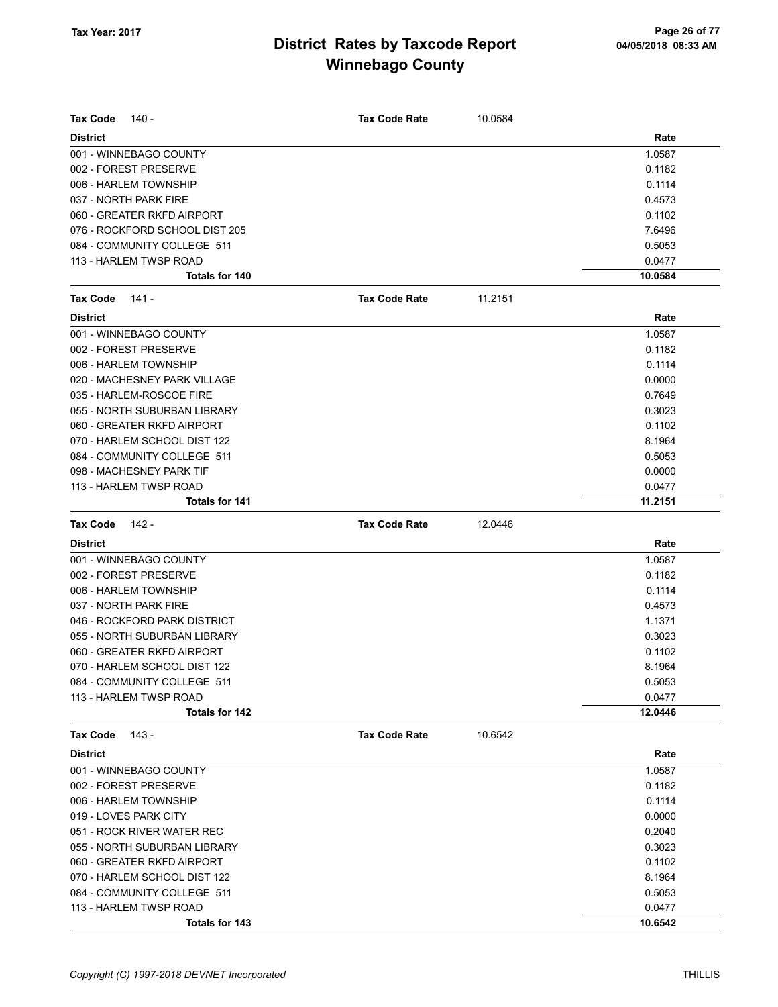| <b>Tax Code</b><br>140 -       | <b>Tax Code Rate</b> | 10.0584 |         |
|--------------------------------|----------------------|---------|---------|
| <b>District</b>                |                      |         | Rate    |
| 001 - WINNEBAGO COUNTY         |                      |         | 1.0587  |
| 002 - FOREST PRESERVE          |                      |         | 0.1182  |
| 006 - HARLEM TOWNSHIP          |                      |         | 0.1114  |
| 037 - NORTH PARK FIRE          |                      |         | 0.4573  |
| 060 - GREATER RKFD AIRPORT     |                      |         | 0.1102  |
| 076 - ROCKFORD SCHOOL DIST 205 |                      |         | 7.6496  |
| 084 - COMMUNITY COLLEGE 511    |                      |         | 0.5053  |
| 113 - HARLEM TWSP ROAD         |                      |         | 0.0477  |
| Totals for 140                 |                      |         | 10.0584 |
| Tax Code<br>141 -              | <b>Tax Code Rate</b> | 11.2151 |         |
| <b>District</b>                |                      |         | Rate    |
| 001 - WINNEBAGO COUNTY         |                      |         | 1.0587  |
| 002 - FOREST PRESERVE          |                      |         | 0.1182  |
| 006 - HARLEM TOWNSHIP          |                      |         | 0.1114  |
| 020 - MACHESNEY PARK VILLAGE   |                      |         | 0.0000  |
| 035 - HARLEM-ROSCOE FIRE       |                      |         | 0.7649  |
| 055 - NORTH SUBURBAN LIBRARY   |                      |         | 0.3023  |
| 060 - GREATER RKFD AIRPORT     |                      |         | 0.1102  |
| 070 - HARLEM SCHOOL DIST 122   |                      |         | 8.1964  |
| 084 - COMMUNITY COLLEGE 511    |                      |         | 0.5053  |
| 098 - MACHESNEY PARK TIF       |                      |         | 0.0000  |
| 113 - HARLEM TWSP ROAD         |                      |         | 0.0477  |
| Totals for 141                 |                      |         | 11.2151 |
| Tax Code<br>142 -              | <b>Tax Code Rate</b> | 12.0446 |         |
| <b>District</b>                |                      |         | Rate    |
| 001 - WINNEBAGO COUNTY         |                      |         | 1.0587  |
| 002 - FOREST PRESERVE          |                      |         | 0.1182  |
| 006 - HARLEM TOWNSHIP          |                      |         | 0.1114  |
| 037 - NORTH PARK FIRE          |                      |         | 0.4573  |
| 046 - ROCKFORD PARK DISTRICT   |                      |         | 1.1371  |
| 055 - NORTH SUBURBAN LIBRARY   |                      |         | 0.3023  |
| 060 - GREATER RKFD AIRPORT     |                      |         | 0.1102  |
| 070 - HARLEM SCHOOL DIST 122   |                      |         | 8.1964  |
| 084 - COMMUNITY COLLEGE 511    |                      |         | 0.5053  |
| 113 - HARLEM TWSP ROAD         |                      |         | 0.0477  |
| <b>Totals for 142</b>          |                      |         | 12.0446 |
| <b>Tax Code</b><br>143 -       | <b>Tax Code Rate</b> | 10.6542 |         |
| <b>District</b>                |                      |         | Rate    |
| 001 - WINNEBAGO COUNTY         |                      |         | 1.0587  |
| 002 - FOREST PRESERVE          |                      |         | 0.1182  |
| 006 - HARLEM TOWNSHIP          |                      |         | 0.1114  |
| 019 - LOVES PARK CITY          |                      |         | 0.0000  |
| 051 - ROCK RIVER WATER REC     |                      |         | 0.2040  |
| 055 - NORTH SUBURBAN LIBRARY   |                      |         | 0.3023  |
| 060 - GREATER RKFD AIRPORT     |                      |         | 0.1102  |
| 070 - HARLEM SCHOOL DIST 122   |                      |         | 8.1964  |
| 084 - COMMUNITY COLLEGE 511    |                      |         | 0.5053  |
| 113 - HARLEM TWSP ROAD         |                      |         | 0.0477  |
| Totals for 143                 |                      |         | 10.6542 |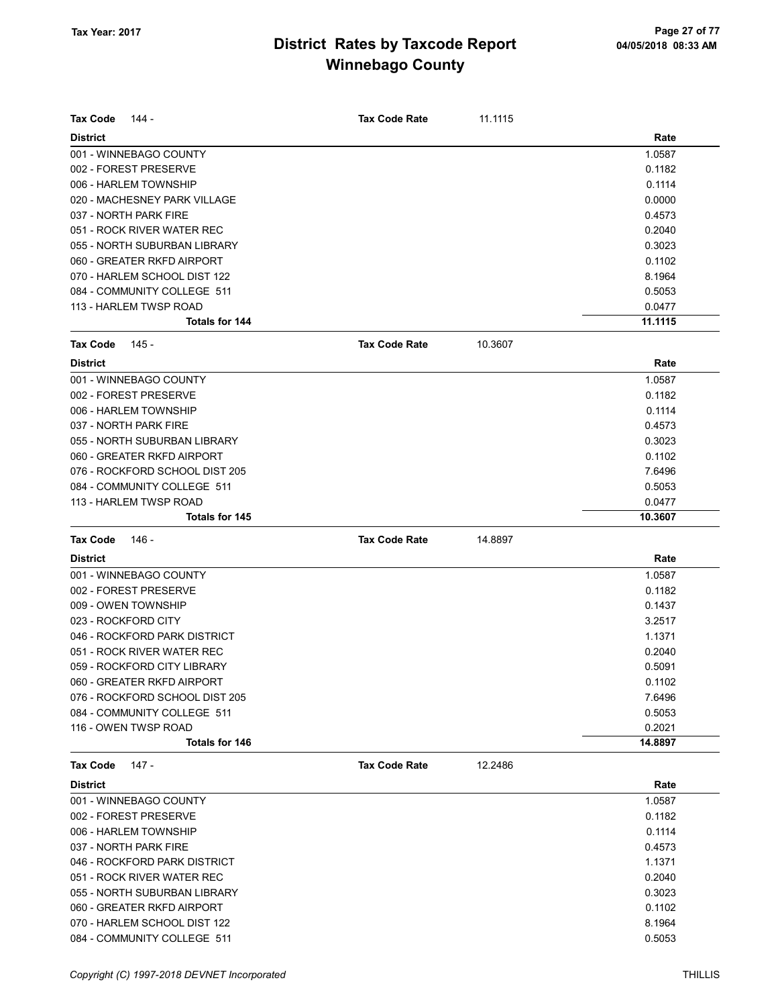| <b>Tax Code</b><br>144 -                                   | Tax Code Rate        | 11.1115 |                  |
|------------------------------------------------------------|----------------------|---------|------------------|
| <b>District</b>                                            |                      |         | Rate             |
| 001 - WINNEBAGO COUNTY                                     |                      |         | 1.0587           |
| 002 - FOREST PRESERVE                                      |                      |         | 0.1182           |
| 006 - HARLEM TOWNSHIP                                      |                      |         | 0.1114           |
| 020 - MACHESNEY PARK VILLAGE                               |                      |         | 0.0000           |
| 037 - NORTH PARK FIRE                                      |                      |         | 0.4573           |
| 051 - ROCK RIVER WATER REC                                 |                      |         | 0.2040           |
| 055 - NORTH SUBURBAN LIBRARY                               |                      |         | 0.3023           |
| 060 - GREATER RKFD AIRPORT                                 |                      |         | 0.1102           |
| 070 - HARLEM SCHOOL DIST 122                               |                      |         | 8.1964           |
| 084 - COMMUNITY COLLEGE 511                                |                      |         | 0.5053           |
| 113 - HARLEM TWSP ROAD                                     |                      |         | 0.0477           |
| Totals for 144                                             |                      |         | 11.1115          |
| Tax Code<br>145 -                                          | <b>Tax Code Rate</b> | 10.3607 |                  |
| <b>District</b>                                            |                      |         | Rate             |
| 001 - WINNEBAGO COUNTY                                     |                      |         | 1.0587           |
| 002 - FOREST PRESERVE                                      |                      |         | 0.1182           |
| 006 - HARLEM TOWNSHIP                                      |                      |         | 0.1114           |
| 037 - NORTH PARK FIRE                                      |                      |         | 0.4573           |
| 055 - NORTH SUBURBAN LIBRARY                               |                      |         | 0.3023           |
| 060 - GREATER RKFD AIRPORT                                 |                      |         | 0.1102           |
| 076 - ROCKFORD SCHOOL DIST 205                             |                      |         | 7.6496           |
| 084 - COMMUNITY COLLEGE 511                                |                      |         | 0.5053           |
| 113 - HARLEM TWSP ROAD                                     |                      |         | 0.0477           |
| <b>Totals for 145</b>                                      |                      |         | 10.3607          |
| Tax Code<br>146 -                                          | <b>Tax Code Rate</b> | 14.8897 |                  |
| <b>District</b>                                            |                      |         | Rate             |
|                                                            |                      |         |                  |
| 001 - WINNEBAGO COUNTY                                     |                      |         | 1.0587           |
| 002 - FOREST PRESERVE<br>009 - OWEN TOWNSHIP               |                      |         | 0.1182           |
| 023 - ROCKFORD CITY                                        |                      |         | 0.1437<br>3.2517 |
| 046 - ROCKFORD PARK DISTRICT                               |                      |         | 1.1371           |
| 051 - ROCK RIVER WATER REC                                 |                      |         | 0.2040           |
| 059 - ROCKFORD CITY LIBRARY                                |                      |         |                  |
| 060 - GREATER RKFD AIRPORT                                 |                      |         | 0.5091<br>0.1102 |
| 076 - ROCKFORD SCHOOL DIST 205                             |                      |         | 7.6496           |
| 084 - COMMUNITY COLLEGE 511                                |                      |         | 0.5053           |
| 116 - OWEN TWSP ROAD                                       |                      |         | 0.2021           |
| Totals for 146                                             |                      |         | 14.8897          |
| $147 -$<br>Tax Code                                        | <b>Tax Code Rate</b> | 12.2486 |                  |
| <b>District</b>                                            |                      |         | Rate             |
|                                                            |                      |         |                  |
| 001 - WINNEBAGO COUNTY                                     |                      |         | 1.0587           |
| 002 - FOREST PRESERVE                                      |                      |         | 0.1182           |
| 006 - HARLEM TOWNSHIP                                      |                      |         | 0.1114           |
| 037 - NORTH PARK FIRE                                      |                      |         | 0.4573           |
| 046 - ROCKFORD PARK DISTRICT                               |                      |         | 1.1371           |
| 051 - ROCK RIVER WATER REC                                 |                      |         | 0.2040           |
| 055 - NORTH SUBURBAN LIBRARY<br>060 - GREATER RKFD AIRPORT |                      |         | 0.3023<br>0.1102 |
| 070 - HARLEM SCHOOL DIST 122                               |                      |         | 8.1964           |
|                                                            |                      |         |                  |

084 - COMMUNITY COLLEGE 511 0.5053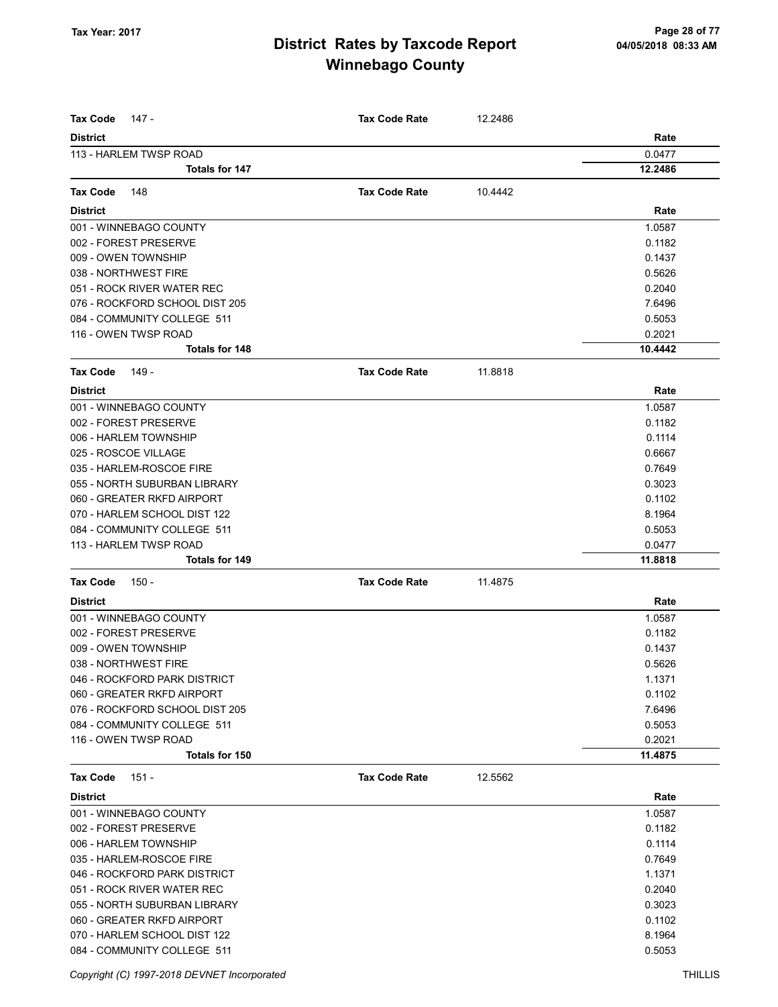| <b>Tax Code</b><br>147 -                                   | <b>Tax Code Rate</b> | 12.2486 |                   |
|------------------------------------------------------------|----------------------|---------|-------------------|
| <b>District</b>                                            |                      |         | Rate              |
| 113 - HARLEM TWSP ROAD<br><b>Totals for 147</b>            |                      |         | 0.0477<br>12.2486 |
|                                                            |                      |         |                   |
| <b>Tax Code</b><br>148                                     | <b>Tax Code Rate</b> | 10.4442 |                   |
| <b>District</b>                                            |                      |         | Rate              |
| 001 - WINNEBAGO COUNTY                                     |                      |         | 1.0587            |
| 002 - FOREST PRESERVE                                      |                      |         | 0.1182            |
| 009 - OWEN TOWNSHIP                                        |                      |         | 0.1437            |
| 038 - NORTHWEST FIRE                                       |                      |         | 0.5626            |
| 051 - ROCK RIVER WATER REC                                 |                      |         | 0.2040            |
| 076 - ROCKFORD SCHOOL DIST 205                             |                      |         | 7.6496            |
| 084 - COMMUNITY COLLEGE 511                                |                      |         | 0.5053            |
| 116 - OWEN TWSP ROAD                                       |                      |         | 0.2021            |
| <b>Totals for 148</b>                                      |                      |         | 10.4442           |
| <b>Tax Code</b><br>149 -                                   | <b>Tax Code Rate</b> | 11.8818 |                   |
| <b>District</b>                                            |                      |         | Rate              |
| 001 - WINNEBAGO COUNTY                                     |                      |         | 1.0587            |
| 002 - FOREST PRESERVE                                      |                      |         | 0.1182            |
| 006 - HARLEM TOWNSHIP                                      |                      |         | 0.1114            |
| 025 - ROSCOE VILLAGE                                       |                      |         | 0.6667            |
| 035 - HARLEM-ROSCOE FIRE                                   |                      |         | 0.7649            |
| 055 - NORTH SUBURBAN LIBRARY                               |                      |         | 0.3023            |
| 060 - GREATER RKFD AIRPORT                                 |                      |         | 0.1102            |
| 070 - HARLEM SCHOOL DIST 122                               |                      |         | 8.1964            |
| 084 - COMMUNITY COLLEGE 511                                |                      |         | 0.5053            |
| 113 - HARLEM TWSP ROAD                                     |                      |         | 0.0477            |
| <b>Totals for 149</b>                                      |                      |         | 11.8818           |
| <b>Tax Code</b><br>$150 -$                                 | <b>Tax Code Rate</b> | 11.4875 |                   |
| <b>District</b>                                            |                      |         | Rate              |
| 001 - WINNEBAGO COUNTY                                     |                      |         | 1.0587            |
| 002 - FOREST PRESERVE                                      |                      |         | 0.1182            |
| 009 - OWEN TOWNSHIP                                        |                      |         | 0.1437            |
| 038 - NORTHWEST FIRE                                       |                      |         |                   |
|                                                            |                      |         | 0.5626            |
| 046 - ROCKFORD PARK DISTRICT<br>060 - GREATER RKFD AIRPORT |                      |         | 1.1371<br>0.1102  |
| 076 - ROCKFORD SCHOOL DIST 205                             |                      |         | 7.6496            |
| 084 - COMMUNITY COLLEGE 511                                |                      |         | 0.5053            |
| 116 - OWEN TWSP ROAD                                       |                      |         | 0.2021            |
| Totals for 150                                             |                      |         | 11.4875           |
| <b>Tax Code</b><br>151 -                                   | <b>Tax Code Rate</b> | 12.5562 |                   |
|                                                            |                      |         |                   |
| <b>District</b>                                            |                      |         | Rate              |
| 001 - WINNEBAGO COUNTY                                     |                      |         | 1.0587            |
| 002 - FOREST PRESERVE                                      |                      |         | 0.1182            |
| 006 - HARLEM TOWNSHIP                                      |                      |         | 0.1114            |
| 035 - HARLEM-ROSCOE FIRE                                   |                      |         | 0.7649            |
| 046 - ROCKFORD PARK DISTRICT                               |                      |         | 1.1371            |
| 051 - ROCK RIVER WATER REC                                 |                      |         | 0.2040            |
| 055 - NORTH SUBURBAN LIBRARY                               |                      |         | 0.3023            |
| 060 - GREATER RKFD AIRPORT                                 |                      |         | 0.1102            |
| 070 - HARLEM SCHOOL DIST 122                               |                      |         | 8.1964            |
| 084 - COMMUNITY COLLEGE 511                                |                      |         | 0.5053            |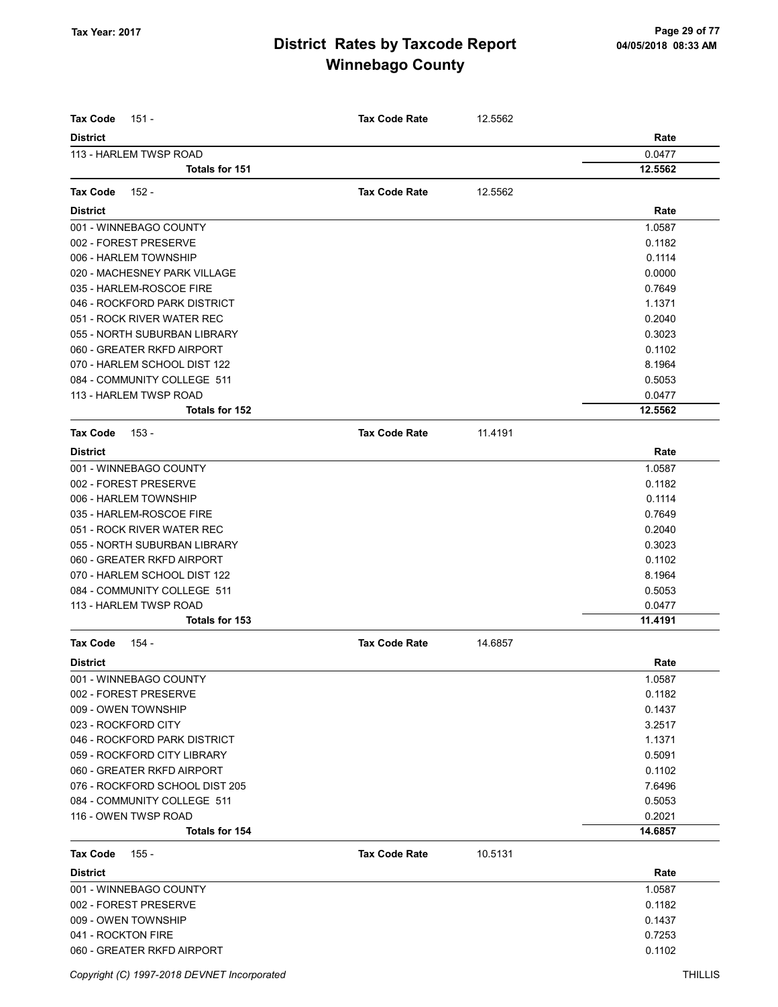| <b>Tax Code</b><br>151 -       | <b>Tax Code Rate</b> | 12.5562 |         |
|--------------------------------|----------------------|---------|---------|
| <b>District</b>                |                      |         | Rate    |
| 113 - HARLEM TWSP ROAD         |                      |         | 0.0477  |
| <b>Totals for 151</b>          |                      |         | 12.5562 |
| <b>Tax Code</b><br>152 -       | <b>Tax Code Rate</b> | 12.5562 |         |
| <b>District</b>                |                      |         | Rate    |
| 001 - WINNEBAGO COUNTY         |                      |         | 1.0587  |
| 002 - FOREST PRESERVE          |                      |         | 0.1182  |
| 006 - HARLEM TOWNSHIP          |                      |         | 0.1114  |
| 020 - MACHESNEY PARK VILLAGE   |                      |         | 0.0000  |
| 035 - HARLEM-ROSCOE FIRE       |                      |         | 0.7649  |
| 046 - ROCKFORD PARK DISTRICT   |                      |         | 1.1371  |
| 051 - ROCK RIVER WATER REC     |                      |         | 0.2040  |
| 055 - NORTH SUBURBAN LIBRARY   |                      |         | 0.3023  |
| 060 - GREATER RKFD AIRPORT     |                      |         | 0.1102  |
| 070 - HARLEM SCHOOL DIST 122   |                      |         | 8.1964  |
| 084 - COMMUNITY COLLEGE 511    |                      |         | 0.5053  |
| 113 - HARLEM TWSP ROAD         |                      |         | 0.0477  |
| Totals for 152                 |                      |         | 12.5562 |
| <b>Tax Code</b><br>153 -       | <b>Tax Code Rate</b> | 11.4191 |         |
| <b>District</b>                |                      |         | Rate    |
| 001 - WINNEBAGO COUNTY         |                      |         | 1.0587  |
| 002 - FOREST PRESERVE          |                      |         | 0.1182  |
| 006 - HARLEM TOWNSHIP          |                      |         | 0.1114  |
| 035 - HARLEM-ROSCOE FIRE       |                      |         | 0.7649  |
| 051 - ROCK RIVER WATER REC     |                      |         | 0.2040  |
| 055 - NORTH SUBURBAN LIBRARY   |                      |         | 0.3023  |
| 060 - GREATER RKFD AIRPORT     |                      |         | 0.1102  |
| 070 - HARLEM SCHOOL DIST 122   |                      |         | 8.1964  |
| 084 - COMMUNITY COLLEGE 511    |                      |         | 0.5053  |
| 113 - HARLEM TWSP ROAD         |                      |         | 0.0477  |
| <b>Totals for 153</b>          |                      |         | 11.4191 |
| 154 -<br><b>Tax Code</b>       | <b>Tax Code Rate</b> | 14.6857 |         |
| <b>District</b>                |                      |         | Rate    |
| 001 - WINNEBAGO COUNTY         |                      |         | 1.0587  |
| 002 - FOREST PRESERVE          |                      |         | 0.1182  |
| 009 - OWEN TOWNSHIP            |                      |         | 0.1437  |
| 023 - ROCKFORD CITY            |                      |         | 3.2517  |
| 046 - ROCKFORD PARK DISTRICT   |                      |         | 1.1371  |
| 059 - ROCKFORD CITY LIBRARY    |                      |         | 0.5091  |
| 060 - GREATER RKFD AIRPORT     |                      |         | 0.1102  |
| 076 - ROCKFORD SCHOOL DIST 205 |                      |         | 7.6496  |
| 084 - COMMUNITY COLLEGE 511    |                      |         | 0.5053  |
| 116 - OWEN TWSP ROAD           |                      |         | 0.2021  |
| Totals for 154                 |                      |         | 14.6857 |
| <b>Tax Code</b><br>155 -       | <b>Tax Code Rate</b> | 10.5131 |         |
| <b>District</b>                |                      |         | Rate    |
| 001 - WINNEBAGO COUNTY         |                      |         | 1.0587  |
| 002 - FOREST PRESERVE          |                      |         | 0.1182  |
| 009 - OWEN TOWNSHIP            |                      |         | 0.1437  |
| 041 - ROCKTON FIRE             |                      |         | 0.7253  |
| 060 - GREATER RKFD AIRPORT     |                      |         | 0.1102  |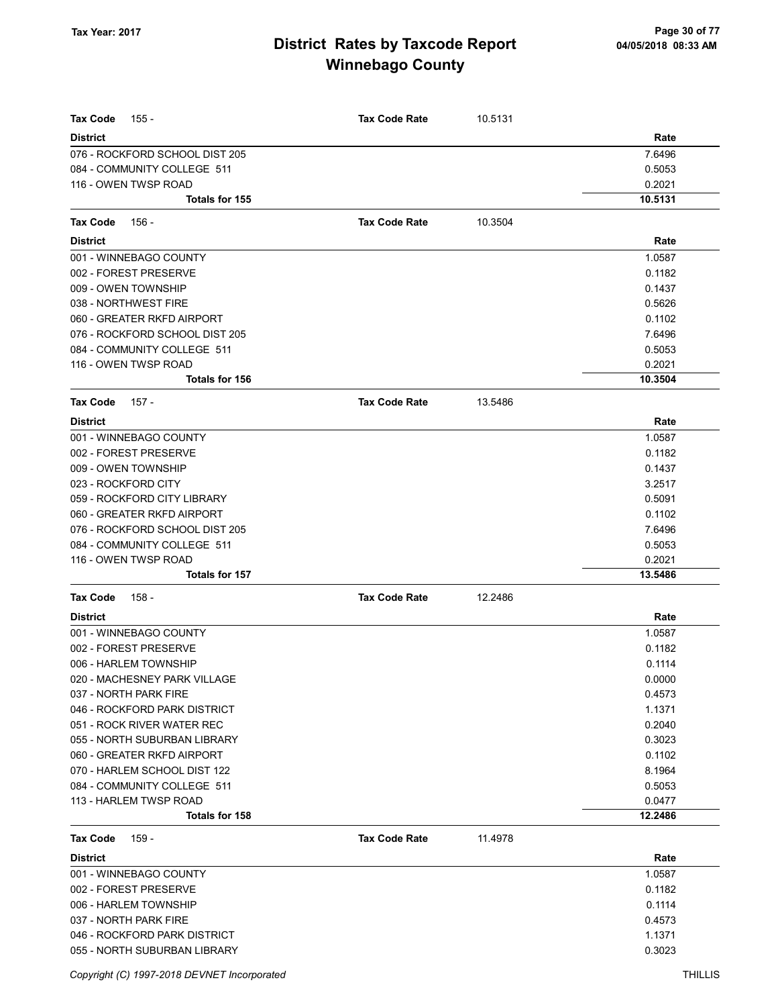| <b>Tax Code</b><br>155 -       | <b>Tax Code Rate</b> | 10.5131 |         |
|--------------------------------|----------------------|---------|---------|
| <b>District</b>                |                      |         | Rate    |
| 076 - ROCKFORD SCHOOL DIST 205 |                      |         | 7.6496  |
| 084 - COMMUNITY COLLEGE 511    |                      |         | 0.5053  |
| 116 - OWEN TWSP ROAD           |                      |         | 0.2021  |
| Totals for 155                 |                      |         | 10.5131 |
| <b>Tax Code</b><br>156 -       | <b>Tax Code Rate</b> | 10.3504 |         |
| <b>District</b>                |                      |         | Rate    |
| 001 - WINNEBAGO COUNTY         |                      |         | 1.0587  |
| 002 - FOREST PRESERVE          |                      |         | 0.1182  |
| 009 - OWEN TOWNSHIP            |                      |         | 0.1437  |
| 038 - NORTHWEST FIRE           |                      |         | 0.5626  |
| 060 - GREATER RKFD AIRPORT     |                      |         | 0.1102  |
| 076 - ROCKFORD SCHOOL DIST 205 |                      |         | 7.6496  |
| 084 - COMMUNITY COLLEGE 511    |                      |         | 0.5053  |
| 116 - OWEN TWSP ROAD           |                      |         | 0.2021  |
| Totals for 156                 |                      |         | 10.3504 |
| <b>Tax Code</b><br>157 -       | <b>Tax Code Rate</b> | 13.5486 |         |
| <b>District</b>                |                      |         | Rate    |
| 001 - WINNEBAGO COUNTY         |                      |         | 1.0587  |
| 002 - FOREST PRESERVE          |                      |         | 0.1182  |
| 009 - OWEN TOWNSHIP            |                      |         | 0.1437  |
| 023 - ROCKFORD CITY            |                      |         | 3.2517  |
| 059 - ROCKFORD CITY LIBRARY    |                      |         | 0.5091  |
| 060 - GREATER RKFD AIRPORT     |                      |         | 0.1102  |
| 076 - ROCKFORD SCHOOL DIST 205 |                      |         | 7.6496  |
| 084 - COMMUNITY COLLEGE 511    |                      |         | 0.5053  |
| 116 - OWEN TWSP ROAD           |                      |         | 0.2021  |
| Totals for 157                 |                      |         | 13.5486 |
| <b>Tax Code</b><br>158 -       | <b>Tax Code Rate</b> | 12.2486 |         |
| <b>District</b>                |                      |         | Rate    |
| 001 - WINNEBAGO COUNTY         |                      |         | 1.0587  |
| 002 - FOREST PRESERVE          |                      |         | 0.1182  |
| 006 - HARLEM TOWNSHIP          |                      |         | 0.1114  |
| 020 - MACHESNEY PARK VILLAGE   |                      |         | 0.0000  |
| 037 - NORTH PARK FIRE          |                      |         | 0.4573  |
| 046 - ROCKFORD PARK DISTRICT   |                      |         | 1.1371  |
| 051 - ROCK RIVER WATER REC     |                      |         | 0.2040  |
| 055 - NORTH SUBURBAN LIBRARY   |                      |         | 0.3023  |
| 060 - GREATER RKFD AIRPORT     |                      |         | 0.1102  |
| 070 - HARLEM SCHOOL DIST 122   |                      |         | 8.1964  |
| 084 - COMMUNITY COLLEGE 511    |                      |         | 0.5053  |
| 113 - HARLEM TWSP ROAD         |                      |         | 0.0477  |
| Totals for 158                 |                      |         | 12.2486 |
| <b>Tax Code</b><br>159 -       | <b>Tax Code Rate</b> | 11.4978 |         |
| <b>District</b>                |                      |         | Rate    |
| 001 - WINNEBAGO COUNTY         |                      |         | 1.0587  |
| 002 - FOREST PRESERVE          |                      |         | 0.1182  |
| 006 - HARLEM TOWNSHIP          |                      |         | 0.1114  |
| 037 - NORTH PARK FIRE          |                      |         | 0.4573  |
| 046 - ROCKFORD PARK DISTRICT   |                      |         | 1.1371  |
| 055 - NORTH SUBURBAN LIBRARY   |                      |         | 0.3023  |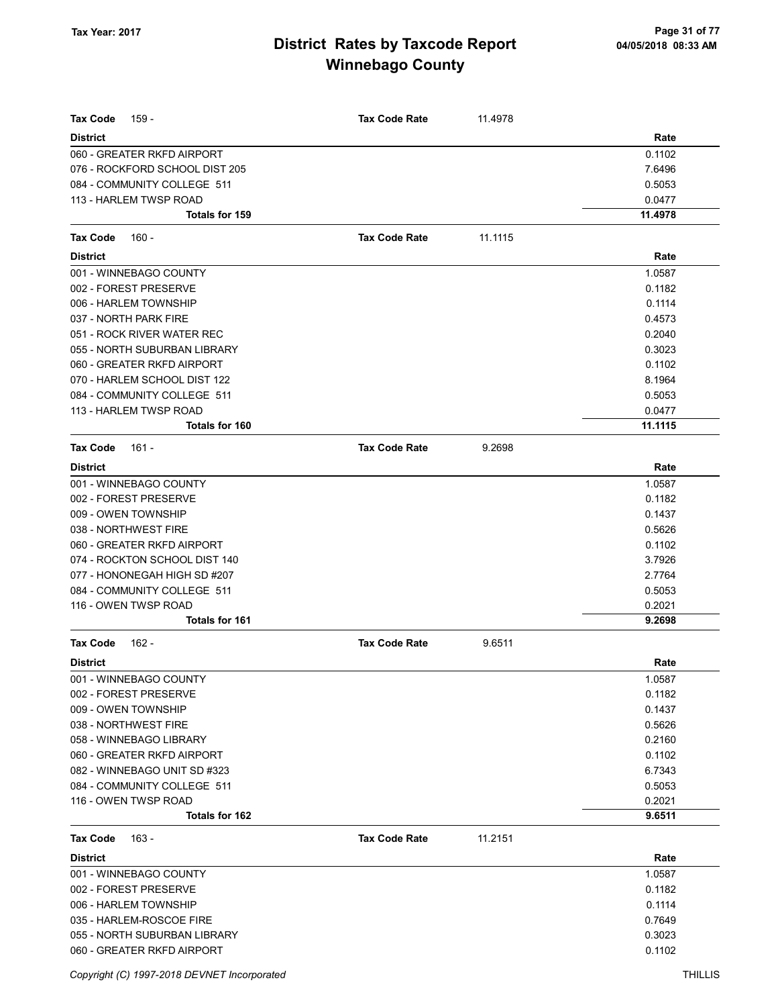| <b>Tax Code</b><br>159 -                                      | <b>Tax Code Rate</b> | 11.4978 |                  |
|---------------------------------------------------------------|----------------------|---------|------------------|
| <b>District</b>                                               |                      |         | Rate             |
| 060 - GREATER RKFD AIRPORT                                    |                      |         | 0.1102           |
| 076 - ROCKFORD SCHOOL DIST 205<br>084 - COMMUNITY COLLEGE 511 |                      |         | 7.6496           |
| 113 - HARLEM TWSP ROAD                                        |                      |         | 0.5053<br>0.0477 |
| <b>Totals for 159</b>                                         |                      |         | 11.4978          |
|                                                               |                      |         |                  |
| <b>Tax Code</b><br>160 -                                      | <b>Tax Code Rate</b> | 11.1115 |                  |
| <b>District</b>                                               |                      |         | Rate             |
| 001 - WINNEBAGO COUNTY                                        |                      |         | 1.0587           |
| 002 - FOREST PRESERVE                                         |                      |         | 0.1182           |
| 006 - HARLEM TOWNSHIP                                         |                      |         | 0.1114           |
| 037 - NORTH PARK FIRE                                         |                      |         | 0.4573           |
| 051 - ROCK RIVER WATER REC                                    |                      |         | 0.2040           |
| 055 - NORTH SUBURBAN LIBRARY                                  |                      |         | 0.3023           |
| 060 - GREATER RKFD AIRPORT                                    |                      |         | 0.1102           |
| 070 - HARLEM SCHOOL DIST 122                                  |                      |         | 8.1964           |
| 084 - COMMUNITY COLLEGE 511                                   |                      |         | 0.5053           |
| 113 - HARLEM TWSP ROAD                                        |                      |         | 0.0477           |
| Totals for 160                                                |                      |         | 11.1115          |
| <b>Tax Code</b><br>161 -                                      | <b>Tax Code Rate</b> | 9.2698  |                  |
| <b>District</b>                                               |                      |         | Rate             |
| 001 - WINNEBAGO COUNTY                                        |                      |         | 1.0587           |
| 002 - FOREST PRESERVE                                         |                      |         | 0.1182           |
| 009 - OWEN TOWNSHIP                                           |                      |         | 0.1437           |
| 038 - NORTHWEST FIRE                                          |                      |         | 0.5626           |
| 060 - GREATER RKFD AIRPORT                                    |                      |         | 0.1102           |
| 074 - ROCKTON SCHOOL DIST 140                                 |                      |         | 3.7926           |
| 077 - HONONEGAH HIGH SD #207                                  |                      |         | 2.7764           |
| 084 - COMMUNITY COLLEGE 511                                   |                      |         | 0.5053           |
| 116 - OWEN TWSP ROAD                                          |                      |         | 0.2021           |
| Totals for 161                                                |                      |         | 9.2698           |
| <b>Tax Code</b><br>162 -                                      | <b>Tax Code Rate</b> | 9.6511  |                  |
| <b>District</b>                                               |                      |         | Rate             |
| 001 - WINNEBAGO COUNTY                                        |                      |         | 1.0587           |
| 002 - FOREST PRESERVE                                         |                      |         | 0.1182           |
| 009 - OWEN TOWNSHIP                                           |                      |         | 0.1437           |
| 038 - NORTHWEST FIRE                                          |                      |         | 0.5626           |
| 058 - WINNEBAGO LIBRARY                                       |                      |         | 0.2160           |
| 060 - GREATER RKFD AIRPORT                                    |                      |         | 0.1102           |
| 082 - WINNEBAGO UNIT SD #323                                  |                      |         | 6.7343           |
| 084 - COMMUNITY COLLEGE 511                                   |                      |         | 0.5053           |
| 116 - OWEN TWSP ROAD                                          |                      |         | 0.2021           |
| Totals for 162                                                |                      |         | 9.6511           |
| <b>Tax Code</b><br>$163 -$                                    | <b>Tax Code Rate</b> | 11.2151 |                  |
| <b>District</b>                                               |                      |         | Rate             |
| 001 - WINNEBAGO COUNTY                                        |                      |         | 1.0587           |
| 002 - FOREST PRESERVE                                         |                      |         | 0.1182           |
| 006 - HARLEM TOWNSHIP                                         |                      |         | 0.1114           |
| 035 - HARLEM-ROSCOE FIRE                                      |                      |         | 0.7649           |
| 055 - NORTH SUBURBAN LIBRARY                                  |                      |         | 0.3023           |
| 060 - GREATER RKFD AIRPORT                                    |                      |         | 0.1102           |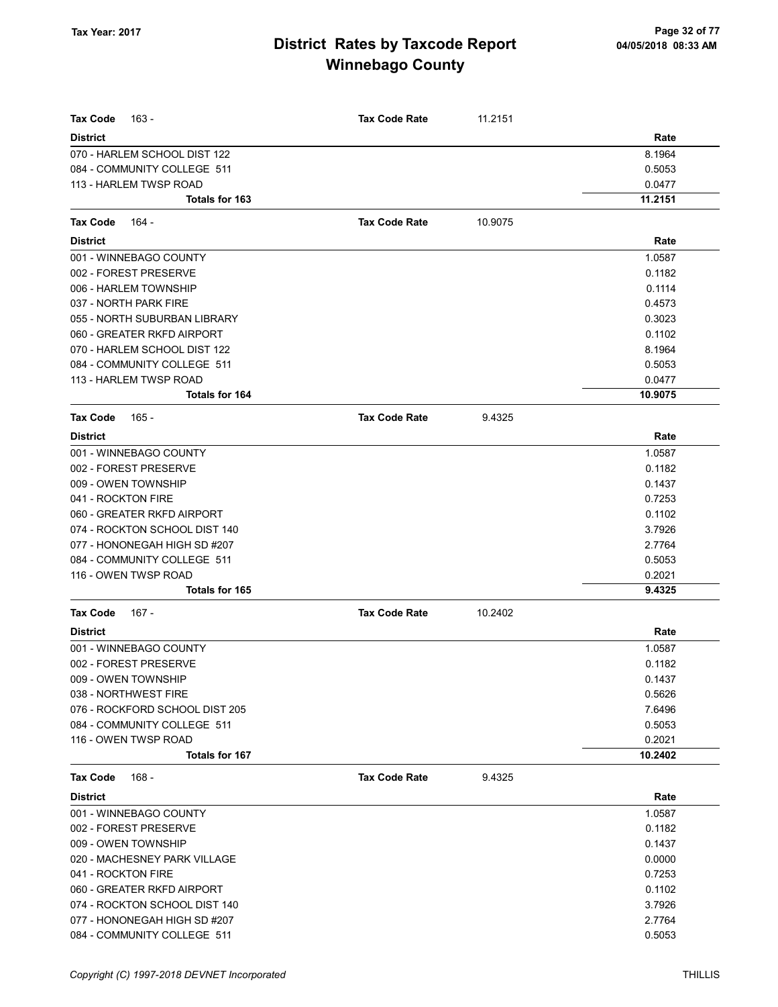| <b>Tax Code</b>                                     | <b>Tax Code Rate</b> |         |                   |
|-----------------------------------------------------|----------------------|---------|-------------------|
| 163 -                                               |                      | 11.2151 | Rate              |
| District<br>070 - HARLEM SCHOOL DIST 122            |                      |         | 8.1964            |
| 084 - COMMUNITY COLLEGE 511                         |                      |         | 0.5053            |
| 113 - HARLEM TWSP ROAD                              |                      |         | 0.0477            |
| Totals for 163                                      |                      |         | 11.2151           |
|                                                     |                      |         |                   |
| Tax Code<br>164 -<br><b>District</b>                | <b>Tax Code Rate</b> | 10.9075 |                   |
|                                                     |                      |         | Rate              |
| 001 - WINNEBAGO COUNTY                              |                      |         | 1.0587            |
| 002 - FOREST PRESERVE                               |                      |         | 0.1182            |
| 006 - HARLEM TOWNSHIP                               |                      |         | 0.1114            |
| 037 - NORTH PARK FIRE                               |                      |         | 0.4573            |
| 055 - NORTH SUBURBAN LIBRARY                        |                      |         | 0.3023            |
| 060 - GREATER RKFD AIRPORT                          |                      |         | 0.1102            |
| 070 - HARLEM SCHOOL DIST 122                        |                      |         | 8.1964            |
| 084 - COMMUNITY COLLEGE 511                         |                      |         | 0.5053            |
| 113 - HARLEM TWSP ROAD<br><b>Totals for 164</b>     |                      |         | 0.0477<br>10.9075 |
|                                                     |                      |         |                   |
| Tax Code<br>165 -                                   | <b>Tax Code Rate</b> | 9.4325  |                   |
| <b>District</b>                                     |                      |         | Rate              |
| 001 - WINNEBAGO COUNTY                              |                      |         | 1.0587            |
| 002 - FOREST PRESERVE                               |                      |         | 0.1182<br>0.1437  |
| 009 - OWEN TOWNSHIP<br>041 - ROCKTON FIRE           |                      |         | 0.7253            |
| 060 - GREATER RKFD AIRPORT                          |                      |         | 0.1102            |
| 074 - ROCKTON SCHOOL DIST 140                       |                      |         | 3.7926            |
| 077 - HONONEGAH HIGH SD #207                        |                      |         | 2.7764            |
|                                                     |                      |         | 0.5053            |
| 084 - COMMUNITY COLLEGE 511<br>116 - OWEN TWSP ROAD |                      |         | 0.2021            |
| <b>Totals for 165</b>                               |                      |         | 9.4325            |
| Tax Code<br>167 -                                   | <b>Tax Code Rate</b> | 10.2402 |                   |
| <b>District</b>                                     |                      |         | Rate              |
| 001 - WINNEBAGO COUNTY                              |                      |         | 1.0587            |
| 002 - FOREST PRESERVE                               |                      |         | 0.1182            |
| 009 - OWEN TOWNSHIP                                 |                      |         | 0.1437            |
| 038 - NORTHWEST FIRE                                |                      |         | 0.5626            |
| 076 - ROCKFORD SCHOOL DIST 205                      |                      |         | 7.6496            |
| 084 - COMMUNITY COLLEGE 511                         |                      |         | 0.5053            |
| 116 - OWEN TWSP ROAD                                |                      |         | 0.2021            |
| Totals for 167                                      |                      |         | 10.2402           |
| <b>Tax Code</b><br>168 -                            | <b>Tax Code Rate</b> | 9.4325  |                   |
| <b>District</b>                                     |                      |         | Rate              |
| 001 - WINNEBAGO COUNTY                              |                      |         | 1.0587            |
| 002 - FOREST PRESERVE                               |                      |         | 0.1182            |
| 009 - OWEN TOWNSHIP                                 |                      |         | 0.1437            |
| 020 - MACHESNEY PARK VILLAGE                        |                      |         | 0.0000            |
| 041 - ROCKTON FIRE                                  |                      |         | 0.7253            |
| 060 - GREATER RKFD AIRPORT                          |                      |         | 0.1102            |
| 074 - ROCKTON SCHOOL DIST 140                       |                      |         | 3.7926            |
| 077 - HONONEGAH HIGH SD #207                        |                      |         | 2.7764            |
| 084 - COMMUNITY COLLEGE 511                         |                      |         | 0.5053            |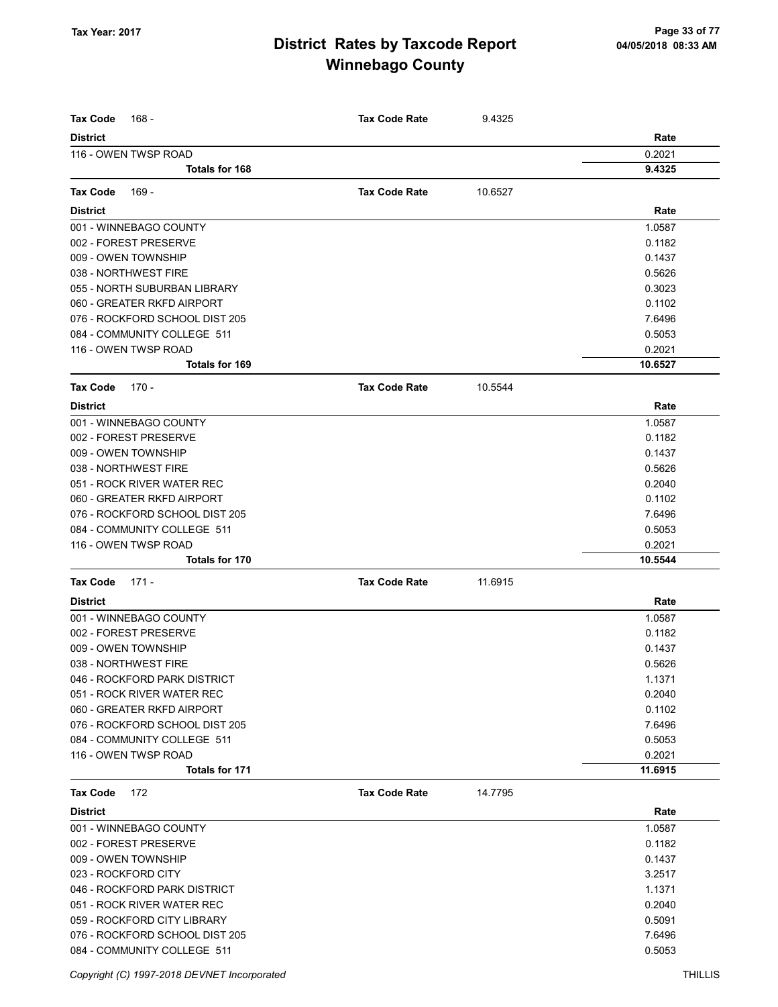| <b>Tax Code</b><br>168 -                      | <b>Tax Code Rate</b> | 9.4325  |                  |
|-----------------------------------------------|----------------------|---------|------------------|
| <b>District</b>                               |                      |         | Rate             |
| 116 - OWEN TWSP ROAD<br><b>Totals for 168</b> |                      |         | 0.2021<br>9.4325 |
|                                               |                      |         |                  |
| <b>Tax Code</b><br>169 -                      | <b>Tax Code Rate</b> | 10.6527 |                  |
| <b>District</b>                               |                      |         | Rate             |
| 001 - WINNEBAGO COUNTY                        |                      |         | 1.0587           |
| 002 - FOREST PRESERVE                         |                      |         | 0.1182           |
| 009 - OWEN TOWNSHIP                           |                      |         | 0.1437           |
| 038 - NORTHWEST FIRE                          |                      |         | 0.5626           |
| 055 - NORTH SUBURBAN LIBRARY                  |                      |         | 0.3023           |
| 060 - GREATER RKFD AIRPORT                    |                      |         | 0.1102           |
| 076 - ROCKFORD SCHOOL DIST 205                |                      |         | 7.6496           |
| 084 - COMMUNITY COLLEGE 511                   |                      |         | 0.5053           |
| 116 - OWEN TWSP ROAD                          |                      |         | 0.2021           |
| <b>Totals for 169</b>                         |                      |         | 10.6527          |
| <b>Tax Code</b><br>170 -                      | <b>Tax Code Rate</b> | 10.5544 |                  |
| <b>District</b>                               |                      |         | Rate             |
| 001 - WINNEBAGO COUNTY                        |                      |         | 1.0587           |
| 002 - FOREST PRESERVE                         |                      |         | 0.1182           |
| 009 - OWEN TOWNSHIP                           |                      |         | 0.1437           |
| 038 - NORTHWEST FIRE                          |                      |         | 0.5626           |
| 051 - ROCK RIVER WATER REC                    |                      |         | 0.2040           |
| 060 - GREATER RKFD AIRPORT                    |                      |         | 0.1102           |
| 076 - ROCKFORD SCHOOL DIST 205                |                      |         | 7.6496           |
| 084 - COMMUNITY COLLEGE 511                   |                      |         | 0.5053           |
| 116 - OWEN TWSP ROAD                          |                      |         | 0.2021           |
| <b>Totals for 170</b>                         |                      |         | 10.5544          |
| $171 -$<br><b>Tax Code</b>                    | <b>Tax Code Rate</b> | 11.6915 |                  |
| <b>District</b>                               |                      |         | Rate             |
| 001 - WINNEBAGO COUNTY                        |                      |         | 1.0587           |
| 002 - FOREST PRESERVE                         |                      |         | 0.1182           |
| 009 - OWEN TOWNSHIP                           |                      |         | 0.1437           |
| 038 - NORTHWEST FIRE                          |                      |         | 0.5626           |
| 046 - ROCKFORD PARK DISTRICT                  |                      |         | 1.1371           |
| 051 - ROCK RIVER WATER REC                    |                      |         | 0.2040           |
| 060 - GREATER RKFD AIRPORT                    |                      |         | 0.1102           |
| 076 - ROCKFORD SCHOOL DIST 205                |                      |         | 7.6496           |
| 084 - COMMUNITY COLLEGE 511                   |                      |         | 0.5053           |
| 116 - OWEN TWSP ROAD                          |                      |         | 0.2021           |
| Totals for 171                                |                      |         | 11.6915          |
| <b>Tax Code</b><br>172                        | <b>Tax Code Rate</b> | 14.7795 |                  |
| <b>District</b>                               |                      |         | Rate             |
| 001 - WINNEBAGO COUNTY                        |                      |         | 1.0587           |
| 002 - FOREST PRESERVE                         |                      |         | 0.1182           |
| 009 - OWEN TOWNSHIP                           |                      |         | 0.1437           |
| 023 - ROCKFORD CITY                           |                      |         | 3.2517           |
| 046 - ROCKFORD PARK DISTRICT                  |                      |         | 1.1371           |
| 051 - ROCK RIVER WATER REC                    |                      |         | 0.2040           |
| 059 - ROCKFORD CITY LIBRARY                   |                      |         | 0.5091           |
| 076 - ROCKFORD SCHOOL DIST 205                |                      |         | 7.6496           |
| 084 - COMMUNITY COLLEGE 511                   |                      |         | 0.5053           |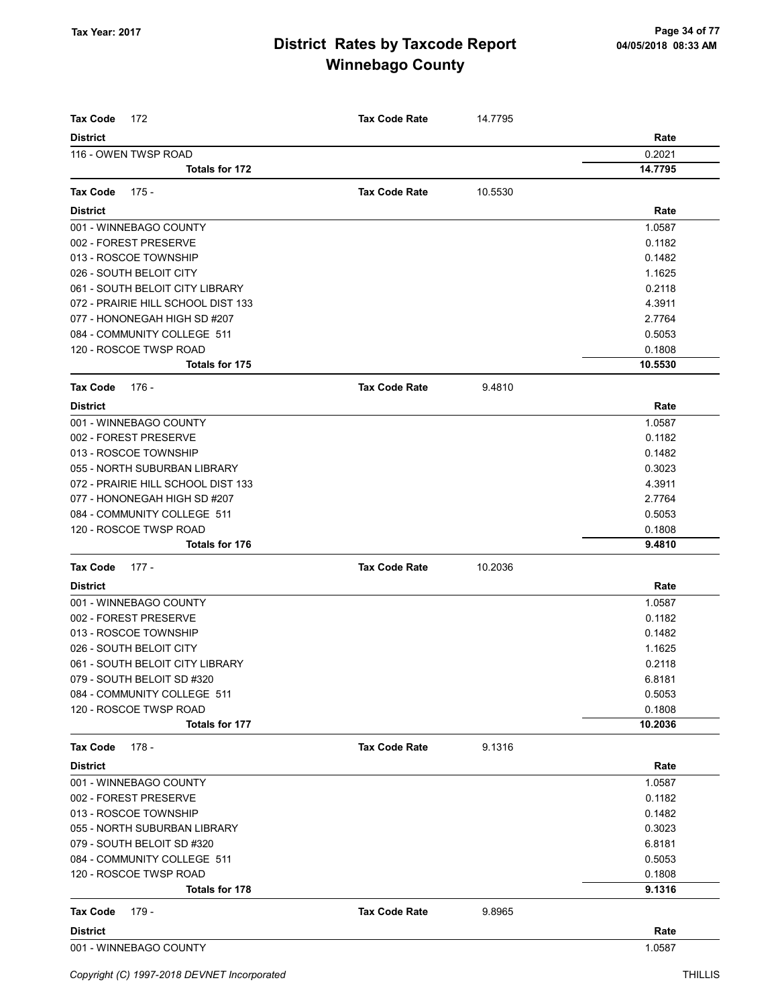| <b>Tax Code</b><br>172             | <b>Tax Code Rate</b> | 14.7795 |         |
|------------------------------------|----------------------|---------|---------|
| <b>District</b>                    |                      |         | Rate    |
| 116 - OWEN TWSP ROAD               |                      |         | 0.2021  |
| Totals for 172                     |                      |         | 14.7795 |
|                                    |                      |         |         |
| <b>Tax Code</b><br>175 -           | <b>Tax Code Rate</b> | 10.5530 |         |
| <b>District</b>                    |                      |         | Rate    |
| 001 - WINNEBAGO COUNTY             |                      |         | 1.0587  |
| 002 - FOREST PRESERVE              |                      |         | 0.1182  |
| 013 - ROSCOE TOWNSHIP              |                      |         | 0.1482  |
| 026 - SOUTH BELOIT CITY            |                      |         | 1.1625  |
| 061 - SOUTH BELOIT CITY LIBRARY    |                      |         | 0.2118  |
| 072 - PRAIRIE HILL SCHOOL DIST 133 |                      |         | 4.3911  |
| 077 - HONONEGAH HIGH SD #207       |                      |         | 2.7764  |
| 084 - COMMUNITY COLLEGE 511        |                      |         | 0.5053  |
| 120 - ROSCOE TWSP ROAD             |                      |         | 0.1808  |
| Totals for 175                     |                      |         | 10.5530 |
| <b>Tax Code</b><br>176 -           | <b>Tax Code Rate</b> | 9.4810  |         |
| <b>District</b>                    |                      |         | Rate    |
| 001 - WINNEBAGO COUNTY             |                      |         | 1.0587  |
| 002 - FOREST PRESERVE              |                      |         | 0.1182  |
| 013 - ROSCOE TOWNSHIP              |                      |         | 0.1482  |
| 055 - NORTH SUBURBAN LIBRARY       |                      |         | 0.3023  |
| 072 - PRAIRIE HILL SCHOOL DIST 133 |                      |         | 4.3911  |
| 077 - HONONEGAH HIGH SD #207       |                      |         | 2.7764  |
| 084 - COMMUNITY COLLEGE 511        |                      |         | 0.5053  |
| 120 - ROSCOE TWSP ROAD             |                      |         | 0.1808  |
| <b>Totals for 176</b>              |                      |         | 9.4810  |
| <b>Tax Code</b><br>177 -           | <b>Tax Code Rate</b> | 10.2036 |         |
| <b>District</b>                    |                      |         | Rate    |
| 001 - WINNEBAGO COUNTY             |                      |         | 1.0587  |
| 002 - FOREST PRESERVE              |                      |         | 0.1182  |
| 013 - ROSCOE TOWNSHIP              |                      |         | 0.1482  |
| 026 - SOUTH BELOIT CITY            |                      |         | 1.1625  |
| 061 - SOUTH BELOIT CITY LIBRARY    |                      |         | 0.2118  |
| 079 - SOUTH BELOIT SD #320         |                      |         | 6.8181  |
| 084 - COMMUNITY COLLEGE 511        |                      |         | 0.5053  |
| 120 - ROSCOE TWSP ROAD             |                      |         | 0.1808  |
| Totals for 177                     |                      |         | 10.2036 |
| Tax Code<br>178 -                  | <b>Tax Code Rate</b> | 9.1316  |         |
| <b>District</b>                    |                      |         | Rate    |
| 001 - WINNEBAGO COUNTY             |                      |         | 1.0587  |
| 002 - FOREST PRESERVE              |                      |         | 0.1182  |
| 013 - ROSCOE TOWNSHIP              |                      |         | 0.1482  |
| 055 - NORTH SUBURBAN LIBRARY       |                      |         | 0.3023  |
| 079 - SOUTH BELOIT SD #320         |                      |         | 6.8181  |
| 084 - COMMUNITY COLLEGE 511        |                      |         | 0.5053  |
| 120 - ROSCOE TWSP ROAD             |                      |         | 0.1808  |
| <b>Totals for 178</b>              |                      |         | 9.1316  |
| <b>Tax Code</b><br>179 -           | <b>Tax Code Rate</b> | 9.8965  |         |
| <b>District</b>                    |                      |         | Rate    |
| 001 - WINNEBAGO COUNTY             |                      |         | 1.0587  |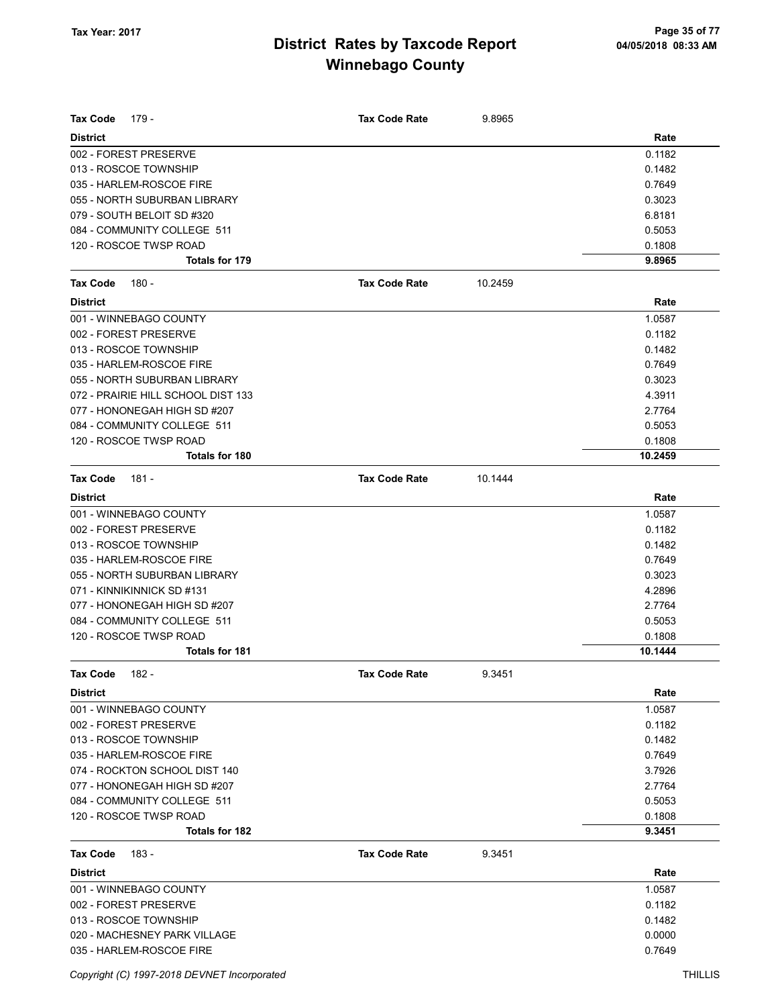| <b>Tax Code</b><br>179 -           | <b>Tax Code Rate</b> | 9.8965  |         |
|------------------------------------|----------------------|---------|---------|
| <b>District</b>                    |                      |         | Rate    |
| 002 - FOREST PRESERVE              |                      |         | 0.1182  |
| 013 - ROSCOE TOWNSHIP              |                      |         | 0.1482  |
| 035 - HARLEM-ROSCOE FIRE           |                      |         | 0.7649  |
| 055 - NORTH SUBURBAN LIBRARY       |                      |         | 0.3023  |
| 079 - SOUTH BELOIT SD #320         |                      |         | 6.8181  |
| 084 - COMMUNITY COLLEGE 511        |                      |         | 0.5053  |
| 120 - ROSCOE TWSP ROAD             |                      |         | 0.1808  |
| Totals for 179                     |                      |         | 9.8965  |
| <b>Tax Code</b><br>180 -           | <b>Tax Code Rate</b> | 10.2459 |         |
| <b>District</b>                    |                      |         | Rate    |
| 001 - WINNEBAGO COUNTY             |                      |         | 1.0587  |
| 002 - FOREST PRESERVE              |                      |         | 0.1182  |
| 013 - ROSCOE TOWNSHIP              |                      |         | 0.1482  |
| 035 - HARLEM-ROSCOE FIRE           |                      |         | 0.7649  |
| 055 - NORTH SUBURBAN LIBRARY       |                      |         | 0.3023  |
| 072 - PRAIRIE HILL SCHOOL DIST 133 |                      |         | 4.3911  |
| 077 - HONONEGAH HIGH SD #207       |                      |         | 2.7764  |
| 084 - COMMUNITY COLLEGE 511        |                      |         | 0.5053  |
| 120 - ROSCOE TWSP ROAD             |                      |         | 0.1808  |
| <b>Totals for 180</b>              |                      |         | 10.2459 |
| <b>Tax Code</b><br>181 -           | <b>Tax Code Rate</b> | 10.1444 |         |
| <b>District</b>                    |                      |         | Rate    |
| 001 - WINNEBAGO COUNTY             |                      |         | 1.0587  |
| 002 - FOREST PRESERVE              |                      |         | 0.1182  |
| 013 - ROSCOE TOWNSHIP              |                      |         | 0.1482  |
| 035 - HARLEM-ROSCOE FIRE           |                      |         | 0.7649  |
| 055 - NORTH SUBURBAN LIBRARY       |                      |         | 0.3023  |
| 071 - KINNIKINNICK SD #131         |                      |         | 4.2896  |
| 077 - HONONEGAH HIGH SD #207       |                      |         | 2.7764  |
| 084 - COMMUNITY COLLEGE 511        |                      |         | 0.5053  |
| 120 - ROSCOE TWSP ROAD             |                      |         | 0.1808  |
| <b>Totals for 181</b>              |                      |         | 10.1444 |
| Tax Code 182 -                     | <b>Tax Code Rate</b> | 9.3451  |         |
| <b>District</b>                    |                      |         | Rate    |
| 001 - WINNEBAGO COUNTY             |                      |         | 1.0587  |
| 002 - FOREST PRESERVE              |                      |         | 0.1182  |
| 013 - ROSCOE TOWNSHIP              |                      |         | 0.1482  |
| 035 - HARLEM-ROSCOE FIRE           |                      |         | 0.7649  |
| 074 - ROCKTON SCHOOL DIST 140      |                      |         | 3.7926  |
| 077 - HONONEGAH HIGH SD #207       |                      |         | 2.7764  |
| 084 - COMMUNITY COLLEGE 511        |                      |         | 0.5053  |
| 120 - ROSCOE TWSP ROAD             |                      |         | 0.1808  |
| Totals for 182                     |                      |         | 9.3451  |
| <b>Tax Code</b><br>$183 -$         | <b>Tax Code Rate</b> | 9.3451  |         |
| <b>District</b>                    |                      |         | Rate    |
| 001 - WINNEBAGO COUNTY             |                      |         | 1.0587  |
| 002 - FOREST PRESERVE              |                      |         | 0.1182  |
| 013 - ROSCOE TOWNSHIP              |                      |         | 0.1482  |
| 020 - MACHESNEY PARK VILLAGE       |                      |         | 0.0000  |
| 035 - HARLEM-ROSCOE FIRE           |                      |         | 0.7649  |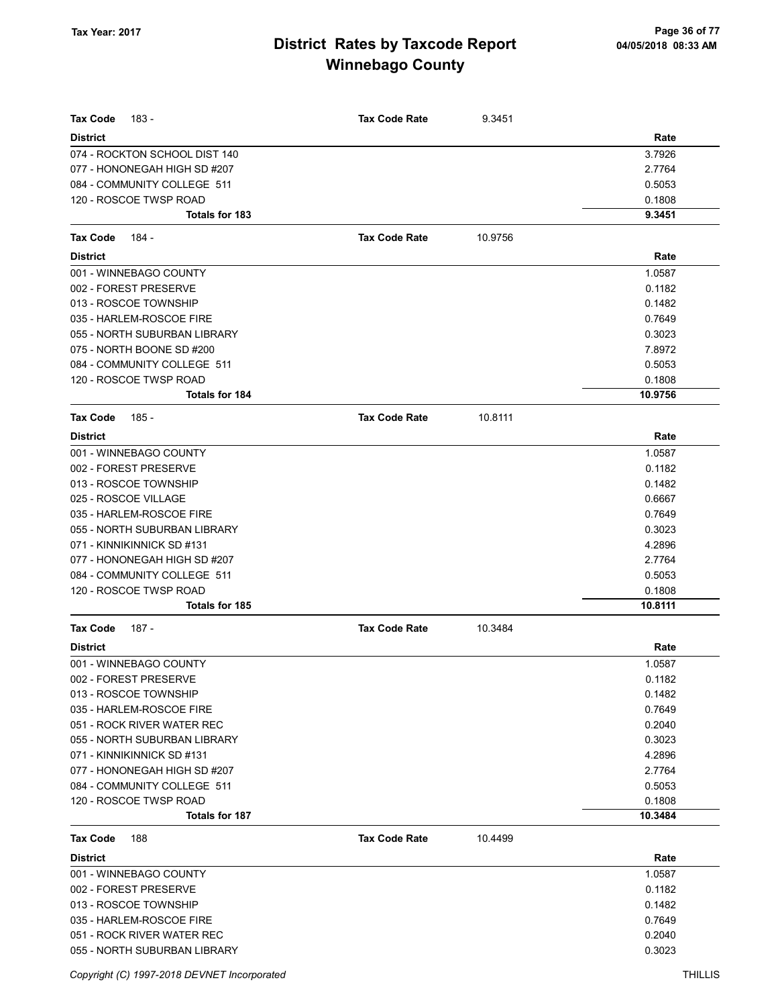| <b>Tax Code</b><br>183 -                  | <b>Tax Code Rate</b> | 9.3451  |                   |
|-------------------------------------------|----------------------|---------|-------------------|
| <b>District</b>                           |                      |         | Rate              |
| 074 - ROCKTON SCHOOL DIST 140             |                      |         | 3.7926            |
| 077 - HONONEGAH HIGH SD #207              |                      |         | 2.7764            |
| 084 - COMMUNITY COLLEGE 511               |                      |         | 0.5053            |
| 120 - ROSCOE TWSP ROAD                    |                      |         | 0.1808            |
| <b>Totals for 183</b>                     |                      |         | 9.3451            |
| <b>Tax Code</b><br>184 -                  | <b>Tax Code Rate</b> | 10.9756 |                   |
| <b>District</b>                           |                      |         | Rate              |
| 001 - WINNEBAGO COUNTY                    |                      |         | 1.0587            |
| 002 - FOREST PRESERVE                     |                      |         | 0.1182            |
| 013 - ROSCOE TOWNSHIP                     |                      |         | 0.1482            |
| 035 - HARLEM-ROSCOE FIRE                  |                      |         | 0.7649            |
| 055 - NORTH SUBURBAN LIBRARY              |                      |         | 0.3023            |
| 075 - NORTH BOONE SD #200                 |                      |         | 7.8972            |
| 084 - COMMUNITY COLLEGE 511               |                      |         | 0.5053            |
| 120 - ROSCOE TWSP ROAD                    |                      |         | 0.1808            |
| <b>Totals for 184</b>                     |                      |         | 10.9756           |
| <b>Tax Code</b><br>185 -                  | <b>Tax Code Rate</b> | 10.8111 |                   |
| <b>District</b>                           |                      |         | Rate              |
| 001 - WINNEBAGO COUNTY                    |                      |         | 1.0587            |
| 002 - FOREST PRESERVE                     |                      |         | 0.1182            |
| 013 - ROSCOE TOWNSHIP                     |                      |         | 0.1482            |
| 025 - ROSCOE VILLAGE                      |                      |         | 0.6667            |
| 035 - HARLEM-ROSCOE FIRE                  |                      |         | 0.7649            |
| 055 - NORTH SUBURBAN LIBRARY              |                      |         | 0.3023            |
| 071 - KINNIKINNICK SD #131                |                      |         | 4.2896            |
| 077 - HONONEGAH HIGH SD #207              |                      |         | 2.7764            |
| 084 - COMMUNITY COLLEGE 511               |                      |         | 0.5053            |
| 120 - ROSCOE TWSP ROAD                    |                      |         | 0.1808            |
| <b>Totals for 185</b>                     |                      |         | 10.8111           |
| <b>Tax Code</b><br>187 -                  | <b>Tax Code Rate</b> | 10.3484 |                   |
| <b>District</b>                           |                      |         | Rate              |
| 001 - WINNEBAGO COUNTY                    |                      |         | 1.0587            |
| 002 - FOREST PRESERVE                     |                      |         | 0.1182            |
| 013 - ROSCOE TOWNSHIP                     |                      |         | 0.1482            |
| 035 - HARLEM-ROSCOE FIRE                  |                      |         | 0.7649            |
| 051 - ROCK RIVER WATER REC                |                      |         | 0.2040            |
| 055 - NORTH SUBURBAN LIBRARY              |                      |         | 0.3023            |
| 071 - KINNIKINNICK SD #131                |                      |         | 4.2896            |
| 077 - HONONEGAH HIGH SD #207              |                      |         | 2.7764            |
| 084 - COMMUNITY COLLEGE 511               |                      |         | 0.5053            |
| 120 - ROSCOE TWSP ROAD<br>Totals for 187  |                      |         | 0.1808<br>10.3484 |
|                                           |                      |         |                   |
| <b>Tax Code</b><br>188                    | <b>Tax Code Rate</b> | 10.4499 |                   |
| <b>District</b><br>001 - WINNEBAGO COUNTY |                      |         | Rate<br>1.0587    |
| 002 - FOREST PRESERVE                     |                      |         | 0.1182            |
| 013 - ROSCOE TOWNSHIP                     |                      |         | 0.1482            |
| 035 - HARLEM-ROSCOE FIRE                  |                      |         | 0.7649            |
| 051 - ROCK RIVER WATER REC                |                      |         | 0.2040            |
| 055 - NORTH SUBURBAN LIBRARY              |                      |         | 0.3023            |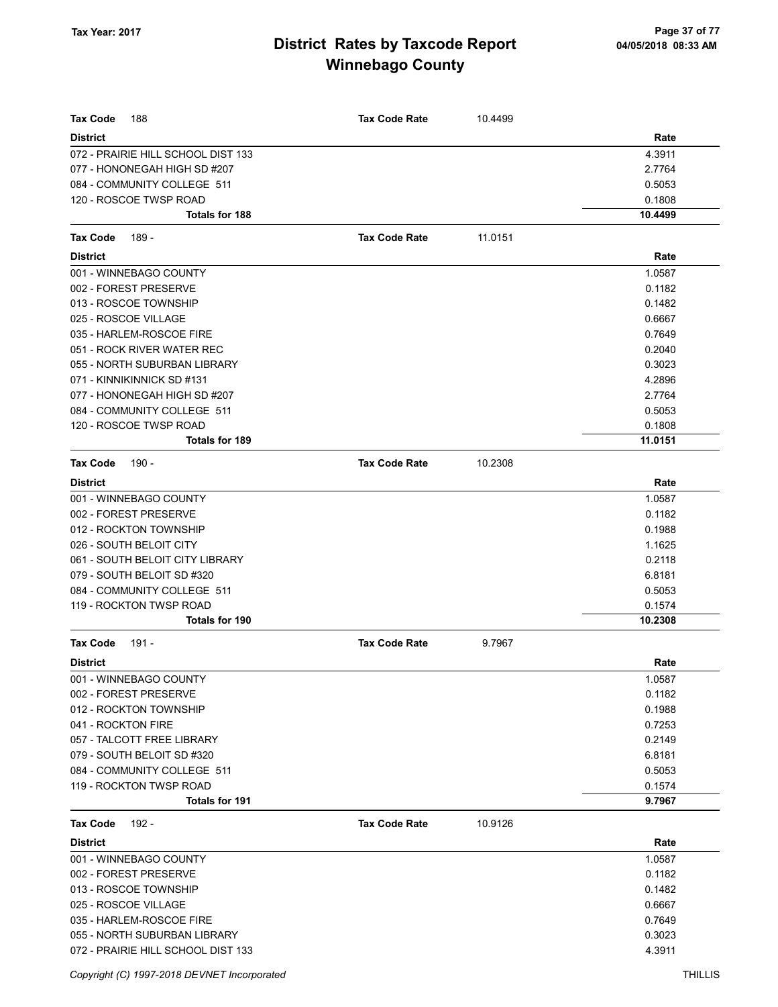| <b>Tax Code</b><br>188             | <b>Tax Code Rate</b> | 10.4499 |         |
|------------------------------------|----------------------|---------|---------|
| <b>District</b>                    |                      |         | Rate    |
| 072 - PRAIRIE HILL SCHOOL DIST 133 |                      |         | 4.3911  |
| 077 - HONONEGAH HIGH SD #207       |                      |         | 2.7764  |
| 084 - COMMUNITY COLLEGE 511        |                      |         | 0.5053  |
| 120 - ROSCOE TWSP ROAD             |                      |         | 0.1808  |
| <b>Totals for 188</b>              |                      |         | 10.4499 |
| <b>Tax Code</b><br>189 -           | <b>Tax Code Rate</b> | 11.0151 |         |
| <b>District</b>                    |                      |         | Rate    |
| 001 - WINNEBAGO COUNTY             |                      |         | 1.0587  |
| 002 - FOREST PRESERVE              |                      |         | 0.1182  |
| 013 - ROSCOE TOWNSHIP              |                      |         | 0.1482  |
| 025 - ROSCOE VILLAGE               |                      |         | 0.6667  |
| 035 - HARLEM-ROSCOE FIRE           |                      |         | 0.7649  |
| 051 - ROCK RIVER WATER REC         |                      |         | 0.2040  |
| 055 - NORTH SUBURBAN LIBRARY       |                      |         | 0.3023  |
| 071 - KINNIKINNICK SD #131         |                      |         | 4.2896  |
| 077 - HONONEGAH HIGH SD #207       |                      |         | 2.7764  |
| 084 - COMMUNITY COLLEGE 511        |                      |         | 0.5053  |
| 120 - ROSCOE TWSP ROAD             |                      |         | 0.1808  |
| <b>Totals for 189</b>              |                      |         | 11.0151 |
| <b>Tax Code</b><br>190 -           | <b>Tax Code Rate</b> | 10.2308 |         |
| <b>District</b>                    |                      |         | Rate    |
| 001 - WINNEBAGO COUNTY             |                      |         | 1.0587  |
| 002 - FOREST PRESERVE              |                      |         | 0.1182  |
| 012 - ROCKTON TOWNSHIP             |                      |         | 0.1988  |
| 026 - SOUTH BELOIT CITY            |                      |         | 1.1625  |
| 061 - SOUTH BELOIT CITY LIBRARY    |                      |         | 0.2118  |
| 079 - SOUTH BELOIT SD #320         |                      |         | 6.8181  |
| 084 - COMMUNITY COLLEGE 511        |                      |         | 0.5053  |
| 119 - ROCKTON TWSP ROAD            |                      |         | 0.1574  |
| <b>Totals for 190</b>              |                      |         | 10.2308 |
| 191 -<br><b>Tax Code</b>           | <b>Tax Code Rate</b> | 9.7967  |         |
| <b>District</b>                    |                      |         | Rate    |
| 001 - WINNEBAGO COUNTY             |                      |         | 1.0587  |
| 002 - FOREST PRESERVE              |                      |         | 0.1182  |
| 012 - ROCKTON TOWNSHIP             |                      |         | 0.1988  |
| 041 - ROCKTON FIRE                 |                      |         | 0.7253  |
| 057 - TALCOTT FREE LIBRARY         |                      |         | 0.2149  |
| 079 - SOUTH BELOIT SD #320         |                      |         | 6.8181  |
| 084 - COMMUNITY COLLEGE 511        |                      |         | 0.5053  |
| 119 - ROCKTON TWSP ROAD            |                      |         | 0.1574  |
| <b>Totals for 191</b>              |                      |         | 9.7967  |
| 192 -<br><b>Tax Code</b>           | <b>Tax Code Rate</b> | 10.9126 |         |
| <b>District</b>                    |                      |         | Rate    |
| 001 - WINNEBAGO COUNTY             |                      |         | 1.0587  |
| 002 - FOREST PRESERVE              |                      |         | 0.1182  |
| 013 - ROSCOE TOWNSHIP              |                      |         | 0.1482  |
| 025 - ROSCOE VILLAGE               |                      |         | 0.6667  |
| 035 - HARLEM-ROSCOE FIRE           |                      |         | 0.7649  |
| 055 - NORTH SUBURBAN LIBRARY       |                      |         | 0.3023  |
| 072 - PRAIRIE HILL SCHOOL DIST 133 |                      |         | 4.3911  |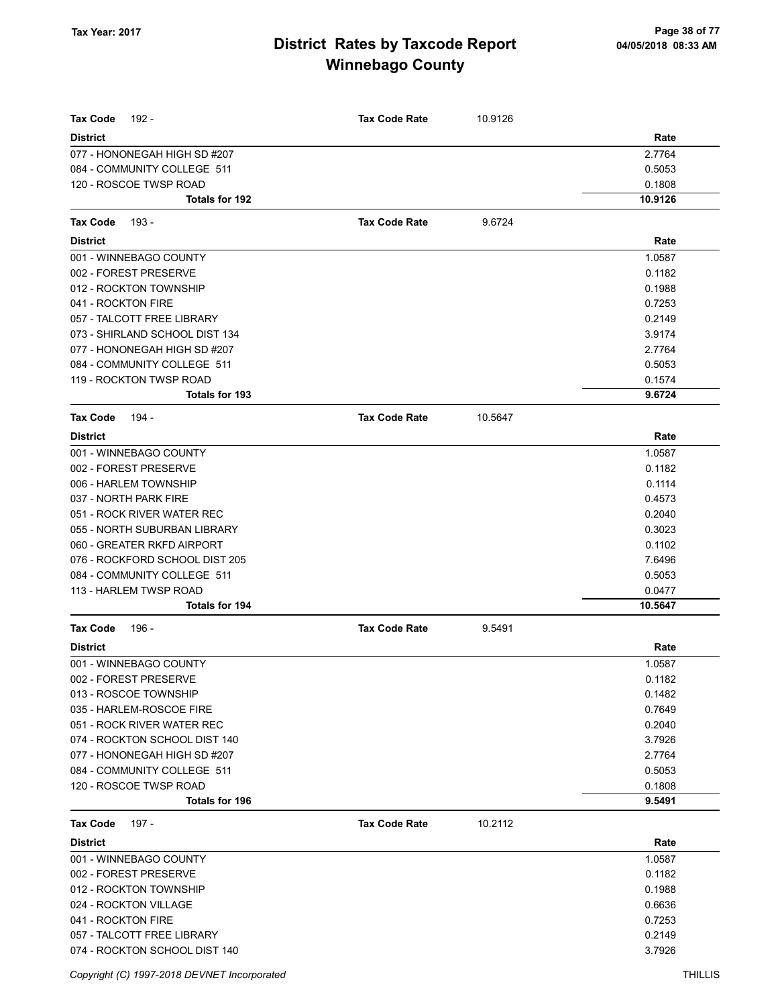| <b>Tax Code</b><br>192 -       | <b>Tax Code Rate</b> | 10.9126 |         |
|--------------------------------|----------------------|---------|---------|
| <b>District</b>                |                      |         | Rate    |
| 077 - HONONEGAH HIGH SD #207   |                      |         | 2.7764  |
| 084 - COMMUNITY COLLEGE 511    |                      |         | 0.5053  |
| 120 - ROSCOE TWSP ROAD         |                      |         | 0.1808  |
| Totals for 192                 |                      |         | 10.9126 |
| <b>Tax Code</b><br>193 -       | <b>Tax Code Rate</b> | 9.6724  |         |
| <b>District</b>                |                      |         | Rate    |
| 001 - WINNEBAGO COUNTY         |                      |         | 1.0587  |
| 002 - FOREST PRESERVE          |                      |         | 0.1182  |
| 012 - ROCKTON TOWNSHIP         |                      |         | 0.1988  |
| 041 - ROCKTON FIRE             |                      |         | 0.7253  |
| 057 - TALCOTT FREE LIBRARY     |                      |         | 0.2149  |
| 073 - SHIRLAND SCHOOL DIST 134 |                      |         | 3.9174  |
| 077 - HONONEGAH HIGH SD #207   |                      |         | 2.7764  |
| 084 - COMMUNITY COLLEGE 511    |                      |         | 0.5053  |
| 119 - ROCKTON TWSP ROAD        |                      |         | 0.1574  |
| Totals for 193                 |                      |         | 9.6724  |
| <b>Tax Code</b><br>194 -       | <b>Tax Code Rate</b> | 10.5647 |         |
| <b>District</b>                |                      |         | Rate    |
| 001 - WINNEBAGO COUNTY         |                      |         | 1.0587  |
| 002 - FOREST PRESERVE          |                      |         | 0.1182  |
| 006 - HARLEM TOWNSHIP          |                      |         | 0.1114  |
| 037 - NORTH PARK FIRE          |                      |         | 0.4573  |
| 051 - ROCK RIVER WATER REC     |                      |         | 0.2040  |
| 055 - NORTH SUBURBAN LIBRARY   |                      |         | 0.3023  |
| 060 - GREATER RKFD AIRPORT     |                      |         | 0.1102  |
| 076 - ROCKFORD SCHOOL DIST 205 |                      |         | 7.6496  |
| 084 - COMMUNITY COLLEGE 511    |                      |         | 0.5053  |
| 113 - HARLEM TWSP ROAD         |                      |         | 0.0477  |
| Totals for 194                 |                      |         | 10.5647 |
| <b>Tax Code</b><br>196 -       | <b>Tax Code Rate</b> | 9.5491  |         |
| <b>District</b>                |                      |         | Rate    |
| 001 - WINNEBAGO COUNTY         |                      |         | 1.0587  |
| 002 - FOREST PRESERVE          |                      |         | 0.1182  |
| 013 - ROSCOE TOWNSHIP          |                      |         | 0.1482  |
| 035 - HARLEM-ROSCOE FIRE       |                      |         | 0.7649  |
| 051 - ROCK RIVER WATER REC     |                      |         | 0.2040  |
| 074 - ROCKTON SCHOOL DIST 140  |                      |         | 3.7926  |
| 077 - HONONEGAH HIGH SD #207   |                      |         | 2.7764  |
| 084 - COMMUNITY COLLEGE 511    |                      |         | 0.5053  |
| 120 - ROSCOE TWSP ROAD         |                      |         | 0.1808  |
| <b>Totals for 196</b>          |                      |         | 9.5491  |
| 197 -<br><b>Tax Code</b>       | <b>Tax Code Rate</b> | 10.2112 |         |
| <b>District</b>                |                      |         | Rate    |
| 001 - WINNEBAGO COUNTY         |                      |         | 1.0587  |
| 002 - FOREST PRESERVE          |                      |         | 0.1182  |
| 012 - ROCKTON TOWNSHIP         |                      |         | 0.1988  |
| 024 - ROCKTON VILLAGE          |                      |         | 0.6636  |
| 041 - ROCKTON FIRE             |                      |         | 0.7253  |
| 057 - TALCOTT FREE LIBRARY     |                      |         | 0.2149  |
| 074 - ROCKTON SCHOOL DIST 140  |                      |         | 3.7926  |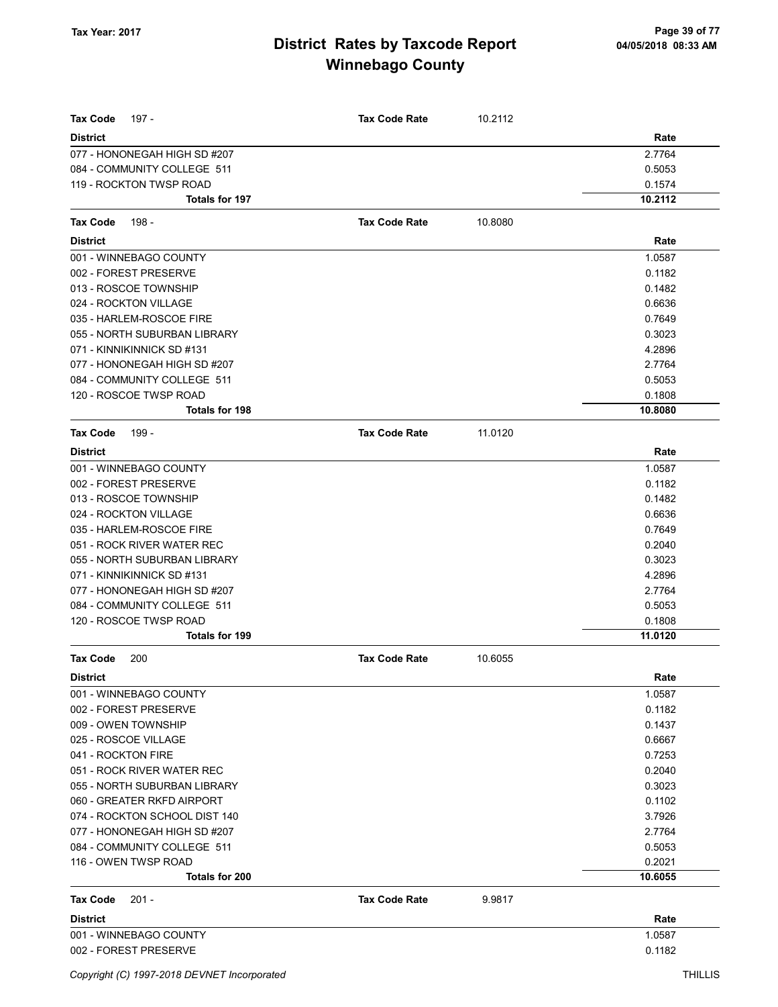| <b>Tax Code</b><br>197 -                      | <b>Tax Code Rate</b> | 10.2112 |                   |
|-----------------------------------------------|----------------------|---------|-------------------|
| <b>District</b>                               |                      |         | Rate              |
| 077 - HONONEGAH HIGH SD #207                  |                      |         | 2.7764            |
| 084 - COMMUNITY COLLEGE 511                   |                      |         | 0.5053            |
| 119 - ROCKTON TWSP ROAD                       |                      |         | 0.1574            |
| Totals for 197                                |                      |         | 10.2112           |
| Tax Code<br>198 -                             | <b>Tax Code Rate</b> | 10.8080 |                   |
| <b>District</b>                               |                      |         | Rate              |
| 001 - WINNEBAGO COUNTY                        |                      |         | 1.0587            |
| 002 - FOREST PRESERVE                         |                      |         | 0.1182            |
| 013 - ROSCOE TOWNSHIP                         |                      |         | 0.1482            |
| 024 - ROCKTON VILLAGE                         |                      |         | 0.6636            |
| 035 - HARLEM-ROSCOE FIRE                      |                      |         | 0.7649            |
| 055 - NORTH SUBURBAN LIBRARY                  |                      |         | 0.3023            |
| 071 - KINNIKINNICK SD #131                    |                      |         | 4.2896            |
| 077 - HONONEGAH HIGH SD #207                  |                      |         | 2.7764            |
| 084 - COMMUNITY COLLEGE 511                   |                      |         | 0.5053            |
| 120 - ROSCOE TWSP ROAD                        |                      |         | 0.1808            |
| Totals for 198                                |                      |         | 10.8080           |
| <b>Tax Code</b><br>199 -                      | <b>Tax Code Rate</b> | 11.0120 |                   |
| <b>District</b>                               |                      |         | Rate              |
| 001 - WINNEBAGO COUNTY                        |                      |         | 1.0587            |
| 002 - FOREST PRESERVE                         |                      |         | 0.1182            |
| 013 - ROSCOE TOWNSHIP                         |                      |         | 0.1482            |
| 024 - ROCKTON VILLAGE                         |                      |         | 0.6636            |
| 035 - HARLEM-ROSCOE FIRE                      |                      |         | 0.7649            |
| 051 - ROCK RIVER WATER REC                    |                      |         | 0.2040            |
| 055 - NORTH SUBURBAN LIBRARY                  |                      |         | 0.3023            |
| 071 - KINNIKINNICK SD #131                    |                      |         | 4.2896            |
| 077 - HONONEGAH HIGH SD #207                  |                      |         | 2.7764            |
| 084 - COMMUNITY COLLEGE 511                   |                      |         | 0.5053            |
| 120 - ROSCOE TWSP ROAD                        |                      |         | 0.1808            |
| <b>Totals for 199</b>                         |                      |         | 11.0120           |
| <b>Tax Code</b><br>200                        | <b>Tax Code Rate</b> | 10.6055 |                   |
| <b>District</b>                               |                      |         | Rate              |
| 001 - WINNEBAGO COUNTY                        |                      |         | 1.0587            |
| 002 - FOREST PRESERVE                         |                      |         | 0.1182            |
| 009 - OWEN TOWNSHIP                           |                      |         | 0.1437            |
| 025 - ROSCOE VILLAGE                          |                      |         | 0.6667            |
| 041 - ROCKTON FIRE                            |                      |         | 0.7253            |
| 051 - ROCK RIVER WATER REC                    |                      |         | 0.2040            |
| 055 - NORTH SUBURBAN LIBRARY                  |                      |         | 0.3023            |
| 060 - GREATER RKFD AIRPORT                    |                      |         | 0.1102            |
| 074 - ROCKTON SCHOOL DIST 140                 |                      |         | 3.7926            |
| 077 - HONONEGAH HIGH SD #207                  |                      |         | 2.7764            |
| 084 - COMMUNITY COLLEGE 511                   |                      |         | 0.5053            |
| 116 - OWEN TWSP ROAD<br><b>Totals for 200</b> |                      |         | 0.2021<br>10.6055 |
| Tax Code<br>$201 -$                           | <b>Tax Code Rate</b> | 9.9817  |                   |
| <b>District</b>                               |                      |         | Rate              |
| 001 - WINNEBAGO COUNTY                        |                      |         | 1.0587            |
| 002 - FOREST PRESERVE                         |                      |         | 0.1182            |
|                                               |                      |         |                   |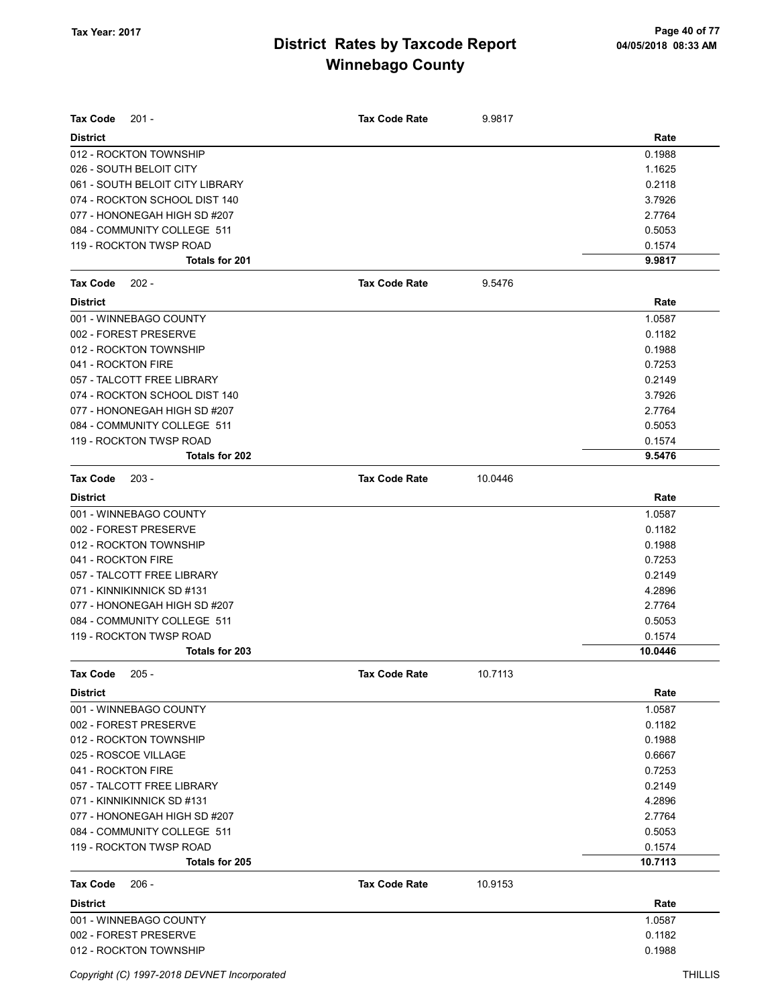| $201 -$<br><b>Tax Code</b>      | <b>Tax Code Rate</b> | 9.9817  |         |
|---------------------------------|----------------------|---------|---------|
| <b>District</b>                 |                      |         | Rate    |
| 012 - ROCKTON TOWNSHIP          |                      |         | 0.1988  |
| 026 - SOUTH BELOIT CITY         |                      |         | 1.1625  |
| 061 - SOUTH BELOIT CITY LIBRARY |                      |         | 0.2118  |
| 074 - ROCKTON SCHOOL DIST 140   |                      |         | 3.7926  |
| 077 - HONONEGAH HIGH SD #207    |                      |         | 2.7764  |
| 084 - COMMUNITY COLLEGE 511     |                      |         | 0.5053  |
| 119 - ROCKTON TWSP ROAD         |                      |         | 0.1574  |
| <b>Totals for 201</b>           |                      |         | 9.9817  |
| <b>Tax Code</b><br>$202 -$      | <b>Tax Code Rate</b> | 9.5476  |         |
| <b>District</b>                 |                      |         | Rate    |
| 001 - WINNEBAGO COUNTY          |                      |         | 1.0587  |
| 002 - FOREST PRESERVE           |                      |         | 0.1182  |
| 012 - ROCKTON TOWNSHIP          |                      |         | 0.1988  |
| 041 - ROCKTON FIRE              |                      |         | 0.7253  |
| 057 - TALCOTT FREE LIBRARY      |                      |         | 0.2149  |
| 074 - ROCKTON SCHOOL DIST 140   |                      |         | 3.7926  |
| 077 - HONONEGAH HIGH SD #207    |                      |         | 2.7764  |
| 084 - COMMUNITY COLLEGE 511     |                      |         | 0.5053  |
| 119 - ROCKTON TWSP ROAD         |                      |         | 0.1574  |
| Totals for 202                  |                      |         | 9.5476  |
| <b>Tax Code</b><br>$203 -$      | <b>Tax Code Rate</b> | 10.0446 |         |
| <b>District</b>                 |                      |         | Rate    |
| 001 - WINNEBAGO COUNTY          |                      |         | 1.0587  |
| 002 - FOREST PRESERVE           |                      |         | 0.1182  |
| 012 - ROCKTON TOWNSHIP          |                      |         | 0.1988  |
| 041 - ROCKTON FIRE              |                      |         | 0.7253  |
| 057 - TALCOTT FREE LIBRARY      |                      |         | 0.2149  |
| 071 - KINNIKINNICK SD #131      |                      |         | 4.2896  |
| 077 - HONONEGAH HIGH SD #207    |                      |         | 2.7764  |
| 084 - COMMUNITY COLLEGE 511     |                      |         | 0.5053  |
| 119 - ROCKTON TWSP ROAD         |                      |         | 0.1574  |
| Totals for 203                  |                      |         | 10.0446 |
| Tax Code<br>$205 -$             | <b>Tax Code Rate</b> | 10.7113 |         |
| <b>District</b>                 |                      |         | Rate    |
| 001 - WINNEBAGO COUNTY          |                      |         | 1.0587  |
| 002 - FOREST PRESERVE           |                      |         | 0.1182  |
| 012 - ROCKTON TOWNSHIP          |                      |         | 0.1988  |
| 025 - ROSCOE VILLAGE            |                      |         | 0.6667  |
| 041 - ROCKTON FIRE              |                      |         | 0.7253  |
| 057 - TALCOTT FREE LIBRARY      |                      |         | 0.2149  |
| 071 - KINNIKINNICK SD #131      |                      |         | 4.2896  |
| 077 - HONONEGAH HIGH SD #207    |                      |         | 2.7764  |
| 084 - COMMUNITY COLLEGE 511     |                      |         | 0.5053  |
| 119 - ROCKTON TWSP ROAD         |                      |         | 0.1574  |
| Totals for 205                  |                      |         | 10.7113 |
| $206 -$<br><b>Tax Code</b>      | <b>Tax Code Rate</b> | 10.9153 |         |
| <b>District</b>                 |                      |         | Rate    |
| 001 - WINNEBAGO COUNTY          |                      |         | 1.0587  |
| 002 - FOREST PRESERVE           |                      |         | 0.1182  |
| 012 - ROCKTON TOWNSHIP          |                      |         | 0.1988  |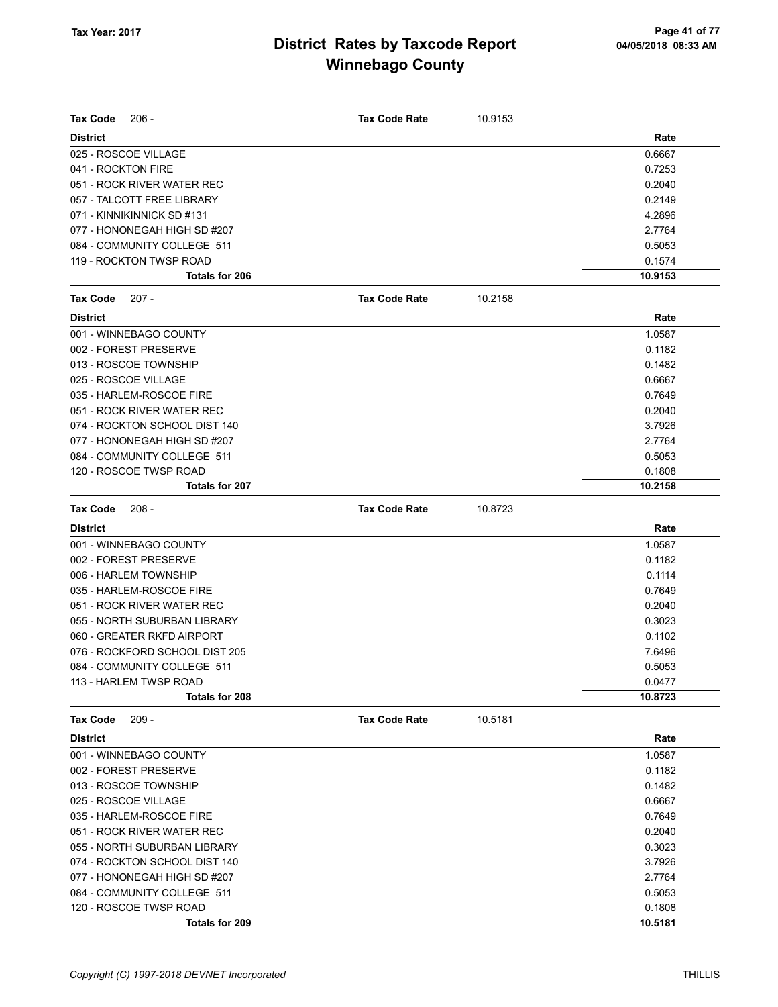| $206 -$<br><b>Tax Code</b>     | <b>Tax Code Rate</b> | 10.9153 |         |
|--------------------------------|----------------------|---------|---------|
| <b>District</b>                |                      |         | Rate    |
| 025 - ROSCOE VILLAGE           |                      |         | 0.6667  |
| 041 - ROCKTON FIRE             |                      |         | 0.7253  |
| 051 - ROCK RIVER WATER REC     |                      |         | 0.2040  |
| 057 - TALCOTT FREE LIBRARY     |                      |         | 0.2149  |
| 071 - KINNIKINNICK SD #131     |                      |         | 4.2896  |
| 077 - HONONEGAH HIGH SD #207   |                      |         | 2.7764  |
| 084 - COMMUNITY COLLEGE 511    |                      |         | 0.5053  |
| 119 - ROCKTON TWSP ROAD        |                      |         | 0.1574  |
| Totals for 206                 |                      |         | 10.9153 |
| Tax Code<br>207 -              | <b>Tax Code Rate</b> | 10.2158 |         |
| <b>District</b>                |                      |         | Rate    |
| 001 - WINNEBAGO COUNTY         |                      |         | 1.0587  |
| 002 - FOREST PRESERVE          |                      |         | 0.1182  |
| 013 - ROSCOE TOWNSHIP          |                      |         | 0.1482  |
| 025 - ROSCOE VILLAGE           |                      |         | 0.6667  |
| 035 - HARLEM-ROSCOE FIRE       |                      |         | 0.7649  |
| 051 - ROCK RIVER WATER REC     |                      |         | 0.2040  |
| 074 - ROCKTON SCHOOL DIST 140  |                      |         | 3.7926  |
| 077 - HONONEGAH HIGH SD #207   |                      |         | 2.7764  |
| 084 - COMMUNITY COLLEGE 511    |                      |         | 0.5053  |
| 120 - ROSCOE TWSP ROAD         |                      |         | 0.1808  |
| Totals for 207                 |                      |         | 10.2158 |
| <b>Tax Code</b><br>$208 -$     | <b>Tax Code Rate</b> | 10.8723 |         |
| <b>District</b>                |                      |         | Rate    |
| 001 - WINNEBAGO COUNTY         |                      |         | 1.0587  |
| 002 - FOREST PRESERVE          |                      |         | 0.1182  |
| 006 - HARLEM TOWNSHIP          |                      |         | 0.1114  |
| 035 - HARLEM-ROSCOE FIRE       |                      |         | 0.7649  |
| 051 - ROCK RIVER WATER REC     |                      |         | 0.2040  |
| 055 - NORTH SUBURBAN LIBRARY   |                      |         | 0.3023  |
| 060 - GREATER RKFD AIRPORT     |                      |         | 0.1102  |
| 076 - ROCKFORD SCHOOL DIST 205 |                      |         | 7.6496  |
| 084 - COMMUNITY COLLEGE 511    |                      |         | 0.5053  |
| 113 - HARLEM TWSP ROAD         |                      |         | 0.0477  |
| Totals for 208                 |                      |         | 10.8723 |
| $209 -$<br><b>Tax Code</b>     | <b>Tax Code Rate</b> | 10.5181 |         |
| <b>District</b>                |                      |         | Rate    |
| 001 - WINNEBAGO COUNTY         |                      |         | 1.0587  |
| 002 - FOREST PRESERVE          |                      |         | 0.1182  |
| 013 - ROSCOE TOWNSHIP          |                      |         | 0.1482  |
| 025 - ROSCOE VILLAGE           |                      |         | 0.6667  |
| 035 - HARLEM-ROSCOE FIRE       |                      |         | 0.7649  |
| 051 - ROCK RIVER WATER REC     |                      |         | 0.2040  |
| 055 - NORTH SUBURBAN LIBRARY   |                      |         | 0.3023  |
| 074 - ROCKTON SCHOOL DIST 140  |                      |         | 3.7926  |
| 077 - HONONEGAH HIGH SD #207   |                      |         | 2.7764  |
| 084 - COMMUNITY COLLEGE 511    |                      |         | 0.5053  |
| 120 - ROSCOE TWSP ROAD         |                      |         | 0.1808  |
| Totals for 209                 |                      |         | 10.5181 |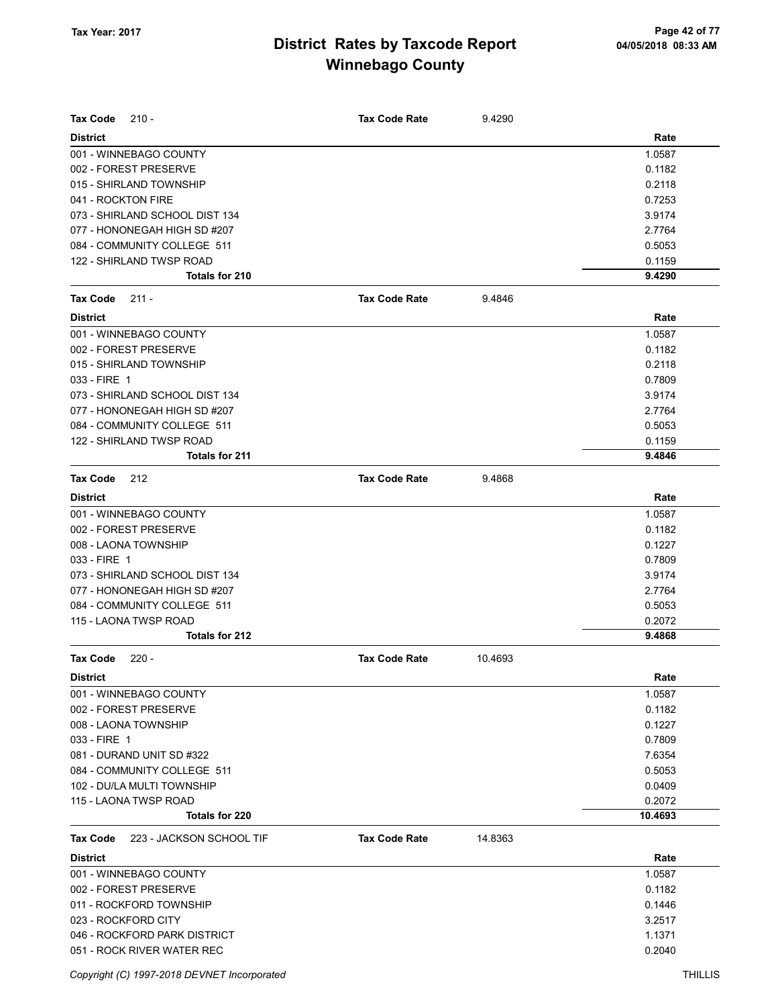| <b>Tax Code</b><br>$210 -$                  | Tax Code Rate        | 9.4290  |         |
|---------------------------------------------|----------------------|---------|---------|
| <b>District</b>                             |                      |         | Rate    |
| 001 - WINNEBAGO COUNTY                      |                      |         | 1.0587  |
| 002 - FOREST PRESERVE                       |                      |         | 0.1182  |
| 015 - SHIRLAND TOWNSHIP                     |                      |         | 0.2118  |
| 041 - ROCKTON FIRE                          |                      |         | 0.7253  |
| 073 - SHIRLAND SCHOOL DIST 134              |                      |         | 3.9174  |
| 077 - HONONEGAH HIGH SD #207                |                      |         | 2.7764  |
| 084 - COMMUNITY COLLEGE 511                 |                      |         | 0.5053  |
| 122 - SHIRLAND TWSP ROAD                    |                      |         | 0.1159  |
| Totals for 210                              |                      |         | 9.4290  |
| <b>Tax Code</b><br>$211 -$                  | <b>Tax Code Rate</b> | 9.4846  |         |
| <b>District</b>                             |                      |         | Rate    |
| 001 - WINNEBAGO COUNTY                      |                      |         | 1.0587  |
| 002 - FOREST PRESERVE                       |                      |         | 0.1182  |
| 015 - SHIRLAND TOWNSHIP                     |                      |         | 0.2118  |
| 033 - FIRE 1                                |                      |         | 0.7809  |
| 073 - SHIRLAND SCHOOL DIST 134              |                      |         | 3.9174  |
| 077 - HONONEGAH HIGH SD #207                |                      |         | 2.7764  |
| 084 - COMMUNITY COLLEGE 511                 |                      |         | 0.5053  |
| 122 - SHIRLAND TWSP ROAD                    |                      |         | 0.1159  |
| <b>Totals for 211</b>                       |                      |         | 9.4846  |
| <b>Tax Code</b><br>212                      | <b>Tax Code Rate</b> | 9.4868  |         |
| <b>District</b>                             |                      |         | Rate    |
| 001 - WINNEBAGO COUNTY                      |                      |         | 1.0587  |
| 002 - FOREST PRESERVE                       |                      |         | 0.1182  |
| 008 - LAONA TOWNSHIP                        |                      |         | 0.1227  |
| 033 - FIRE 1                                |                      |         | 0.7809  |
| 073 - SHIRLAND SCHOOL DIST 134              |                      |         | 3.9174  |
| 077 - HONONEGAH HIGH SD #207                |                      |         | 2.7764  |
| 084 - COMMUNITY COLLEGE 511                 |                      |         | 0.5053  |
| 115 - LAONA TWSP ROAD                       |                      |         | 0.2072  |
| Totals for 212                              |                      |         | 9.4868  |
| <b>Tax Code</b><br>$220 -$                  | <b>Tax Code Rate</b> | 10.4693 |         |
| District                                    |                      |         | Rate    |
| 001 - WINNEBAGO COUNTY                      |                      |         | 1.0587  |
| 002 - FOREST PRESERVE                       |                      |         | 0.1182  |
| 008 - LAONA TOWNSHIP                        |                      |         | 0.1227  |
| 033 - FIRE 1                                |                      |         | 0.7809  |
| 081 - DURAND UNIT SD #322                   |                      |         | 7.6354  |
| 084 - COMMUNITY COLLEGE 511                 |                      |         | 0.5053  |
| 102 - DU/LA MULTI TOWNSHIP                  |                      |         | 0.0409  |
| 115 - LAONA TWSP ROAD                       |                      |         | 0.2072  |
| Totals for 220                              |                      |         | 10.4693 |
| 223 - JACKSON SCHOOL TIF<br><b>Tax Code</b> | <b>Tax Code Rate</b> | 14.8363 |         |
| <b>District</b>                             |                      |         | Rate    |
| 001 - WINNEBAGO COUNTY                      |                      |         | 1.0587  |
| 002 - FOREST PRESERVE                       |                      |         | 0.1182  |
| 011 - ROCKFORD TOWNSHIP                     |                      |         | 0.1446  |
| 023 - ROCKFORD CITY                         |                      |         | 3.2517  |
| 046 - ROCKFORD PARK DISTRICT                |                      |         | 1.1371  |
| 051 - ROCK RIVER WATER REC                  |                      |         | 0.2040  |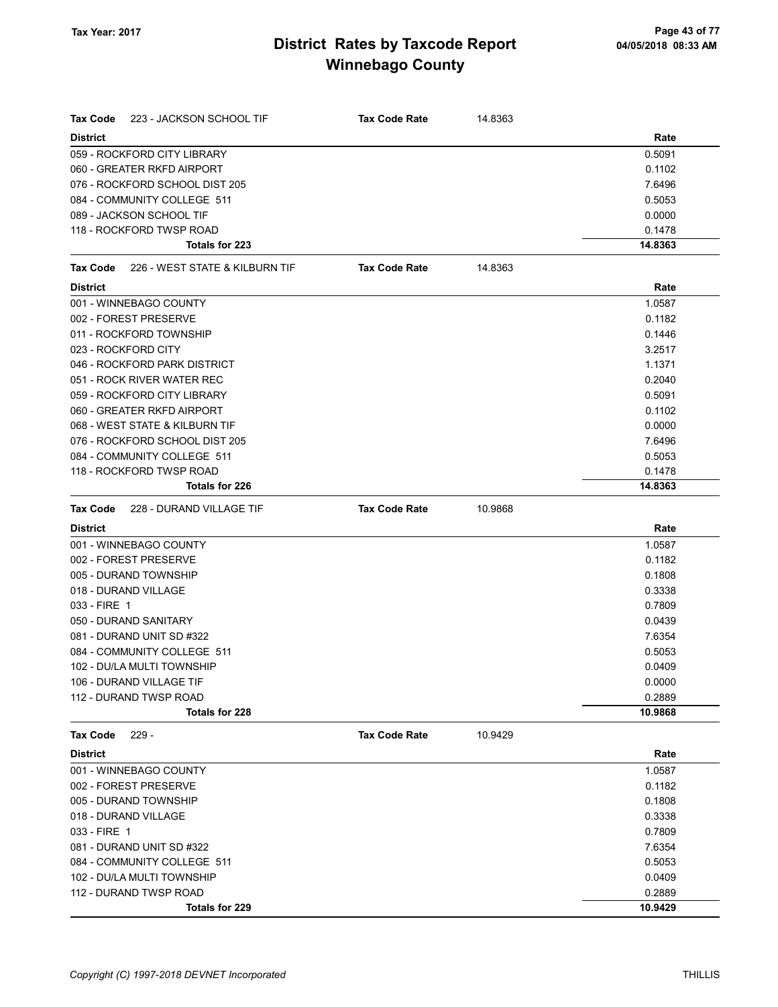| <b>District</b><br>Rate<br>0.5091<br>059 - ROCKFORD CITY LIBRARY<br>060 - GREATER RKFD AIRPORT<br>0.1102<br>076 - ROCKFORD SCHOOL DIST 205<br>7.6496<br>084 - COMMUNITY COLLEGE 511<br>0.5053<br>089 - JACKSON SCHOOL TIF<br>0.0000<br>118 - ROCKFORD TWSP ROAD<br>0.1478<br>14.8363<br>Totals for 223<br>226 - WEST STATE & KILBURN TIF<br>14.8363<br>Tax Code<br><b>Tax Code Rate</b><br><b>District</b><br>Rate<br>1.0587<br>001 - WINNEBAGO COUNTY<br>002 - FOREST PRESERVE<br>0.1182<br>011 - ROCKFORD TOWNSHIP<br>0.1446<br>023 - ROCKFORD CITY<br>3.2517<br>046 - ROCKFORD PARK DISTRICT<br>1.1371<br>051 - ROCK RIVER WATER REC<br>0.2040<br>059 - ROCKFORD CITY LIBRARY<br>0.5091<br>060 - GREATER RKFD AIRPORT<br>0.1102<br>068 - WEST STATE & KILBURN TIF<br>0.0000<br>076 - ROCKFORD SCHOOL DIST 205<br>7.6496<br>084 - COMMUNITY COLLEGE 511<br>0.5053<br>118 - ROCKFORD TWSP ROAD<br>0.1478<br>14.8363<br>Totals for 226<br>228 - DURAND VILLAGE TIF<br><b>Tax Code Rate</b><br>10.9868<br>Tax Code<br>Rate<br><b>District</b><br>001 - WINNEBAGO COUNTY<br>1.0587<br>002 - FOREST PRESERVE<br>0.1182<br>005 - DURAND TOWNSHIP<br>0.1808<br>018 - DURAND VILLAGE<br>0.3338<br>033 - FIRE 1<br>0.7809<br>0.0439<br>050 - DURAND SANITARY<br>7.6354<br>081 - DURAND UNIT SD #322<br>084 - COMMUNITY COLLEGE 511<br>0.5053<br>102 - DU/LA MULTI TOWNSHIP<br>0.0409<br>106 - DURAND VILLAGE TIF<br>0.0000<br>112 - DURAND TWSP ROAD<br>0.2889<br>10.9868<br>Totals for 228<br>$229 -$<br><b>Tax Code Rate</b><br>10.9429<br>Tax Code<br><b>District</b><br>Rate<br>001 - WINNEBAGO COUNTY<br>1.0587<br>002 - FOREST PRESERVE<br>0.1182<br>005 - DURAND TOWNSHIP<br>0.1808<br>018 - DURAND VILLAGE<br>0.3338<br>033 - FIRE 1<br>0.7809<br>081 - DURAND UNIT SD #322<br>7.6354<br>084 - COMMUNITY COLLEGE 511<br>0.5053<br>102 - DU/LA MULTI TOWNSHIP<br>0.0409<br>112 - DURAND TWSP ROAD<br>0.2889<br>10.9429<br>Totals for 229 | Tax Code<br>223 - JACKSON SCHOOL TIF | <b>Tax Code Rate</b> | 14.8363 |  |
|------------------------------------------------------------------------------------------------------------------------------------------------------------------------------------------------------------------------------------------------------------------------------------------------------------------------------------------------------------------------------------------------------------------------------------------------------------------------------------------------------------------------------------------------------------------------------------------------------------------------------------------------------------------------------------------------------------------------------------------------------------------------------------------------------------------------------------------------------------------------------------------------------------------------------------------------------------------------------------------------------------------------------------------------------------------------------------------------------------------------------------------------------------------------------------------------------------------------------------------------------------------------------------------------------------------------------------------------------------------------------------------------------------------------------------------------------------------------------------------------------------------------------------------------------------------------------------------------------------------------------------------------------------------------------------------------------------------------------------------------------------------------------------------------------------------------------------------------------------------------------------------------------------------------------------------|--------------------------------------|----------------------|---------|--|
|                                                                                                                                                                                                                                                                                                                                                                                                                                                                                                                                                                                                                                                                                                                                                                                                                                                                                                                                                                                                                                                                                                                                                                                                                                                                                                                                                                                                                                                                                                                                                                                                                                                                                                                                                                                                                                                                                                                                          |                                      |                      |         |  |
|                                                                                                                                                                                                                                                                                                                                                                                                                                                                                                                                                                                                                                                                                                                                                                                                                                                                                                                                                                                                                                                                                                                                                                                                                                                                                                                                                                                                                                                                                                                                                                                                                                                                                                                                                                                                                                                                                                                                          |                                      |                      |         |  |
|                                                                                                                                                                                                                                                                                                                                                                                                                                                                                                                                                                                                                                                                                                                                                                                                                                                                                                                                                                                                                                                                                                                                                                                                                                                                                                                                                                                                                                                                                                                                                                                                                                                                                                                                                                                                                                                                                                                                          |                                      |                      |         |  |
|                                                                                                                                                                                                                                                                                                                                                                                                                                                                                                                                                                                                                                                                                                                                                                                                                                                                                                                                                                                                                                                                                                                                                                                                                                                                                                                                                                                                                                                                                                                                                                                                                                                                                                                                                                                                                                                                                                                                          |                                      |                      |         |  |
|                                                                                                                                                                                                                                                                                                                                                                                                                                                                                                                                                                                                                                                                                                                                                                                                                                                                                                                                                                                                                                                                                                                                                                                                                                                                                                                                                                                                                                                                                                                                                                                                                                                                                                                                                                                                                                                                                                                                          |                                      |                      |         |  |
|                                                                                                                                                                                                                                                                                                                                                                                                                                                                                                                                                                                                                                                                                                                                                                                                                                                                                                                                                                                                                                                                                                                                                                                                                                                                                                                                                                                                                                                                                                                                                                                                                                                                                                                                                                                                                                                                                                                                          |                                      |                      |         |  |
|                                                                                                                                                                                                                                                                                                                                                                                                                                                                                                                                                                                                                                                                                                                                                                                                                                                                                                                                                                                                                                                                                                                                                                                                                                                                                                                                                                                                                                                                                                                                                                                                                                                                                                                                                                                                                                                                                                                                          |                                      |                      |         |  |
|                                                                                                                                                                                                                                                                                                                                                                                                                                                                                                                                                                                                                                                                                                                                                                                                                                                                                                                                                                                                                                                                                                                                                                                                                                                                                                                                                                                                                                                                                                                                                                                                                                                                                                                                                                                                                                                                                                                                          |                                      |                      |         |  |
|                                                                                                                                                                                                                                                                                                                                                                                                                                                                                                                                                                                                                                                                                                                                                                                                                                                                                                                                                                                                                                                                                                                                                                                                                                                                                                                                                                                                                                                                                                                                                                                                                                                                                                                                                                                                                                                                                                                                          |                                      |                      |         |  |
|                                                                                                                                                                                                                                                                                                                                                                                                                                                                                                                                                                                                                                                                                                                                                                                                                                                                                                                                                                                                                                                                                                                                                                                                                                                                                                                                                                                                                                                                                                                                                                                                                                                                                                                                                                                                                                                                                                                                          |                                      |                      |         |  |
|                                                                                                                                                                                                                                                                                                                                                                                                                                                                                                                                                                                                                                                                                                                                                                                                                                                                                                                                                                                                                                                                                                                                                                                                                                                                                                                                                                                                                                                                                                                                                                                                                                                                                                                                                                                                                                                                                                                                          |                                      |                      |         |  |
|                                                                                                                                                                                                                                                                                                                                                                                                                                                                                                                                                                                                                                                                                                                                                                                                                                                                                                                                                                                                                                                                                                                                                                                                                                                                                                                                                                                                                                                                                                                                                                                                                                                                                                                                                                                                                                                                                                                                          |                                      |                      |         |  |
|                                                                                                                                                                                                                                                                                                                                                                                                                                                                                                                                                                                                                                                                                                                                                                                                                                                                                                                                                                                                                                                                                                                                                                                                                                                                                                                                                                                                                                                                                                                                                                                                                                                                                                                                                                                                                                                                                                                                          |                                      |                      |         |  |
|                                                                                                                                                                                                                                                                                                                                                                                                                                                                                                                                                                                                                                                                                                                                                                                                                                                                                                                                                                                                                                                                                                                                                                                                                                                                                                                                                                                                                                                                                                                                                                                                                                                                                                                                                                                                                                                                                                                                          |                                      |                      |         |  |
|                                                                                                                                                                                                                                                                                                                                                                                                                                                                                                                                                                                                                                                                                                                                                                                                                                                                                                                                                                                                                                                                                                                                                                                                                                                                                                                                                                                                                                                                                                                                                                                                                                                                                                                                                                                                                                                                                                                                          |                                      |                      |         |  |
|                                                                                                                                                                                                                                                                                                                                                                                                                                                                                                                                                                                                                                                                                                                                                                                                                                                                                                                                                                                                                                                                                                                                                                                                                                                                                                                                                                                                                                                                                                                                                                                                                                                                                                                                                                                                                                                                                                                                          |                                      |                      |         |  |
|                                                                                                                                                                                                                                                                                                                                                                                                                                                                                                                                                                                                                                                                                                                                                                                                                                                                                                                                                                                                                                                                                                                                                                                                                                                                                                                                                                                                                                                                                                                                                                                                                                                                                                                                                                                                                                                                                                                                          |                                      |                      |         |  |
|                                                                                                                                                                                                                                                                                                                                                                                                                                                                                                                                                                                                                                                                                                                                                                                                                                                                                                                                                                                                                                                                                                                                                                                                                                                                                                                                                                                                                                                                                                                                                                                                                                                                                                                                                                                                                                                                                                                                          |                                      |                      |         |  |
|                                                                                                                                                                                                                                                                                                                                                                                                                                                                                                                                                                                                                                                                                                                                                                                                                                                                                                                                                                                                                                                                                                                                                                                                                                                                                                                                                                                                                                                                                                                                                                                                                                                                                                                                                                                                                                                                                                                                          |                                      |                      |         |  |
|                                                                                                                                                                                                                                                                                                                                                                                                                                                                                                                                                                                                                                                                                                                                                                                                                                                                                                                                                                                                                                                                                                                                                                                                                                                                                                                                                                                                                                                                                                                                                                                                                                                                                                                                                                                                                                                                                                                                          |                                      |                      |         |  |
|                                                                                                                                                                                                                                                                                                                                                                                                                                                                                                                                                                                                                                                                                                                                                                                                                                                                                                                                                                                                                                                                                                                                                                                                                                                                                                                                                                                                                                                                                                                                                                                                                                                                                                                                                                                                                                                                                                                                          |                                      |                      |         |  |
|                                                                                                                                                                                                                                                                                                                                                                                                                                                                                                                                                                                                                                                                                                                                                                                                                                                                                                                                                                                                                                                                                                                                                                                                                                                                                                                                                                                                                                                                                                                                                                                                                                                                                                                                                                                                                                                                                                                                          |                                      |                      |         |  |
|                                                                                                                                                                                                                                                                                                                                                                                                                                                                                                                                                                                                                                                                                                                                                                                                                                                                                                                                                                                                                                                                                                                                                                                                                                                                                                                                                                                                                                                                                                                                                                                                                                                                                                                                                                                                                                                                                                                                          |                                      |                      |         |  |
|                                                                                                                                                                                                                                                                                                                                                                                                                                                                                                                                                                                                                                                                                                                                                                                                                                                                                                                                                                                                                                                                                                                                                                                                                                                                                                                                                                                                                                                                                                                                                                                                                                                                                                                                                                                                                                                                                                                                          |                                      |                      |         |  |
|                                                                                                                                                                                                                                                                                                                                                                                                                                                                                                                                                                                                                                                                                                                                                                                                                                                                                                                                                                                                                                                                                                                                                                                                                                                                                                                                                                                                                                                                                                                                                                                                                                                                                                                                                                                                                                                                                                                                          |                                      |                      |         |  |
|                                                                                                                                                                                                                                                                                                                                                                                                                                                                                                                                                                                                                                                                                                                                                                                                                                                                                                                                                                                                                                                                                                                                                                                                                                                                                                                                                                                                                                                                                                                                                                                                                                                                                                                                                                                                                                                                                                                                          |                                      |                      |         |  |
|                                                                                                                                                                                                                                                                                                                                                                                                                                                                                                                                                                                                                                                                                                                                                                                                                                                                                                                                                                                                                                                                                                                                                                                                                                                                                                                                                                                                                                                                                                                                                                                                                                                                                                                                                                                                                                                                                                                                          |                                      |                      |         |  |
|                                                                                                                                                                                                                                                                                                                                                                                                                                                                                                                                                                                                                                                                                                                                                                                                                                                                                                                                                                                                                                                                                                                                                                                                                                                                                                                                                                                                                                                                                                                                                                                                                                                                                                                                                                                                                                                                                                                                          |                                      |                      |         |  |
|                                                                                                                                                                                                                                                                                                                                                                                                                                                                                                                                                                                                                                                                                                                                                                                                                                                                                                                                                                                                                                                                                                                                                                                                                                                                                                                                                                                                                                                                                                                                                                                                                                                                                                                                                                                                                                                                                                                                          |                                      |                      |         |  |
|                                                                                                                                                                                                                                                                                                                                                                                                                                                                                                                                                                                                                                                                                                                                                                                                                                                                                                                                                                                                                                                                                                                                                                                                                                                                                                                                                                                                                                                                                                                                                                                                                                                                                                                                                                                                                                                                                                                                          |                                      |                      |         |  |
|                                                                                                                                                                                                                                                                                                                                                                                                                                                                                                                                                                                                                                                                                                                                                                                                                                                                                                                                                                                                                                                                                                                                                                                                                                                                                                                                                                                                                                                                                                                                                                                                                                                                                                                                                                                                                                                                                                                                          |                                      |                      |         |  |
|                                                                                                                                                                                                                                                                                                                                                                                                                                                                                                                                                                                                                                                                                                                                                                                                                                                                                                                                                                                                                                                                                                                                                                                                                                                                                                                                                                                                                                                                                                                                                                                                                                                                                                                                                                                                                                                                                                                                          |                                      |                      |         |  |
|                                                                                                                                                                                                                                                                                                                                                                                                                                                                                                                                                                                                                                                                                                                                                                                                                                                                                                                                                                                                                                                                                                                                                                                                                                                                                                                                                                                                                                                                                                                                                                                                                                                                                                                                                                                                                                                                                                                                          |                                      |                      |         |  |
|                                                                                                                                                                                                                                                                                                                                                                                                                                                                                                                                                                                                                                                                                                                                                                                                                                                                                                                                                                                                                                                                                                                                                                                                                                                                                                                                                                                                                                                                                                                                                                                                                                                                                                                                                                                                                                                                                                                                          |                                      |                      |         |  |
|                                                                                                                                                                                                                                                                                                                                                                                                                                                                                                                                                                                                                                                                                                                                                                                                                                                                                                                                                                                                                                                                                                                                                                                                                                                                                                                                                                                                                                                                                                                                                                                                                                                                                                                                                                                                                                                                                                                                          |                                      |                      |         |  |
|                                                                                                                                                                                                                                                                                                                                                                                                                                                                                                                                                                                                                                                                                                                                                                                                                                                                                                                                                                                                                                                                                                                                                                                                                                                                                                                                                                                                                                                                                                                                                                                                                                                                                                                                                                                                                                                                                                                                          |                                      |                      |         |  |
|                                                                                                                                                                                                                                                                                                                                                                                                                                                                                                                                                                                                                                                                                                                                                                                                                                                                                                                                                                                                                                                                                                                                                                                                                                                                                                                                                                                                                                                                                                                                                                                                                                                                                                                                                                                                                                                                                                                                          |                                      |                      |         |  |
|                                                                                                                                                                                                                                                                                                                                                                                                                                                                                                                                                                                                                                                                                                                                                                                                                                                                                                                                                                                                                                                                                                                                                                                                                                                                                                                                                                                                                                                                                                                                                                                                                                                                                                                                                                                                                                                                                                                                          |                                      |                      |         |  |
|                                                                                                                                                                                                                                                                                                                                                                                                                                                                                                                                                                                                                                                                                                                                                                                                                                                                                                                                                                                                                                                                                                                                                                                                                                                                                                                                                                                                                                                                                                                                                                                                                                                                                                                                                                                                                                                                                                                                          |                                      |                      |         |  |
|                                                                                                                                                                                                                                                                                                                                                                                                                                                                                                                                                                                                                                                                                                                                                                                                                                                                                                                                                                                                                                                                                                                                                                                                                                                                                                                                                                                                                                                                                                                                                                                                                                                                                                                                                                                                                                                                                                                                          |                                      |                      |         |  |
|                                                                                                                                                                                                                                                                                                                                                                                                                                                                                                                                                                                                                                                                                                                                                                                                                                                                                                                                                                                                                                                                                                                                                                                                                                                                                                                                                                                                                                                                                                                                                                                                                                                                                                                                                                                                                                                                                                                                          |                                      |                      |         |  |
|                                                                                                                                                                                                                                                                                                                                                                                                                                                                                                                                                                                                                                                                                                                                                                                                                                                                                                                                                                                                                                                                                                                                                                                                                                                                                                                                                                                                                                                                                                                                                                                                                                                                                                                                                                                                                                                                                                                                          |                                      |                      |         |  |
|                                                                                                                                                                                                                                                                                                                                                                                                                                                                                                                                                                                                                                                                                                                                                                                                                                                                                                                                                                                                                                                                                                                                                                                                                                                                                                                                                                                                                                                                                                                                                                                                                                                                                                                                                                                                                                                                                                                                          |                                      |                      |         |  |
|                                                                                                                                                                                                                                                                                                                                                                                                                                                                                                                                                                                                                                                                                                                                                                                                                                                                                                                                                                                                                                                                                                                                                                                                                                                                                                                                                                                                                                                                                                                                                                                                                                                                                                                                                                                                                                                                                                                                          |                                      |                      |         |  |
|                                                                                                                                                                                                                                                                                                                                                                                                                                                                                                                                                                                                                                                                                                                                                                                                                                                                                                                                                                                                                                                                                                                                                                                                                                                                                                                                                                                                                                                                                                                                                                                                                                                                                                                                                                                                                                                                                                                                          |                                      |                      |         |  |
|                                                                                                                                                                                                                                                                                                                                                                                                                                                                                                                                                                                                                                                                                                                                                                                                                                                                                                                                                                                                                                                                                                                                                                                                                                                                                                                                                                                                                                                                                                                                                                                                                                                                                                                                                                                                                                                                                                                                          |                                      |                      |         |  |
|                                                                                                                                                                                                                                                                                                                                                                                                                                                                                                                                                                                                                                                                                                                                                                                                                                                                                                                                                                                                                                                                                                                                                                                                                                                                                                                                                                                                                                                                                                                                                                                                                                                                                                                                                                                                                                                                                                                                          |                                      |                      |         |  |
|                                                                                                                                                                                                                                                                                                                                                                                                                                                                                                                                                                                                                                                                                                                                                                                                                                                                                                                                                                                                                                                                                                                                                                                                                                                                                                                                                                                                                                                                                                                                                                                                                                                                                                                                                                                                                                                                                                                                          |                                      |                      |         |  |
|                                                                                                                                                                                                                                                                                                                                                                                                                                                                                                                                                                                                                                                                                                                                                                                                                                                                                                                                                                                                                                                                                                                                                                                                                                                                                                                                                                                                                                                                                                                                                                                                                                                                                                                                                                                                                                                                                                                                          |                                      |                      |         |  |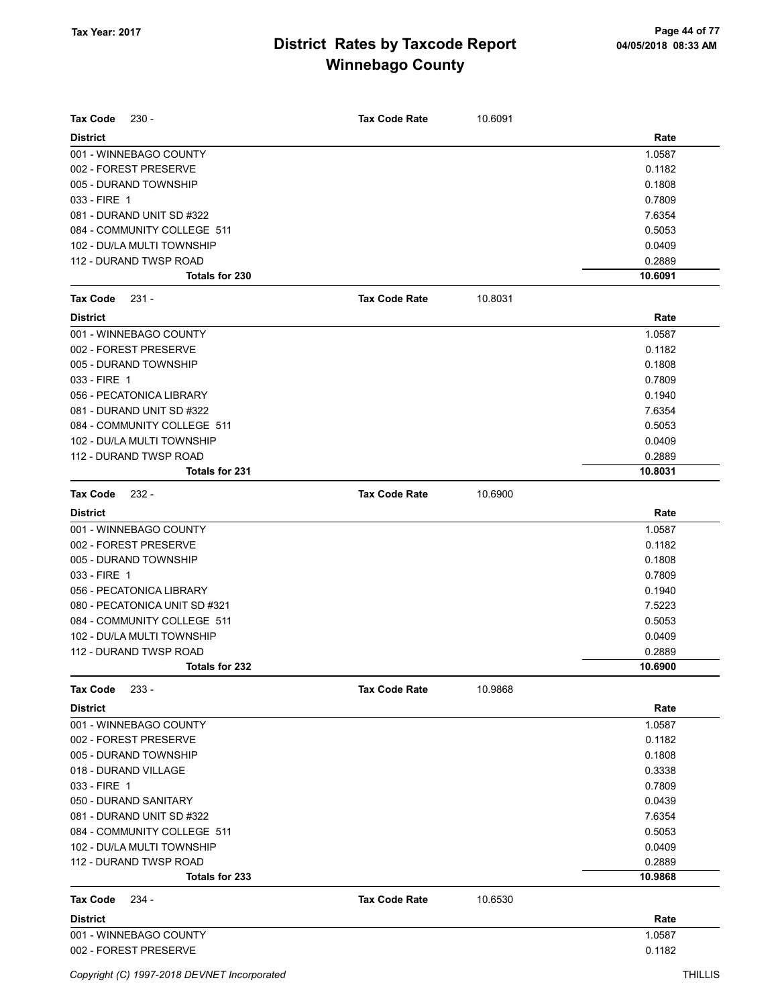| <b>Tax Code</b><br>$230 -$    | <b>Tax Code Rate</b> | 10.6091 |         |
|-------------------------------|----------------------|---------|---------|
| <b>District</b>               |                      |         | Rate    |
| 001 - WINNEBAGO COUNTY        |                      |         | 1.0587  |
| 002 - FOREST PRESERVE         |                      |         | 0.1182  |
| 005 - DURAND TOWNSHIP         |                      |         | 0.1808  |
| 033 - FIRE 1                  |                      |         | 0.7809  |
| 081 - DURAND UNIT SD #322     |                      |         | 7.6354  |
| 084 - COMMUNITY COLLEGE 511   |                      |         | 0.5053  |
| 102 - DU/LA MULTI TOWNSHIP    |                      |         | 0.0409  |
| 112 - DURAND TWSP ROAD        |                      |         | 0.2889  |
| <b>Totals for 230</b>         |                      |         | 10.6091 |
| <b>Tax Code</b><br>$231 -$    | <b>Tax Code Rate</b> | 10.8031 |         |
| <b>District</b>               |                      |         | Rate    |
| 001 - WINNEBAGO COUNTY        |                      |         | 1.0587  |
| 002 - FOREST PRESERVE         |                      |         | 0.1182  |
| 005 - DURAND TOWNSHIP         |                      |         | 0.1808  |
| 033 - FIRE 1                  |                      |         | 0.7809  |
| 056 - PECATONICA LIBRARY      |                      |         | 0.1940  |
| 081 - DURAND UNIT SD #322     |                      |         | 7.6354  |
| 084 - COMMUNITY COLLEGE 511   |                      |         | 0.5053  |
| 102 - DU/LA MULTI TOWNSHIP    |                      |         | 0.0409  |
| 112 - DURAND TWSP ROAD        |                      |         | 0.2889  |
| Totals for 231                |                      |         | 10.8031 |
| <b>Tax Code</b><br>$232 -$    | <b>Tax Code Rate</b> | 10.6900 |         |
| <b>District</b>               |                      |         | Rate    |
| 001 - WINNEBAGO COUNTY        |                      |         | 1.0587  |
| 002 - FOREST PRESERVE         |                      |         | 0.1182  |
| 005 - DURAND TOWNSHIP         |                      |         | 0.1808  |
| 033 - FIRE 1                  |                      |         | 0.7809  |
| 056 - PECATONICA LIBRARY      |                      |         | 0.1940  |
| 080 - PECATONICA UNIT SD #321 |                      |         | 7.5223  |
| 084 - COMMUNITY COLLEGE 511   |                      |         | 0.5053  |
| 102 - DU/LA MULTI TOWNSHIP    |                      |         | 0.0409  |
| 112 - DURAND TWSP ROAD        |                      |         | 0.2889  |
| Totals for 232                |                      |         | 10.6900 |
| Tax Code<br>$233 -$           | <b>Tax Code Rate</b> | 10.9868 |         |
| <b>District</b>               |                      |         | Rate    |
| 001 - WINNEBAGO COUNTY        |                      |         | 1.0587  |
| 002 - FOREST PRESERVE         |                      |         | 0.1182  |
| 005 - DURAND TOWNSHIP         |                      |         | 0.1808  |
| 018 - DURAND VILLAGE          |                      |         | 0.3338  |
| 033 - FIRE 1                  |                      |         | 0.7809  |
| 050 - DURAND SANITARY         |                      |         | 0.0439  |
| 081 - DURAND UNIT SD #322     |                      |         | 7.6354  |
| 084 - COMMUNITY COLLEGE 511   |                      |         | 0.5053  |
| 102 - DU/LA MULTI TOWNSHIP    |                      |         | 0.0409  |
| 112 - DURAND TWSP ROAD        |                      |         | 0.2889  |
| Totals for 233                |                      |         | 10.9868 |
| <b>Tax Code</b><br>$234 -$    | <b>Tax Code Rate</b> | 10.6530 |         |
| <b>District</b>               |                      |         | Rate    |
| 001 - WINNEBAGO COUNTY        |                      |         | 1.0587  |
| 002 - FOREST PRESERVE         |                      |         | 0.1182  |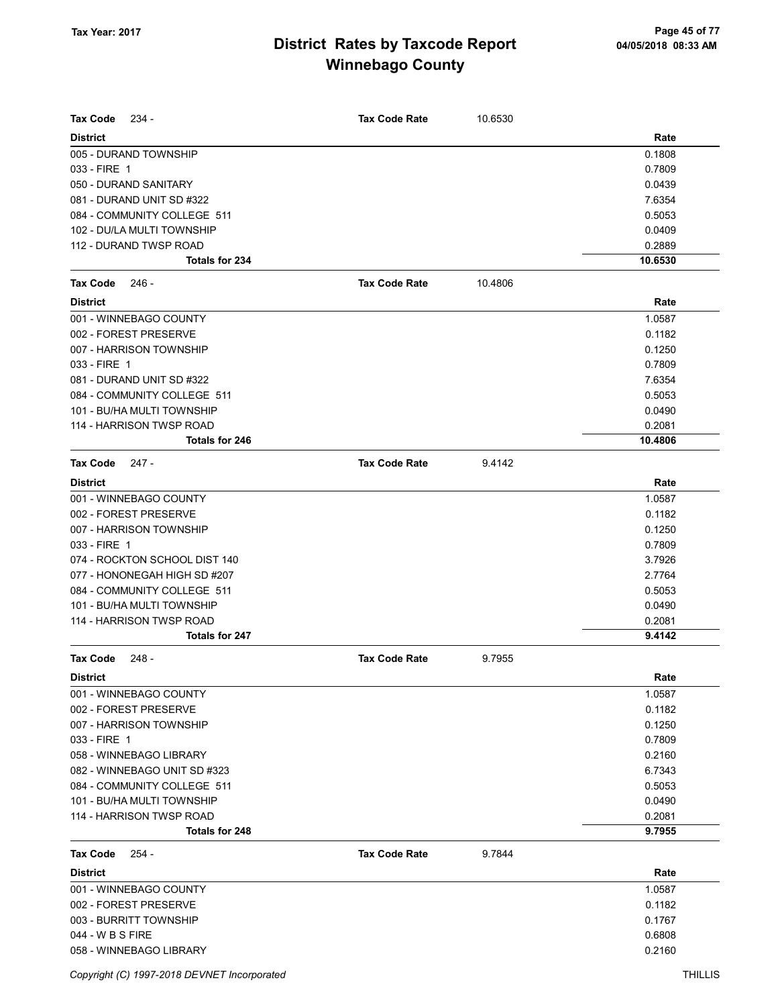| <b>Tax Code</b><br>$234 -$    | <b>Tax Code Rate</b> | 10.6530 |         |
|-------------------------------|----------------------|---------|---------|
| <b>District</b>               |                      |         | Rate    |
| 005 - DURAND TOWNSHIP         |                      |         | 0.1808  |
| 033 - FIRE 1                  |                      |         | 0.7809  |
| 050 - DURAND SANITARY         |                      |         | 0.0439  |
| 081 - DURAND UNIT SD #322     |                      |         | 7.6354  |
| 084 - COMMUNITY COLLEGE 511   |                      |         | 0.5053  |
| 102 - DU/LA MULTI TOWNSHIP    |                      |         | 0.0409  |
| 112 - DURAND TWSP ROAD        |                      |         | 0.2889  |
| <b>Totals for 234</b>         |                      |         | 10.6530 |
| <b>Tax Code</b><br>$246 -$    | <b>Tax Code Rate</b> | 10.4806 |         |
| <b>District</b>               |                      |         | Rate    |
| 001 - WINNEBAGO COUNTY        |                      |         | 1.0587  |
| 002 - FOREST PRESERVE         |                      |         | 0.1182  |
| 007 - HARRISON TOWNSHIP       |                      |         | 0.1250  |
| 033 - FIRE 1                  |                      |         | 0.7809  |
| 081 - DURAND UNIT SD #322     |                      |         | 7.6354  |
| 084 - COMMUNITY COLLEGE 511   |                      |         | 0.5053  |
| 101 - BU/HA MULTI TOWNSHIP    |                      |         | 0.0490  |
| 114 - HARRISON TWSP ROAD      |                      |         | 0.2081  |
| <b>Totals for 246</b>         |                      |         | 10.4806 |
| <b>Tax Code</b><br>247 -      | <b>Tax Code Rate</b> | 9.4142  |         |
| <b>District</b>               |                      |         | Rate    |
| 001 - WINNEBAGO COUNTY        |                      |         | 1.0587  |
| 002 - FOREST PRESERVE         |                      |         | 0.1182  |
| 007 - HARRISON TOWNSHIP       |                      |         | 0.1250  |
| 033 - FIRE 1                  |                      |         | 0.7809  |
| 074 - ROCKTON SCHOOL DIST 140 |                      |         | 3.7926  |
| 077 - HONONEGAH HIGH SD #207  |                      |         | 2.7764  |
| 084 - COMMUNITY COLLEGE 511   |                      |         | 0.5053  |
| 101 - BU/HA MULTI TOWNSHIP    |                      |         | 0.0490  |
| 114 - HARRISON TWSP ROAD      |                      |         | 0.2081  |
| <b>Totals for 247</b>         |                      |         | 9.4142  |
| <b>Tax Code</b><br>- 248      | <b>Tax Code Rate</b> | 9.7955  |         |
|                               |                      |         |         |
| <b>District</b>               |                      |         | Rate    |
| 001 - WINNEBAGO COUNTY        |                      |         | 1.0587  |
| 002 - FOREST PRESERVE         |                      |         | 0.1182  |
| 007 - HARRISON TOWNSHIP       |                      |         | 0.1250  |
| 033 - FIRE 1                  |                      |         | 0.7809  |
| 058 - WINNEBAGO LIBRARY       |                      |         | 0.2160  |
| 082 - WINNEBAGO UNIT SD #323  |                      |         | 6.7343  |
| 084 - COMMUNITY COLLEGE 511   |                      |         | 0.5053  |
| 101 - BU/HA MULTI TOWNSHIP    |                      |         | 0.0490  |
| 114 - HARRISON TWSP ROAD      |                      |         | 0.2081  |
| Totals for 248                |                      |         | 9.7955  |
| <b>Tax Code</b><br>254 -      | <b>Tax Code Rate</b> | 9.7844  |         |
| <b>District</b>               |                      |         | Rate    |
| 001 - WINNEBAGO COUNTY        |                      |         | 1.0587  |
| 002 - FOREST PRESERVE         |                      |         | 0.1182  |
| 003 - BURRITT TOWNSHIP        |                      |         | 0.1767  |
| 044 - W B S FIRE              |                      |         | 0.6808  |
| 058 - WINNEBAGO LIBRARY       |                      |         | 0.2160  |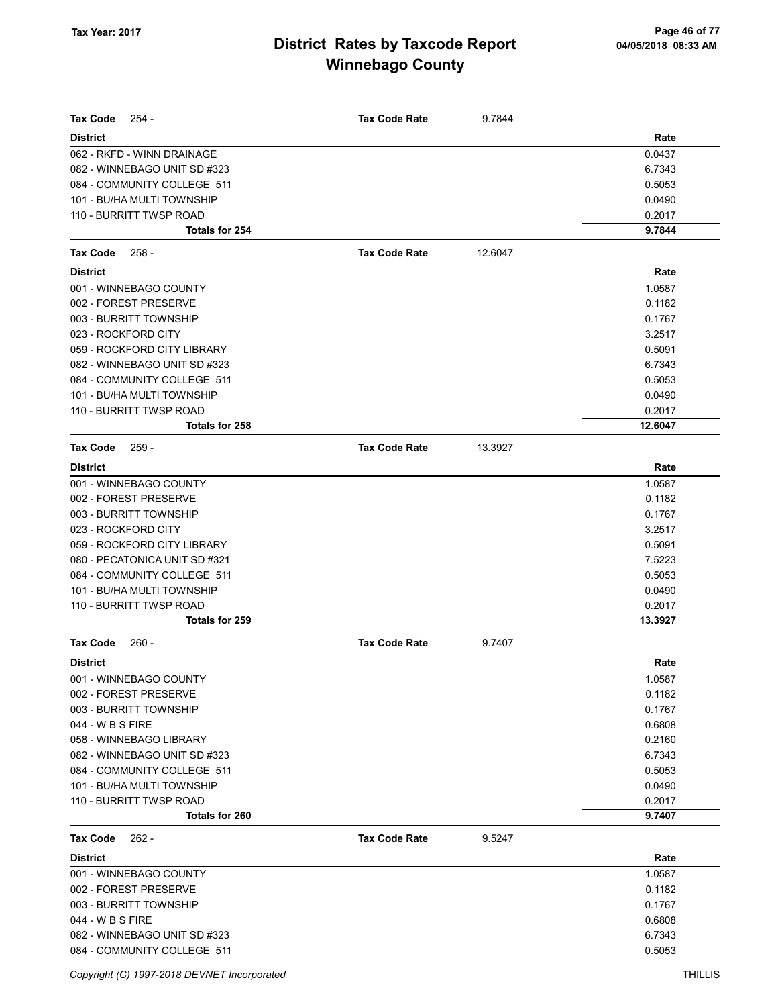| <b>Tax Code</b><br>$254 -$                         | <b>Tax Code Rate</b> | 9.7844  |                  |
|----------------------------------------------------|----------------------|---------|------------------|
| <b>District</b>                                    |                      |         | Rate             |
| 062 - RKFD - WINN DRAINAGE                         |                      |         | 0.0437           |
| 082 - WINNEBAGO UNIT SD #323                       |                      |         | 6.7343           |
| 084 - COMMUNITY COLLEGE 511                        |                      |         | 0.5053           |
| 101 - BU/HA MULTI TOWNSHIP                         |                      |         | 0.0490           |
| 110 - BURRITT TWSP ROAD                            |                      |         | 0.2017           |
| Totals for 254                                     |                      |         | 9.7844           |
| <b>Tax Code</b><br>258 -                           | <b>Tax Code Rate</b> | 12.6047 |                  |
| <b>District</b>                                    |                      |         | Rate             |
| 001 - WINNEBAGO COUNTY                             |                      |         | 1.0587           |
| 002 - FOREST PRESERVE                              |                      |         | 0.1182           |
| 003 - BURRITT TOWNSHIP                             |                      |         | 0.1767           |
| 023 - ROCKFORD CITY                                |                      |         | 3.2517           |
| 059 - ROCKFORD CITY LIBRARY                        |                      |         | 0.5091           |
| 082 - WINNEBAGO UNIT SD #323                       |                      |         | 6.7343           |
| 084 - COMMUNITY COLLEGE 511                        |                      |         | 0.5053           |
| 101 - BU/HA MULTI TOWNSHIP                         |                      |         | 0.0490           |
| 110 - BURRITT TWSP ROAD                            |                      |         | 0.2017           |
| Totals for 258                                     |                      |         | 12.6047          |
| <b>Tax Code</b><br>259 -                           | <b>Tax Code Rate</b> | 13.3927 |                  |
|                                                    |                      |         |                  |
| <b>District</b>                                    |                      |         | Rate             |
| 001 - WINNEBAGO COUNTY                             |                      |         | 1.0587           |
| 002 - FOREST PRESERVE                              |                      |         | 0.1182           |
| 003 - BURRITT TOWNSHIP                             |                      |         | 0.1767           |
| 023 - ROCKFORD CITY<br>059 - ROCKFORD CITY LIBRARY |                      |         | 3.2517<br>0.5091 |
| 080 - PECATONICA UNIT SD #321                      |                      |         | 7.5223           |
| 084 - COMMUNITY COLLEGE 511                        |                      |         | 0.5053           |
| 101 - BU/HA MULTI TOWNSHIP                         |                      |         | 0.0490           |
| 110 - BURRITT TWSP ROAD                            |                      |         | 0.2017           |
| <b>Totals for 259</b>                              |                      |         | 13.3927          |
|                                                    |                      |         |                  |
| <b>Tax Code</b><br>260 -                           | <b>Tax Code Rate</b> | 9.7407  |                  |
| <b>District</b>                                    |                      |         | Rate             |
| 001 - WINNEBAGO COUNTY                             |                      |         | 1.0587           |
| 002 - FOREST PRESERVE                              |                      |         | 0.1182           |
| 003 - BURRITT TOWNSHIP                             |                      |         | 0.1767           |
| 044 - W B S FIRE                                   |                      |         | 0.6808           |
| 058 - WINNEBAGO LIBRARY                            |                      |         | 0.2160           |
| 082 - WINNEBAGO UNIT SD #323                       |                      |         | 6.7343           |
| 084 - COMMUNITY COLLEGE 511                        |                      |         | 0.5053           |
| 101 - BU/HA MULTI TOWNSHIP                         |                      |         | 0.0490           |
| 110 - BURRITT TWSP ROAD                            |                      |         | 0.2017           |
| Totals for 260                                     |                      |         | 9.7407           |
| <b>Tax Code</b><br>262 -                           | <b>Tax Code Rate</b> | 9.5247  |                  |
| <b>District</b>                                    |                      |         | Rate             |
| 001 - WINNEBAGO COUNTY                             |                      |         | 1.0587           |
| 002 - FOREST PRESERVE                              |                      |         | 0.1182           |
| 003 - BURRITT TOWNSHIP                             |                      |         | 0.1767           |
| 044 - W B S FIRE                                   |                      |         | 0.6808           |
| 082 - WINNEBAGO UNIT SD #323                       |                      |         | 6.7343           |
| 084 - COMMUNITY COLLEGE 511                        |                      |         | 0.5053           |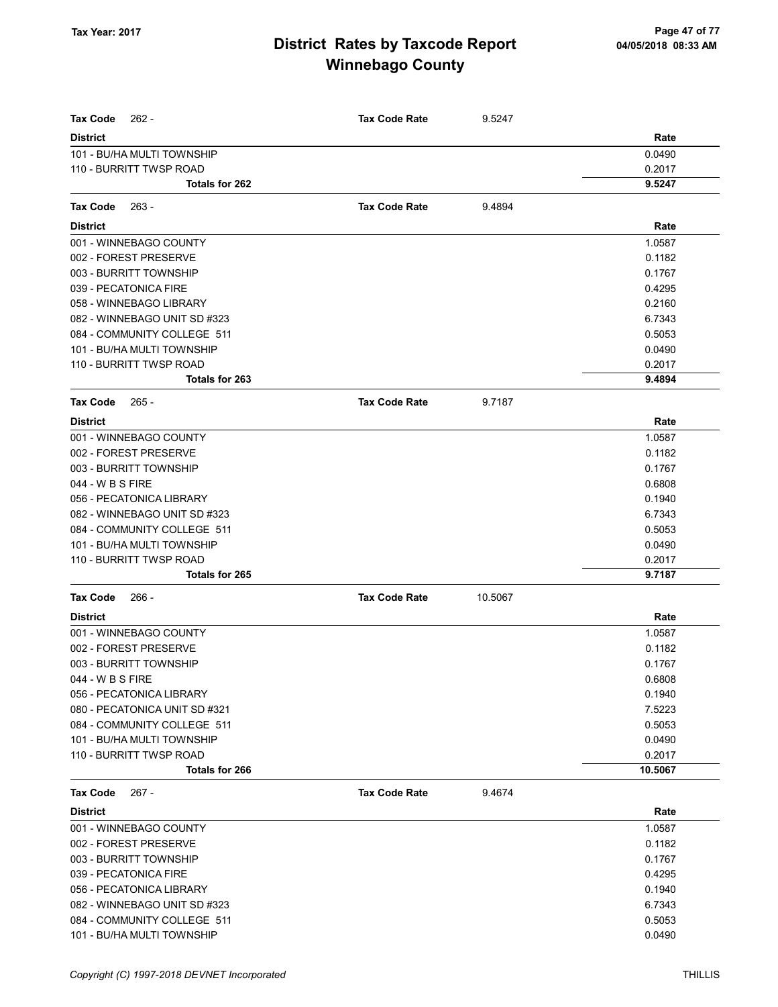| <b>Tax Code</b><br>$262 -$                      | <b>Tax Code Rate</b> | 9.5247  |                  |
|-------------------------------------------------|----------------------|---------|------------------|
| <b>District</b>                                 |                      |         | Rate             |
| 101 - BU/HA MULTI TOWNSHIP                      |                      |         | 0.0490           |
| 110 - BURRITT TWSP ROAD                         |                      |         | 0.2017           |
| Totals for 262                                  |                      |         | 9.5247           |
| <b>Tax Code</b><br>$263 -$                      | <b>Tax Code Rate</b> | 9.4894  |                  |
|                                                 |                      |         |                  |
| <b>District</b>                                 |                      |         | Rate             |
| 001 - WINNEBAGO COUNTY                          |                      |         | 1.0587           |
| 002 - FOREST PRESERVE                           |                      |         | 0.1182           |
| 003 - BURRITT TOWNSHIP                          |                      |         | 0.1767           |
| 039 - PECATONICA FIRE                           |                      |         | 0.4295           |
| 058 - WINNEBAGO LIBRARY                         |                      |         | 0.2160           |
| 082 - WINNEBAGO UNIT SD #323                    |                      |         | 6.7343           |
| 084 - COMMUNITY COLLEGE 511                     |                      |         | 0.5053           |
| 101 - BU/HA MULTI TOWNSHIP                      |                      |         | 0.0490           |
| 110 - BURRITT TWSP ROAD<br>Totals for 263       |                      |         | 0.2017<br>9.4894 |
|                                                 |                      |         |                  |
| <b>Tax Code</b><br>$265 -$                      | <b>Tax Code Rate</b> | 9.7187  |                  |
| <b>District</b><br>001 - WINNEBAGO COUNTY       |                      |         | Rate             |
|                                                 |                      |         | 1.0587           |
| 002 - FOREST PRESERVE<br>003 - BURRITT TOWNSHIP |                      |         | 0.1182<br>0.1767 |
| 044 - W B S FIRE                                |                      |         | 0.6808           |
| 056 - PECATONICA LIBRARY                        |                      |         | 0.1940           |
| 082 - WINNEBAGO UNIT SD #323                    |                      |         | 6.7343           |
| 084 - COMMUNITY COLLEGE 511                     |                      |         | 0.5053           |
| 101 - BU/HA MULTI TOWNSHIP                      |                      |         | 0.0490           |
| 110 - BURRITT TWSP ROAD                         |                      |         | 0.2017           |
| Totals for 265                                  |                      |         | 9.7187           |
| <b>Tax Code</b><br>$266 -$                      | <b>Tax Code Rate</b> | 10.5067 |                  |
| <b>District</b>                                 |                      |         | Rate             |
| 001 - WINNEBAGO COUNTY                          |                      |         | 1.0587           |
| 002 - FOREST PRESERVE                           |                      |         | 0.1182           |
| 003 - BURRITT TOWNSHIP                          |                      |         | 0.1767           |
| 044 - W B S FIRE                                |                      |         | 0.6808           |
| 056 - PECATONICA LIBRARY                        |                      |         | 0.1940           |
| 080 - PECATONICA UNIT SD #321                   |                      |         | 7.5223           |
| 084 - COMMUNITY COLLEGE 511                     |                      |         | 0.5053           |
| 101 - BU/HA MULTI TOWNSHIP                      |                      |         | 0.0490           |
| 110 - BURRITT TWSP ROAD                         |                      |         | 0.2017           |
| Totals for 266                                  |                      |         | 10.5067          |
| Tax Code<br>267 -                               | <b>Tax Code Rate</b> | 9.4674  |                  |
| <b>District</b>                                 |                      |         | Rate             |
| 001 - WINNEBAGO COUNTY                          |                      |         | 1.0587           |
| 002 - FOREST PRESERVE                           |                      |         | 0.1182           |
| 003 - BURRITT TOWNSHIP                          |                      |         | 0.1767           |
| 039 - PECATONICA FIRE                           |                      |         | 0.4295           |
| 056 - PECATONICA LIBRARY                        |                      |         | 0.1940           |
| 082 - WINNEBAGO UNIT SD #323                    |                      |         | 6.7343           |
| 084 - COMMUNITY COLLEGE 511                     |                      |         | 0.5053           |
| 101 - BU/HA MULTI TOWNSHIP                      |                      |         | 0.0490           |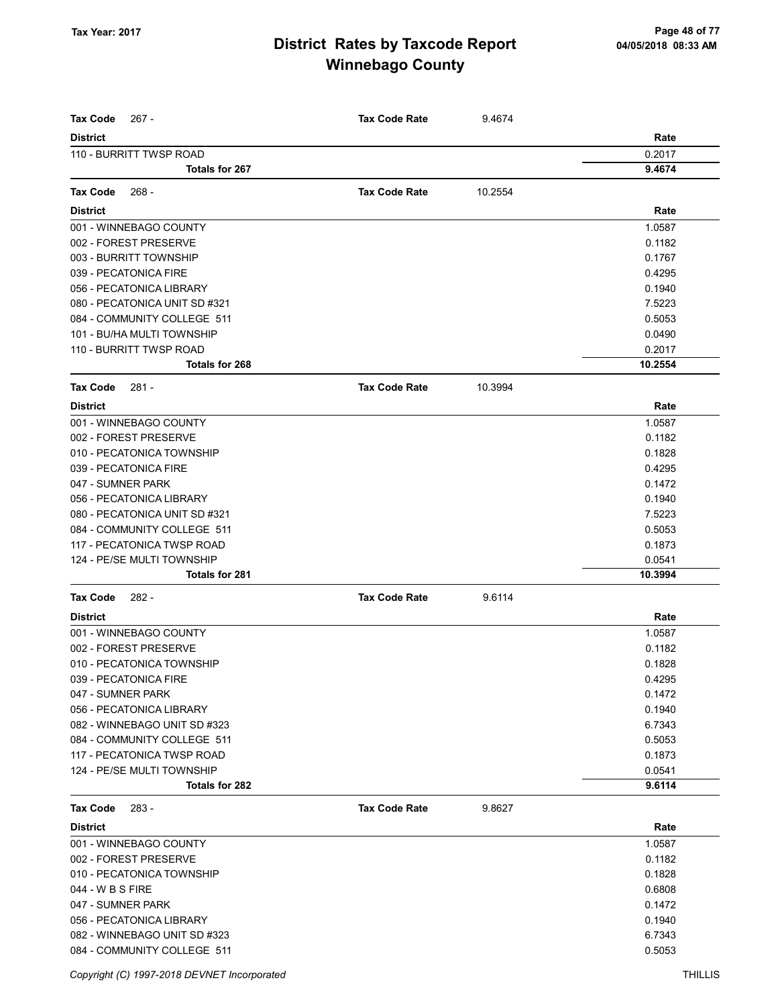| <b>Tax Code</b><br>267 -      | <b>Tax Code Rate</b> | 9.4674  |         |
|-------------------------------|----------------------|---------|---------|
| <b>District</b>               |                      |         | Rate    |
| 110 - BURRITT TWSP ROAD       |                      |         | 0.2017  |
| <b>Totals for 267</b>         |                      |         | 9.4674  |
|                               |                      |         |         |
| <b>Tax Code</b><br>268 -      | <b>Tax Code Rate</b> | 10.2554 |         |
| <b>District</b>               |                      |         | Rate    |
| 001 - WINNEBAGO COUNTY        |                      |         | 1.0587  |
| 002 - FOREST PRESERVE         |                      |         | 0.1182  |
| 003 - BURRITT TOWNSHIP        |                      |         | 0.1767  |
| 039 - PECATONICA FIRE         |                      |         | 0.4295  |
| 056 - PECATONICA LIBRARY      |                      |         | 0.1940  |
| 080 - PECATONICA UNIT SD #321 |                      |         | 7.5223  |
| 084 - COMMUNITY COLLEGE 511   |                      |         | 0.5053  |
| 101 - BU/HA MULTI TOWNSHIP    |                      |         | 0.0490  |
| 110 - BURRITT TWSP ROAD       |                      |         | 0.2017  |
| Totals for 268                |                      |         | 10.2554 |
| <b>Tax Code</b><br>281 -      | <b>Tax Code Rate</b> | 10.3994 |         |
| <b>District</b>               |                      |         | Rate    |
| 001 - WINNEBAGO COUNTY        |                      |         | 1.0587  |
| 002 - FOREST PRESERVE         |                      |         | 0.1182  |
| 010 - PECATONICA TOWNSHIP     |                      |         | 0.1828  |
| 039 - PECATONICA FIRE         |                      |         | 0.4295  |
| 047 - SUMNER PARK             |                      |         | 0.1472  |
| 056 - PECATONICA LIBRARY      |                      |         | 0.1940  |
| 080 - PECATONICA UNIT SD #321 |                      |         | 7.5223  |
| 084 - COMMUNITY COLLEGE 511   |                      |         | 0.5053  |
| 117 - PECATONICA TWSP ROAD    |                      |         | 0.1873  |
| 124 - PE/SE MULTI TOWNSHIP    |                      |         | 0.0541  |
| <b>Totals for 281</b>         |                      |         | 10.3994 |
| <b>Tax Code</b><br>282 -      | <b>Tax Code Rate</b> | 9.6114  |         |
| <b>District</b>               |                      |         | Rate    |
| 001 - WINNEBAGO COUNTY        |                      |         | 1.0587  |
| 002 - FOREST PRESERVE         |                      |         | 0.1182  |
| 010 - PECATONICA TOWNSHIP     |                      |         | 0.1828  |
| 039 - PECATONICA FIRE         |                      |         | 0.4295  |
| 047 - SUMNER PARK             |                      |         | 0.1472  |
| 056 - PECATONICA LIBRARY      |                      |         | 0.1940  |
| 082 - WINNEBAGO UNIT SD #323  |                      |         | 6.7343  |
| 084 - COMMUNITY COLLEGE 511   |                      |         | 0.5053  |
| 117 - PECATONICA TWSP ROAD    |                      |         | 0.1873  |
| 124 - PE/SE MULTI TOWNSHIP    |                      |         | 0.0541  |
| Totals for 282                |                      |         | 9.6114  |
| <b>Tax Code</b><br>283 -      | <b>Tax Code Rate</b> | 9.8627  |         |
| <b>District</b>               |                      |         | Rate    |
| 001 - WINNEBAGO COUNTY        |                      |         | 1.0587  |
| 002 - FOREST PRESERVE         |                      |         | 0.1182  |
| 010 - PECATONICA TOWNSHIP     |                      |         | 0.1828  |
| 044 - W B S FIRE              |                      |         | 0.6808  |
| 047 - SUMNER PARK             |                      |         | 0.1472  |
| 056 - PECATONICA LIBRARY      |                      |         | 0.1940  |
| 082 - WINNEBAGO UNIT SD #323  |                      |         | 6.7343  |
| 084 - COMMUNITY COLLEGE 511   |                      |         | 0.5053  |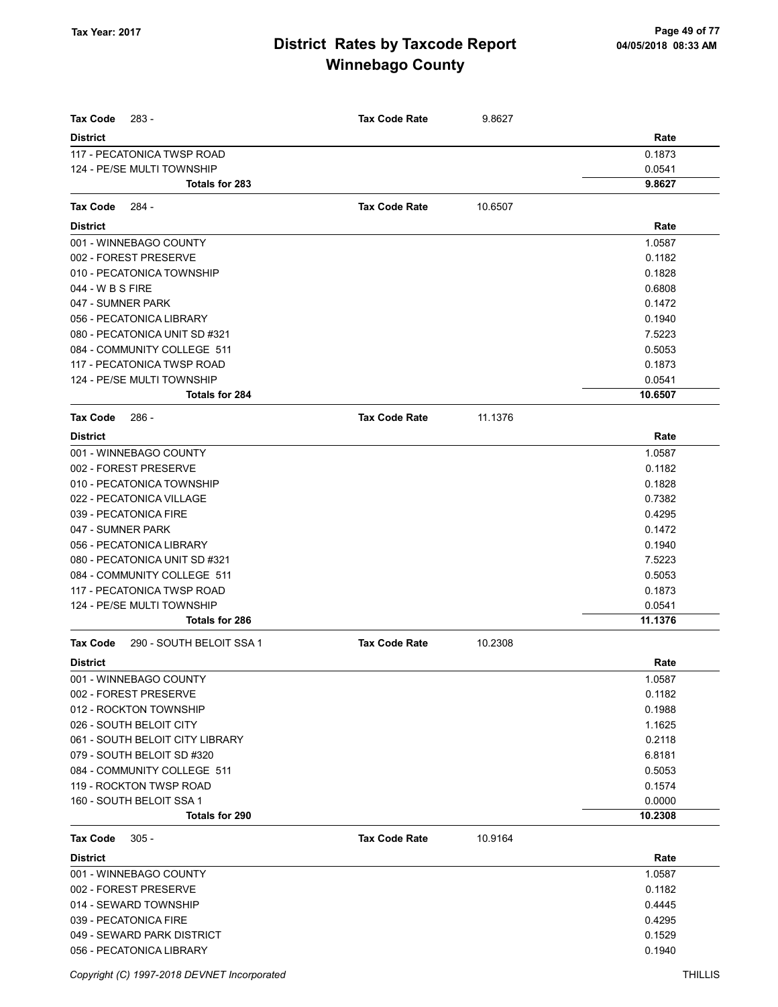| Tax Code<br>283 -                           | <b>Tax Code Rate</b> | 9.8627  |         |
|---------------------------------------------|----------------------|---------|---------|
| <b>District</b>                             |                      |         | Rate    |
| 117 - PECATONICA TWSP ROAD                  |                      |         | 0.1873  |
| 124 - PE/SE MULTI TOWNSHIP                  |                      |         | 0.0541  |
| Totals for 283                              |                      |         | 9.8627  |
| <b>Tax Code</b><br>284 -                    | <b>Tax Code Rate</b> | 10.6507 |         |
| <b>District</b>                             |                      |         | Rate    |
| 001 - WINNEBAGO COUNTY                      |                      |         | 1.0587  |
| 002 - FOREST PRESERVE                       |                      |         | 0.1182  |
| 010 - PECATONICA TOWNSHIP                   |                      |         | 0.1828  |
| 044 - W B S FIRE                            |                      |         | 0.6808  |
| 047 - SUMNER PARK                           |                      |         | 0.1472  |
| 056 - PECATONICA LIBRARY                    |                      |         | 0.1940  |
| 080 - PECATONICA UNIT SD #321               |                      |         | 7.5223  |
| 084 - COMMUNITY COLLEGE 511                 |                      |         | 0.5053  |
| 117 - PECATONICA TWSP ROAD                  |                      |         | 0.1873  |
| 124 - PE/SE MULTI TOWNSHIP                  |                      |         | 0.0541  |
| <b>Totals for 284</b>                       |                      |         | 10.6507 |
| <b>Tax Code</b><br>286 -                    | <b>Tax Code Rate</b> | 11.1376 |         |
| <b>District</b>                             |                      |         | Rate    |
| 001 - WINNEBAGO COUNTY                      |                      |         | 1.0587  |
| 002 - FOREST PRESERVE                       |                      |         | 0.1182  |
| 010 - PECATONICA TOWNSHIP                   |                      |         | 0.1828  |
| 022 - PECATONICA VILLAGE                    |                      |         | 0.7382  |
| 039 - PECATONICA FIRE                       |                      |         | 0.4295  |
| 047 - SUMNER PARK                           |                      |         | 0.1472  |
| 056 - PECATONICA LIBRARY                    |                      |         | 0.1940  |
| 080 - PECATONICA UNIT SD #321               |                      |         | 7.5223  |
| 084 - COMMUNITY COLLEGE 511                 |                      |         | 0.5053  |
| 117 - PECATONICA TWSP ROAD                  |                      |         | 0.1873  |
| 124 - PE/SE MULTI TOWNSHIP                  |                      |         | 0.0541  |
| Totals for 286                              |                      |         | 11.1376 |
| <b>Tax Code</b><br>290 - SOUTH BELOIT SSA 1 | <b>Tax Code Rate</b> | 10.2308 |         |
| <b>District</b>                             |                      |         | Rate    |
| 001 - WINNEBAGO COUNTY                      |                      |         | 1.0587  |
| 002 - FOREST PRESERVE                       |                      |         | 0.1182  |
| 012 - ROCKTON TOWNSHIP                      |                      |         | 0.1988  |
| 026 - SOUTH BELOIT CITY                     |                      |         | 1.1625  |
| 061 - SOUTH BELOIT CITY LIBRARY             |                      |         | 0.2118  |
| 079 - SOUTH BELOIT SD #320                  |                      |         | 6.8181  |
| 084 - COMMUNITY COLLEGE 511                 |                      |         | 0.5053  |
| 119 - ROCKTON TWSP ROAD                     |                      |         | 0.1574  |
| 160 - SOUTH BELOIT SSA 1                    |                      |         | 0.0000  |
| <b>Totals for 290</b>                       |                      |         | 10.2308 |
| <b>Tax Code</b><br>$305 -$                  | <b>Tax Code Rate</b> | 10.9164 |         |
| <b>District</b>                             |                      |         | Rate    |
| 001 - WINNEBAGO COUNTY                      |                      |         | 1.0587  |
| 002 - FOREST PRESERVE                       |                      |         | 0.1182  |
| 014 - SEWARD TOWNSHIP                       |                      |         | 0.4445  |
| 039 - PECATONICA FIRE                       |                      |         | 0.4295  |
| 049 - SEWARD PARK DISTRICT                  |                      |         | 0.1529  |
| 056 - PECATONICA LIBRARY                    |                      |         | 0.1940  |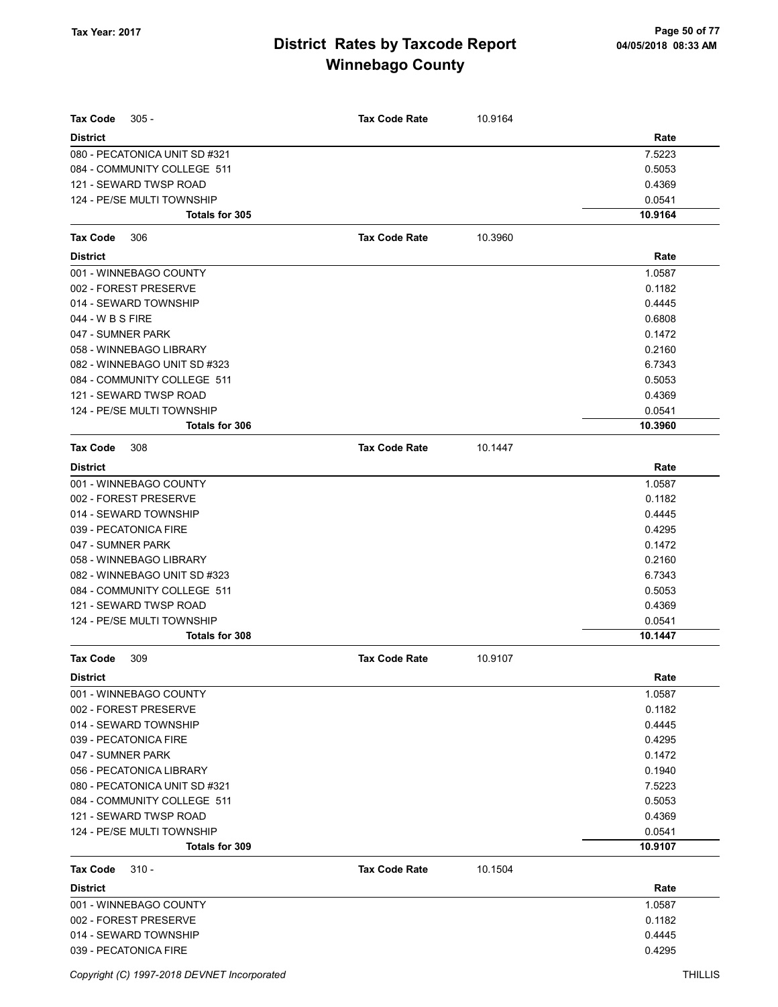| <b>Tax Code</b><br>$305 -$                                   | <b>Tax Code Rate</b> | 10.9164 |         |
|--------------------------------------------------------------|----------------------|---------|---------|
| <b>District</b>                                              |                      |         | Rate    |
|                                                              |                      |         | 7.5223  |
| 080 - PECATONICA UNIT SD #321<br>084 - COMMUNITY COLLEGE 511 |                      |         | 0.5053  |
| 121 - SEWARD TWSP ROAD                                       |                      |         | 0.4369  |
| 124 - PE/SE MULTI TOWNSHIP                                   |                      |         | 0.0541  |
| Totals for 305                                               |                      |         | 10.9164 |
|                                                              |                      |         |         |
| <b>Tax Code</b><br>306                                       | <b>Tax Code Rate</b> | 10.3960 |         |
| <b>District</b>                                              |                      |         | Rate    |
| 001 - WINNEBAGO COUNTY                                       |                      |         | 1.0587  |
| 002 - FOREST PRESERVE                                        |                      |         | 0.1182  |
| 014 - SEWARD TOWNSHIP                                        |                      |         | 0.4445  |
| 044 - W B S FIRE                                             |                      |         | 0.6808  |
| 047 - SUMNER PARK                                            |                      |         | 0.1472  |
| 058 - WINNEBAGO LIBRARY                                      |                      |         | 0.2160  |
| 082 - WINNEBAGO UNIT SD #323                                 |                      |         | 6.7343  |
| 084 - COMMUNITY COLLEGE 511                                  |                      |         | 0.5053  |
| 121 - SEWARD TWSP ROAD                                       |                      |         | 0.4369  |
| 124 - PE/SE MULTI TOWNSHIP                                   |                      |         | 0.0541  |
| <b>Totals for 306</b>                                        |                      |         | 10.3960 |
| <b>Tax Code</b><br>308                                       | <b>Tax Code Rate</b> | 10.1447 |         |
| <b>District</b>                                              |                      |         | Rate    |
| 001 - WINNEBAGO COUNTY                                       |                      |         | 1.0587  |
| 002 - FOREST PRESERVE                                        |                      |         | 0.1182  |
| 014 - SEWARD TOWNSHIP                                        |                      |         | 0.4445  |
| 039 - PECATONICA FIRE                                        |                      |         | 0.4295  |
| 047 - SUMNER PARK                                            |                      |         | 0.1472  |
| 058 - WINNEBAGO LIBRARY                                      |                      |         | 0.2160  |
| 082 - WINNEBAGO UNIT SD #323                                 |                      |         | 6.7343  |
| 084 - COMMUNITY COLLEGE 511                                  |                      |         | 0.5053  |
| 121 - SEWARD TWSP ROAD                                       |                      |         | 0.4369  |
| 124 - PE/SE MULTI TOWNSHIP                                   |                      |         | 0.0541  |
| <b>Totals for 308</b>                                        |                      |         | 10.1447 |
| <b>Tax Code</b><br>309                                       | <b>Tax Code Rate</b> | 10.9107 |         |
| <b>District</b>                                              |                      |         | Rate    |
| 001 - WINNEBAGO COUNTY                                       |                      |         | 1.0587  |
| 002 - FOREST PRESERVE                                        |                      |         | 0.1182  |
| 014 - SEWARD TOWNSHIP                                        |                      |         | 0.4445  |
| 039 - PECATONICA FIRE                                        |                      |         | 0.4295  |
| 047 - SUMNER PARK                                            |                      |         | 0.1472  |
| 056 - PECATONICA LIBRARY                                     |                      |         | 0.1940  |
| 080 - PECATONICA UNIT SD #321                                |                      |         | 7.5223  |
| 084 - COMMUNITY COLLEGE 511                                  |                      |         | 0.5053  |
| 121 - SEWARD TWSP ROAD                                       |                      |         | 0.4369  |
| 124 - PE/SE MULTI TOWNSHIP                                   |                      |         | 0.0541  |
| Totals for 309                                               |                      |         | 10.9107 |
| <b>Tax Code</b><br>$310 -$                                   | <b>Tax Code Rate</b> | 10.1504 |         |
| <b>District</b>                                              |                      |         | Rate    |
| 001 - WINNEBAGO COUNTY                                       |                      |         | 1.0587  |
| 002 - FOREST PRESERVE                                        |                      |         | 0.1182  |
| 014 - SEWARD TOWNSHIP                                        |                      |         | 0.4445  |
| 039 - PECATONICA FIRE                                        |                      |         | 0.4295  |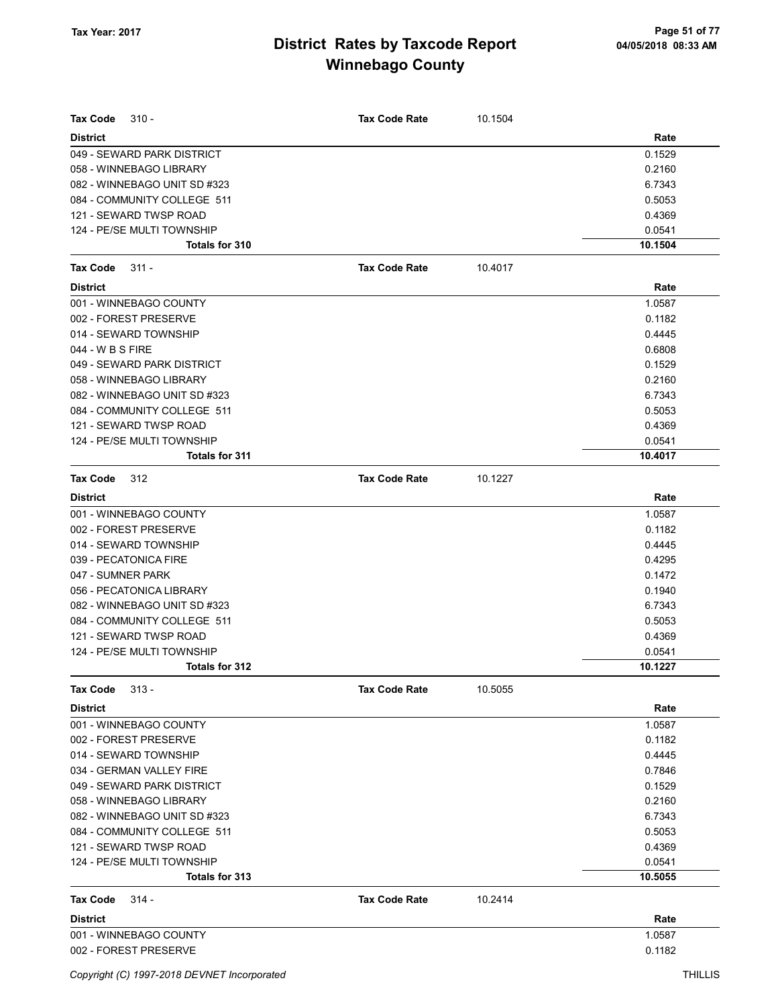| <b>Tax Code</b><br>$310 -$   | <b>Tax Code Rate</b> | 10.1504 |         |
|------------------------------|----------------------|---------|---------|
| <b>District</b>              |                      |         | Rate    |
| 049 - SEWARD PARK DISTRICT   |                      |         | 0.1529  |
| 058 - WINNEBAGO LIBRARY      |                      |         | 0.2160  |
| 082 - WINNEBAGO UNIT SD #323 |                      |         | 6.7343  |
| 084 - COMMUNITY COLLEGE 511  |                      |         | 0.5053  |
| 121 - SEWARD TWSP ROAD       |                      |         | 0.4369  |
| 124 - PE/SE MULTI TOWNSHIP   |                      |         | 0.0541  |
| Totals for 310               |                      |         | 10.1504 |
| <b>Tax Code</b><br>$311 -$   | <b>Tax Code Rate</b> | 10.4017 |         |
| <b>District</b>              |                      |         | Rate    |
| 001 - WINNEBAGO COUNTY       |                      |         | 1.0587  |
| 002 - FOREST PRESERVE        |                      |         | 0.1182  |
| 014 - SEWARD TOWNSHIP        |                      |         | 0.4445  |
| 044 - W B S FIRE             |                      |         | 0.6808  |
| 049 - SEWARD PARK DISTRICT   |                      |         | 0.1529  |
| 058 - WINNEBAGO LIBRARY      |                      |         | 0.2160  |
| 082 - WINNEBAGO UNIT SD #323 |                      |         | 6.7343  |
| 084 - COMMUNITY COLLEGE 511  |                      |         | 0.5053  |
| 121 - SEWARD TWSP ROAD       |                      |         | 0.4369  |
| 124 - PE/SE MULTI TOWNSHIP   |                      |         | 0.0541  |
| Totals for 311               |                      |         | 10.4017 |
| <b>Tax Code</b><br>312       | <b>Tax Code Rate</b> | 10.1227 |         |
| <b>District</b>              |                      |         | Rate    |
| 001 - WINNEBAGO COUNTY       |                      |         | 1.0587  |
| 002 - FOREST PRESERVE        |                      |         | 0.1182  |
| 014 - SEWARD TOWNSHIP        |                      |         | 0.4445  |
| 039 - PECATONICA FIRE        |                      |         | 0.4295  |
| 047 - SUMNER PARK            |                      |         | 0.1472  |
| 056 - PECATONICA LIBRARY     |                      |         | 0.1940  |
| 082 - WINNEBAGO UNIT SD #323 |                      |         | 6.7343  |
| 084 - COMMUNITY COLLEGE 511  |                      |         | 0.5053  |
| 121 - SEWARD TWSP ROAD       |                      |         | 0.4369  |
| 124 - PE/SE MULTI TOWNSHIP   |                      |         | 0.0541  |
| Totals for 312               |                      |         | 10.1227 |
| Tax Code<br>$313 -$          | <b>Tax Code Rate</b> | 10.5055 |         |
| <b>District</b>              |                      |         | Rate    |
| 001 - WINNEBAGO COUNTY       |                      |         | 1.0587  |
| 002 - FOREST PRESERVE        |                      |         | 0.1182  |
| 014 - SEWARD TOWNSHIP        |                      |         | 0.4445  |
| 034 - GERMAN VALLEY FIRE     |                      |         | 0.7846  |
| 049 - SEWARD PARK DISTRICT   |                      |         | 0.1529  |
| 058 - WINNEBAGO LIBRARY      |                      |         | 0.2160  |
| 082 - WINNEBAGO UNIT SD #323 |                      |         | 6.7343  |
| 084 - COMMUNITY COLLEGE 511  |                      |         | 0.5053  |
| 121 - SEWARD TWSP ROAD       |                      |         | 0.4369  |
| 124 - PE/SE MULTI TOWNSHIP   |                      |         | 0.0541  |
| Totals for 313               |                      |         | 10.5055 |
| <b>Tax Code</b><br>$314 -$   | <b>Tax Code Rate</b> | 10.2414 |         |
| <b>District</b>              |                      |         | Rate    |
| 001 - WINNEBAGO COUNTY       |                      |         | 1.0587  |
| 002 - FOREST PRESERVE        |                      |         | 0.1182  |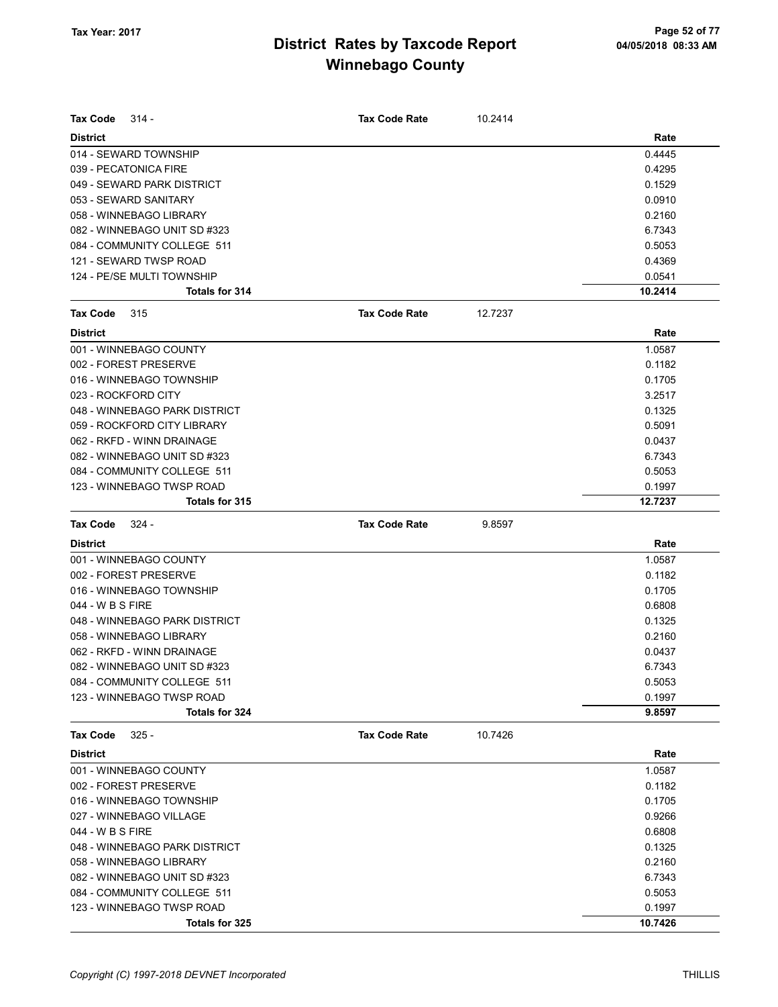| <b>Tax Code</b><br>314 -      | <b>Tax Code Rate</b> | 10.2414 |         |
|-------------------------------|----------------------|---------|---------|
| <b>District</b>               |                      |         | Rate    |
| 014 - SEWARD TOWNSHIP         |                      |         | 0.4445  |
| 039 - PECATONICA FIRE         |                      |         | 0.4295  |
| 049 - SEWARD PARK DISTRICT    |                      |         | 0.1529  |
| 053 - SEWARD SANITARY         |                      |         | 0.0910  |
| 058 - WINNEBAGO LIBRARY       |                      |         | 0.2160  |
| 082 - WINNEBAGO UNIT SD #323  |                      |         | 6.7343  |
| 084 - COMMUNITY COLLEGE 511   |                      |         | 0.5053  |
| 121 - SEWARD TWSP ROAD        |                      |         | 0.4369  |
| 124 - PE/SE MULTI TOWNSHIP    |                      |         | 0.0541  |
| Totals for 314                |                      |         | 10.2414 |
| <b>Tax Code</b><br>315        | <b>Tax Code Rate</b> | 12.7237 |         |
| <b>District</b>               |                      |         | Rate    |
| 001 - WINNEBAGO COUNTY        |                      |         | 1.0587  |
| 002 - FOREST PRESERVE         |                      |         | 0.1182  |
| 016 - WINNEBAGO TOWNSHIP      |                      |         | 0.1705  |
| 023 - ROCKFORD CITY           |                      |         | 3.2517  |
| 048 - WINNEBAGO PARK DISTRICT |                      |         | 0.1325  |
| 059 - ROCKFORD CITY LIBRARY   |                      |         | 0.5091  |
| 062 - RKFD - WINN DRAINAGE    |                      |         | 0.0437  |
| 082 - WINNEBAGO UNIT SD #323  |                      |         | 6.7343  |
| 084 - COMMUNITY COLLEGE 511   |                      |         | 0.5053  |
| 123 - WINNEBAGO TWSP ROAD     |                      |         | 0.1997  |
| Totals for 315                |                      |         | 12.7237 |
| <b>Tax Code</b><br>324 -      | <b>Tax Code Rate</b> | 9.8597  |         |
| <b>District</b>               |                      |         | Rate    |
| 001 - WINNEBAGO COUNTY        |                      |         | 1.0587  |
| 002 - FOREST PRESERVE         |                      |         | 0.1182  |
| 016 - WINNEBAGO TOWNSHIP      |                      |         | 0.1705  |
| 044 - W B S FIRE              |                      |         | 0.6808  |
| 048 - WINNEBAGO PARK DISTRICT |                      |         | 0.1325  |
| 058 - WINNEBAGO LIBRARY       |                      |         | 0.2160  |
| 062 - RKFD - WINN DRAINAGE    |                      |         | 0.0437  |
| 082 - WINNEBAGO UNIT SD #323  |                      |         | 6.7343  |
| 084 - COMMUNITY COLLEGE 511   |                      |         | 0.5053  |
| 123 - WINNEBAGO TWSP ROAD     |                      |         | 0.1997  |
| Totals for 324                |                      |         | 9.8597  |
| $325 -$<br><b>Tax Code</b>    | <b>Tax Code Rate</b> | 10.7426 |         |
| <b>District</b>               |                      |         | Rate    |
| 001 - WINNEBAGO COUNTY        |                      |         | 1.0587  |
| 002 - FOREST PRESERVE         |                      |         | 0.1182  |
| 016 - WINNEBAGO TOWNSHIP      |                      |         | 0.1705  |
| 027 - WINNEBAGO VILLAGE       |                      |         | 0.9266  |
| 044 - W B S FIRE              |                      |         | 0.6808  |
| 048 - WINNEBAGO PARK DISTRICT |                      |         | 0.1325  |
| 058 - WINNEBAGO LIBRARY       |                      |         | 0.2160  |
| 082 - WINNEBAGO UNIT SD #323  |                      |         | 6.7343  |
| 084 - COMMUNITY COLLEGE 511   |                      |         | 0.5053  |
| 123 - WINNEBAGO TWSP ROAD     |                      |         | 0.1997  |
| Totals for 325                |                      |         | 10.7426 |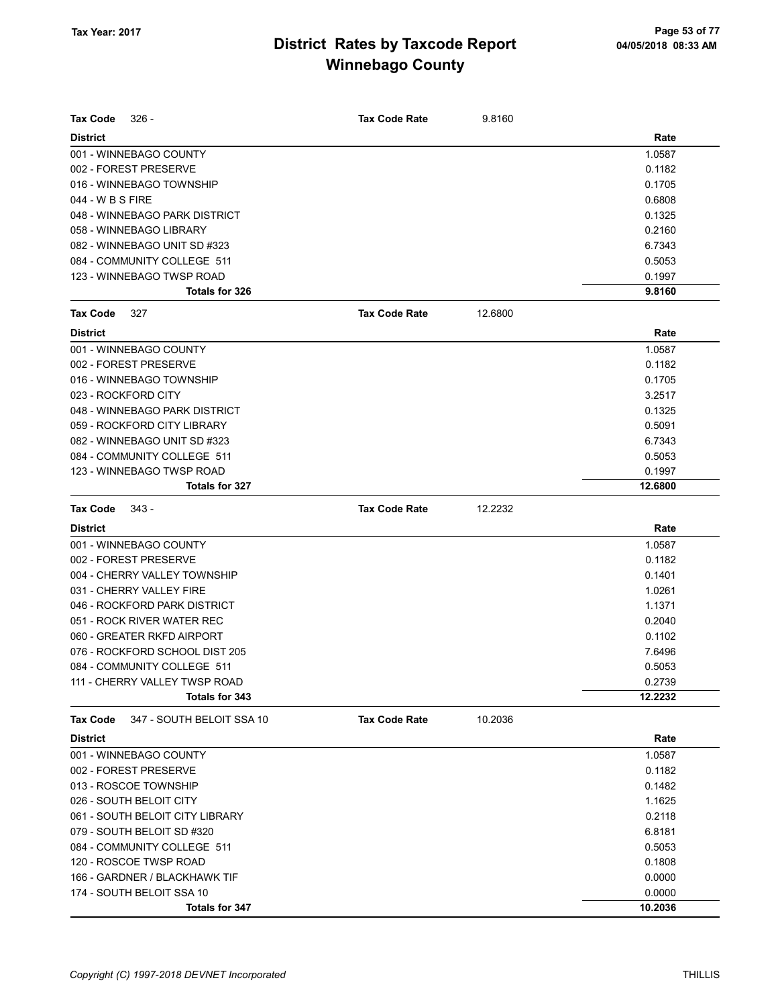| $326 -$<br>Tax Code                   | <b>Tax Code Rate</b> | 9.8160  |         |
|---------------------------------------|----------------------|---------|---------|
| <b>District</b>                       |                      |         | Rate    |
| 001 - WINNEBAGO COUNTY                |                      |         | 1.0587  |
| 002 - FOREST PRESERVE                 |                      |         | 0.1182  |
| 016 - WINNEBAGO TOWNSHIP              |                      |         | 0.1705  |
| 044 - W B S FIRE                      |                      |         | 0.6808  |
| 048 - WINNEBAGO PARK DISTRICT         |                      |         | 0.1325  |
| 058 - WINNEBAGO LIBRARY               |                      |         | 0.2160  |
| 082 - WINNEBAGO UNIT SD #323          |                      |         | 6.7343  |
| 084 - COMMUNITY COLLEGE 511           |                      |         | 0.5053  |
| 123 - WINNEBAGO TWSP ROAD             |                      |         | 0.1997  |
| <b>Totals for 326</b>                 |                      |         | 9.8160  |
| Tax Code<br>327                       | <b>Tax Code Rate</b> | 12.6800 |         |
| <b>District</b>                       |                      |         | Rate    |
| 001 - WINNEBAGO COUNTY                |                      |         | 1.0587  |
| 002 - FOREST PRESERVE                 |                      |         | 0.1182  |
| 016 - WINNEBAGO TOWNSHIP              |                      |         | 0.1705  |
| 023 - ROCKFORD CITY                   |                      |         | 3.2517  |
| 048 - WINNEBAGO PARK DISTRICT         |                      |         | 0.1325  |
| 059 - ROCKFORD CITY LIBRARY           |                      |         | 0.5091  |
| 082 - WINNEBAGO UNIT SD #323          |                      |         | 6.7343  |
| 084 - COMMUNITY COLLEGE 511           |                      |         | 0.5053  |
| 123 - WINNEBAGO TWSP ROAD             |                      |         | 0.1997  |
| <b>Totals for 327</b>                 |                      |         | 12.6800 |
| Tax Code<br>343 -                     | <b>Tax Code Rate</b> | 12.2232 |         |
| <b>District</b>                       |                      |         | Rate    |
| 001 - WINNEBAGO COUNTY                |                      |         | 1.0587  |
| 002 - FOREST PRESERVE                 |                      |         | 0.1182  |
| 004 - CHERRY VALLEY TOWNSHIP          |                      |         | 0.1401  |
| 031 - CHERRY VALLEY FIRE              |                      |         | 1.0261  |
| 046 - ROCKFORD PARK DISTRICT          |                      |         | 1.1371  |
| 051 - ROCK RIVER WATER REC            |                      |         | 0.2040  |
| 060 - GREATER RKFD AIRPORT            |                      |         | 0.1102  |
| 076 - ROCKFORD SCHOOL DIST 205        |                      |         | 7.6496  |
| 084 - COMMUNITY COLLEGE 511           |                      |         | 0.5053  |
| 111 - CHERRY VALLEY TWSP ROAD         |                      |         | 0.2739  |
| <b>Totals for 343</b>                 |                      |         | 12.2232 |
| Tax Code<br>347 - SOUTH BELOIT SSA 10 | <b>Tax Code Rate</b> | 10.2036 |         |
| <b>District</b>                       |                      |         | Rate    |
| 001 - WINNEBAGO COUNTY                |                      |         | 1.0587  |
| 002 - FOREST PRESERVE                 |                      |         | 0.1182  |
| 013 - ROSCOE TOWNSHIP                 |                      |         | 0.1482  |
| 026 - SOUTH BELOIT CITY               |                      |         | 1.1625  |
| 061 - SOUTH BELOIT CITY LIBRARY       |                      |         | 0.2118  |
| 079 - SOUTH BELOIT SD #320            |                      |         | 6.8181  |
| 084 - COMMUNITY COLLEGE 511           |                      |         | 0.5053  |
| 120 - ROSCOE TWSP ROAD                |                      |         | 0.1808  |
| 166 - GARDNER / BLACKHAWK TIF         |                      |         | 0.0000  |
| 174 - SOUTH BELOIT SSA 10             |                      |         | 0.0000  |
| Totals for 347                        |                      |         | 10.2036 |
|                                       |                      |         |         |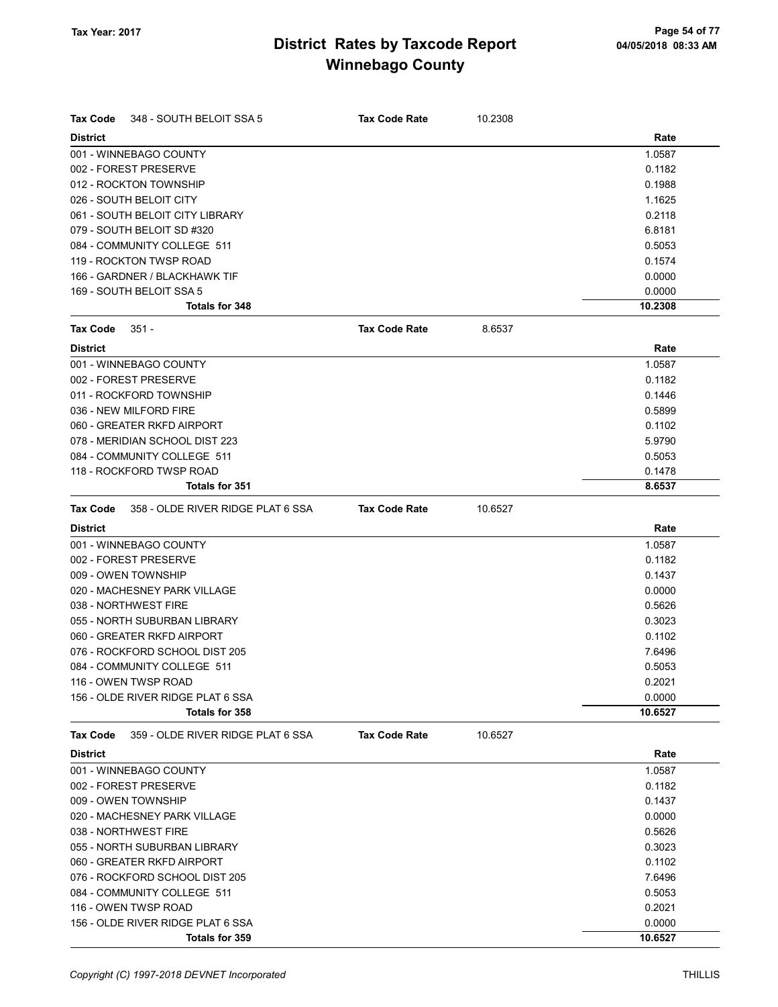| Tax Code        | 348 - SOUTH BELOIT SSA 5          | <b>Tax Code Rate</b> | 10.2308 |         |
|-----------------|-----------------------------------|----------------------|---------|---------|
| <b>District</b> |                                   |                      |         | Rate    |
|                 | 001 - WINNEBAGO COUNTY            |                      |         | 1.0587  |
|                 | 002 - FOREST PRESERVE             |                      |         | 0.1182  |
|                 | 012 - ROCKTON TOWNSHIP            |                      |         | 0.1988  |
|                 | 026 - SOUTH BELOIT CITY           |                      |         | 1.1625  |
|                 | 061 - SOUTH BELOIT CITY LIBRARY   |                      |         | 0.2118  |
|                 | 079 - SOUTH BELOIT SD #320        |                      |         | 6.8181  |
|                 | 084 - COMMUNITY COLLEGE 511       |                      |         | 0.5053  |
|                 | 119 - ROCKTON TWSP ROAD           |                      |         | 0.1574  |
|                 | 166 - GARDNER / BLACKHAWK TIF     |                      |         | 0.0000  |
|                 | 169 - SOUTH BELOIT SSA 5          |                      |         | 0.0000  |
|                 | Totals for 348                    |                      |         | 10.2308 |
| <b>Tax Code</b> | $351 -$                           | <b>Tax Code Rate</b> | 8.6537  |         |
| <b>District</b> |                                   |                      |         | Rate    |
|                 | 001 - WINNEBAGO COUNTY            |                      |         | 1.0587  |
|                 | 002 - FOREST PRESERVE             |                      |         | 0.1182  |
|                 | 011 - ROCKFORD TOWNSHIP           |                      |         | 0.1446  |
|                 | 036 - NEW MILFORD FIRE            |                      |         | 0.5899  |
|                 | 060 - GREATER RKFD AIRPORT        |                      |         | 0.1102  |
|                 | 078 - MERIDIAN SCHOOL DIST 223    |                      |         | 5.9790  |
|                 | 084 - COMMUNITY COLLEGE 511       |                      |         | 0.5053  |
|                 | 118 - ROCKFORD TWSP ROAD          |                      |         | 0.1478  |
|                 | Totals for 351                    |                      |         | 8.6537  |
| Tax Code        | 358 - OLDE RIVER RIDGE PLAT 6 SSA | <b>Tax Code Rate</b> | 10.6527 |         |
| <b>District</b> |                                   |                      |         | Rate    |
|                 | 001 - WINNEBAGO COUNTY            |                      |         | 1.0587  |
|                 | 002 - FOREST PRESERVE             |                      |         | 0.1182  |
|                 | 009 - OWEN TOWNSHIP               |                      |         | 0.1437  |
|                 | 020 - MACHESNEY PARK VILLAGE      |                      |         | 0.0000  |
|                 | 038 - NORTHWEST FIRE              |                      |         | 0.5626  |
|                 | 055 - NORTH SUBURBAN LIBRARY      |                      |         | 0.3023  |
|                 | 060 - GREATER RKFD AIRPORT        |                      |         | 0.1102  |
|                 | 076 - ROCKFORD SCHOOL DIST 205    |                      |         | 7.6496  |
|                 | 084 - COMMUNITY COLLEGE 511       |                      |         | 0.5053  |
|                 | 116 - OWEN TWSP ROAD              |                      |         | 0.2021  |
|                 | 156 - OLDE RIVER RIDGE PLAT 6 SSA |                      |         | 0.0000  |
|                 | Totals for 358                    |                      |         | 10.6527 |
| <b>Tax Code</b> | 359 - OLDE RIVER RIDGE PLAT 6 SSA | <b>Tax Code Rate</b> | 10.6527 |         |
| <b>District</b> |                                   |                      |         | Rate    |
|                 | 001 - WINNEBAGO COUNTY            |                      |         | 1.0587  |
|                 | 002 - FOREST PRESERVE             |                      |         | 0.1182  |
|                 | 009 - OWEN TOWNSHIP               |                      |         | 0.1437  |
|                 | 020 - MACHESNEY PARK VILLAGE      |                      |         | 0.0000  |
|                 | 038 - NORTHWEST FIRE              |                      |         | 0.5626  |
|                 | 055 - NORTH SUBURBAN LIBRARY      |                      |         | 0.3023  |
|                 | 060 - GREATER RKFD AIRPORT        |                      |         | 0.1102  |
|                 | 076 - ROCKFORD SCHOOL DIST 205    |                      |         | 7.6496  |
|                 | 084 - COMMUNITY COLLEGE 511       |                      |         | 0.5053  |
|                 | 116 - OWEN TWSP ROAD              |                      |         | 0.2021  |
|                 | 156 - OLDE RIVER RIDGE PLAT 6 SSA |                      |         | 0.0000  |
|                 | Totals for 359                    |                      |         | 10.6527 |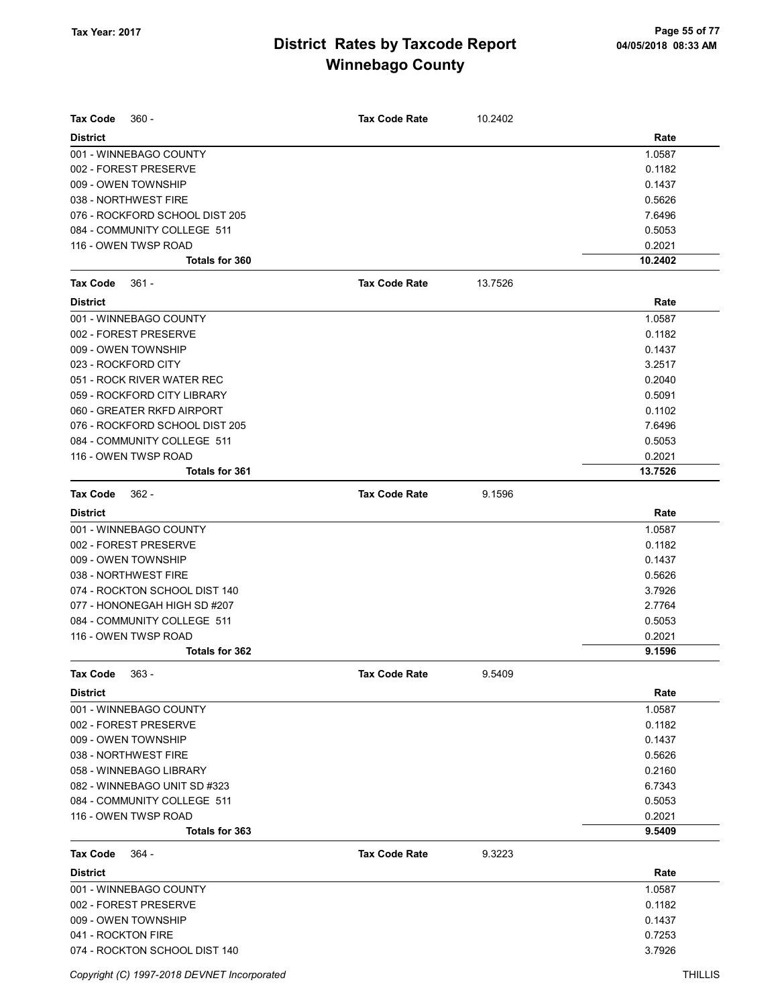| <b>Tax Code</b><br>360 -       | <b>Tax Code Rate</b> | 10.2402 |         |
|--------------------------------|----------------------|---------|---------|
| <b>District</b>                |                      |         | Rate    |
| 001 - WINNEBAGO COUNTY         |                      |         | 1.0587  |
| 002 - FOREST PRESERVE          |                      |         | 0.1182  |
| 009 - OWEN TOWNSHIP            |                      |         | 0.1437  |
| 038 - NORTHWEST FIRE           |                      |         | 0.5626  |
| 076 - ROCKFORD SCHOOL DIST 205 |                      |         | 7.6496  |
| 084 - COMMUNITY COLLEGE 511    |                      |         | 0.5053  |
| 116 - OWEN TWSP ROAD           |                      |         | 0.2021  |
| <b>Totals for 360</b>          |                      |         | 10.2402 |
| <b>Tax Code</b><br>$361 -$     | <b>Tax Code Rate</b> | 13.7526 |         |
| <b>District</b>                |                      |         | Rate    |
| 001 - WINNEBAGO COUNTY         |                      |         | 1.0587  |
| 002 - FOREST PRESERVE          |                      |         | 0.1182  |
| 009 - OWEN TOWNSHIP            |                      |         | 0.1437  |
| 023 - ROCKFORD CITY            |                      |         | 3.2517  |
| 051 - ROCK RIVER WATER REC     |                      |         | 0.2040  |
| 059 - ROCKFORD CITY LIBRARY    |                      |         | 0.5091  |
| 060 - GREATER RKFD AIRPORT     |                      |         | 0.1102  |
| 076 - ROCKFORD SCHOOL DIST 205 |                      |         | 7.6496  |
| 084 - COMMUNITY COLLEGE 511    |                      |         | 0.5053  |
| 116 - OWEN TWSP ROAD           |                      |         | 0.2021  |
| Totals for 361                 |                      |         | 13.7526 |
| <b>Tax Code</b><br>$362 -$     | <b>Tax Code Rate</b> | 9.1596  |         |
| <b>District</b>                |                      |         | Rate    |
| 001 - WINNEBAGO COUNTY         |                      |         | 1.0587  |
| 002 - FOREST PRESERVE          |                      |         | 0.1182  |
| 009 - OWEN TOWNSHIP            |                      |         | 0.1437  |
| 038 - NORTHWEST FIRE           |                      |         | 0.5626  |
| 074 - ROCKTON SCHOOL DIST 140  |                      |         | 3.7926  |
| 077 - HONONEGAH HIGH SD #207   |                      |         | 2.7764  |
| 084 - COMMUNITY COLLEGE 511    |                      |         | 0.5053  |
| 116 - OWEN TWSP ROAD           |                      |         | 0.2021  |
| <b>Totals for 362</b>          |                      |         | 9.1596  |
| Tax Code 363 -                 | <b>Tax Code Rate</b> | 9.5409  |         |
| <b>District</b>                |                      |         | Rate    |
| 001 - WINNEBAGO COUNTY         |                      |         | 1.0587  |
| 002 - FOREST PRESERVE          |                      |         | 0.1182  |
| 009 - OWEN TOWNSHIP            |                      |         | 0.1437  |
| 038 - NORTHWEST FIRE           |                      |         | 0.5626  |
| 058 - WINNEBAGO LIBRARY        |                      |         | 0.2160  |
| 082 - WINNEBAGO UNIT SD #323   |                      |         | 6.7343  |
| 084 - COMMUNITY COLLEGE 511    |                      |         | 0.5053  |
| 116 - OWEN TWSP ROAD           |                      |         | 0.2021  |
| Totals for 363                 |                      |         | 9.5409  |
| Tax Code<br>364 -              | <b>Tax Code Rate</b> | 9.3223  |         |
| <b>District</b>                |                      |         | Rate    |
| 001 - WINNEBAGO COUNTY         |                      |         | 1.0587  |
| 002 - FOREST PRESERVE          |                      |         | 0.1182  |
| 009 - OWEN TOWNSHIP            |                      |         | 0.1437  |
| 041 - ROCKTON FIRE             |                      |         | 0.7253  |
| 074 - ROCKTON SCHOOL DIST 140  |                      |         | 3.7926  |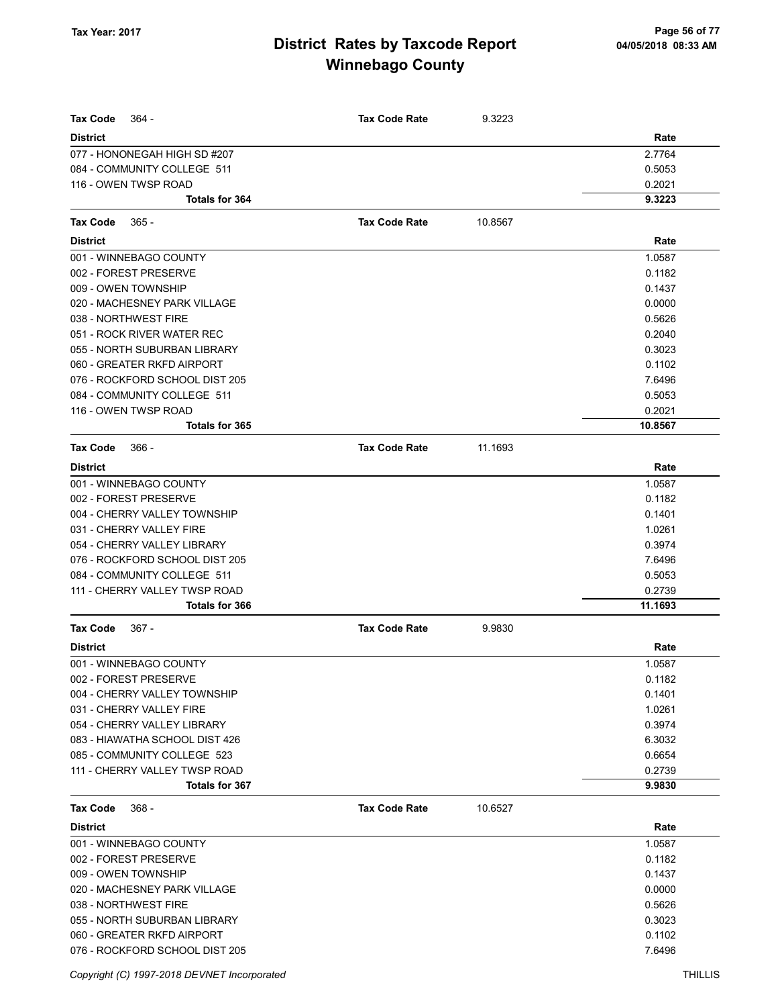| <b>Tax Code</b><br>$364 -$     | <b>Tax Code Rate</b> | 9.3223  |         |
|--------------------------------|----------------------|---------|---------|
| <b>District</b>                |                      |         | Rate    |
| 077 - HONONEGAH HIGH SD #207   |                      |         | 2.7764  |
| 084 - COMMUNITY COLLEGE 511    |                      |         | 0.5053  |
| 116 - OWEN TWSP ROAD           |                      |         | 0.2021  |
| Totals for 364                 |                      |         | 9.3223  |
| <b>Tax Code</b><br>$365 -$     | <b>Tax Code Rate</b> | 10.8567 |         |
| <b>District</b>                |                      |         | Rate    |
| 001 - WINNEBAGO COUNTY         |                      |         | 1.0587  |
| 002 - FOREST PRESERVE          |                      |         | 0.1182  |
| 009 - OWEN TOWNSHIP            |                      |         | 0.1437  |
| 020 - MACHESNEY PARK VILLAGE   |                      |         | 0.0000  |
| 038 - NORTHWEST FIRE           |                      |         | 0.5626  |
| 051 - ROCK RIVER WATER REC     |                      |         | 0.2040  |
| 055 - NORTH SUBURBAN LIBRARY   |                      |         | 0.3023  |
| 060 - GREATER RKFD AIRPORT     |                      |         | 0.1102  |
| 076 - ROCKFORD SCHOOL DIST 205 |                      |         | 7.6496  |
| 084 - COMMUNITY COLLEGE 511    |                      |         | 0.5053  |
| 116 - OWEN TWSP ROAD           |                      |         | 0.2021  |
| <b>Totals for 365</b>          |                      |         | 10.8567 |
| <b>Tax Code</b><br>$366 -$     | <b>Tax Code Rate</b> | 11.1693 |         |
| <b>District</b>                |                      |         | Rate    |
| 001 - WINNEBAGO COUNTY         |                      |         | 1.0587  |
| 002 - FOREST PRESERVE          |                      |         | 0.1182  |
| 004 - CHERRY VALLEY TOWNSHIP   |                      |         | 0.1401  |
| 031 - CHERRY VALLEY FIRE       |                      |         | 1.0261  |
| 054 - CHERRY VALLEY LIBRARY    |                      |         | 0.3974  |
| 076 - ROCKFORD SCHOOL DIST 205 |                      |         | 7.6496  |
| 084 - COMMUNITY COLLEGE 511    |                      |         | 0.5053  |
| 111 - CHERRY VALLEY TWSP ROAD  |                      |         | 0.2739  |
| <b>Totals for 366</b>          |                      |         | 11.1693 |
| $367 -$<br><b>Tax Code</b>     | <b>Tax Code Rate</b> | 9.9830  |         |
| <b>District</b>                |                      |         | Rate    |
| 001 - WINNEBAGO COUNTY         |                      |         | 1.0587  |
| 002 - FOREST PRESERVE          |                      |         | 0.1182  |
| 004 - CHERRY VALLEY TOWNSHIP   |                      |         | 0.1401  |
| 031 - CHERRY VALLEY FIRE       |                      |         | 1.0261  |
| 054 - CHERRY VALLEY LIBRARY    |                      |         | 0.3974  |
| 083 - HIAWATHA SCHOOL DIST 426 |                      |         | 6.3032  |
| 085 - COMMUNITY COLLEGE 523    |                      |         | 0.6654  |
| 111 - CHERRY VALLEY TWSP ROAD  |                      |         | 0.2739  |
| Totals for 367                 |                      |         | 9.9830  |
| <b>Tax Code</b><br>$368 -$     | <b>Tax Code Rate</b> | 10.6527 |         |
| <b>District</b>                |                      |         | Rate    |
| 001 - WINNEBAGO COUNTY         |                      |         | 1.0587  |
| 002 - FOREST PRESERVE          |                      |         | 0.1182  |
| 009 - OWEN TOWNSHIP            |                      |         | 0.1437  |
| 020 - MACHESNEY PARK VILLAGE   |                      |         | 0.0000  |
| 038 - NORTHWEST FIRE           |                      |         | 0.5626  |
| 055 - NORTH SUBURBAN LIBRARY   |                      |         | 0.3023  |
| 060 - GREATER RKFD AIRPORT     |                      |         | 0.1102  |
| 076 - ROCKFORD SCHOOL DIST 205 |                      |         | 7.6496  |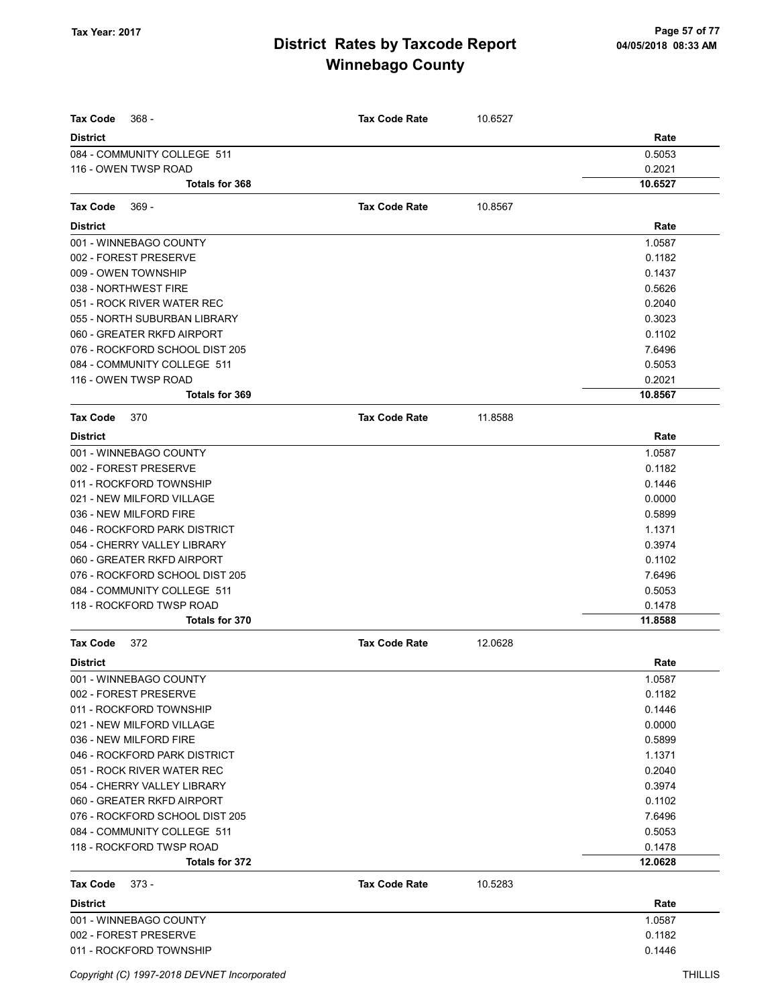| <b>Tax Code</b><br>368 -                                      | <b>Tax Code Rate</b> | 10.6527 |                  |
|---------------------------------------------------------------|----------------------|---------|------------------|
| <b>District</b>                                               |                      |         | Rate             |
| 084 - COMMUNITY COLLEGE 511                                   |                      |         | 0.5053           |
| 116 - OWEN TWSP ROAD                                          |                      |         | 0.2021           |
| <b>Totals for 368</b>                                         |                      |         | 10.6527          |
| <b>Tax Code</b><br>$369 -$                                    | <b>Tax Code Rate</b> | 10.8567 |                  |
| <b>District</b>                                               |                      |         | Rate             |
| 001 - WINNEBAGO COUNTY                                        |                      |         | 1.0587           |
| 002 - FOREST PRESERVE                                         |                      |         | 0.1182           |
| 009 - OWEN TOWNSHIP                                           |                      |         | 0.1437           |
| 038 - NORTHWEST FIRE                                          |                      |         | 0.5626           |
| 051 - ROCK RIVER WATER REC                                    |                      |         | 0.2040           |
| 055 - NORTH SUBURBAN LIBRARY                                  |                      |         | 0.3023           |
| 060 - GREATER RKFD AIRPORT                                    |                      |         | 0.1102           |
| 076 - ROCKFORD SCHOOL DIST 205                                |                      |         | 7.6496           |
| 084 - COMMUNITY COLLEGE 511                                   |                      |         | 0.5053           |
| 116 - OWEN TWSP ROAD                                          |                      |         | 0.2021           |
| <b>Totals for 369</b>                                         |                      |         | 10.8567          |
| <b>Tax Code</b><br>370                                        | <b>Tax Code Rate</b> | 11.8588 |                  |
|                                                               |                      |         |                  |
| <b>District</b>                                               |                      |         | Rate             |
| 001 - WINNEBAGO COUNTY<br>002 - FOREST PRESERVE               |                      |         | 1.0587           |
|                                                               |                      |         | 0.1182           |
| 011 - ROCKFORD TOWNSHIP                                       |                      |         | 0.1446           |
| 021 - NEW MILFORD VILLAGE                                     |                      |         | 0.0000           |
| 036 - NEW MILFORD FIRE                                        |                      |         | 0.5899           |
| 046 - ROCKFORD PARK DISTRICT                                  |                      |         | 1.1371<br>0.3974 |
| 054 - CHERRY VALLEY LIBRARY                                   |                      |         |                  |
| 060 - GREATER RKFD AIRPORT                                    |                      |         | 0.1102           |
| 076 - ROCKFORD SCHOOL DIST 205<br>084 - COMMUNITY COLLEGE 511 |                      |         | 7.6496<br>0.5053 |
| 118 - ROCKFORD TWSP ROAD                                      |                      |         | 0.1478           |
| Totals for 370                                                |                      |         | 11.8588          |
| 372                                                           |                      |         |                  |
| <b>Tax Code</b>                                               | <b>Tax Code Rate</b> | 12.0628 |                  |
| <b>District</b><br>001 - WINNEBAGO COUNTY                     |                      |         | Rate<br>1.0587   |
| 002 - FOREST PRESERVE                                         |                      |         | 0.1182           |
| 011 - ROCKFORD TOWNSHIP                                       |                      |         | 0.1446           |
| 021 - NEW MILFORD VILLAGE                                     |                      |         | 0.0000           |
| 036 - NEW MILFORD FIRE                                        |                      |         | 0.5899           |
| 046 - ROCKFORD PARK DISTRICT                                  |                      |         | 1.1371           |
| 051 - ROCK RIVER WATER REC                                    |                      |         | 0.2040           |
| 054 - CHERRY VALLEY LIBRARY                                   |                      |         | 0.3974           |
| 060 - GREATER RKFD AIRPORT                                    |                      |         | 0.1102           |
| 076 - ROCKFORD SCHOOL DIST 205                                |                      |         | 7.6496           |
| 084 - COMMUNITY COLLEGE 511                                   |                      |         | 0.5053           |
| 118 - ROCKFORD TWSP ROAD                                      |                      |         | 0.1478           |
| Totals for 372                                                |                      |         | 12.0628          |
|                                                               |                      |         |                  |
| <b>Tax Code</b><br>373 -                                      | <b>Tax Code Rate</b> | 10.5283 |                  |
| <b>District</b>                                               |                      |         | Rate             |
| 001 - WINNEBAGO COUNTY                                        |                      |         | 1.0587           |
| 002 - FOREST PRESERVE                                         |                      |         | 0.1182           |
| 011 - ROCKFORD TOWNSHIP                                       |                      |         | 0.1446           |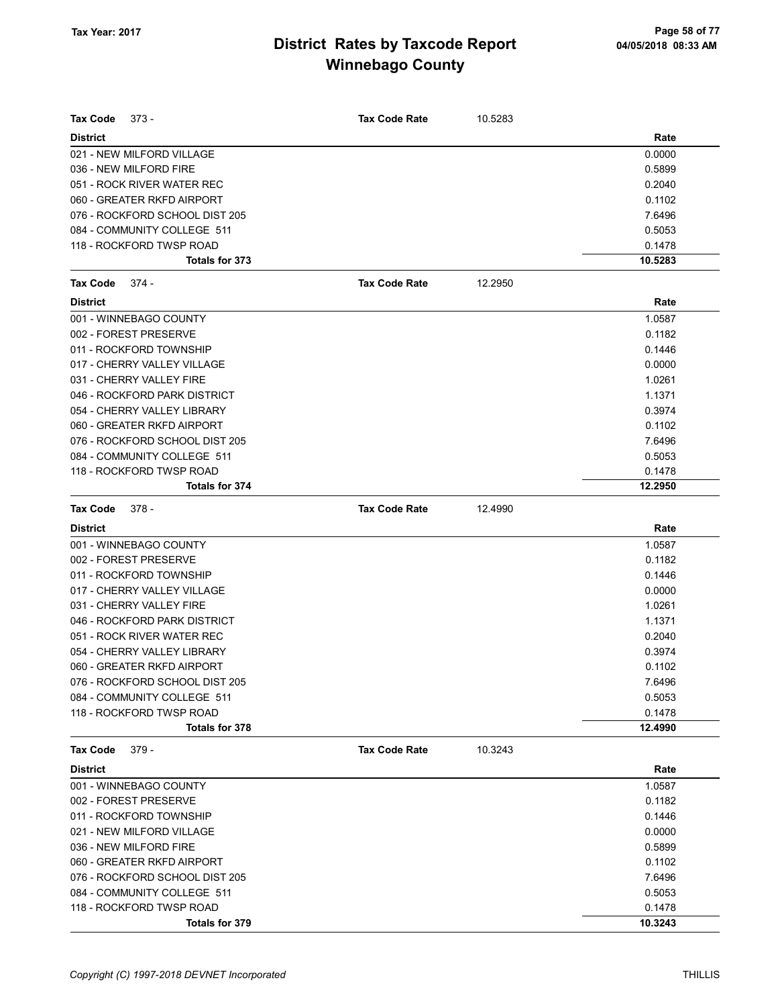| <b>Tax Code</b><br>373 -       | <b>Tax Code Rate</b> | 10.5283 |         |
|--------------------------------|----------------------|---------|---------|
| <b>District</b>                |                      |         | Rate    |
| 021 - NEW MILFORD VILLAGE      |                      |         | 0.0000  |
| 036 - NEW MILFORD FIRE         |                      |         | 0.5899  |
| 051 - ROCK RIVER WATER REC     |                      |         | 0.2040  |
| 060 - GREATER RKFD AIRPORT     |                      |         | 0.1102  |
| 076 - ROCKFORD SCHOOL DIST 205 |                      |         | 7.6496  |
| 084 - COMMUNITY COLLEGE 511    |                      |         | 0.5053  |
| 118 - ROCKFORD TWSP ROAD       |                      |         | 0.1478  |
| Totals for 373                 |                      |         | 10.5283 |
| Tax Code<br>374 -              | <b>Tax Code Rate</b> | 12.2950 |         |
| <b>District</b>                |                      |         | Rate    |
| 001 - WINNEBAGO COUNTY         |                      |         | 1.0587  |
| 002 - FOREST PRESERVE          |                      |         | 0.1182  |
| 011 - ROCKFORD TOWNSHIP        |                      |         | 0.1446  |
| 017 - CHERRY VALLEY VILLAGE    |                      |         | 0.0000  |
| 031 - CHERRY VALLEY FIRE       |                      |         | 1.0261  |
| 046 - ROCKFORD PARK DISTRICT   |                      |         | 1.1371  |
| 054 - CHERRY VALLEY LIBRARY    |                      |         | 0.3974  |
| 060 - GREATER RKFD AIRPORT     |                      |         | 0.1102  |
| 076 - ROCKFORD SCHOOL DIST 205 |                      |         | 7.6496  |
| 084 - COMMUNITY COLLEGE 511    |                      |         | 0.5053  |
| 118 - ROCKFORD TWSP ROAD       |                      |         | 0.1478  |
| Totals for 374                 |                      |         | 12.2950 |
| <b>Tax Code</b><br>378 -       | <b>Tax Code Rate</b> | 12.4990 |         |
| <b>District</b>                |                      |         | Rate    |
| 001 - WINNEBAGO COUNTY         |                      |         | 1.0587  |
| 002 - FOREST PRESERVE          |                      |         | 0.1182  |
| 011 - ROCKFORD TOWNSHIP        |                      |         | 0.1446  |
| 017 - CHERRY VALLEY VILLAGE    |                      |         | 0.0000  |
| 031 - CHERRY VALLEY FIRE       |                      |         | 1.0261  |
| 046 - ROCKFORD PARK DISTRICT   |                      |         | 1.1371  |
| 051 - ROCK RIVER WATER REC     |                      |         | 0.2040  |
| 054 - CHERRY VALLEY LIBRARY    |                      |         | 0.3974  |
| 060 - GREATER RKFD AIRPORT     |                      |         | 0.1102  |
| 076 - ROCKFORD SCHOOL DIST 205 |                      |         | 7.6496  |
| 084 - COMMUNITY COLLEGE 511    |                      |         | 0.5053  |
| 118 - ROCKFORD TWSP ROAD       |                      |         | 0.1478  |
| Totals for 378                 |                      |         | 12.4990 |
| $379 -$<br>Tax Code            | <b>Tax Code Rate</b> | 10.3243 |         |
| <b>District</b>                |                      |         | Rate    |
| 001 - WINNEBAGO COUNTY         |                      |         | 1.0587  |
| 002 - FOREST PRESERVE          |                      |         | 0.1182  |
| 011 - ROCKFORD TOWNSHIP        |                      |         | 0.1446  |
| 021 - NEW MILFORD VILLAGE      |                      |         | 0.0000  |
| 036 - NEW MILFORD FIRE         |                      |         | 0.5899  |
| 060 - GREATER RKFD AIRPORT     |                      |         | 0.1102  |
| 076 - ROCKFORD SCHOOL DIST 205 |                      |         | 7.6496  |
| 084 - COMMUNITY COLLEGE 511    |                      |         | 0.5053  |
| 118 - ROCKFORD TWSP ROAD       |                      |         | 0.1478  |
| Totals for 379                 |                      |         | 10.3243 |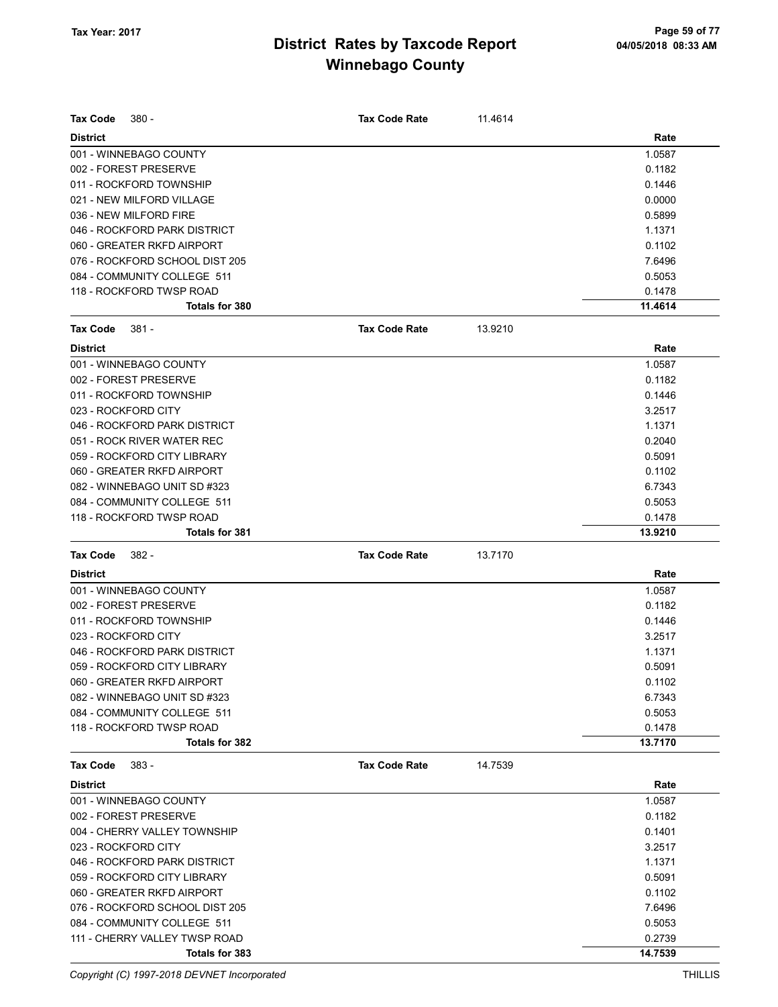| <b>Tax Code</b><br>$380 -$     | <b>Tax Code Rate</b> | 11.4614 |         |
|--------------------------------|----------------------|---------|---------|
| <b>District</b>                |                      |         | Rate    |
| 001 - WINNEBAGO COUNTY         |                      |         | 1.0587  |
| 002 - FOREST PRESERVE          |                      |         | 0.1182  |
| 011 - ROCKFORD TOWNSHIP        |                      |         | 0.1446  |
| 021 - NEW MILFORD VILLAGE      |                      |         | 0.0000  |
| 036 - NEW MILFORD FIRE         |                      |         | 0.5899  |
| 046 - ROCKFORD PARK DISTRICT   |                      |         | 1.1371  |
| 060 - GREATER RKFD AIRPORT     |                      |         | 0.1102  |
| 076 - ROCKFORD SCHOOL DIST 205 |                      |         | 7.6496  |
| 084 - COMMUNITY COLLEGE 511    |                      |         | 0.5053  |
| 118 - ROCKFORD TWSP ROAD       |                      |         | 0.1478  |
| <b>Totals for 380</b>          |                      |         | 11.4614 |
| <b>Tax Code</b><br>381 -       | <b>Tax Code Rate</b> | 13.9210 |         |
| <b>District</b>                |                      |         | Rate    |
| 001 - WINNEBAGO COUNTY         |                      |         | 1.0587  |
| 002 - FOREST PRESERVE          |                      |         | 0.1182  |
| 011 - ROCKFORD TOWNSHIP        |                      |         | 0.1446  |
| 023 - ROCKFORD CITY            |                      |         | 3.2517  |
| 046 - ROCKFORD PARK DISTRICT   |                      |         | 1.1371  |
| 051 - ROCK RIVER WATER REC     |                      |         | 0.2040  |
| 059 - ROCKFORD CITY LIBRARY    |                      |         | 0.5091  |
| 060 - GREATER RKFD AIRPORT     |                      |         | 0.1102  |
| 082 - WINNEBAGO UNIT SD #323   |                      |         | 6.7343  |
| 084 - COMMUNITY COLLEGE 511    |                      |         | 0.5053  |
| 118 - ROCKFORD TWSP ROAD       |                      |         | 0.1478  |
| <b>Totals for 381</b>          |                      |         | 13.9210 |
| <b>Tax Code</b><br>382 -       | <b>Tax Code Rate</b> | 13.7170 |         |
| <b>District</b>                |                      |         | Rate    |
| 001 - WINNEBAGO COUNTY         |                      |         | 1.0587  |
| 002 - FOREST PRESERVE          |                      |         | 0.1182  |
| 011 - ROCKFORD TOWNSHIP        |                      |         | 0.1446  |
| 023 - ROCKFORD CITY            |                      |         | 3.2517  |
| 046 - ROCKFORD PARK DISTRICT   |                      |         | 1.1371  |
| 059 - ROCKFORD CITY LIBRARY    |                      |         | 0.5091  |
| 060 - GREATER RKFD AIRPORT     |                      |         | 0.1102  |
| 082 - WINNEBAGO UNIT SD #323   |                      |         | 6.7343  |
| 084 - COMMUNITY COLLEGE 511    |                      |         | 0.5053  |
| 118 - ROCKFORD TWSP ROAD       |                      |         | 0.1478  |
| Totals for 382                 |                      |         | 13.7170 |
| <b>Tax Code</b><br>383 -       | <b>Tax Code Rate</b> | 14.7539 |         |
| <b>District</b>                |                      |         | Rate    |
| 001 - WINNEBAGO COUNTY         |                      |         | 1.0587  |
| 002 - FOREST PRESERVE          |                      |         |         |
| 004 - CHERRY VALLEY TOWNSHIP   |                      |         | 0.1182  |
|                                |                      |         | 0.1401  |
| 023 - ROCKFORD CITY            |                      |         | 3.2517  |
| 046 - ROCKFORD PARK DISTRICT   |                      |         | 1.1371  |
| 059 - ROCKFORD CITY LIBRARY    |                      |         | 0.5091  |
| 060 - GREATER RKFD AIRPORT     |                      |         | 0.1102  |
| 076 - ROCKFORD SCHOOL DIST 205 |                      |         | 7.6496  |
| 084 - COMMUNITY COLLEGE 511    |                      |         | 0.5053  |
| 111 - CHERRY VALLEY TWSP ROAD  |                      |         | 0.2739  |

Copyright (C) 1997-2018 DEVNET Incorporated THILLIS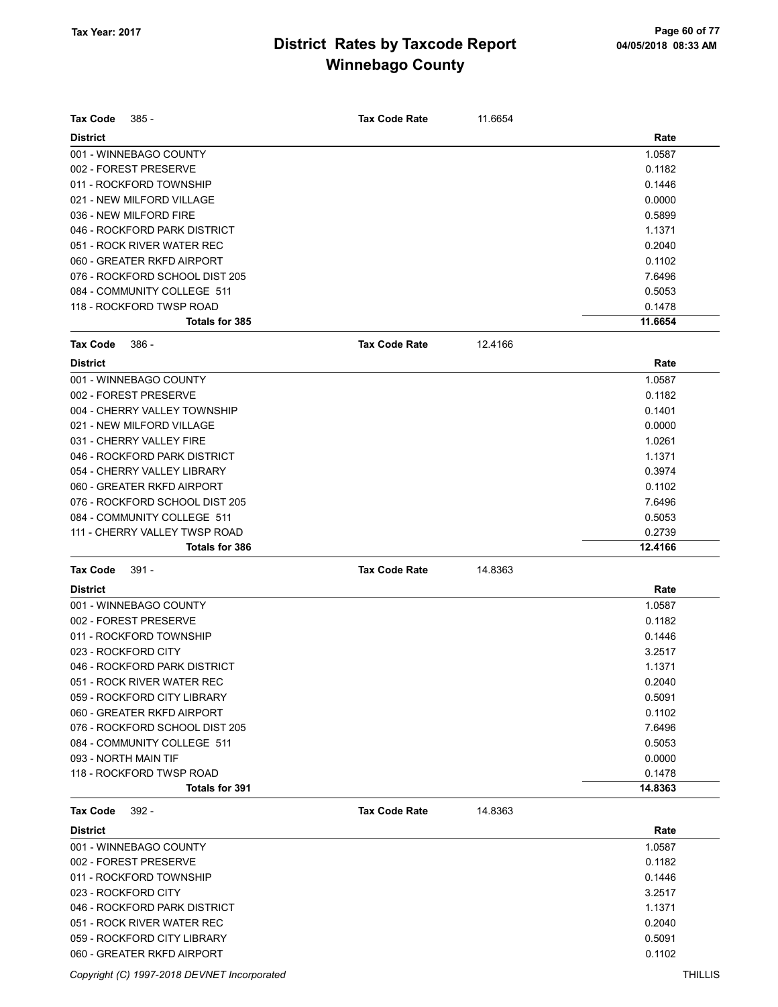| <b>Tax Code</b><br>385 -                          | <b>Tax Code Rate</b> | 11.6654 |                   |
|---------------------------------------------------|----------------------|---------|-------------------|
| <b>District</b>                                   |                      |         | Rate              |
| 001 - WINNEBAGO COUNTY                            |                      |         | 1.0587            |
| 002 - FOREST PRESERVE                             |                      |         | 0.1182            |
| 011 - ROCKFORD TOWNSHIP                           |                      |         | 0.1446            |
| 021 - NEW MILFORD VILLAGE                         |                      |         | 0.0000            |
| 036 - NEW MILFORD FIRE                            |                      |         | 0.5899            |
| 046 - ROCKFORD PARK DISTRICT                      |                      |         | 1.1371            |
| 051 - ROCK RIVER WATER REC                        |                      |         | 0.2040            |
| 060 - GREATER RKFD AIRPORT                        |                      |         | 0.1102            |
| 076 - ROCKFORD SCHOOL DIST 205                    |                      |         | 7.6496            |
| 084 - COMMUNITY COLLEGE 511                       |                      |         | 0.5053            |
| 118 - ROCKFORD TWSP ROAD<br><b>Totals for 385</b> |                      |         | 0.1478<br>11.6654 |
|                                                   |                      |         |                   |
| <b>Tax Code</b><br>386 -                          | <b>Tax Code Rate</b> | 12.4166 |                   |
| <b>District</b>                                   |                      |         | Rate              |
| 001 - WINNEBAGO COUNTY                            |                      |         | 1.0587            |
| 002 - FOREST PRESERVE                             |                      |         | 0.1182            |
| 004 - CHERRY VALLEY TOWNSHIP                      |                      |         | 0.1401            |
| 021 - NEW MILFORD VILLAGE                         |                      |         | 0.0000            |
| 031 - CHERRY VALLEY FIRE                          |                      |         | 1.0261            |
| 046 - ROCKFORD PARK DISTRICT                      |                      |         | 1.1371            |
| 054 - CHERRY VALLEY LIBRARY                       |                      |         | 0.3974            |
| 060 - GREATER RKFD AIRPORT                        |                      |         | 0.1102            |
| 076 - ROCKFORD SCHOOL DIST 205                    |                      |         | 7.6496            |
| 084 - COMMUNITY COLLEGE 511                       |                      |         | 0.5053            |
| 111 - CHERRY VALLEY TWSP ROAD                     |                      |         | 0.2739            |
| Totals for 386                                    |                      |         |                   |
|                                                   |                      |         | 12.4166           |
| <b>Tax Code</b><br>391 -                          | <b>Tax Code Rate</b> | 14.8363 |                   |
| <b>District</b>                                   |                      |         | Rate              |
| 001 - WINNEBAGO COUNTY                            |                      |         | 1.0587            |
| 002 - FOREST PRESERVE                             |                      |         | 0.1182            |
| 011 - ROCKFORD TOWNSHIP                           |                      |         | 0.1446            |
| 023 - ROCKFORD CITY                               |                      |         | 3.2517            |
| 046 - ROCKFORD PARK DISTRICT                      |                      |         | 1.1371            |
| 051 - ROCK RIVER WATER REC                        |                      |         | 0.2040            |
| 059 - ROCKFORD CITY LIBRARY                       |                      |         | 0.5091            |
| 060 - GREATER RKFD AIRPORT                        |                      |         | 0.1102            |
| 076 - ROCKFORD SCHOOL DIST 205                    |                      |         | 7.6496            |
| 084 - COMMUNITY COLLEGE 511                       |                      |         | 0.5053            |
| 093 - NORTH MAIN TIF                              |                      |         | 0.0000            |
| 118 - ROCKFORD TWSP ROAD                          |                      |         | 0.1478            |
| Totals for 391                                    |                      |         | 14.8363           |
| <b>Tax Code</b><br>392 -                          | <b>Tax Code Rate</b> | 14.8363 |                   |
| <b>District</b>                                   |                      |         | Rate              |
| 001 - WINNEBAGO COUNTY                            |                      |         | 1.0587            |
| 002 - FOREST PRESERVE                             |                      |         | 0.1182            |
| 011 - ROCKFORD TOWNSHIP                           |                      |         | 0.1446            |
| 023 - ROCKFORD CITY                               |                      |         | 3.2517            |
| 046 - ROCKFORD PARK DISTRICT                      |                      |         | 1.1371            |
| 051 - ROCK RIVER WATER REC                        |                      |         | 0.2040            |
| 059 - ROCKFORD CITY LIBRARY                       |                      |         | 0.5091            |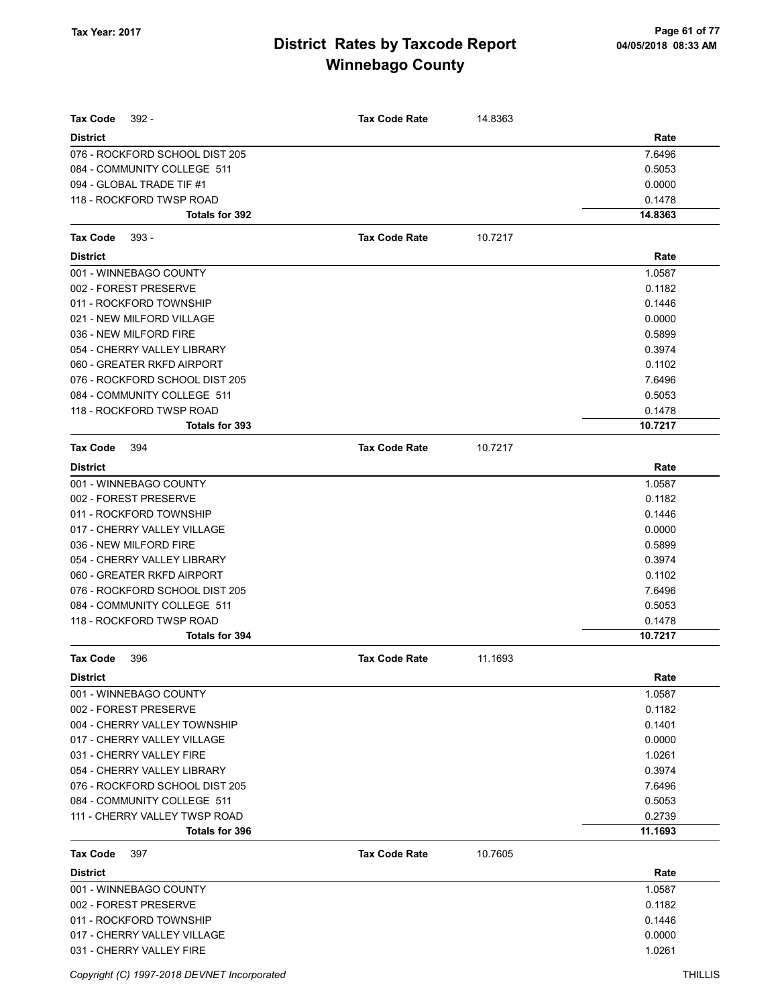| <b>Tax Code</b><br>$392 -$     | <b>Tax Code Rate</b> | 14.8363 |         |
|--------------------------------|----------------------|---------|---------|
| <b>District</b>                |                      |         | Rate    |
| 076 - ROCKFORD SCHOOL DIST 205 |                      |         | 7.6496  |
| 084 - COMMUNITY COLLEGE 511    |                      |         | 0.5053  |
| 094 - GLOBAL TRADE TIF #1      |                      |         | 0.0000  |
| 118 - ROCKFORD TWSP ROAD       |                      |         | 0.1478  |
| Totals for 392                 |                      |         | 14.8363 |
| Tax Code<br>393 -              | <b>Tax Code Rate</b> | 10.7217 |         |
| <b>District</b>                |                      |         | Rate    |
| 001 - WINNEBAGO COUNTY         |                      |         | 1.0587  |
| 002 - FOREST PRESERVE          |                      |         | 0.1182  |
| 011 - ROCKFORD TOWNSHIP        |                      |         | 0.1446  |
| 021 - NEW MILFORD VILLAGE      |                      |         | 0.0000  |
| 036 - NEW MILFORD FIRE         |                      |         | 0.5899  |
| 054 - CHERRY VALLEY LIBRARY    |                      |         | 0.3974  |
| 060 - GREATER RKFD AIRPORT     |                      |         | 0.1102  |
| 076 - ROCKFORD SCHOOL DIST 205 |                      |         | 7.6496  |
| 084 - COMMUNITY COLLEGE 511    |                      |         | 0.5053  |
| 118 - ROCKFORD TWSP ROAD       |                      |         | 0.1478  |
| <b>Totals for 393</b>          |                      |         | 10.7217 |
| <b>Tax Code</b><br>394         | <b>Tax Code Rate</b> | 10.7217 |         |
| <b>District</b>                |                      |         | Rate    |
| 001 - WINNEBAGO COUNTY         |                      |         | 1.0587  |
| 002 - FOREST PRESERVE          |                      |         | 0.1182  |
| 011 - ROCKFORD TOWNSHIP        |                      |         | 0.1446  |
| 017 - CHERRY VALLEY VILLAGE    |                      |         | 0.0000  |
| 036 - NEW MILFORD FIRE         |                      |         | 0.5899  |
| 054 - CHERRY VALLEY LIBRARY    |                      |         | 0.3974  |
| 060 - GREATER RKFD AIRPORT     |                      |         | 0.1102  |
| 076 - ROCKFORD SCHOOL DIST 205 |                      |         | 7.6496  |
| 084 - COMMUNITY COLLEGE 511    |                      |         | 0.5053  |
| 118 - ROCKFORD TWSP ROAD       |                      |         | 0.1478  |
| <b>Totals for 394</b>          |                      |         | 10.7217 |
| <b>Tax Code</b><br>396         | <b>Tax Code Rate</b> | 11.1693 |         |
| <b>District</b>                |                      |         | Rate    |
| 001 - WINNEBAGO COUNTY         |                      |         | 1.0587  |
| 002 - FOREST PRESERVE          |                      |         | 0.1182  |
| 004 - CHERRY VALLEY TOWNSHIP   |                      |         | 0.1401  |
| 017 - CHERRY VALLEY VILLAGE    |                      |         | 0.0000  |
| 031 - CHERRY VALLEY FIRE       |                      |         | 1.0261  |
| 054 - CHERRY VALLEY LIBRARY    |                      |         | 0.3974  |
| 076 - ROCKFORD SCHOOL DIST 205 |                      |         | 7.6496  |
| 084 - COMMUNITY COLLEGE 511    |                      |         | 0.5053  |
| 111 - CHERRY VALLEY TWSP ROAD  |                      |         | 0.2739  |
| Totals for 396                 |                      |         | 11.1693 |
| <b>Tax Code</b><br>397         | <b>Tax Code Rate</b> | 10.7605 |         |
| <b>District</b>                |                      |         | Rate    |
| 001 - WINNEBAGO COUNTY         |                      |         | 1.0587  |
| 002 - FOREST PRESERVE          |                      |         | 0.1182  |
| 011 - ROCKFORD TOWNSHIP        |                      |         | 0.1446  |
| 017 - CHERRY VALLEY VILLAGE    |                      |         | 0.0000  |
| 031 - CHERRY VALLEY FIRE       |                      |         | 1.0261  |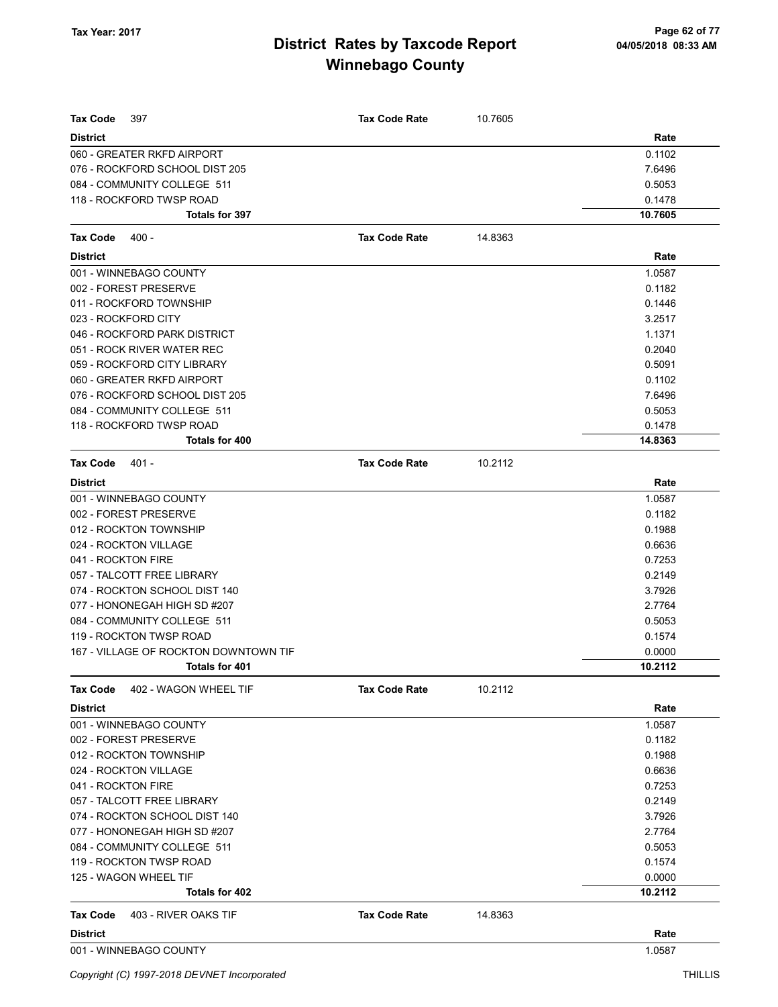| <b>Tax Code</b><br>397                | <b>Tax Code Rate</b> | 10.7605 |         |
|---------------------------------------|----------------------|---------|---------|
| <b>District</b>                       |                      |         | Rate    |
| 060 - GREATER RKFD AIRPORT            |                      |         | 0.1102  |
| 076 - ROCKFORD SCHOOL DIST 205        |                      |         | 7.6496  |
| 084 - COMMUNITY COLLEGE 511           |                      |         | 0.5053  |
| 118 - ROCKFORD TWSP ROAD              |                      |         | 0.1478  |
| Totals for 397                        |                      |         | 10.7605 |
| $400 -$<br>Tax Code                   | <b>Tax Code Rate</b> | 14.8363 |         |
| <b>District</b>                       |                      |         | Rate    |
| 001 - WINNEBAGO COUNTY                |                      |         | 1.0587  |
| 002 - FOREST PRESERVE                 |                      |         | 0.1182  |
| 011 - ROCKFORD TOWNSHIP               |                      |         | 0.1446  |
| 023 - ROCKFORD CITY                   |                      |         | 3.2517  |
| 046 - ROCKFORD PARK DISTRICT          |                      |         | 1.1371  |
| 051 - ROCK RIVER WATER REC            |                      |         | 0.2040  |
| 059 - ROCKFORD CITY LIBRARY           |                      |         | 0.5091  |
| 060 - GREATER RKFD AIRPORT            |                      |         | 0.1102  |
| 076 - ROCKFORD SCHOOL DIST 205        |                      |         | 7.6496  |
| 084 - COMMUNITY COLLEGE 511           |                      |         | 0.5053  |
| 118 - ROCKFORD TWSP ROAD              |                      |         | 0.1478  |
| Totals for 400                        |                      |         | 14.8363 |
| <b>Tax Code</b><br>401 -              | <b>Tax Code Rate</b> | 10.2112 |         |
| <b>District</b>                       |                      |         | Rate    |
| 001 - WINNEBAGO COUNTY                |                      |         | 1.0587  |
| 002 - FOREST PRESERVE                 |                      |         | 0.1182  |
| 012 - ROCKTON TOWNSHIP                |                      |         | 0.1988  |
| 024 - ROCKTON VILLAGE                 |                      |         | 0.6636  |
| 041 - ROCKTON FIRE                    |                      |         | 0.7253  |
| 057 - TALCOTT FREE LIBRARY            |                      |         | 0.2149  |
| 074 - ROCKTON SCHOOL DIST 140         |                      |         | 3.7926  |
| 077 - HONONEGAH HIGH SD #207          |                      |         | 2.7764  |
| 084 - COMMUNITY COLLEGE 511           |                      |         | 0.5053  |
| 119 - ROCKTON TWSP ROAD               |                      |         | 0.1574  |
| 167 - VILLAGE OF ROCKTON DOWNTOWN TIF |                      |         | 0.0000  |
| Totals for 401                        |                      |         | 10.2112 |
| Tax Code<br>402 - WAGON WHEEL TIF     | <b>Tax Code Rate</b> | 10.2112 |         |
| <b>District</b>                       |                      |         | Rate    |
| 001 - WINNEBAGO COUNTY                |                      |         | 1.0587  |
| 002 - FOREST PRESERVE                 |                      |         | 0.1182  |
| 012 - ROCKTON TOWNSHIP                |                      |         | 0.1988  |
| 024 - ROCKTON VILLAGE                 |                      |         | 0.6636  |
| 041 - ROCKTON FIRE                    |                      |         | 0.7253  |
| 057 - TALCOTT FREE LIBRARY            |                      |         | 0.2149  |
| 074 - ROCKTON SCHOOL DIST 140         |                      |         | 3.7926  |
| 077 - HONONEGAH HIGH SD #207          |                      |         | 2.7764  |
| 084 - COMMUNITY COLLEGE 511           |                      |         | 0.5053  |
| 119 - ROCKTON TWSP ROAD               |                      |         | 0.1574  |
| 125 - WAGON WHEEL TIF                 |                      |         | 0.0000  |
| Totals for 402                        |                      |         | 10.2112 |
| 403 - RIVER OAKS TIF<br>Tax Code      | <b>Tax Code Rate</b> | 14.8363 |         |
| <b>District</b>                       |                      |         | Rate    |
| 001 - WINNEBAGO COUNTY                |                      |         | 1.0587  |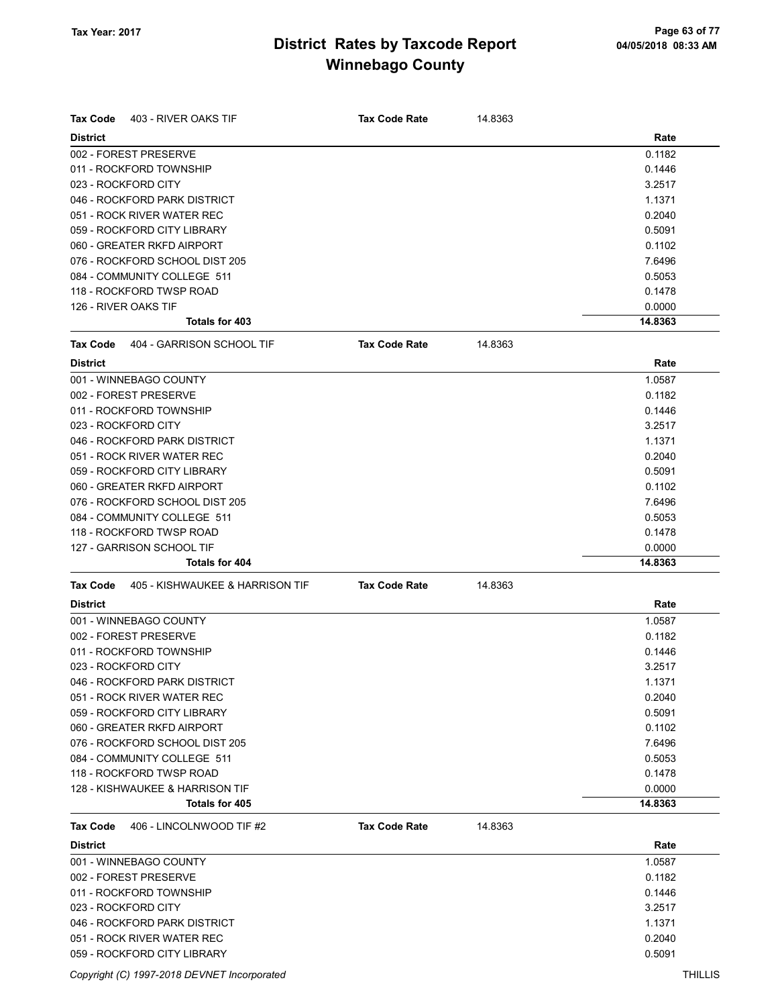| <b>Tax Code</b><br>403 - RIVER OAKS TIF            | <b>Tax Code Rate</b> | 14.8363 |         |
|----------------------------------------------------|----------------------|---------|---------|
| <b>District</b>                                    |                      |         | Rate    |
| 002 - FOREST PRESERVE                              |                      |         | 0.1182  |
| 011 - ROCKFORD TOWNSHIP                            |                      |         | 0.1446  |
| 023 - ROCKFORD CITY                                |                      |         | 3.2517  |
| 046 - ROCKFORD PARK DISTRICT                       |                      |         | 1.1371  |
| 051 - ROCK RIVER WATER REC                         |                      |         | 0.2040  |
| 059 - ROCKFORD CITY LIBRARY                        |                      |         | 0.5091  |
| 060 - GREATER RKFD AIRPORT                         |                      |         | 0.1102  |
| 076 - ROCKFORD SCHOOL DIST 205                     |                      |         | 7.6496  |
| 084 - COMMUNITY COLLEGE 511                        |                      |         | 0.5053  |
| 118 - ROCKFORD TWSP ROAD                           |                      |         | 0.1478  |
| 126 - RIVER OAKS TIF                               |                      |         | 0.0000  |
| <b>Totals for 403</b>                              |                      |         | 14.8363 |
| 404 - GARRISON SCHOOL TIF<br><b>Tax Code</b>       | <b>Tax Code Rate</b> | 14.8363 |         |
| <b>District</b>                                    |                      |         | Rate    |
| 001 - WINNEBAGO COUNTY                             |                      |         | 1.0587  |
| 002 - FOREST PRESERVE                              |                      |         | 0.1182  |
| 011 - ROCKFORD TOWNSHIP                            |                      |         | 0.1446  |
| 023 - ROCKFORD CITY                                |                      |         | 3.2517  |
| 046 - ROCKFORD PARK DISTRICT                       |                      |         | 1.1371  |
| 051 - ROCK RIVER WATER REC                         |                      |         | 0.2040  |
| 059 - ROCKFORD CITY LIBRARY                        |                      |         | 0.5091  |
| 060 - GREATER RKFD AIRPORT                         |                      |         | 0.1102  |
| 076 - ROCKFORD SCHOOL DIST 205                     |                      |         | 7.6496  |
| 084 - COMMUNITY COLLEGE 511                        |                      |         | 0.5053  |
| 118 - ROCKFORD TWSP ROAD                           |                      |         | 0.1478  |
| 127 - GARRISON SCHOOL TIF                          |                      |         | 0.0000  |
| <b>Totals for 404</b>                              |                      |         | 14.8363 |
| <b>Tax Code</b><br>405 - KISHWAUKEE & HARRISON TIF | <b>Tax Code Rate</b> | 14.8363 |         |
| <b>District</b>                                    |                      |         | Rate    |
| 001 - WINNEBAGO COUNTY                             |                      |         | 1.0587  |
| 002 - FOREST PRESERVE                              |                      |         | 0.1182  |
| 011 - ROCKFORD TOWNSHIP                            |                      |         | 0.1446  |
| 023 - ROCKFORD CITY                                |                      |         | 3.2517  |
| 046 - ROCKFORD PARK DISTRICT                       |                      |         | 1.1371  |
| 051 - ROCK RIVER WATER REC                         |                      |         | 0.2040  |
| 059 - ROCKFORD CITY LIBRARY                        |                      |         | 0.5091  |
| 060 - GREATER RKFD AIRPORT                         |                      |         | 0.1102  |
| 076 - ROCKFORD SCHOOL DIST 205                     |                      |         | 7.6496  |
| 084 - COMMUNITY COLLEGE 511                        |                      |         | 0.5053  |
| 118 - ROCKFORD TWSP ROAD                           |                      |         | 0.1478  |
| 128 - KISHWAUKEE & HARRISON TIF                    |                      |         | 0.0000  |
| <b>Totals for 405</b>                              |                      |         | 14.8363 |
| <b>Tax Code</b><br>406 - LINCOLNWOOD TIF #2        | <b>Tax Code Rate</b> | 14.8363 |         |
| <b>District</b>                                    |                      |         | Rate    |
| 001 - WINNEBAGO COUNTY                             |                      |         | 1.0587  |
| 002 - FOREST PRESERVE                              |                      |         | 0.1182  |
| 011 - ROCKFORD TOWNSHIP                            |                      |         | 0.1446  |
| 023 - ROCKFORD CITY                                |                      |         | 3.2517  |
| 046 - ROCKFORD PARK DISTRICT                       |                      |         | 1.1371  |
| 051 - ROCK RIVER WATER REC                         |                      |         | 0.2040  |
| 059 - ROCKFORD CITY LIBRARY                        |                      |         | 0.5091  |
|                                                    |                      |         |         |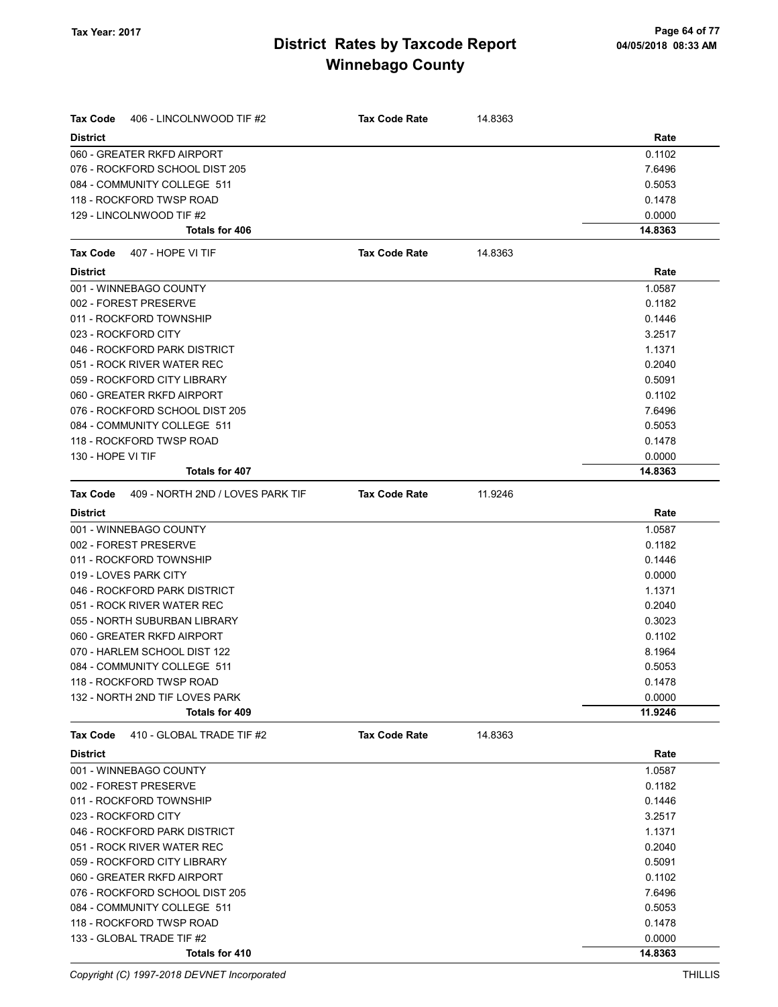| Tax Code<br>406 - LINCOLNWOOD TIF #2         | <b>Tax Code Rate</b> | 14.8363 |         |
|----------------------------------------------|----------------------|---------|---------|
| <b>District</b>                              |                      |         | Rate    |
| 060 - GREATER RKFD AIRPORT                   |                      |         | 0.1102  |
| 076 - ROCKFORD SCHOOL DIST 205               |                      |         | 7.6496  |
| 084 - COMMUNITY COLLEGE 511                  |                      |         | 0.5053  |
| 118 - ROCKFORD TWSP ROAD                     |                      |         | 0.1478  |
| 129 - LINCOLNWOOD TIF #2                     |                      |         | 0.0000  |
| Totals for 406                               |                      |         | 14.8363 |
| <b>Tax Code</b><br>407 - HOPE VI TIF         | <b>Tax Code Rate</b> | 14.8363 |         |
| <b>District</b>                              |                      |         | Rate    |
| 001 - WINNEBAGO COUNTY                       |                      |         | 1.0587  |
| 002 - FOREST PRESERVE                        |                      |         | 0.1182  |
| 011 - ROCKFORD TOWNSHIP                      |                      |         | 0.1446  |
| 023 - ROCKFORD CITY                          |                      |         | 3.2517  |
| 046 - ROCKFORD PARK DISTRICT                 |                      |         | 1.1371  |
| 051 - ROCK RIVER WATER REC                   |                      |         | 0.2040  |
| 059 - ROCKFORD CITY LIBRARY                  |                      |         | 0.5091  |
| 060 - GREATER RKFD AIRPORT                   |                      |         | 0.1102  |
| 076 - ROCKFORD SCHOOL DIST 205               |                      |         | 7.6496  |
| 084 - COMMUNITY COLLEGE 511                  |                      |         | 0.5053  |
| 118 - ROCKFORD TWSP ROAD                     |                      |         | 0.1478  |
| 130 - HOPE VI TIF                            |                      |         | 0.0000  |
| <b>Totals for 407</b>                        |                      |         | 14.8363 |
| 409 - NORTH 2ND / LOVES PARK TIF<br>Tax Code | <b>Tax Code Rate</b> | 11.9246 |         |
| <b>District</b>                              |                      |         | Rate    |
| 001 - WINNEBAGO COUNTY                       |                      |         | 1.0587  |
| 002 - FOREST PRESERVE                        |                      |         | 0.1182  |
| 011 - ROCKFORD TOWNSHIP                      |                      |         | 0.1446  |
| 019 - LOVES PARK CITY                        |                      |         | 0.0000  |
| 046 - ROCKFORD PARK DISTRICT                 |                      |         | 1.1371  |
| 051 - ROCK RIVER WATER REC                   |                      |         | 0.2040  |
| 055 - NORTH SUBURBAN LIBRARY                 |                      |         | 0.3023  |
| 060 - GREATER RKFD AIRPORT                   |                      |         | 0.1102  |
| 070 - HARLEM SCHOOL DIST 122                 |                      |         | 8.1964  |
| 084 - COMMUNITY COLLEGE 511                  |                      |         | 0.5053  |
| 118 - ROCKFORD TWSP ROAD                     |                      |         | 0.1478  |
| 132 - NORTH 2ND TIF LOVES PARK               |                      |         | 0.0000  |
| Totals for 409                               |                      |         | 11.9246 |
| 410 - GLOBAL TRADE TIF #2<br>Tax Code        | <b>Tax Code Rate</b> | 14.8363 |         |
| <b>District</b>                              |                      |         | Rate    |
| 001 - WINNEBAGO COUNTY                       |                      |         | 1.0587  |
| 002 - FOREST PRESERVE                        |                      |         | 0.1182  |
| 011 - ROCKFORD TOWNSHIP                      |                      |         | 0.1446  |
| 023 - ROCKFORD CITY                          |                      |         | 3.2517  |
| 046 - ROCKFORD PARK DISTRICT                 |                      |         | 1.1371  |
| 051 - ROCK RIVER WATER REC                   |                      |         | 0.2040  |
| 059 - ROCKFORD CITY LIBRARY                  |                      |         | 0.5091  |
| 060 - GREATER RKFD AIRPORT                   |                      |         | 0.1102  |
| 076 - ROCKFORD SCHOOL DIST 205               |                      |         | 7.6496  |
| 084 - COMMUNITY COLLEGE 511                  |                      |         | 0.5053  |
| 118 - ROCKFORD TWSP ROAD                     |                      |         | 0.1478  |
| 133 - GLOBAL TRADE TIF #2                    |                      |         | 0.0000  |
| Totals for 410                               |                      |         | 14.8363 |

Copyright (C) 1997-2018 DEVNET Incorporated THILLIS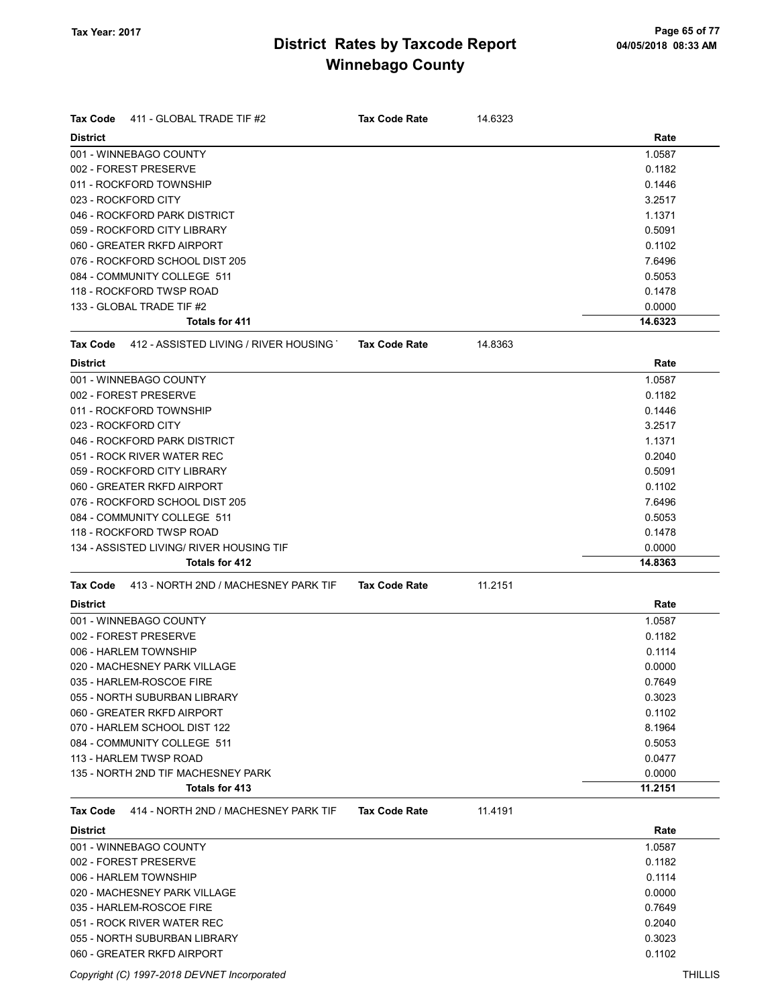| Tax Code<br>411 - GLOBAL TRADE TIF #2                    | <b>Tax Code Rate</b> | 14.6323 |         |
|----------------------------------------------------------|----------------------|---------|---------|
| <b>District</b>                                          |                      |         | Rate    |
| 001 - WINNEBAGO COUNTY                                   |                      |         | 1.0587  |
| 002 - FOREST PRESERVE                                    |                      |         | 0.1182  |
| 011 - ROCKFORD TOWNSHIP                                  |                      |         | 0.1446  |
| 023 - ROCKFORD CITY                                      |                      |         | 3.2517  |
| 046 - ROCKFORD PARK DISTRICT                             |                      |         | 1.1371  |
| 059 - ROCKFORD CITY LIBRARY                              |                      |         | 0.5091  |
| 060 - GREATER RKFD AIRPORT                               |                      |         | 0.1102  |
| 076 - ROCKFORD SCHOOL DIST 205                           |                      |         | 7.6496  |
| 084 - COMMUNITY COLLEGE 511                              |                      |         | 0.5053  |
| 118 - ROCKFORD TWSP ROAD                                 |                      |         | 0.1478  |
| 133 - GLOBAL TRADE TIF #2                                |                      |         | 0.0000  |
| <b>Totals for 411</b>                                    |                      |         | 14.6323 |
| 412 - ASSISTED LIVING / RIVER HOUSING<br><b>Tax Code</b> | <b>Tax Code Rate</b> | 14.8363 |         |
| <b>District</b>                                          |                      |         | Rate    |
| 001 - WINNEBAGO COUNTY                                   |                      |         | 1.0587  |
| 002 - FOREST PRESERVE                                    |                      |         | 0.1182  |
| 011 - ROCKFORD TOWNSHIP                                  |                      |         | 0.1446  |
| 023 - ROCKFORD CITY                                      |                      |         | 3.2517  |
| 046 - ROCKFORD PARK DISTRICT                             |                      |         | 1.1371  |
| 051 - ROCK RIVER WATER REC                               |                      |         | 0.2040  |
| 059 - ROCKFORD CITY LIBRARY                              |                      |         | 0.5091  |
| 060 - GREATER RKFD AIRPORT                               |                      |         | 0.1102  |
| 076 - ROCKFORD SCHOOL DIST 205                           |                      |         | 7.6496  |
| 084 - COMMUNITY COLLEGE 511                              |                      |         | 0.5053  |
| 118 - ROCKFORD TWSP ROAD                                 |                      |         | 0.1478  |
| 134 - ASSISTED LIVING/ RIVER HOUSING TIF                 |                      |         | 0.0000  |
| Totals for 412                                           |                      |         | 14.8363 |
| 413 - NORTH 2ND / MACHESNEY PARK TIF<br>Tax Code         | <b>Tax Code Rate</b> | 11.2151 |         |
| <b>District</b>                                          |                      |         | Rate    |
| 001 - WINNEBAGO COUNTY                                   |                      |         | 1.0587  |
| 002 - FOREST PRESERVE                                    |                      |         | 0.1182  |
| 006 - HARLEM TOWNSHIP                                    |                      |         | 0.1114  |
| 020 - MACHESNEY PARK VILLAGE                             |                      |         | 0.0000  |
| 035 - HARLEM-ROSCOE FIRE                                 |                      |         | 0.7649  |
| 055 - NORTH SUBURBAN LIBRARY                             |                      |         | 0.3023  |
| 060 - GREATER RKFD AIRPORT                               |                      |         | 0.1102  |
| 070 - HARLEM SCHOOL DIST 122                             |                      |         | 8.1964  |
| 084 - COMMUNITY COLLEGE 511                              |                      |         | 0.5053  |
| 113 - HARLEM TWSP ROAD                                   |                      |         | 0.0477  |
| 135 - NORTH 2ND TIF MACHESNEY PARK                       |                      |         | 0.0000  |
| Totals for 413                                           |                      |         | 11.2151 |
| 414 - NORTH 2ND / MACHESNEY PARK TIF<br>Tax Code         | <b>Tax Code Rate</b> | 11.4191 |         |
| <b>District</b>                                          |                      |         | Rate    |
| 001 - WINNEBAGO COUNTY                                   |                      |         | 1.0587  |
| 002 - FOREST PRESERVE                                    |                      |         | 0.1182  |
| 006 - HARLEM TOWNSHIP                                    |                      |         | 0.1114  |
| 020 - MACHESNEY PARK VILLAGE                             |                      |         | 0.0000  |
| 035 - HARLEM-ROSCOE FIRE                                 |                      |         | 0.7649  |
| 051 - ROCK RIVER WATER REC                               |                      |         | 0.2040  |
| 055 - NORTH SUBURBAN LIBRARY                             |                      |         | 0.3023  |
| 060 - GREATER RKFD AIRPORT                               |                      |         | 0.1102  |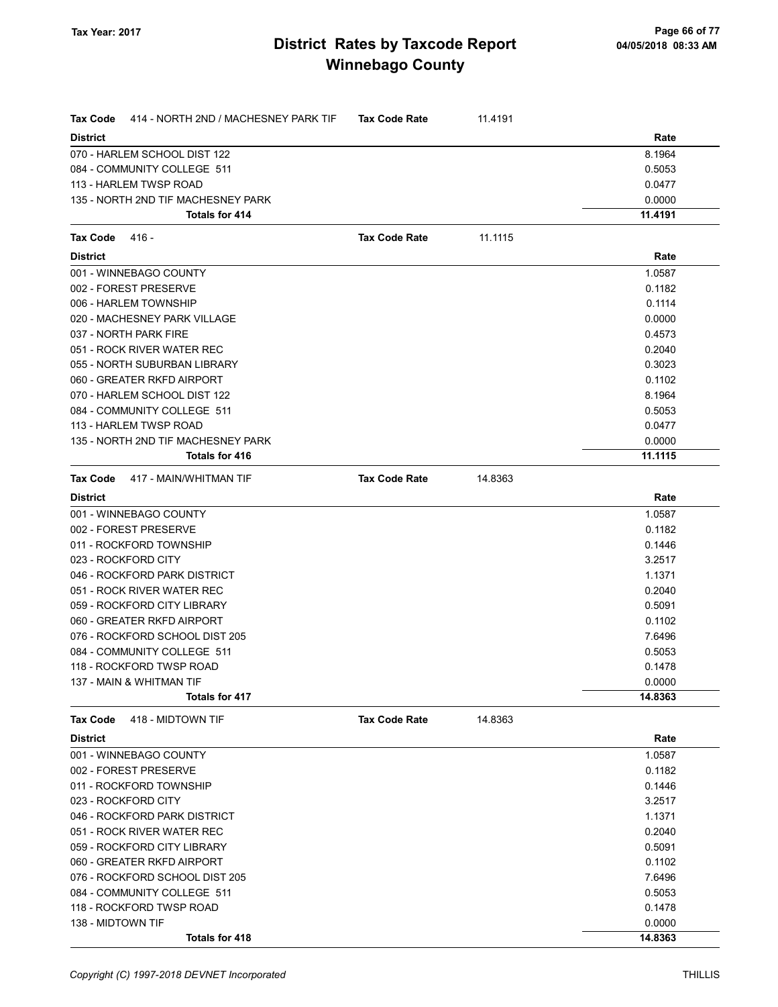| <b>Tax Code</b><br>414 - NORTH 2ND / MACHESNEY PARK TIF | <b>Tax Code Rate</b> | 11.4191 |         |
|---------------------------------------------------------|----------------------|---------|---------|
| <b>District</b>                                         |                      |         | Rate    |
| 070 - HARLEM SCHOOL DIST 122                            |                      |         | 8.1964  |
| 084 - COMMUNITY COLLEGE 511                             |                      |         | 0.5053  |
| 113 - HARLEM TWSP ROAD                                  |                      |         | 0.0477  |
| 135 - NORTH 2ND TIF MACHESNEY PARK                      |                      |         | 0.0000  |
| Totals for 414                                          |                      |         | 11.4191 |
| Tax Code<br>416 -                                       | <b>Tax Code Rate</b> | 11.1115 |         |
| <b>District</b>                                         |                      |         | Rate    |
| 001 - WINNEBAGO COUNTY                                  |                      |         | 1.0587  |
| 002 - FOREST PRESERVE                                   |                      |         | 0.1182  |
| 006 - HARLEM TOWNSHIP                                   |                      |         | 0.1114  |
| 020 - MACHESNEY PARK VILLAGE                            |                      |         | 0.0000  |
| 037 - NORTH PARK FIRE                                   |                      |         | 0.4573  |
| 051 - ROCK RIVER WATER REC                              |                      |         | 0.2040  |
| 055 - NORTH SUBURBAN LIBRARY                            |                      |         | 0.3023  |
| 060 - GREATER RKFD AIRPORT                              |                      |         | 0.1102  |
| 070 - HARLEM SCHOOL DIST 122                            |                      |         | 8.1964  |
| 084 - COMMUNITY COLLEGE 511                             |                      |         | 0.5053  |
| 113 - HARLEM TWSP ROAD                                  |                      |         | 0.0477  |
| 135 - NORTH 2ND TIF MACHESNEY PARK                      |                      |         | 0.0000  |
| <b>Totals for 416</b>                                   |                      |         | 11.1115 |
| Tax Code<br>417 - MAIN/WHITMAN TIF                      | <b>Tax Code Rate</b> | 14.8363 |         |
| <b>District</b>                                         |                      |         | Rate    |
| 001 - WINNEBAGO COUNTY                                  |                      |         | 1.0587  |
| 002 - FOREST PRESERVE                                   |                      |         | 0.1182  |
| 011 - ROCKFORD TOWNSHIP                                 |                      |         | 0.1446  |
| 023 - ROCKFORD CITY                                     |                      |         | 3.2517  |
| 046 - ROCKFORD PARK DISTRICT                            |                      |         | 1.1371  |
| 051 - ROCK RIVER WATER REC                              |                      |         | 0.2040  |
| 059 - ROCKFORD CITY LIBRARY                             |                      |         | 0.5091  |
| 060 - GREATER RKFD AIRPORT                              |                      |         | 0.1102  |
| 076 - ROCKFORD SCHOOL DIST 205                          |                      |         | 7.6496  |
| 084 - COMMUNITY COLLEGE 511                             |                      |         | 0.5053  |
| 118 - ROCKFORD TWSP ROAD                                |                      |         | 0.1478  |
| 137 - MAIN & WHITMAN TIF                                |                      |         | 0.0000  |
| Totals for 417                                          |                      |         | 14.8363 |
| Tax Code<br>418 - MIDTOWN TIF                           | <b>Tax Code Rate</b> | 14.8363 |         |
| <b>District</b>                                         |                      |         | Rate    |
| 001 - WINNEBAGO COUNTY                                  |                      |         | 1.0587  |
| 002 - FOREST PRESERVE                                   |                      |         | 0.1182  |
| 011 - ROCKFORD TOWNSHIP                                 |                      |         | 0.1446  |
| 023 - ROCKFORD CITY                                     |                      |         | 3.2517  |
| 046 - ROCKFORD PARK DISTRICT                            |                      |         | 1.1371  |
| 051 - ROCK RIVER WATER REC                              |                      |         | 0.2040  |
| 059 - ROCKFORD CITY LIBRARY                             |                      |         | 0.5091  |
| 060 - GREATER RKFD AIRPORT                              |                      |         | 0.1102  |
| 076 - ROCKFORD SCHOOL DIST 205                          |                      |         | 7.6496  |
| 084 - COMMUNITY COLLEGE 511                             |                      |         | 0.5053  |
| 118 - ROCKFORD TWSP ROAD                                |                      |         | 0.1478  |
| 138 - MIDTOWN TIF                                       |                      |         | 0.0000  |
| Totals for 418                                          |                      |         | 14.8363 |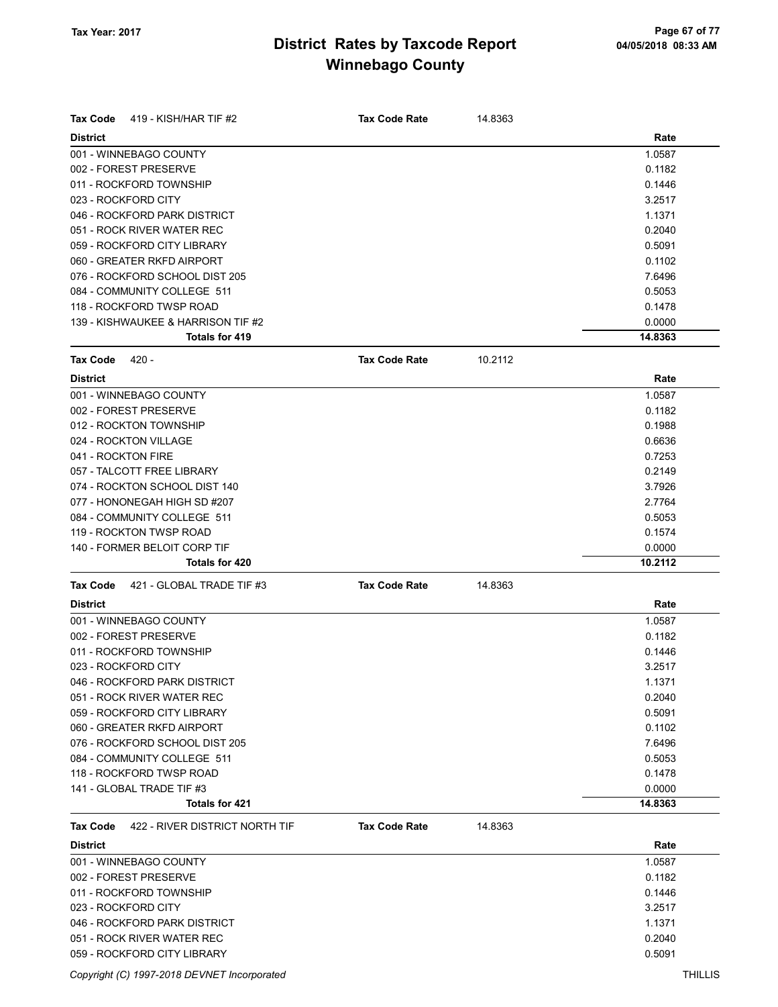| <b>Tax Code</b><br>419 - KISH/HAR TIF #2          | <b>Tax Code Rate</b> | 14.8363 |         |
|---------------------------------------------------|----------------------|---------|---------|
| <b>District</b>                                   |                      |         | Rate    |
| 001 - WINNEBAGO COUNTY                            |                      |         | 1.0587  |
| 002 - FOREST PRESERVE                             |                      |         | 0.1182  |
| 011 - ROCKFORD TOWNSHIP                           |                      |         | 0.1446  |
| 023 - ROCKFORD CITY                               |                      |         | 3.2517  |
| 046 - ROCKFORD PARK DISTRICT                      |                      |         | 1.1371  |
| 051 - ROCK RIVER WATER REC                        |                      |         | 0.2040  |
| 059 - ROCKFORD CITY LIBRARY                       |                      |         | 0.5091  |
| 060 - GREATER RKFD AIRPORT                        |                      |         | 0.1102  |
| 076 - ROCKFORD SCHOOL DIST 205                    |                      |         | 7.6496  |
| 084 - COMMUNITY COLLEGE 511                       |                      |         | 0.5053  |
| 118 - ROCKFORD TWSP ROAD                          |                      |         | 0.1478  |
| 139 - KISHWAUKEE & HARRISON TIF #2                |                      |         | 0.0000  |
| <b>Totals for 419</b>                             |                      |         | 14.8363 |
| <b>Tax Code</b><br>420 -                          | <b>Tax Code Rate</b> | 10.2112 |         |
| <b>District</b>                                   |                      |         | Rate    |
| 001 - WINNEBAGO COUNTY                            |                      |         | 1.0587  |
| 002 - FOREST PRESERVE                             |                      |         | 0.1182  |
| 012 - ROCKTON TOWNSHIP                            |                      |         | 0.1988  |
| 024 - ROCKTON VILLAGE                             |                      |         | 0.6636  |
| 041 - ROCKTON FIRE                                |                      |         | 0.7253  |
| 057 - TALCOTT FREE LIBRARY                        |                      |         | 0.2149  |
| 074 - ROCKTON SCHOOL DIST 140                     |                      |         | 3.7926  |
| 077 - HONONEGAH HIGH SD #207                      |                      |         | 2.7764  |
| 084 - COMMUNITY COLLEGE 511                       |                      |         | 0.5053  |
| 119 - ROCKTON TWSP ROAD                           |                      |         | 0.1574  |
| 140 - FORMER BELOIT CORP TIF                      |                      |         | 0.0000  |
| Totals for 420                                    |                      |         | 10.2112 |
| <b>Tax Code</b><br>421 - GLOBAL TRADE TIF #3      | <b>Tax Code Rate</b> | 14.8363 |         |
| <b>District</b>                                   |                      |         | Rate    |
| 001 - WINNEBAGO COUNTY                            |                      |         | 1.0587  |
| 002 - FOREST PRESERVE                             |                      |         | 0.1182  |
| 011 - ROCKFORD TOWNSHIP                           |                      |         | 0.1446  |
| 023 - ROCKFORD CITY                               |                      |         | 3.2517  |
| 046 - ROCKFORD PARK DISTRICT                      |                      |         | 1.1371  |
| 051 - ROCK RIVER WATER REC                        |                      |         | 0.2040  |
| 059 - ROCKFORD CITY LIBRARY                       |                      |         | 0.5091  |
| 060 - GREATER RKFD AIRPORT                        |                      |         | 0.1102  |
| 076 - ROCKFORD SCHOOL DIST 205                    |                      |         | 7.6496  |
| 084 - COMMUNITY COLLEGE 511                       |                      |         | 0.5053  |
| 118 - ROCKFORD TWSP ROAD                          |                      |         | 0.1478  |
| 141 - GLOBAL TRADE TIF #3                         |                      |         | 0.0000  |
| Totals for 421                                    |                      |         | 14.8363 |
| 422 - RIVER DISTRICT NORTH TIF<br><b>Tax Code</b> | <b>Tax Code Rate</b> | 14.8363 |         |
| <b>District</b>                                   |                      |         | Rate    |
| 001 - WINNEBAGO COUNTY                            |                      |         | 1.0587  |
| 002 - FOREST PRESERVE                             |                      |         | 0.1182  |
| 011 - ROCKFORD TOWNSHIP                           |                      |         | 0.1446  |
| 023 - ROCKFORD CITY                               |                      |         | 3.2517  |
| 046 - ROCKFORD PARK DISTRICT                      |                      |         | 1.1371  |
| 051 - ROCK RIVER WATER REC                        |                      |         | 0.2040  |
| 059 - ROCKFORD CITY LIBRARY                       |                      |         | 0.5091  |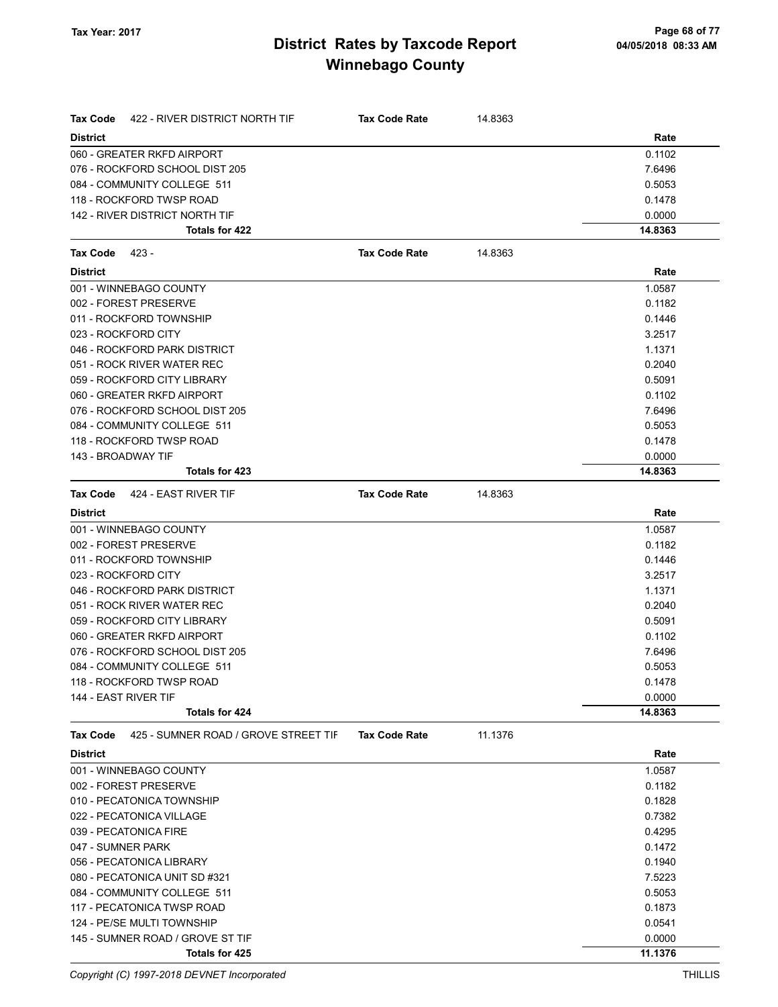| Tax Code<br>422 - RIVER DISTRICT NORTH TIF       | <b>Tax Code Rate</b> | 14.8363 |         |
|--------------------------------------------------|----------------------|---------|---------|
| <b>District</b>                                  |                      |         | Rate    |
| 060 - GREATER RKFD AIRPORT                       |                      |         | 0.1102  |
| 076 - ROCKFORD SCHOOL DIST 205                   |                      |         | 7.6496  |
| 084 - COMMUNITY COLLEGE 511                      |                      |         | 0.5053  |
| 118 - ROCKFORD TWSP ROAD                         |                      |         | 0.1478  |
| 142 - RIVER DISTRICT NORTH TIF                   |                      |         | 0.0000  |
| Totals for 422                                   |                      |         | 14.8363 |
| Tax Code<br>423 -                                | <b>Tax Code Rate</b> | 14.8363 |         |
| <b>District</b>                                  |                      |         | Rate    |
| 001 - WINNEBAGO COUNTY                           |                      |         | 1.0587  |
| 002 - FOREST PRESERVE                            |                      |         | 0.1182  |
| 011 - ROCKFORD TOWNSHIP                          |                      |         | 0.1446  |
| 023 - ROCKFORD CITY                              |                      |         | 3.2517  |
| 046 - ROCKFORD PARK DISTRICT                     |                      |         | 1.1371  |
| 051 - ROCK RIVER WATER REC                       |                      |         | 0.2040  |
| 059 - ROCKFORD CITY LIBRARY                      |                      |         | 0.5091  |
| 060 - GREATER RKFD AIRPORT                       |                      |         | 0.1102  |
| 076 - ROCKFORD SCHOOL DIST 205                   |                      |         | 7.6496  |
| 084 - COMMUNITY COLLEGE 511                      |                      |         | 0.5053  |
| 118 - ROCKFORD TWSP ROAD                         |                      |         | 0.1478  |
| 143 - BROADWAY TIF                               |                      |         | 0.0000  |
| Totals for 423                                   |                      |         | 14.8363 |
| 424 - EAST RIVER TIF<br>Tax Code                 | <b>Tax Code Rate</b> | 14.8363 |         |
| <b>District</b>                                  |                      |         | Rate    |
| 001 - WINNEBAGO COUNTY                           |                      |         | 1.0587  |
| 002 - FOREST PRESERVE                            |                      |         | 0.1182  |
| 011 - ROCKFORD TOWNSHIP                          |                      |         | 0.1446  |
| 023 - ROCKFORD CITY                              |                      |         | 3.2517  |
| 046 - ROCKFORD PARK DISTRICT                     |                      |         | 1.1371  |
| 051 - ROCK RIVER WATER REC                       |                      |         | 0.2040  |
| 059 - ROCKFORD CITY LIBRARY                      |                      |         | 0.5091  |
| 060 - GREATER RKFD AIRPORT                       |                      |         | 0.1102  |
| 076 - ROCKFORD SCHOOL DIST 205                   |                      |         | 7.6496  |
| 084 - COMMUNITY COLLEGE 511                      |                      |         | 0.5053  |
| 118 - ROCKFORD TWSP ROAD                         |                      |         | 0.1478  |
| 144 - EAST RIVER TIF                             |                      |         | 0.0000  |
| Totals for 424                                   |                      |         | 14.8363 |
| 425 - SUMNER ROAD / GROVE STREET TIF<br>Tax Code | <b>Tax Code Rate</b> | 11.1376 |         |
| <b>District</b>                                  |                      |         | Rate    |
| 001 - WINNEBAGO COUNTY                           |                      |         | 1.0587  |
| 002 - FOREST PRESERVE                            |                      |         | 0.1182  |
| 010 - PECATONICA TOWNSHIP                        |                      |         | 0.1828  |
| 022 - PECATONICA VILLAGE                         |                      |         | 0.7382  |
| 039 - PECATONICA FIRE                            |                      |         | 0.4295  |
| 047 - SUMNER PARK                                |                      |         | 0.1472  |
| 056 - PECATONICA LIBRARY                         |                      |         | 0.1940  |
| 080 - PECATONICA UNIT SD #321                    |                      |         | 7.5223  |
| 084 - COMMUNITY COLLEGE 511                      |                      |         | 0.5053  |
| 117 - PECATONICA TWSP ROAD                       |                      |         | 0.1873  |
| 124 - PE/SE MULTI TOWNSHIP                       |                      |         | 0.0541  |
| 145 - SUMNER ROAD / GROVE ST TIF                 |                      |         | 0.0000  |
| Totals for 425                                   |                      |         | 11.1376 |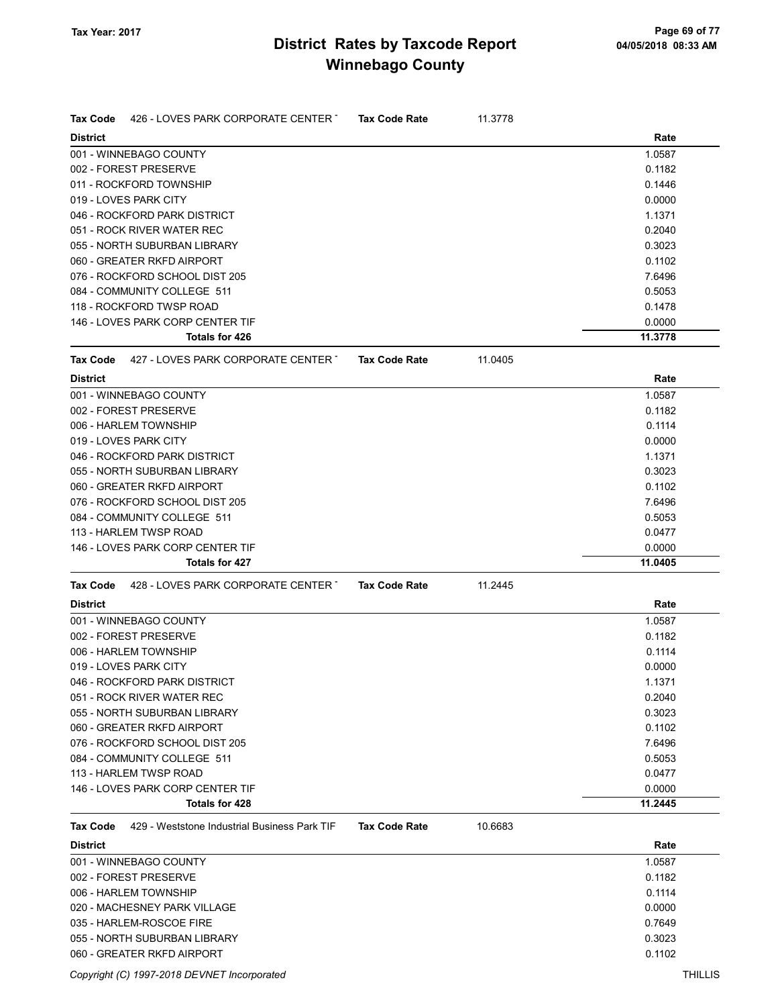| Tax Code<br>426 - LOVES PARK CORPORATE CENTER T          | <b>Tax Code Rate</b> | 11.3778 |         |
|----------------------------------------------------------|----------------------|---------|---------|
| <b>District</b>                                          |                      |         | Rate    |
| 001 - WINNEBAGO COUNTY                                   |                      |         | 1.0587  |
| 002 - FOREST PRESERVE                                    |                      |         | 0.1182  |
| 011 - ROCKFORD TOWNSHIP                                  |                      |         | 0.1446  |
| 019 - LOVES PARK CITY                                    |                      |         | 0.0000  |
| 046 - ROCKFORD PARK DISTRICT                             |                      |         | 1.1371  |
| 051 - ROCK RIVER WATER REC                               |                      |         | 0.2040  |
| 055 - NORTH SUBURBAN LIBRARY                             |                      |         | 0.3023  |
| 060 - GREATER RKFD AIRPORT                               |                      |         | 0.1102  |
| 076 - ROCKFORD SCHOOL DIST 205                           |                      |         | 7.6496  |
| 084 - COMMUNITY COLLEGE 511                              |                      |         | 0.5053  |
| 118 - ROCKFORD TWSP ROAD                                 |                      |         | 0.1478  |
| 146 - LOVES PARK CORP CENTER TIF                         |                      |         | 0.0000  |
| Totals for 426                                           |                      |         | 11.3778 |
| 427 - LOVES PARK CORPORATE CENTER T<br>Tax Code          | <b>Tax Code Rate</b> | 11.0405 |         |
| <b>District</b>                                          |                      |         | Rate    |
| 001 - WINNEBAGO COUNTY                                   |                      |         | 1.0587  |
| 002 - FOREST PRESERVE                                    |                      |         | 0.1182  |
| 006 - HARLEM TOWNSHIP                                    |                      |         | 0.1114  |
| 019 - LOVES PARK CITY                                    |                      |         | 0.0000  |
| 046 - ROCKFORD PARK DISTRICT                             |                      |         | 1.1371  |
| 055 - NORTH SUBURBAN LIBRARY                             |                      |         | 0.3023  |
| 060 - GREATER RKFD AIRPORT                               |                      |         | 0.1102  |
| 076 - ROCKFORD SCHOOL DIST 205                           |                      |         | 7.6496  |
| 084 - COMMUNITY COLLEGE 511                              |                      |         | 0.5053  |
| 113 - HARLEM TWSP ROAD                                   |                      |         | 0.0477  |
| 146 - LOVES PARK CORP CENTER TIF                         |                      |         | 0.0000  |
| Totals for 427                                           |                      |         | 11.0405 |
| Tax Code<br>428 - LOVES PARK CORPORATE CENTER T          | <b>Tax Code Rate</b> | 11.2445 |         |
| <b>District</b>                                          |                      |         | Rate    |
| 001 - WINNEBAGO COUNTY                                   |                      |         | 1.0587  |
| 002 - FOREST PRESERVE                                    |                      |         | 0.1182  |
| 006 - HARLEM TOWNSHIP                                    |                      |         | 0.1114  |
| 019 - LOVES PARK CITY                                    |                      |         | 0.0000  |
| 046 - ROCKFORD PARK DISTRICT                             |                      |         | 1.1371  |
| 051 - ROCK RIVER WATER REC                               |                      |         | 0.2040  |
| 055 - NORTH SUBURBAN LIBRARY                             |                      |         | 0.3023  |
| 060 - GREATER RKFD AIRPORT                               |                      |         | 0.1102  |
| 076 - ROCKFORD SCHOOL DIST 205                           |                      |         | 7.6496  |
| 084 - COMMUNITY COLLEGE 511                              |                      |         | 0.5053  |
| 113 - HARLEM TWSP ROAD                                   |                      |         | 0.0477  |
| 146 - LOVES PARK CORP CENTER TIF                         |                      |         | 0.0000  |
| Totals for 428                                           |                      |         | 11.2445 |
| 429 - Weststone Industrial Business Park TIF<br>Tax Code | <b>Tax Code Rate</b> | 10.6683 |         |
| <b>District</b>                                          |                      |         | Rate    |
| 001 - WINNEBAGO COUNTY                                   |                      |         | 1.0587  |
| 002 - FOREST PRESERVE                                    |                      |         | 0.1182  |
| 006 - HARLEM TOWNSHIP                                    |                      |         | 0.1114  |
| 020 - MACHESNEY PARK VILLAGE                             |                      |         | 0.0000  |
| 035 - HARLEM-ROSCOE FIRE                                 |                      |         | 0.7649  |
| 055 - NORTH SUBURBAN LIBRARY                             |                      |         | 0.3023  |

060 - GREATER RKFD AIRPORT **1.1102** and 2.1102

Copyright (C) 1997-2018 DEVNET Incorporated THILLIS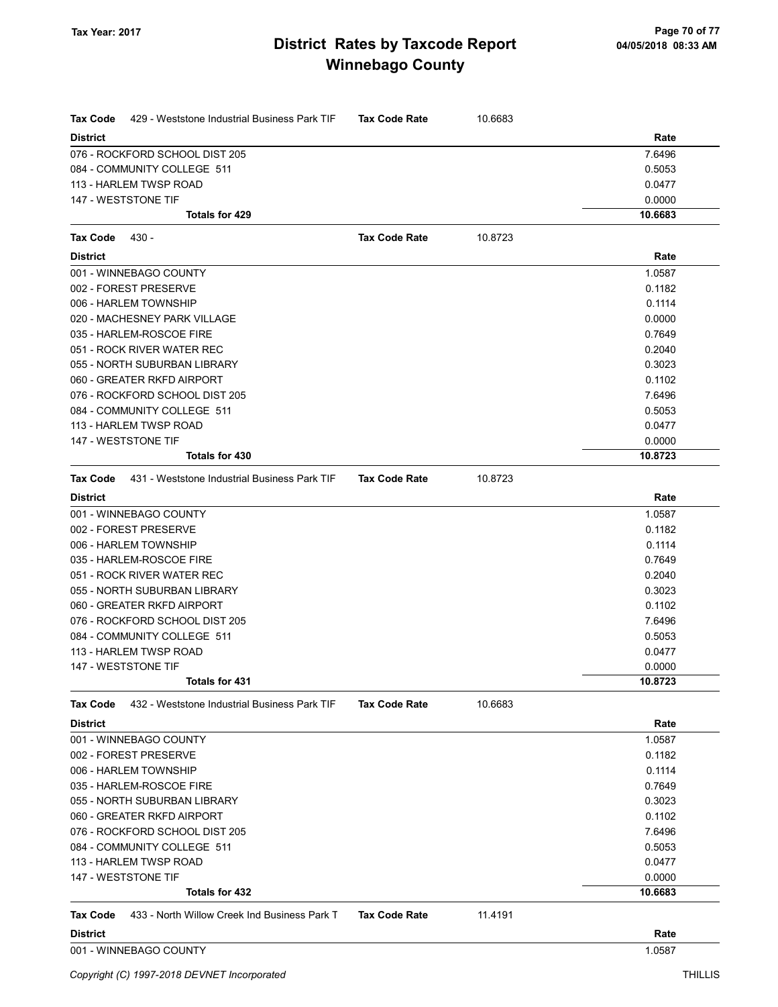| <b>Tax Code</b><br>429 - Weststone Industrial Business Park TIF | <b>Tax Code Rate</b> | 10.6683 |         |
|-----------------------------------------------------------------|----------------------|---------|---------|
| <b>District</b>                                                 |                      |         | Rate    |
| 076 - ROCKFORD SCHOOL DIST 205                                  |                      |         | 7.6496  |
| 084 - COMMUNITY COLLEGE 511                                     |                      |         | 0.5053  |
| 113 - HARLEM TWSP ROAD                                          |                      |         | 0.0477  |
| 147 - WESTSTONE TIF                                             |                      |         | 0.0000  |
| <b>Totals for 429</b>                                           |                      |         | 10.6683 |
| <b>Tax Code</b><br>430 -                                        | <b>Tax Code Rate</b> | 10.8723 |         |
| <b>District</b>                                                 |                      |         | Rate    |
| 001 - WINNEBAGO COUNTY                                          |                      |         | 1.0587  |
| 002 - FOREST PRESERVE                                           |                      |         | 0.1182  |
| 006 - HARLEM TOWNSHIP                                           |                      |         | 0.1114  |
| 020 - MACHESNEY PARK VILLAGE                                    |                      |         | 0.0000  |
| 035 - HARLEM-ROSCOE FIRE                                        |                      |         | 0.7649  |
| 051 - ROCK RIVER WATER REC                                      |                      |         | 0.2040  |
| 055 - NORTH SUBURBAN LIBRARY                                    |                      |         | 0.3023  |
| 060 - GREATER RKFD AIRPORT                                      |                      |         | 0.1102  |
| 076 - ROCKFORD SCHOOL DIST 205                                  |                      |         | 7.6496  |
| 084 - COMMUNITY COLLEGE 511                                     |                      |         | 0.5053  |
| 113 - HARLEM TWSP ROAD                                          |                      |         | 0.0477  |
| 147 - WESTSTONE TIF                                             |                      |         | 0.0000  |
| Totals for 430                                                  |                      |         | 10.8723 |
| 431 - Weststone Industrial Business Park TIF<br><b>Tax Code</b> | <b>Tax Code Rate</b> | 10.8723 |         |
| <b>District</b>                                                 |                      |         | Rate    |
| 001 - WINNEBAGO COUNTY                                          |                      |         | 1.0587  |
| 002 - FOREST PRESERVE                                           |                      |         | 0.1182  |
| 006 - HARLEM TOWNSHIP                                           |                      |         | 0.1114  |
| 035 - HARLEM-ROSCOE FIRE                                        |                      |         | 0.7649  |
| 051 - ROCK RIVER WATER REC                                      |                      |         | 0.2040  |
| 055 - NORTH SUBURBAN LIBRARY                                    |                      |         | 0.3023  |
| 060 - GREATER RKFD AIRPORT                                      |                      |         | 0.1102  |
| 076 - ROCKFORD SCHOOL DIST 205                                  |                      |         | 7.6496  |
| 084 - COMMUNITY COLLEGE 511                                     |                      |         | 0.5053  |
| 113 - HARLEM TWSP ROAD                                          |                      |         | 0.0477  |
| 147 - WESTSTONE TIF                                             |                      |         | 0.0000  |
| <b>Totals for 431</b>                                           |                      |         | 10.8723 |
| 432 - Weststone Industrial Business Park TIF<br><b>Tax Code</b> | <b>Tax Code Rate</b> | 10.6683 |         |
| <b>District</b>                                                 |                      |         | Rate    |
| 001 - WINNEBAGO COUNTY                                          |                      |         | 1.0587  |
| 002 - FOREST PRESERVE                                           |                      |         | 0.1182  |
| 006 - HARLEM TOWNSHIP                                           |                      |         | 0.1114  |
| 035 - HARLEM-ROSCOE FIRE                                        |                      |         | 0.7649  |
| 055 - NORTH SUBURBAN LIBRARY                                    |                      |         | 0.3023  |
| 060 - GREATER RKFD AIRPORT                                      |                      |         | 0.1102  |
| 076 - ROCKFORD SCHOOL DIST 205                                  |                      |         | 7.6496  |
| 084 - COMMUNITY COLLEGE 511                                     |                      |         | 0.5053  |
| 113 - HARLEM TWSP ROAD                                          |                      |         | 0.0477  |
| 147 - WESTSTONE TIF                                             |                      |         | 0.0000  |
| <b>Totals for 432</b>                                           |                      |         | 10.6683 |
| <b>Tax Code</b><br>433 - North Willow Creek Ind Business Park T | <b>Tax Code Rate</b> | 11.4191 |         |

#### District

001 - WINNEBAGO COUNTY **1.0587** 

Rate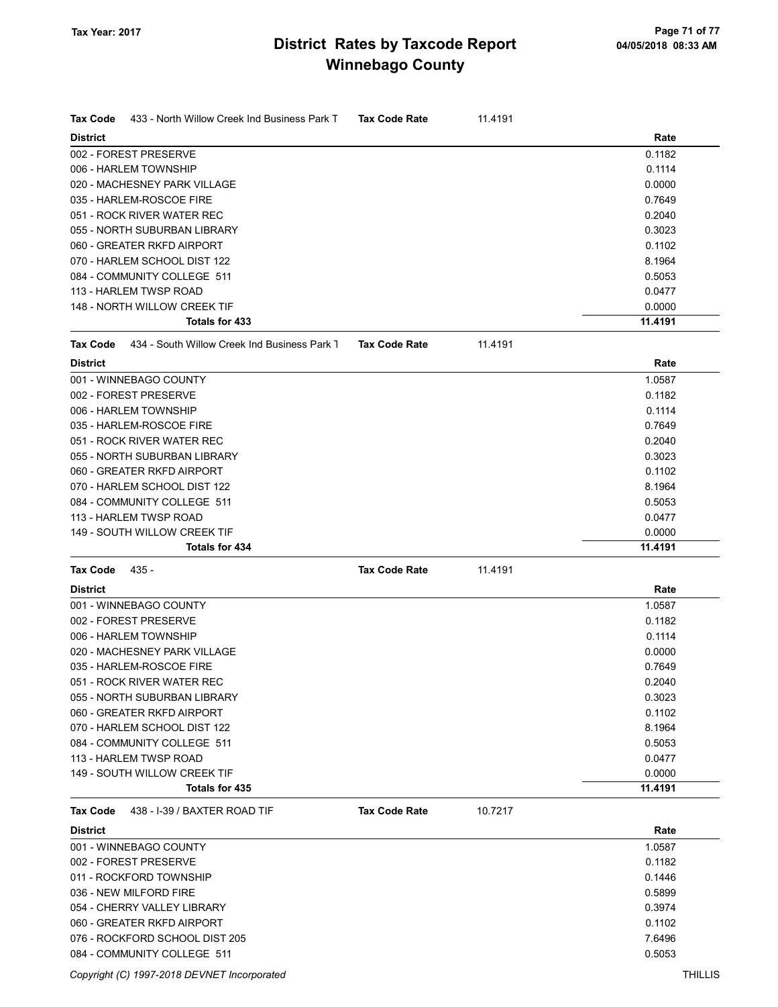| <b>Tax Code</b><br>433 - North Willow Creek Ind Business Park T | <b>Tax Code Rate</b> | 11.4191 |         |
|-----------------------------------------------------------------|----------------------|---------|---------|
| <b>District</b>                                                 |                      |         | Rate    |
| 002 - FOREST PRESERVE                                           |                      |         | 0.1182  |
| 006 - HARLEM TOWNSHIP                                           |                      |         | 0.1114  |
| 020 - MACHESNEY PARK VILLAGE                                    |                      |         | 0.0000  |
| 035 - HARLEM-ROSCOE FIRE                                        |                      |         | 0.7649  |
| 051 - ROCK RIVER WATER REC                                      |                      |         | 0.2040  |
| 055 - NORTH SUBURBAN LIBRARY                                    |                      |         | 0.3023  |
| 060 - GREATER RKFD AIRPORT                                      |                      |         | 0.1102  |
| 070 - HARLEM SCHOOL DIST 122                                    |                      |         | 8.1964  |
| 084 - COMMUNITY COLLEGE 511                                     |                      |         | 0.5053  |
| 113 - HARLEM TWSP ROAD                                          |                      |         | 0.0477  |
| 148 - NORTH WILLOW CREEK TIF                                    |                      |         | 0.0000  |
| <b>Totals for 433</b>                                           |                      |         | 11.4191 |
| 434 - South Willow Creek Ind Business Park 1<br><b>Tax Code</b> | <b>Tax Code Rate</b> | 11.4191 |         |
| <b>District</b>                                                 |                      |         | Rate    |
| 001 - WINNEBAGO COUNTY                                          |                      |         | 1.0587  |
| 002 - FOREST PRESERVE                                           |                      |         | 0.1182  |
| 006 - HARLEM TOWNSHIP                                           |                      |         | 0.1114  |
| 035 - HARLEM-ROSCOE FIRE                                        |                      |         | 0.7649  |
| 051 - ROCK RIVER WATER REC                                      |                      |         | 0.2040  |
| 055 - NORTH SUBURBAN LIBRARY                                    |                      |         | 0.3023  |
| 060 - GREATER RKFD AIRPORT                                      |                      |         | 0.1102  |
| 070 - HARLEM SCHOOL DIST 122                                    |                      |         | 8.1964  |
| 084 - COMMUNITY COLLEGE 511                                     |                      |         | 0.5053  |
| 113 - HARLEM TWSP ROAD                                          |                      |         | 0.0477  |
| 149 - SOUTH WILLOW CREEK TIF                                    |                      |         | 0.0000  |
| <b>Totals for 434</b>                                           |                      |         | 11.4191 |
| $435 -$<br>Tax Code                                             | <b>Tax Code Rate</b> | 11.4191 |         |
| <b>District</b>                                                 |                      |         | Rate    |
| 001 - WINNEBAGO COUNTY                                          |                      |         | 1.0587  |
| 002 - FOREST PRESERVE                                           |                      |         | 0.1182  |
| 006 - HARLEM TOWNSHIP                                           |                      |         | 0.1114  |
| 020 - MACHESNEY PARK VILLAGE                                    |                      |         | 0.0000  |
| 035 - HARLEM-ROSCOE FIRE                                        |                      |         | 0.7649  |
| 051 - ROCK RIVER WATER REC                                      |                      |         | 0.2040  |
| 055 - NORTH SUBURBAN LIBRARY                                    |                      |         | 0.3023  |
| 060 - GREATER RKFD AIRPORT                                      |                      |         | 0.1102  |
| 070 - HARLEM SCHOOL DIST 122                                    |                      |         | 8.1964  |
| 084 - COMMUNITY COLLEGE 511                                     |                      |         | 0.5053  |
| 113 - HARLEM TWSP ROAD                                          |                      |         | 0.0477  |
| 149 - SOUTH WILLOW CREEK TIF                                    |                      |         | 0.0000  |
| Totals for 435                                                  |                      |         | 11.4191 |
| 438 - I-39 / BAXTER ROAD TIF<br>Tax Code                        | <b>Tax Code Rate</b> | 10.7217 |         |
| <b>District</b>                                                 |                      |         | Rate    |
| 001 - WINNEBAGO COUNTY                                          |                      |         | 1.0587  |
| 002 - FOREST PRESERVE                                           |                      |         | 0.1182  |
| 011 - ROCKFORD TOWNSHIP                                         |                      |         | 0.1446  |
| 036 - NEW MILFORD FIRE                                          |                      |         | 0.5899  |
| 054 - CHERRY VALLEY LIBRARY                                     |                      |         | 0.3974  |
| 060 - GREATER RKFD AIRPORT                                      |                      |         | 0.1102  |
| 076 - ROCKFORD SCHOOL DIST 205                                  |                      |         | 7.6496  |
| 084 - COMMUNITY COLLEGE 511                                     |                      |         | 0.5053  |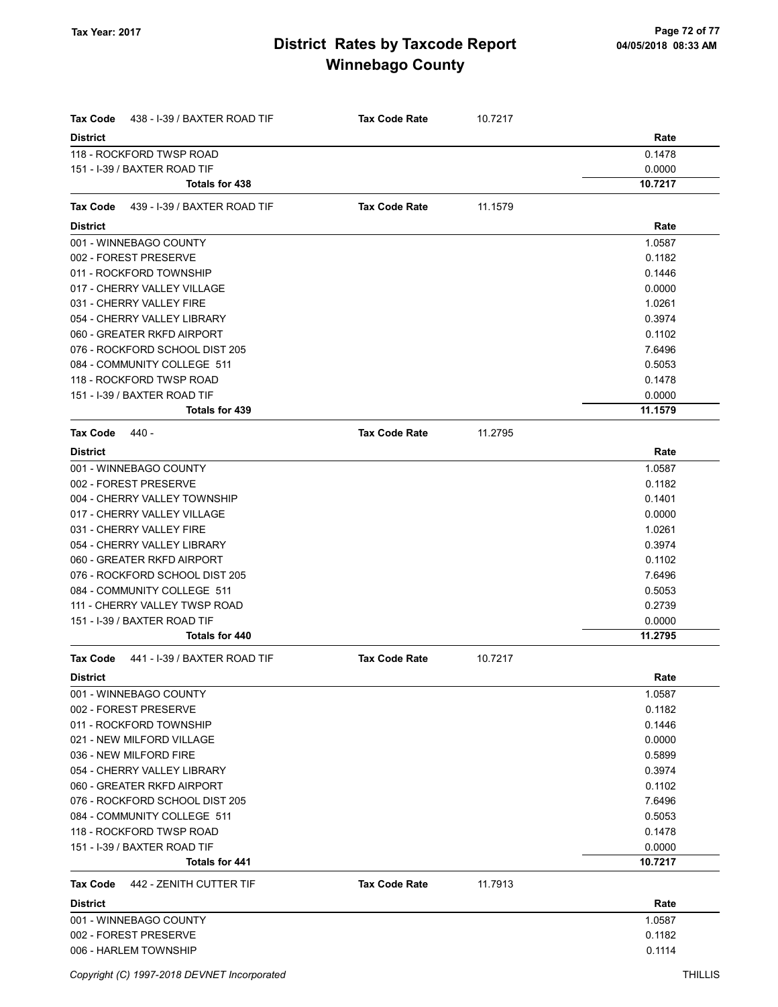| Tax Code<br>438 - I-39 / BAXTER ROAD TIF        | <b>Tax Code Rate</b> | 10.7217 |         |
|-------------------------------------------------|----------------------|---------|---------|
| <b>District</b>                                 |                      |         | Rate    |
| 118 - ROCKFORD TWSP ROAD                        |                      |         | 0.1478  |
| 151 - I-39 / BAXTER ROAD TIF                    |                      |         | 0.0000  |
| Totals for 438                                  |                      |         | 10.7217 |
| <b>Tax Code</b><br>439 - I-39 / BAXTER ROAD TIF | <b>Tax Code Rate</b> | 11.1579 |         |
| <b>District</b>                                 |                      |         | Rate    |
| 001 - WINNEBAGO COUNTY                          |                      |         | 1.0587  |
| 002 - FOREST PRESERVE                           |                      |         | 0.1182  |
| 011 - ROCKFORD TOWNSHIP                         |                      |         | 0.1446  |
| 017 - CHERRY VALLEY VILLAGE                     |                      |         | 0.0000  |
| 031 - CHERRY VALLEY FIRE                        |                      |         | 1.0261  |
| 054 - CHERRY VALLEY LIBRARY                     |                      |         | 0.3974  |
| 060 - GREATER RKFD AIRPORT                      |                      |         | 0.1102  |
| 076 - ROCKFORD SCHOOL DIST 205                  |                      |         | 7.6496  |
| 084 - COMMUNITY COLLEGE 511                     |                      |         | 0.5053  |
| 118 - ROCKFORD TWSP ROAD                        |                      |         | 0.1478  |
| 151 - I-39 / BAXTER ROAD TIF                    |                      |         | 0.0000  |
| Totals for 439                                  |                      |         | 11.1579 |
| <b>Tax Code</b><br>440 -                        | <b>Tax Code Rate</b> | 11.2795 |         |
| <b>District</b>                                 |                      |         | Rate    |
| 001 - WINNEBAGO COUNTY                          |                      |         | 1.0587  |
| 002 - FOREST PRESERVE                           |                      |         | 0.1182  |
| 004 - CHERRY VALLEY TOWNSHIP                    |                      |         | 0.1401  |
| 017 - CHERRY VALLEY VILLAGE                     |                      |         | 0.0000  |
| 031 - CHERRY VALLEY FIRE                        |                      |         | 1.0261  |
| 054 - CHERRY VALLEY LIBRARY                     |                      |         | 0.3974  |
| 060 - GREATER RKFD AIRPORT                      |                      |         | 0.1102  |
| 076 - ROCKFORD SCHOOL DIST 205                  |                      |         | 7.6496  |
| 084 - COMMUNITY COLLEGE 511                     |                      |         | 0.5053  |
| 111 - CHERRY VALLEY TWSP ROAD                   |                      |         | 0.2739  |
| 151 - I-39 / BAXTER ROAD TIF                    |                      |         | 0.0000  |
| Totals for 440                                  |                      |         | 11.2795 |
| Tax Code<br>441 - I-39 / BAXTER ROAD TIF        | <b>Tax Code Rate</b> | 10.7217 |         |
| <b>District</b>                                 |                      |         | Rate    |
| 001 - WINNEBAGO COUNTY                          |                      |         | 1.0587  |
| 002 - FOREST PRESERVE                           |                      |         | 0.1182  |
| 011 - ROCKFORD TOWNSHIP                         |                      |         | 0.1446  |
| 021 - NEW MILFORD VILLAGE                       |                      |         | 0.0000  |
| 036 - NEW MILFORD FIRE                          |                      |         | 0.5899  |
| 054 - CHERRY VALLEY LIBRARY                     |                      |         | 0.3974  |
| 060 - GREATER RKFD AIRPORT                      |                      |         | 0.1102  |
| 076 - ROCKFORD SCHOOL DIST 205                  |                      |         | 7.6496  |
| 084 - COMMUNITY COLLEGE 511                     |                      |         | 0.5053  |
| 118 - ROCKFORD TWSP ROAD                        |                      |         | 0.1478  |
| 151 - I-39 / BAXTER ROAD TIF                    |                      |         | 0.0000  |
| Totals for 441                                  |                      |         | 10.7217 |
| Tax Code 442 - ZENITH CUTTER TIF                | <b>Tax Code Rate</b> | 11.7913 |         |
| <b>District</b>                                 |                      |         | Rate    |
| 001 - WINNEBAGO COUNTY                          |                      |         | 1.0587  |
| 002 - FOREST PRESERVE                           |                      |         | 0.1182  |
| 006 - HARLEM TOWNSHIP                           |                      |         | 0.1114  |
|                                                 |                      |         |         |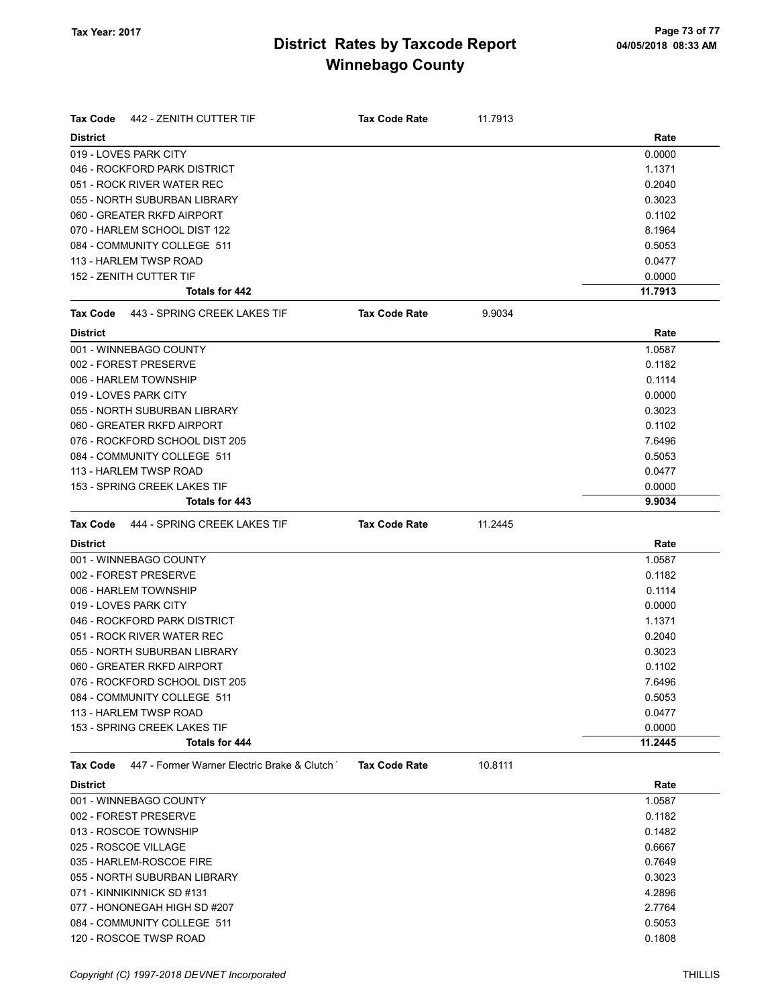| <b>Tax Code</b><br>442 - ZENITH CUTTER TIF              | <b>Tax Code Rate</b> | 11.7913 |         |
|---------------------------------------------------------|----------------------|---------|---------|
| <b>District</b>                                         |                      |         | Rate    |
| 019 - LOVES PARK CITY                                   |                      |         | 0.0000  |
| 046 - ROCKFORD PARK DISTRICT                            |                      |         | 1.1371  |
| 051 - ROCK RIVER WATER REC                              |                      |         | 0.2040  |
| 055 - NORTH SUBURBAN LIBRARY                            |                      |         | 0.3023  |
| 060 - GREATER RKFD AIRPORT                              |                      |         | 0.1102  |
| 070 - HARLEM SCHOOL DIST 122                            |                      |         | 8.1964  |
| 084 - COMMUNITY COLLEGE 511                             |                      |         | 0.5053  |
| 113 - HARLEM TWSP ROAD                                  |                      |         | 0.0477  |
| 152 - ZENITH CUTTER TIF                                 |                      |         | 0.0000  |
| Totals for 442                                          |                      |         | 11.7913 |
| 443 - SPRING CREEK LAKES TIF<br><b>Tax Code</b>         | <b>Tax Code Rate</b> | 9.9034  |         |
| <b>District</b>                                         |                      |         | Rate    |
| 001 - WINNEBAGO COUNTY                                  |                      |         | 1.0587  |
| 002 - FOREST PRESERVE                                   |                      |         | 0.1182  |
| 006 - HARLEM TOWNSHIP                                   |                      |         | 0.1114  |
| 019 - LOVES PARK CITY                                   |                      |         | 0.0000  |
| 055 - NORTH SUBURBAN LIBRARY                            |                      |         | 0.3023  |
| 060 - GREATER RKFD AIRPORT                              |                      |         | 0.1102  |
| 076 - ROCKFORD SCHOOL DIST 205                          |                      |         | 7.6496  |
| 084 - COMMUNITY COLLEGE 511                             |                      |         | 0.5053  |
| 113 - HARLEM TWSP ROAD                                  |                      |         | 0.0477  |
| 153 - SPRING CREEK LAKES TIF                            |                      |         | 0.0000  |
| <b>Totals for 443</b>                                   |                      |         | 9.9034  |
| 444 - SPRING CREEK LAKES TIF<br><b>Tax Code</b>         | <b>Tax Code Rate</b> | 11.2445 |         |
| <b>District</b>                                         |                      |         | Rate    |
| 001 - WINNEBAGO COUNTY                                  |                      |         | 1.0587  |
| 002 - FOREST PRESERVE                                   |                      |         | 0.1182  |
| 006 - HARLEM TOWNSHIP                                   |                      |         | 0.1114  |
| 019 - LOVES PARK CITY                                   |                      |         | 0.0000  |
| 046 - ROCKFORD PARK DISTRICT                            |                      |         | 1.1371  |
| 051 - ROCK RIVER WATER REC                              |                      |         | 0.2040  |
| 055 - NORTH SUBURBAN LIBRARY                            |                      |         | 0.3023  |
| 060 - GREATER RKFD AIRPORT                              |                      |         | 0.1102  |
| 076 - ROCKFORD SCHOOL DIST 205                          |                      |         | 7.6496  |
| 084 - COMMUNITY COLLEGE 511                             |                      |         | 0.5053  |
| 113 - HARLEM TWSP ROAD                                  |                      |         | 0.0477  |
| 153 - SPRING CREEK LAKES TIF                            |                      |         | 0.0000  |
| Totals for 444                                          |                      |         | 11.2445 |
| 447 - Former Warner Electric Brake & Clutch<br>Tax Code | <b>Tax Code Rate</b> | 10.8111 |         |
| <b>District</b>                                         |                      |         | Rate    |
| 001 - WINNEBAGO COUNTY                                  |                      |         | 1.0587  |
| 002 - FOREST PRESERVE                                   |                      |         | 0.1182  |
| 013 - ROSCOE TOWNSHIP                                   |                      |         | 0.1482  |
| 025 - ROSCOE VILLAGE                                    |                      |         | 0.6667  |
| 035 - HARLEM-ROSCOE FIRE                                |                      |         | 0.7649  |
| 055 - NORTH SUBURBAN LIBRARY                            |                      |         | 0.3023  |
| 071 - KINNIKINNICK SD #131                              |                      |         | 4.2896  |
| 077 - HONONEGAH HIGH SD #207                            |                      |         | 2.7764  |
| 084 - COMMUNITY COLLEGE 511                             |                      |         | 0.5053  |
| 120 - ROSCOE TWSP ROAD                                  |                      |         | 0.1808  |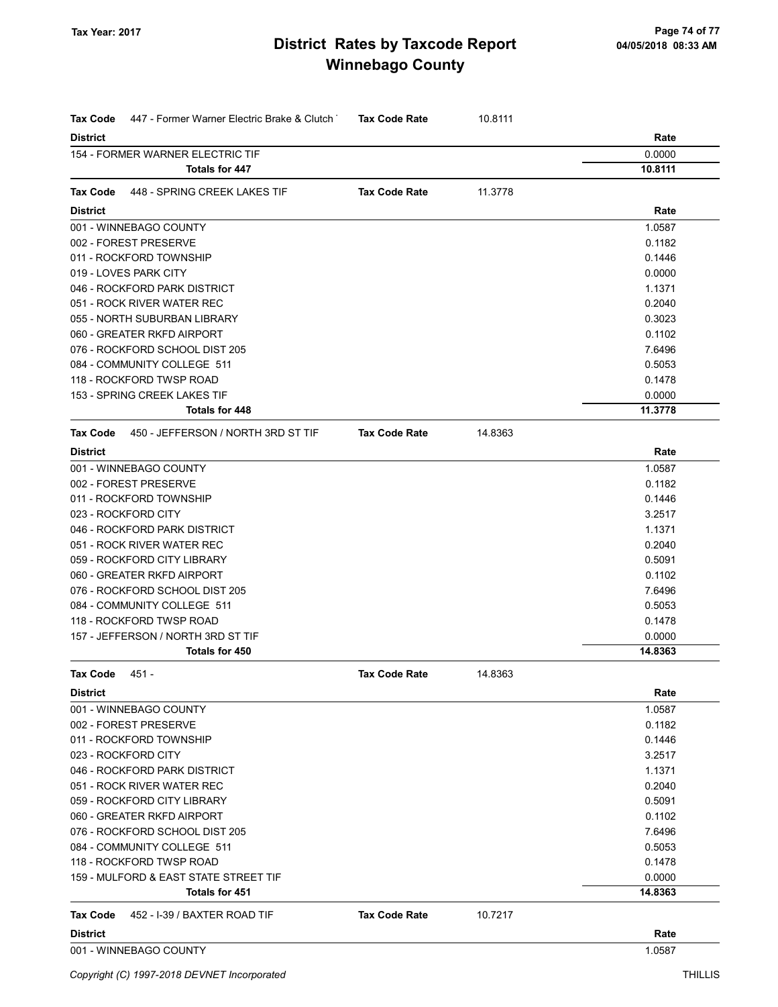| Tax Code        | 447 - Former Warner Electric Brake & Clutch | <b>Tax Code Rate</b> | 10.8111 |         |
|-----------------|---------------------------------------------|----------------------|---------|---------|
| <b>District</b> |                                             |                      |         | Rate    |
|                 | 154 - FORMER WARNER ELECTRIC TIF            |                      |         | 0.0000  |
|                 | Totals for 447                              |                      |         | 10.8111 |
| Tax Code        | 448 - SPRING CREEK LAKES TIF                | <b>Tax Code Rate</b> | 11.3778 |         |
| <b>District</b> |                                             |                      |         | Rate    |
|                 | 001 - WINNEBAGO COUNTY                      |                      |         | 1.0587  |
|                 | 002 - FOREST PRESERVE                       |                      |         | 0.1182  |
|                 | 011 - ROCKFORD TOWNSHIP                     |                      |         | 0.1446  |
|                 | 019 - LOVES PARK CITY                       |                      |         | 0.0000  |
|                 | 046 - ROCKFORD PARK DISTRICT                |                      |         | 1.1371  |
|                 | 051 - ROCK RIVER WATER REC                  |                      |         | 0.2040  |
|                 | 055 - NORTH SUBURBAN LIBRARY                |                      |         | 0.3023  |
|                 | 060 - GREATER RKFD AIRPORT                  |                      |         | 0.1102  |
|                 | 076 - ROCKFORD SCHOOL DIST 205              |                      |         | 7.6496  |
|                 | 084 - COMMUNITY COLLEGE 511                 |                      |         | 0.5053  |
|                 | 118 - ROCKFORD TWSP ROAD                    |                      |         | 0.1478  |
|                 | 153 - SPRING CREEK LAKES TIF                |                      |         | 0.0000  |
|                 | Totals for 448                              |                      |         | 11.3778 |
| Tax Code        | 450 - JEFFERSON / NORTH 3RD ST TIF          | <b>Tax Code Rate</b> | 14.8363 |         |
| <b>District</b> |                                             |                      |         | Rate    |
|                 | 001 - WINNEBAGO COUNTY                      |                      |         | 1.0587  |
|                 | 002 - FOREST PRESERVE                       |                      |         | 0.1182  |
|                 | 011 - ROCKFORD TOWNSHIP                     |                      |         | 0.1446  |
|                 | 023 - ROCKFORD CITY                         |                      |         | 3.2517  |
|                 | 046 - ROCKFORD PARK DISTRICT                |                      |         | 1.1371  |
|                 | 051 - ROCK RIVER WATER REC                  |                      |         | 0.2040  |
|                 | 059 - ROCKFORD CITY LIBRARY                 |                      |         | 0.5091  |
|                 | 060 - GREATER RKFD AIRPORT                  |                      |         | 0.1102  |
|                 | 076 - ROCKFORD SCHOOL DIST 205              |                      |         | 7.6496  |
|                 | 084 - COMMUNITY COLLEGE 511                 |                      |         | 0.5053  |
|                 | 118 - ROCKFORD TWSP ROAD                    |                      |         | 0.1478  |
|                 | 157 - JEFFERSON / NORTH 3RD ST TIF          |                      |         | 0.0000  |
|                 | Totals for 450                              |                      |         | 14.8363 |
| Tax Code        | 451 -                                       | Tax Code Rate        | 14.8363 |         |
| <b>District</b> |                                             |                      |         | Rate    |
|                 | 001 - WINNEBAGO COUNTY                      |                      |         | 1.0587  |
|                 | 002 - FOREST PRESERVE                       |                      |         | 0.1182  |
|                 | 011 - ROCKFORD TOWNSHIP                     |                      |         | 0.1446  |
|                 | 023 - ROCKFORD CITY                         |                      |         | 3.2517  |
|                 | 046 - ROCKFORD PARK DISTRICT                |                      |         | 1.1371  |
|                 | 051 - ROCK RIVER WATER REC                  |                      |         | 0.2040  |
|                 | 059 - ROCKFORD CITY LIBRARY                 |                      |         | 0.5091  |
|                 | 060 - GREATER RKFD AIRPORT                  |                      |         | 0.1102  |
|                 | 076 - ROCKFORD SCHOOL DIST 205              |                      |         | 7.6496  |
|                 | 084 - COMMUNITY COLLEGE 511                 |                      |         | 0.5053  |
|                 | 118 - ROCKFORD TWSP ROAD                    |                      |         | 0.1478  |
|                 | 159 - MULFORD & EAST STATE STREET TIF       |                      |         | 0.0000  |
|                 | Totals for 451                              |                      |         | 14.8363 |
| Tax Code        | 452 - I-39 / BAXTER ROAD TIF                | <b>Tax Code Rate</b> | 10.7217 |         |
| <b>District</b> |                                             |                      |         | Rate    |
|                 | 001 - WINNEBAGO COUNTY                      |                      |         | 1.0587  |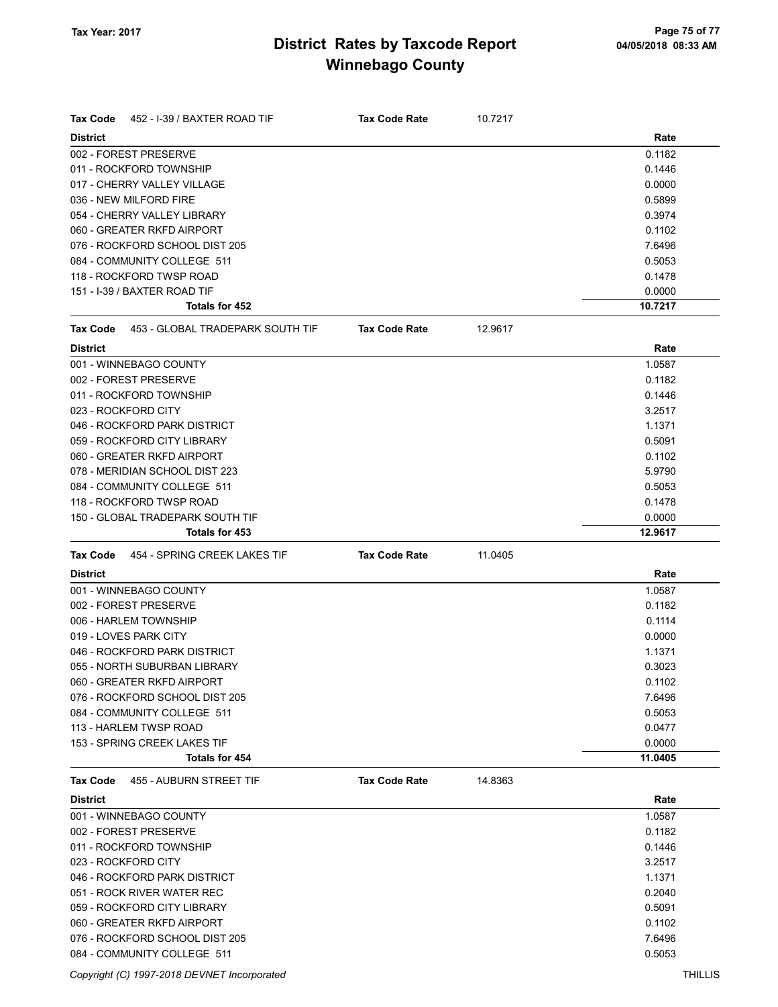| <b>Tax Code</b> | 452 - I-39 / BAXTER ROAD TIF     | <b>Tax Code Rate</b> | 10.7217 |         |
|-----------------|----------------------------------|----------------------|---------|---------|
| <b>District</b> |                                  |                      |         | Rate    |
|                 | 002 - FOREST PRESERVE            |                      |         | 0.1182  |
|                 | 011 - ROCKFORD TOWNSHIP          |                      |         | 0.1446  |
|                 | 017 - CHERRY VALLEY VILLAGE      |                      |         | 0.0000  |
|                 | 036 - NEW MILFORD FIRE           |                      |         | 0.5899  |
|                 | 054 - CHERRY VALLEY LIBRARY      |                      |         | 0.3974  |
|                 | 060 - GREATER RKFD AIRPORT       |                      |         | 0.1102  |
|                 | 076 - ROCKFORD SCHOOL DIST 205   |                      |         | 7.6496  |
|                 | 084 - COMMUNITY COLLEGE 511      |                      |         | 0.5053  |
|                 | 118 - ROCKFORD TWSP ROAD         |                      |         | 0.1478  |
|                 | 151 - I-39 / BAXTER ROAD TIF     |                      |         | 0.0000  |
|                 | <b>Totals for 452</b>            |                      |         | 10.7217 |
| <b>Tax Code</b> | 453 - GLOBAL TRADEPARK SOUTH TIF | <b>Tax Code Rate</b> | 12.9617 |         |
| <b>District</b> |                                  |                      |         | Rate    |
|                 | 001 - WINNEBAGO COUNTY           |                      |         | 1.0587  |
|                 | 002 - FOREST PRESERVE            |                      |         | 0.1182  |
|                 | 011 - ROCKFORD TOWNSHIP          |                      |         | 0.1446  |
|                 | 023 - ROCKFORD CITY              |                      |         | 3.2517  |
|                 | 046 - ROCKFORD PARK DISTRICT     |                      |         | 1.1371  |
|                 | 059 - ROCKFORD CITY LIBRARY      |                      |         | 0.5091  |
|                 | 060 - GREATER RKFD AIRPORT       |                      |         | 0.1102  |
|                 | 078 - MERIDIAN SCHOOL DIST 223   |                      |         | 5.9790  |
|                 | 084 - COMMUNITY COLLEGE 511      |                      |         | 0.5053  |
|                 | 118 - ROCKFORD TWSP ROAD         |                      |         | 0.1478  |
|                 | 150 - GLOBAL TRADEPARK SOUTH TIF |                      |         | 0.0000  |
|                 | Totals for 453                   |                      |         | 12.9617 |
| Tax Code        | 454 - SPRING CREEK LAKES TIF     | <b>Tax Code Rate</b> | 11.0405 |         |
| <b>District</b> |                                  |                      |         | Rate    |
|                 | 001 - WINNEBAGO COUNTY           |                      |         | 1.0587  |
|                 | 002 - FOREST PRESERVE            |                      |         | 0.1182  |
|                 | 006 - HARLEM TOWNSHIP            |                      |         | 0.1114  |
|                 | 019 - LOVES PARK CITY            |                      |         | 0.0000  |
|                 | 046 - ROCKFORD PARK DISTRICT     |                      |         | 1.1371  |
|                 | 055 - NORTH SUBURBAN LIBRARY     |                      |         | 0.3023  |
|                 | 060 - GREATER RKFD AIRPORT       |                      |         | 0.1102  |
|                 | 076 - ROCKFORD SCHOOL DIST 205   |                      |         | 7.6496  |
|                 | 084 - COMMUNITY COLLEGE 511      |                      |         | 0.5053  |
|                 | 113 - HARLEM TWSP ROAD           |                      |         | 0.0477  |
|                 | 153 - SPRING CREEK LAKES TIF     |                      |         | 0.0000  |
|                 | Totals for 454                   |                      |         | 11.0405 |
| Tax Code        | 455 - AUBURN STREET TIF          | <b>Tax Code Rate</b> | 14.8363 |         |
| <b>District</b> |                                  |                      |         | Rate    |
|                 | 001 - WINNEBAGO COUNTY           |                      |         | 1.0587  |
|                 | 002 - FOREST PRESERVE            |                      |         | 0.1182  |
|                 | 011 - ROCKFORD TOWNSHIP          |                      |         | 0.1446  |
|                 | 023 - ROCKFORD CITY              |                      |         | 3.2517  |
|                 | 046 - ROCKFORD PARK DISTRICT     |                      |         | 1.1371  |
|                 | 051 - ROCK RIVER WATER REC       |                      |         | 0.2040  |
|                 |                                  |                      |         |         |
|                 | 059 - ROCKFORD CITY LIBRARY      |                      |         | 0.5091  |
|                 | 060 - GREATER RKFD AIRPORT       |                      |         | 0.1102  |
|                 | 076 - ROCKFORD SCHOOL DIST 205   |                      |         | 7.6496  |

Copyright (C) 1997-2018 DEVNET Incorporated THILLIS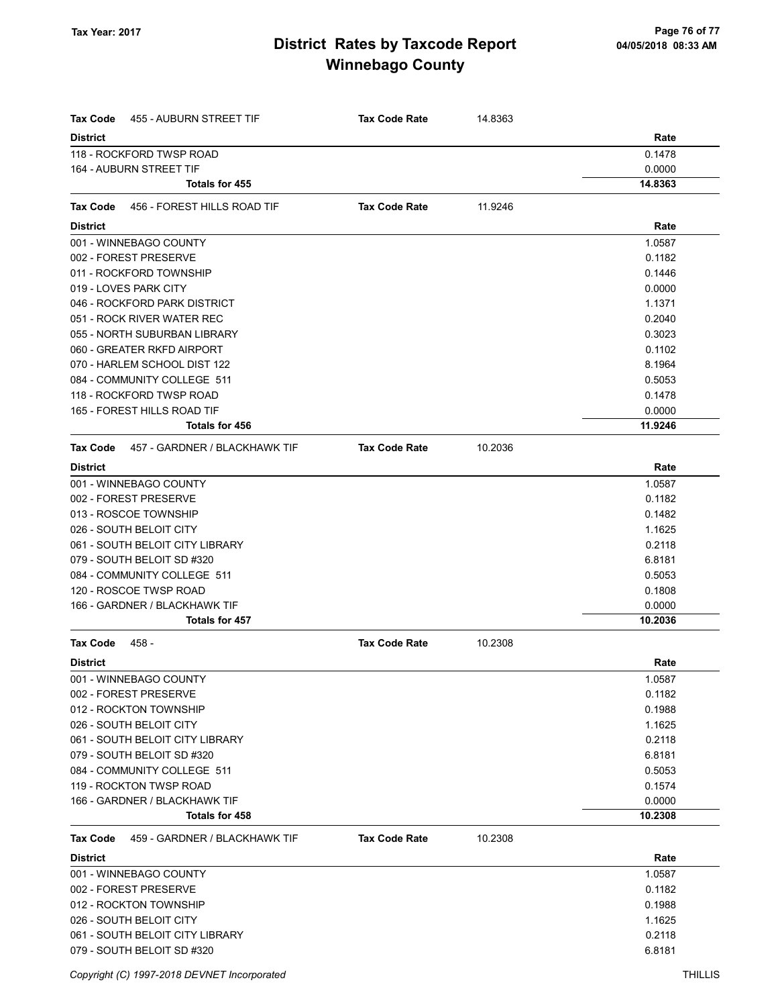| <b>Tax Code</b><br>455 - AUBURN STREET TIF       | <b>Tax Code Rate</b> | 14.8363 |         |
|--------------------------------------------------|----------------------|---------|---------|
| <b>District</b>                                  |                      |         | Rate    |
| 118 - ROCKFORD TWSP ROAD                         |                      |         | 0.1478  |
| 164 - AUBURN STREET TIF                          |                      |         | 0.0000  |
| <b>Totals for 455</b>                            |                      |         | 14.8363 |
| <b>Tax Code</b><br>456 - FOREST HILLS ROAD TIF   | <b>Tax Code Rate</b> | 11.9246 |         |
| <b>District</b>                                  |                      |         | Rate    |
| 001 - WINNEBAGO COUNTY                           |                      |         | 1.0587  |
| 002 - FOREST PRESERVE                            |                      |         | 0.1182  |
| 011 - ROCKFORD TOWNSHIP                          |                      |         | 0.1446  |
| 019 - LOVES PARK CITY                            |                      |         | 0.0000  |
| 046 - ROCKFORD PARK DISTRICT                     |                      |         | 1.1371  |
| 051 - ROCK RIVER WATER REC                       |                      |         | 0.2040  |
| 055 - NORTH SUBURBAN LIBRARY                     |                      |         | 0.3023  |
| 060 - GREATER RKFD AIRPORT                       |                      |         | 0.1102  |
| 070 - HARLEM SCHOOL DIST 122                     |                      |         | 8.1964  |
| 084 - COMMUNITY COLLEGE 511                      |                      |         | 0.5053  |
| 118 - ROCKFORD TWSP ROAD                         |                      |         | 0.1478  |
| 165 - FOREST HILLS ROAD TIF                      |                      |         | 0.0000  |
| <b>Totals for 456</b>                            |                      |         | 11.9246 |
| 457 - GARDNER / BLACKHAWK TIF<br><b>Tax Code</b> | <b>Tax Code Rate</b> | 10.2036 |         |
| <b>District</b>                                  |                      |         | Rate    |
| 001 - WINNEBAGO COUNTY                           |                      |         | 1.0587  |
| 002 - FOREST PRESERVE                            |                      |         | 0.1182  |
| 013 - ROSCOE TOWNSHIP                            |                      |         | 0.1482  |
| 026 - SOUTH BELOIT CITY                          |                      |         | 1.1625  |
| 061 - SOUTH BELOIT CITY LIBRARY                  |                      |         | 0.2118  |
| 079 - SOUTH BELOIT SD #320                       |                      |         | 6.8181  |
| 084 - COMMUNITY COLLEGE 511                      |                      |         | 0.5053  |
| 120 - ROSCOE TWSP ROAD                           |                      |         | 0.1808  |
| 166 - GARDNER / BLACKHAWK TIF                    |                      |         | 0.0000  |
| <b>Totals for 457</b>                            |                      |         | 10.2036 |
| <b>Tax Code</b><br>458 -                         | <b>Tax Code Rate</b> | 10.2308 |         |
| <b>District</b>                                  |                      |         | Rate    |
| 001 - WINNEBAGO COUNTY                           |                      |         | 1.0587  |
| 002 - FOREST PRESERVE                            |                      |         | 0.1182  |
| 012 - ROCKTON TOWNSHIP                           |                      |         | 0.1988  |
| 026 - SOUTH BELOIT CITY                          |                      |         | 1.1625  |
| 061 - SOUTH BELOIT CITY LIBRARY                  |                      |         | 0.2118  |
| 079 - SOUTH BELOIT SD #320                       |                      |         | 6.8181  |
| 084 - COMMUNITY COLLEGE 511                      |                      |         | 0.5053  |
| 119 - ROCKTON TWSP ROAD                          |                      |         | 0.1574  |
| 166 - GARDNER / BLACKHAWK TIF                    |                      |         | 0.0000  |
| Totals for 458                                   |                      |         | 10.2308 |
| 459 - GARDNER / BLACKHAWK TIF<br><b>Tax Code</b> | <b>Tax Code Rate</b> | 10.2308 |         |
| <b>District</b>                                  |                      |         | Rate    |
| 001 - WINNEBAGO COUNTY                           |                      |         | 1.0587  |
| 002 - FOREST PRESERVE                            |                      |         | 0.1182  |
| 012 - ROCKTON TOWNSHIP                           |                      |         | 0.1988  |
| 026 - SOUTH BELOIT CITY                          |                      |         | 1.1625  |
| 061 - SOUTH BELOIT CITY LIBRARY                  |                      |         | 0.2118  |
| 079 - SOUTH BELOIT SD #320                       |                      |         | 6.8181  |